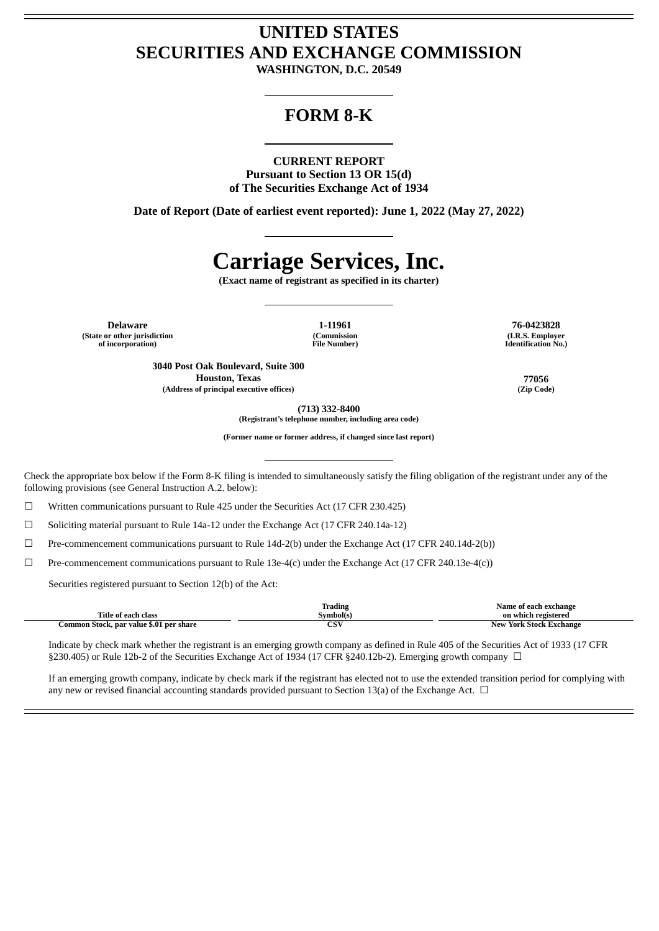# **UNITED STATES SECURITIES AND EXCHANGE COMMISSION**

**WASHINGTON, D.C. 20549**

# **FORM 8-K**

# **CURRENT REPORT**

**Pursuant to Section 13 OR 15(d) of The Securities Exchange Act of 1934**

**Date of Report (Date of earliest event reported): June 1, 2022 (May 27, 2022)**

# **Carriage Services, Inc.**

**(Exact name of registrant as specified in its charter)**

**Delaware 1-11961 76-0423828 (State or other jurisdiction of incorporation)**

**(Commission File Number)**

**(I.R.S. Employer Identification No.)**

**3040 Post Oak Boulevard, Suite 300 Houston, Texas 77056 (Address of principal executive offices) (Zip Code)**

**(713) 332-8400**

**(Registrant's telephone number, including area code)**

**(Former name or former address, if changed since last report)**

Check the appropriate box below if the Form 8-K filing is intended to simultaneously satisfy the filing obligation of the registrant under any of the following provisions (see General Instruction A.2. below):

 $\Box$  Written communications pursuant to Rule 425 under the Securities Act (17 CFR 230.425)

☐ Soliciting material pursuant to Rule 14a-12 under the Exchange Act (17 CFR 240.14a-12)

 $\Box$  Pre-commencement communications pursuant to Rule 14d-2(b) under the Exchange Act (17 CFR 240.14d-2(b))

 $\Box$  Pre-commencement communications pursuant to Rule 13e-4(c) under the Exchange Act (17 CFR 240.13e-4(c))

Securities registered pursuant to Section 12(b) of the Act:

|                                         | <b>CONTRACTOR</b><br>îrading | Name of each exchange                          |
|-----------------------------------------|------------------------------|------------------------------------------------|
| Title of each class                     | Symbol(s)                    | on which registered                            |
| Common Stock, par value \$.01 per share | CS۱                          | <sup>,</sup> York Stock Exchange<br><b>New</b> |

Indicate by check mark whether the registrant is an emerging growth company as defined in Rule 405 of the Securities Act of 1933 (17 CFR §230.405) or Rule 12b-2 of the Securities Exchange Act of 1934 (17 CFR §240.12b-2). Emerging growth company  $\Box$ 

If an emerging growth company, indicate by check mark if the registrant has elected not to use the extended transition period for complying with any new or revised financial accounting standards provided pursuant to Section 13(a) of the Exchange Act.  $\Box$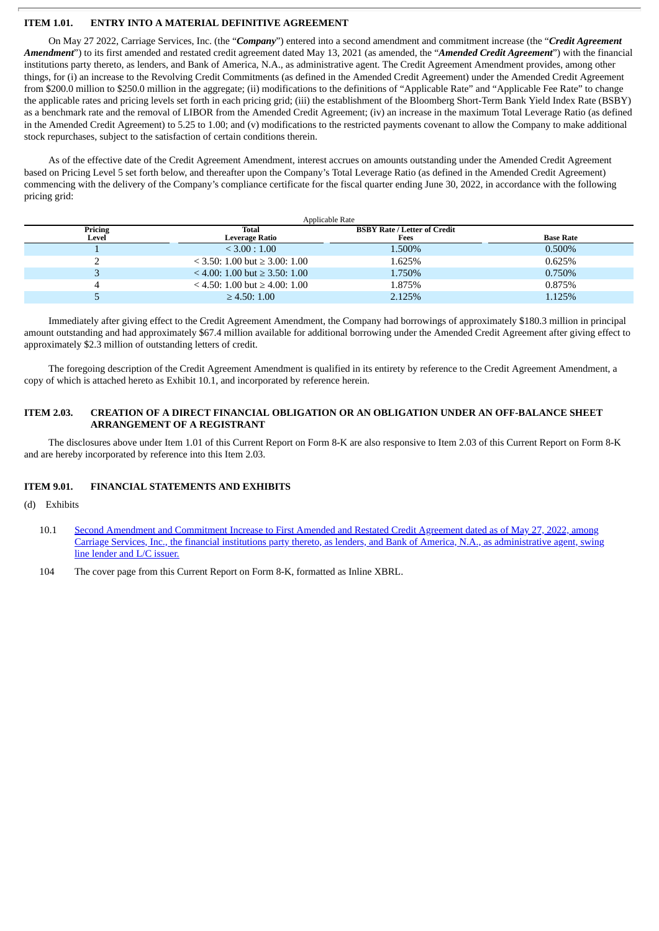# **ITEM 1.01. ENTRY INTO A MATERIAL DEFINITIVE AGREEMENT**

On May 27 2022, Carriage Services, Inc. (the "*Company*") entered into a second amendment and commitment increase (the "*Credit Agreement Amendment*") to its first amended and restated credit agreement dated May 13, 2021 (as amended, the "*Amended Credit Agreement*") with the financial institutions party thereto, as lenders, and Bank of America, N.A., as administrative agent. The Credit Agreement Amendment provides, among other things, for (i) an increase to the Revolving Credit Commitments (as defined in the Amended Credit Agreement) under the Amended Credit Agreement from \$200.0 million to \$250.0 million in the aggregate; (ii) modifications to the definitions of "Applicable Rate" and "Applicable Fee Rate" to change the applicable rates and pricing levels set forth in each pricing grid; (iii) the establishment of the Bloomberg Short-Term Bank Yield Index Rate (BSBY) as a benchmark rate and the removal of LIBOR from the Amended Credit Agreement; (iv) an increase in the maximum Total Leverage Ratio (as defined in the Amended Credit Agreement) to 5.25 to 1.00; and (v) modifications to the restricted payments covenant to allow the Company to make additional stock repurchases, subject to the satisfaction of certain conditions therein.

As of the effective date of the Credit Agreement Amendment, interest accrues on amounts outstanding under the Amended Credit Agreement based on Pricing Level 5 set forth below, and thereafter upon the Company's Total Leverage Ratio (as defined in the Amended Credit Agreement) commencing with the delivery of the Company's compliance certificate for the fiscal quarter ending June 30, 2022, in accordance with the following pricing grid:

| Applicable Rate  |                                         |                                             |                  |  |
|------------------|-----------------------------------------|---------------------------------------------|------------------|--|
| Pricing<br>Level | Total<br><b>Leverage Ratio</b>          | <b>BSBY Rate / Letter of Credit</b><br>Fees | <b>Base Rate</b> |  |
|                  | < 3.00 : 1.00                           | 1.500%                                      | 0.500%           |  |
|                  | $\leq$ 3.50: 1.00 but $\geq$ 3.00: 1.00 | 1.625%                                      | 0.625%           |  |
|                  | $\leq$ 4.00: 1.00 but $\geq$ 3.50: 1.00 | 1.750%                                      | 0.750%           |  |
|                  | $\leq$ 4.50: 1.00 but $\geq$ 4.00: 1.00 | 1.875%                                      | 0.875%           |  |
|                  | $\geq 4.50$ : 1.00                      | 2.125%                                      | 1.125%           |  |

Immediately after giving effect to the Credit Agreement Amendment, the Company had borrowings of approximately \$180.3 million in principal amount outstanding and had approximately \$67.4 million available for additional borrowing under the Amended Credit Agreement after giving effect to approximately \$2.3 million of outstanding letters of credit.

The foregoing description of the Credit Agreement Amendment is qualified in its entirety by reference to the Credit Agreement Amendment, a copy of which is attached hereto as Exhibit 10.1, and incorporated by reference herein.

#### **ITEM 2.03. CREATION OF A DIRECT FINANCIAL OBLIGATION OR AN OBLIGATION UNDER AN OFF-BALANCE SHEET ARRANGEMENT OF A REGISTRANT**

The disclosures above under Item 1.01 of this Current Report on Form 8-K are also responsive to Item 2.03 of this Current Report on Form 8-K and are hereby incorporated by reference into this Item 2.03.

#### **ITEM 9.01. FINANCIAL STATEMENTS AND EXHIBITS**

#### (d) Exhibits

- 10.1 Second Amendment and Commitment Increase to First Amended and Restated Credit Agreement dated as of May 27, 2022, among Carriage Services, Inc., the financial institutions party thereto, as lenders, and Bank of America, N.A., as [administrative](#page-3-0) agent, swing line lender and L/C issuer.
- 104 The cover page from this Current Report on Form 8-K, formatted as Inline XBRL.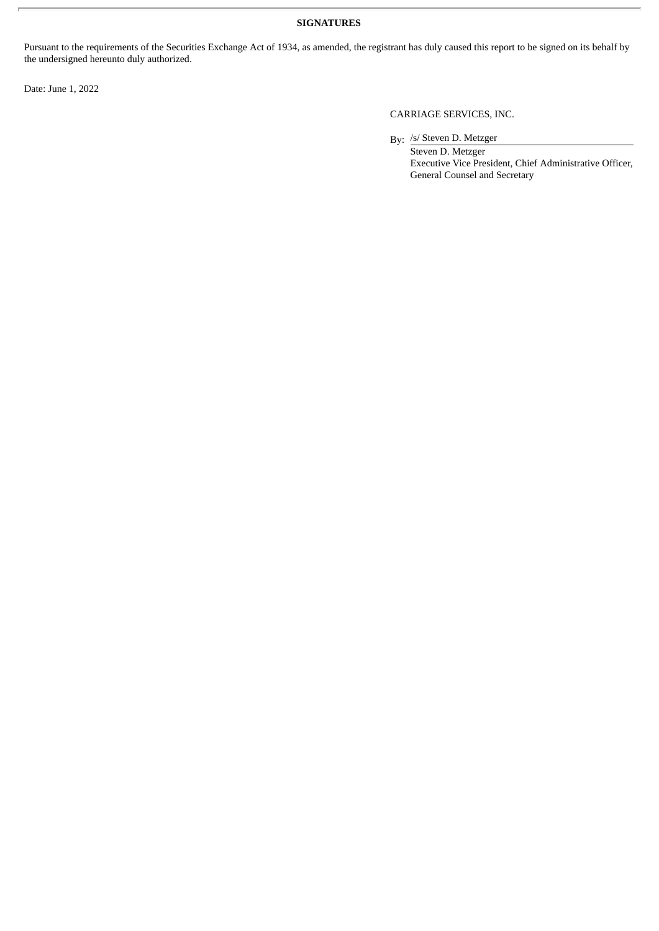# **SIGNATURES**

Pursuant to the requirements of the Securities Exchange Act of 1934, as amended, the registrant has duly caused this report to be signed on its behalf by the undersigned hereunto duly authorized.

Date: June 1, 2022

CARRIAGE SERVICES, INC.

By: /s/ Steven D. Metzger

Steven D. Metzger Executive Vice President, Chief Administrative Officer, General Counsel and Secretary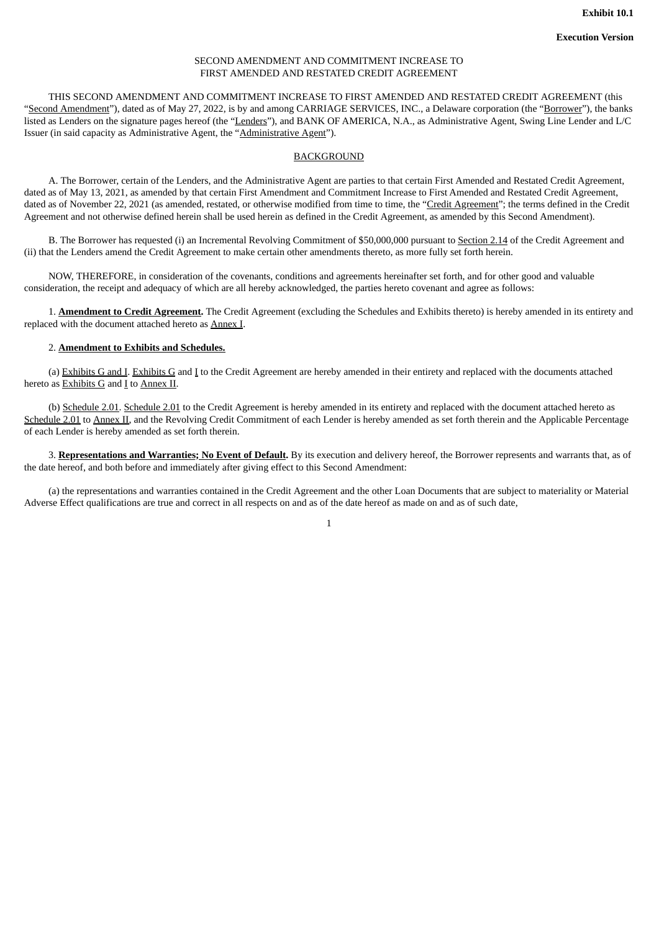#### SECOND AMENDMENT AND COMMITMENT INCREASE TO FIRST AMENDED AND RESTATED CREDIT AGREEMENT

<span id="page-3-0"></span>THIS SECOND AMENDMENT AND COMMITMENT INCREASE TO FIRST AMENDED AND RESTATED CREDIT AGREEMENT (this "Second Amendment"), dated as of May 27, 2022, is by and among CARRIAGE SERVICES, INC., a Delaware corporation (the "Borrower"), the banks listed as Lenders on the signature pages hereof (the "Lenders"), and BANK OF AMERICA, N.A., as Administrative Agent, Swing Line Lender and L/C Issuer (in said capacity as Administrative Agent, the "Administrative Agent").

#### **BACKGROUND**

A. The Borrower, certain of the Lenders, and the Administrative Agent are parties to that certain First Amended and Restated Credit Agreement, dated as of May 13, 2021, as amended by that certain First Amendment and Commitment Increase to First Amended and Restated Credit Agreement, dated as of November 22, 2021 (as amended, restated, or otherwise modified from time to time, the "Credit Agreement"; the terms defined in the Credit Agreement and not otherwise defined herein shall be used herein as defined in the Credit Agreement, as amended by this Second Amendment).

B. The Borrower has requested (i) an Incremental Revolving Commitment of \$50,000,000 pursuant to Section 2.14 of the Credit Agreement and (ii) that the Lenders amend the Credit Agreement to make certain other amendments thereto, as more fully set forth herein.

NOW, THEREFORE, in consideration of the covenants, conditions and agreements hereinafter set forth, and for other good and valuable consideration, the receipt and adequacy of which are all hereby acknowledged, the parties hereto covenant and agree as follows:

1. **Amendment to Credit Agreement.** The Credit Agreement (excluding the Schedules and Exhibits thereto) is hereby amended in its entirety and replaced with the document attached hereto as Annex I.

#### 2. **Amendment to Exhibits and Schedules.**

(a) Exhibits G and I. Exhibits G and I to the Credit Agreement are hereby amended in their entirety and replaced with the documents attached hereto as Exhibits G and I to Annex II.

(b) Schedule 2.01. Schedule 2.01 to the Credit Agreement is hereby amended in its entirety and replaced with the document attached hereto as Schedule 2.01 to Annex II, and the Revolving Credit Commitment of each Lender is hereby amended as set forth therein and the Applicable Percentage of each Lender is hereby amended as set forth therein.

3. **Representations and Warranties; No Event of Default.** By its execution and delivery hereof, the Borrower represents and warrants that, as of the date hereof, and both before and immediately after giving effect to this Second Amendment:

(a) the representations and warranties contained in the Credit Agreement and the other Loan Documents that are subject to materiality or Material Adverse Effect qualifications are true and correct in all respects on and as of the date hereof as made on and as of such date,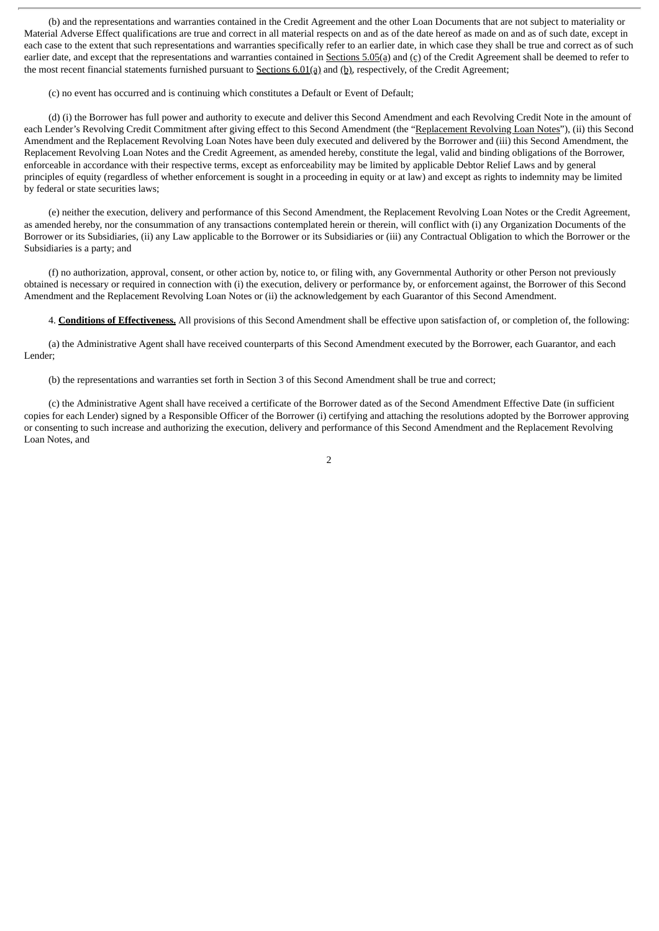(b) and the representations and warranties contained in the Credit Agreement and the other Loan Documents that are not subject to materiality or Material Adverse Effect qualifications are true and correct in all material respects on and as of the date hereof as made on and as of such date, except in each case to the extent that such representations and warranties specifically refer to an earlier date, in which case they shall be true and correct as of such earlier date, and except that the representations and warranties contained in Sections  $5.05(a)$  and (c) of the Credit Agreement shall be deemed to refer to the most recent financial statements furnished pursuant to Sections 6.01(a) and (b), respectively, of the Credit Agreement;

(c) no event has occurred and is continuing which constitutes a Default or Event of Default;

(d) (i) the Borrower has full power and authority to execute and deliver this Second Amendment and each Revolving Credit Note in the amount of each Lender's Revolving Credit Commitment after giving effect to this Second Amendment (the "Replacement Revolving Loan Notes"), (ii) this Second Amendment and the Replacement Revolving Loan Notes have been duly executed and delivered by the Borrower and (iii) this Second Amendment, the Replacement Revolving Loan Notes and the Credit Agreement, as amended hereby, constitute the legal, valid and binding obligations of the Borrower, enforceable in accordance with their respective terms, except as enforceability may be limited by applicable Debtor Relief Laws and by general principles of equity (regardless of whether enforcement is sought in a proceeding in equity or at law) and except as rights to indemnity may be limited by federal or state securities laws;

(e) neither the execution, delivery and performance of this Second Amendment, the Replacement Revolving Loan Notes or the Credit Agreement, as amended hereby, nor the consummation of any transactions contemplated herein or therein, will conflict with (i) any Organization Documents of the Borrower or its Subsidiaries, (ii) any Law applicable to the Borrower or its Subsidiaries or (iii) any Contractual Obligation to which the Borrower or the Subsidiaries is a party; and

(f) no authorization, approval, consent, or other action by, notice to, or filing with, any Governmental Authority or other Person not previously obtained is necessary or required in connection with (i) the execution, delivery or performance by, or enforcement against, the Borrower of this Second Amendment and the Replacement Revolving Loan Notes or (ii) the acknowledgement by each Guarantor of this Second Amendment.

4. **Conditions of Effectiveness.** All provisions of this Second Amendment shall be effective upon satisfaction of, or completion of, the following:

(a) the Administrative Agent shall have received counterparts of this Second Amendment executed by the Borrower, each Guarantor, and each Lender;

(b) the representations and warranties set forth in Section 3 of this Second Amendment shall be true and correct;

(c) the Administrative Agent shall have received a certificate of the Borrower dated as of the Second Amendment Effective Date (in sufficient copies for each Lender) signed by a Responsible Officer of the Borrower (i) certifying and attaching the resolutions adopted by the Borrower approving or consenting to such increase and authorizing the execution, delivery and performance of this Second Amendment and the Replacement Revolving Loan Notes, and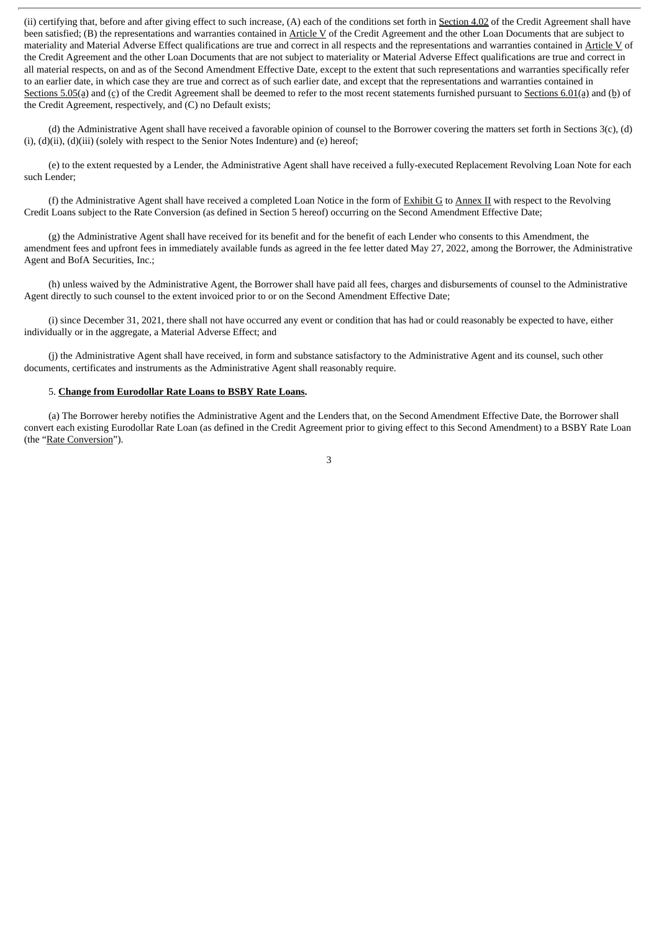(ii) certifying that, before and after giving effect to such increase, (A) each of the conditions set forth in Section 4.02 of the Credit Agreement shall have been satisfied; (B) the representations and warranties contained in Article V of the Credit Agreement and the other Loan Documents that are subject to materiality and Material Adverse Effect qualifications are true and correct in all respects and the representations and warranties contained in Article V of the Credit Agreement and the other Loan Documents that are not subject to materiality or Material Adverse Effect qualifications are true and correct in all material respects, on and as of the Second Amendment Effective Date, except to the extent that such representations and warranties specifically refer to an earlier date, in which case they are true and correct as of such earlier date, and except that the representations and warranties contained in Sections 5.05(a) and (c) of the Credit Agreement shall be deemed to refer to the most recent statements furnished pursuant to Sections 6.01(a) and (b) of the Credit Agreement, respectively, and (C) no Default exists;

(d) the Administrative Agent shall have received a favorable opinion of counsel to the Borrower covering the matters set forth in Sections 3(c), (d) (i),  $(d)(ii)$ ,  $(d)(iii)$  (solely with respect to the Senior Notes Indenture) and (e) hereof;

(e) to the extent requested by a Lender, the Administrative Agent shall have received a fully-executed Replacement Revolving Loan Note for each such Lender;

(f) the Administrative Agent shall have received a completed Loan Notice in the form of  $Exhibit G$  to Annex II with respect to the Revolving Credit Loans subject to the Rate Conversion (as defined in Section 5 hereof) occurring on the Second Amendment Effective Date;

(g) the Administrative Agent shall have received for its benefit and for the benefit of each Lender who consents to this Amendment, the amendment fees and upfront fees in immediately available funds as agreed in the fee letter dated May 27, 2022, among the Borrower, the Administrative Agent and BofA Securities, Inc.;

(h) unless waived by the Administrative Agent, the Borrower shall have paid all fees, charges and disbursements of counsel to the Administrative Agent directly to such counsel to the extent invoiced prior to or on the Second Amendment Effective Date;

(i) since December 31, 2021, there shall not have occurred any event or condition that has had or could reasonably be expected to have, either individually or in the aggregate, a Material Adverse Effect; and

(j) the Administrative Agent shall have received, in form and substance satisfactory to the Administrative Agent and its counsel, such other documents, certificates and instruments as the Administrative Agent shall reasonably require.

#### 5. **Change from Eurodollar Rate Loans to BSBY Rate Loans.**

(a) The Borrower hereby notifies the Administrative Agent and the Lenders that, on the Second Amendment Effective Date, the Borrower shall convert each existing Eurodollar Rate Loan (as defined in the Credit Agreement prior to giving effect to this Second Amendment) to a BSBY Rate Loan (the "Rate Conversion").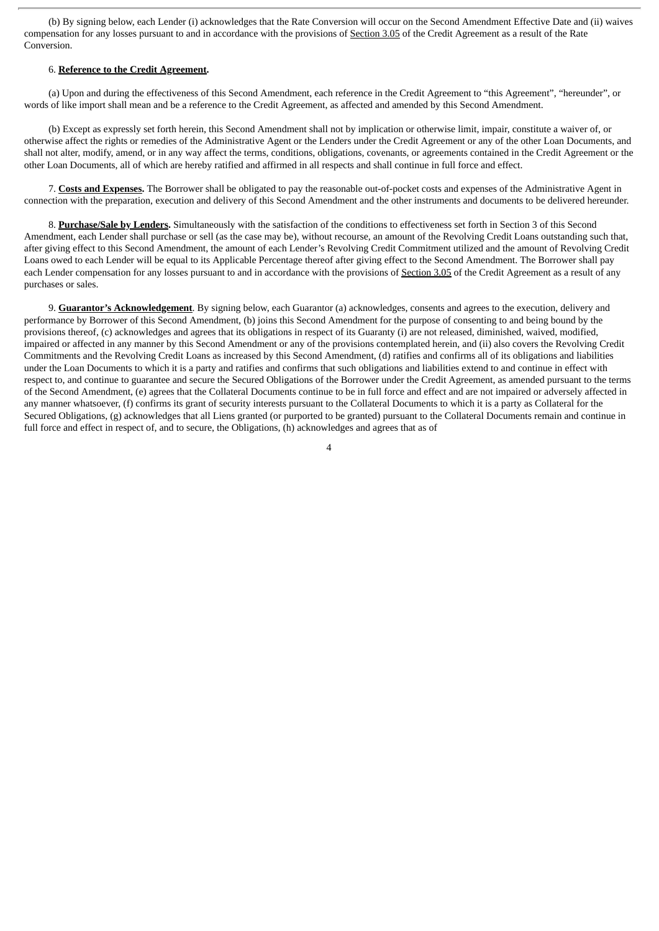(b) By signing below, each Lender (i) acknowledges that the Rate Conversion will occur on the Second Amendment Effective Date and (ii) waives compensation for any losses pursuant to and in accordance with the provisions of Section 3.05 of the Credit Agreement as a result of the Rate Conversion.

#### 6. **Reference to the Credit Agreement.**

(a) Upon and during the effectiveness of this Second Amendment, each reference in the Credit Agreement to "this Agreement", "hereunder", or words of like import shall mean and be a reference to the Credit Agreement, as affected and amended by this Second Amendment.

(b) Except as expressly set forth herein, this Second Amendment shall not by implication or otherwise limit, impair, constitute a waiver of, or otherwise affect the rights or remedies of the Administrative Agent or the Lenders under the Credit Agreement or any of the other Loan Documents, and shall not alter, modify, amend, or in any way affect the terms, conditions, obligations, covenants, or agreements contained in the Credit Agreement or the other Loan Documents, all of which are hereby ratified and affirmed in all respects and shall continue in full force and effect.

7. **Costs and Expenses.** The Borrower shall be obligated to pay the reasonable out-of-pocket costs and expenses of the Administrative Agent in connection with the preparation, execution and delivery of this Second Amendment and the other instruments and documents to be delivered hereunder.

8. **Purchase/Sale by Lenders.** Simultaneously with the satisfaction of the conditions to effectiveness set forth in Section 3 of this Second Amendment, each Lender shall purchase or sell (as the case may be), without recourse, an amount of the Revolving Credit Loans outstanding such that, after giving effect to this Second Amendment, the amount of each Lender's Revolving Credit Commitment utilized and the amount of Revolving Credit Loans owed to each Lender will be equal to its Applicable Percentage thereof after giving effect to the Second Amendment. The Borrower shall pay each Lender compensation for any losses pursuant to and in accordance with the provisions of Section 3.05 of the Credit Agreement as a result of any purchases or sales.

9. **Guarantor's Acknowledgement**. By signing below, each Guarantor (a) acknowledges, consents and agrees to the execution, delivery and performance by Borrower of this Second Amendment, (b) joins this Second Amendment for the purpose of consenting to and being bound by the provisions thereof, (c) acknowledges and agrees that its obligations in respect of its Guaranty (i) are not released, diminished, waived, modified, impaired or affected in any manner by this Second Amendment or any of the provisions contemplated herein, and (ii) also covers the Revolving Credit Commitments and the Revolving Credit Loans as increased by this Second Amendment, (d) ratifies and confirms all of its obligations and liabilities under the Loan Documents to which it is a party and ratifies and confirms that such obligations and liabilities extend to and continue in effect with respect to, and continue to guarantee and secure the Secured Obligations of the Borrower under the Credit Agreement, as amended pursuant to the terms of the Second Amendment, (e) agrees that the Collateral Documents continue to be in full force and effect and are not impaired or adversely affected in any manner whatsoever, (f) confirms its grant of security interests pursuant to the Collateral Documents to which it is a party as Collateral for the Secured Obligations, (g) acknowledges that all Liens granted (or purported to be granted) pursuant to the Collateral Documents remain and continue in full force and effect in respect of, and to secure, the Obligations, (h) acknowledges and agrees that as of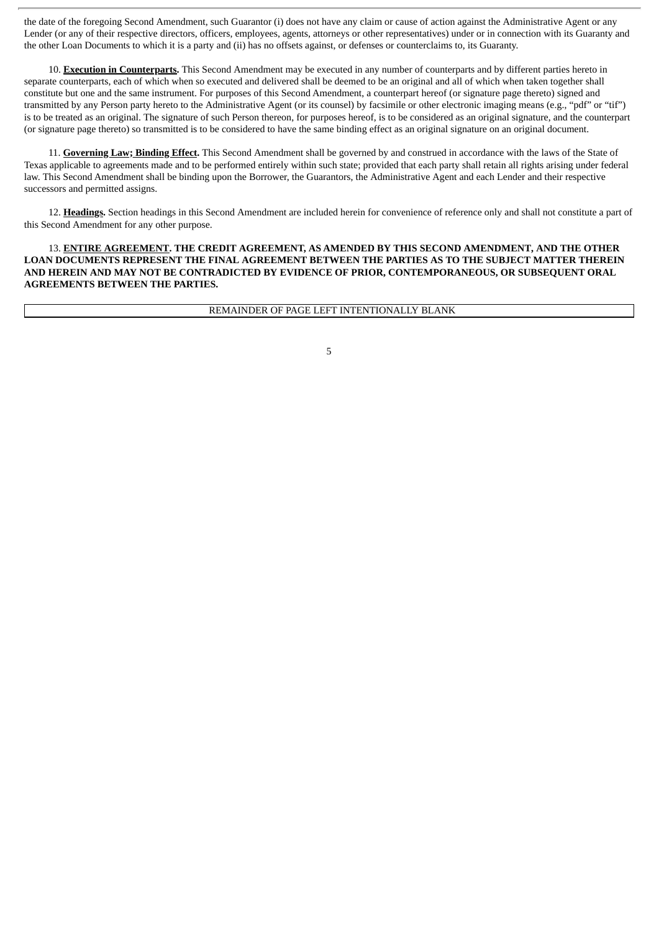the date of the foregoing Second Amendment, such Guarantor (i) does not have any claim or cause of action against the Administrative Agent or any Lender (or any of their respective directors, officers, employees, agents, attorneys or other representatives) under or in connection with its Guaranty and the other Loan Documents to which it is a party and (ii) has no offsets against, or defenses or counterclaims to, its Guaranty.

10. **Execution in Counterparts.** This Second Amendment may be executed in any number of counterparts and by different parties hereto in separate counterparts, each of which when so executed and delivered shall be deemed to be an original and all of which when taken together shall constitute but one and the same instrument. For purposes of this Second Amendment, a counterpart hereof (or signature page thereto) signed and transmitted by any Person party hereto to the Administrative Agent (or its counsel) by facsimile or other electronic imaging means (e.g., "pdf" or "tif") is to be treated as an original. The signature of such Person thereon, for purposes hereof, is to be considered as an original signature, and the counterpart (or signature page thereto) so transmitted is to be considered to have the same binding effect as an original signature on an original document.

11. **Governing Law; Binding Effect.** This Second Amendment shall be governed by and construed in accordance with the laws of the State of Texas applicable to agreements made and to be performed entirely within such state; provided that each party shall retain all rights arising under federal law. This Second Amendment shall be binding upon the Borrower, the Guarantors, the Administrative Agent and each Lender and their respective successors and permitted assigns.

12. **Headings.** Section headings in this Second Amendment are included herein for convenience of reference only and shall not constitute a part of this Second Amendment for any other purpose.

#### 13. **ENTIRE AGREEMENT. THE CREDIT AGREEMENT, AS AMENDED BY THIS SECOND AMENDMENT, AND THE OTHER LOAN DOCUMENTS REPRESENT THE FINAL AGREEMENT BETWEEN THE PARTIES AS TO THE SUBJECT MATTER THEREIN AND HEREIN AND MAY NOT BE CONTRADICTED BY EVIDENCE OF PRIOR, CONTEMPORANEOUS, OR SUBSEQUENT ORAL AGREEMENTS BETWEEN THE PARTIES.**

REMAINDER OF PAGE LEFT INTENTIONALLY BLANK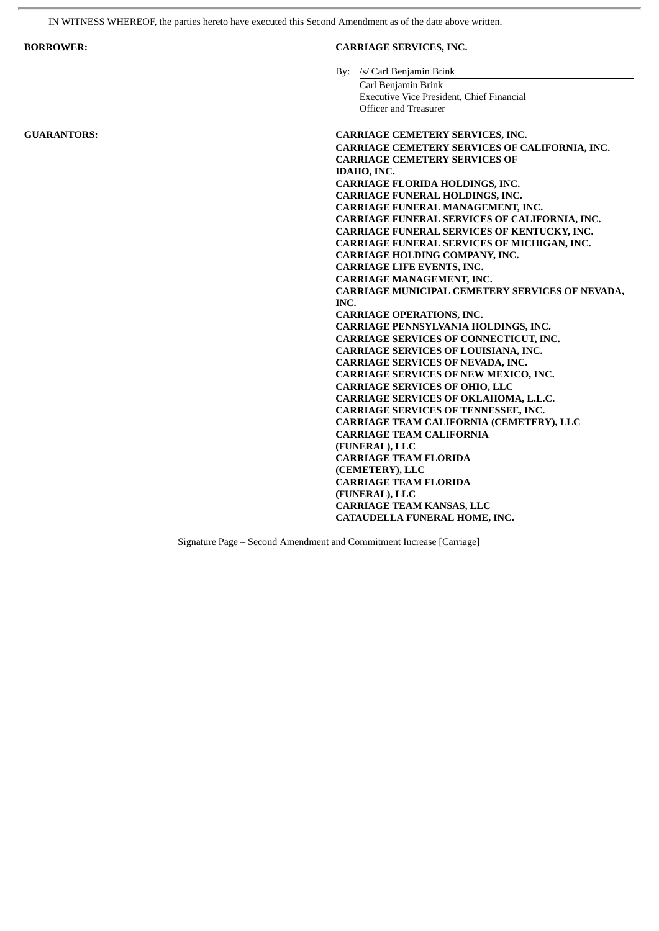IN WITNESS WHEREOF, the parties hereto have executed this Second Amendment as of the date above written.

# **BORROWER: CARRIAGE SERVICES, INC.**

By: /s/ Carl Benjamin Brink

Carl Benjamin Brink Executive Vice President, Chief Financial Officer and Treasurer

**GUARANTORS: CARRIAGE CEMETERY SERVICES, INC. CARRIAGE CEMETERY SERVICES OF CALIFORNIA, INC. CARRIAGE CEMETERY SERVICES OF IDAHO, INC. CARRIAGE FLORIDA HOLDINGS, INC. CARRIAGE FUNERAL HOLDINGS, INC. CARRIAGE FUNERAL MANAGEMENT, INC. CARRIAGE FUNERAL SERVICES OF CALIFORNIA, INC. CARRIAGE FUNERAL SERVICES OF KENTUCKY, INC. CARRIAGE FUNERAL SERVICES OF MICHIGAN, INC. CARRIAGE HOLDING COMPANY, INC. CARRIAGE LIFE EVENTS, INC. CARRIAGE MANAGEMENT, INC. CARRIAGE MUNICIPAL CEMETERY SERVICES OF NEVADA, INC. CARRIAGE OPERATIONS, INC. CARRIAGE PENNSYLVANIA HOLDINGS, INC. CARRIAGE SERVICES OF CONNECTICUT, INC. CARRIAGE SERVICES OF LOUISIANA, INC. CARRIAGE SERVICES OF NEVADA, INC. CARRIAGE SERVICES OF NEW MEXICO, INC. CARRIAGE SERVICES OF OHIO, LLC CARRIAGE SERVICES OF OKLAHOMA, L.L.C. CARRIAGE SERVICES OF TENNESSEE, INC. CARRIAGE TEAM CALIFORNIA (CEMETERY), LLC CARRIAGE TEAM CALIFORNIA (FUNERAL), LLC CARRIAGE TEAM FLORIDA (CEMETERY), LLC CARRIAGE TEAM FLORIDA (FUNERAL), LLC CARRIAGE TEAM KANSAS, LLC CATAUDELLA FUNERAL HOME, INC.**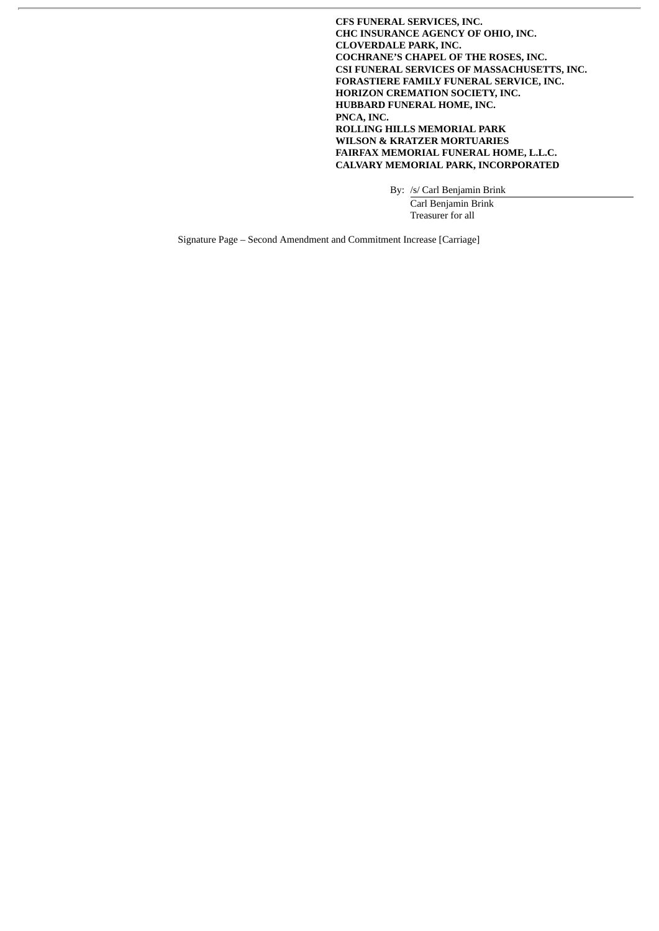**CFS FUNERAL SERVICES, INC. CHC INSURANCE AGENCY OF OHIO, INC. CLOVERDALE PARK, INC. COCHRANE'S CHAPEL OF THE ROSES, INC. CSI FUNERAL SERVICES OF MASSACHUSETTS, INC. FORASTIERE FAMILY FUNERAL SERVICE, INC. HORIZON CREMATION SOCIETY, INC. HUBBARD FUNERAL HOME, INC. PNCA, INC. ROLLING HILLS MEMORIAL PARK WILSON & KRATZER MORTUARIES FAIRFAX MEMORIAL FUNERAL HOME, L.L.C. CALVARY MEMORIAL PARK, INCORPORATED**

> By: /s/ Carl Benjamin Brink Carl Benjamin Brink Treasurer for all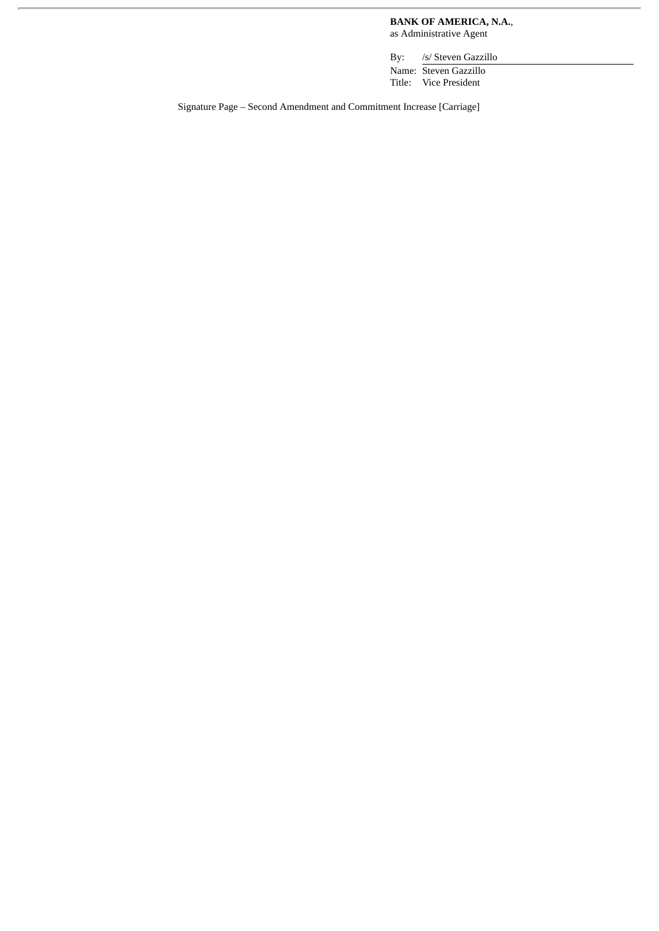#### **BANK OF AMERICA, N.A.**, as Administrative Agent

By: /s/ Steven Gazzillo Name: Steven Gazzillo Title: Vice President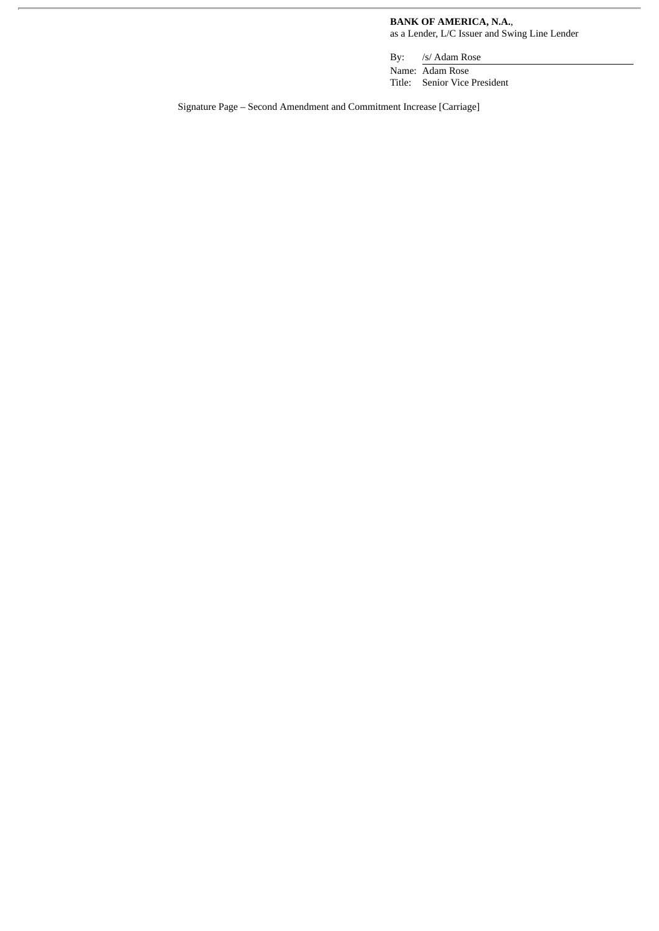#### **BANK OF AMERICA, N.A.**, as a Lender, L/C Issuer and Swing Line Lender

By: /s/ Adam Rose Name: Adam Rose Title: Senior Vice President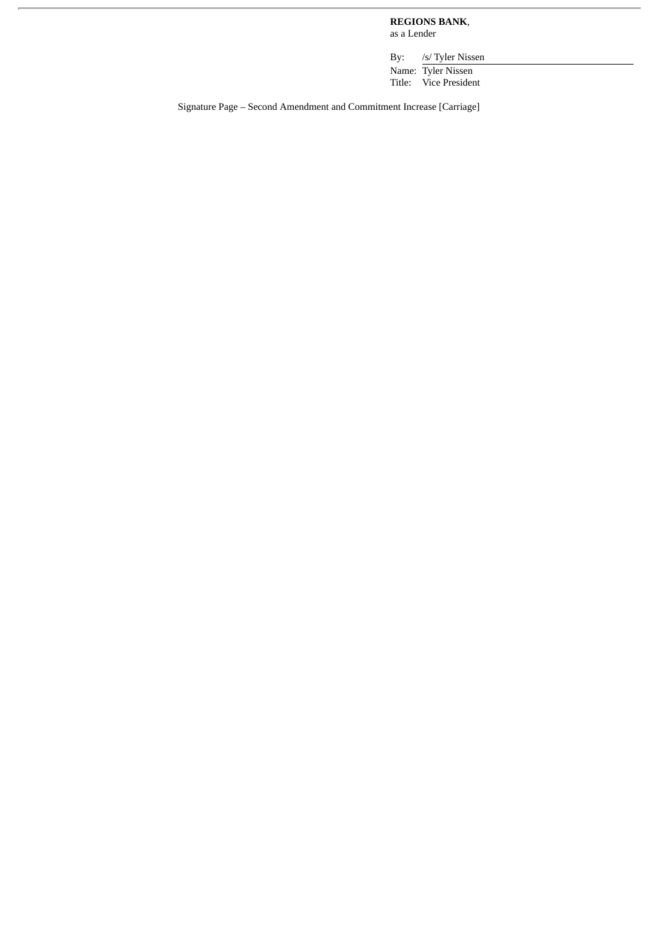**REGIONS BANK**, as a Lender

By: /s/ Tyler Nissen Name: Tyler Nissen Title: Vice President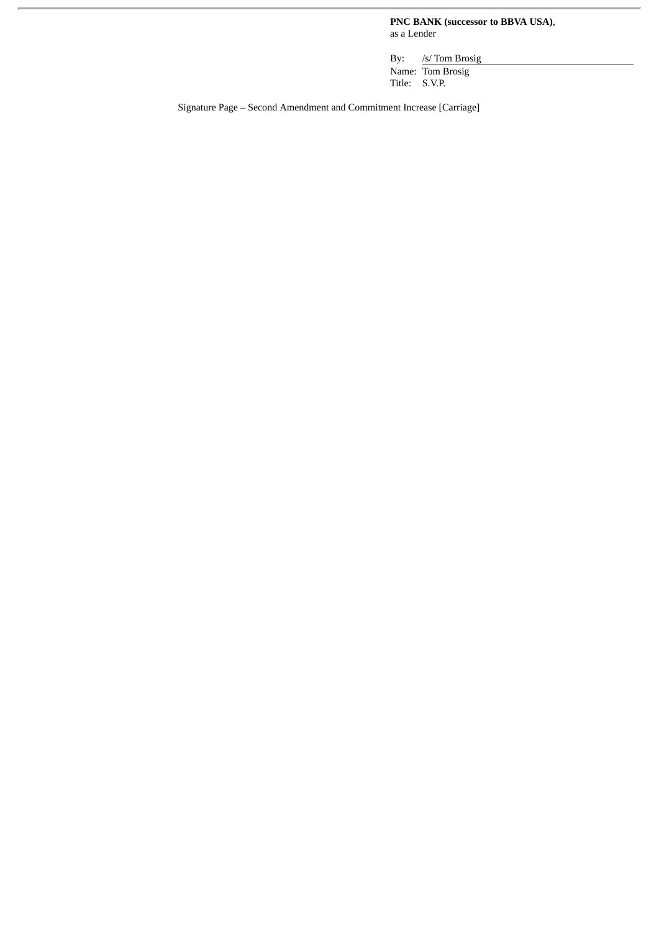**PNC BANK (successor to BBVA USA)**, as a Lender

By: /s/ Tom Brosig Name: Tom Brosig Title: S.V.P.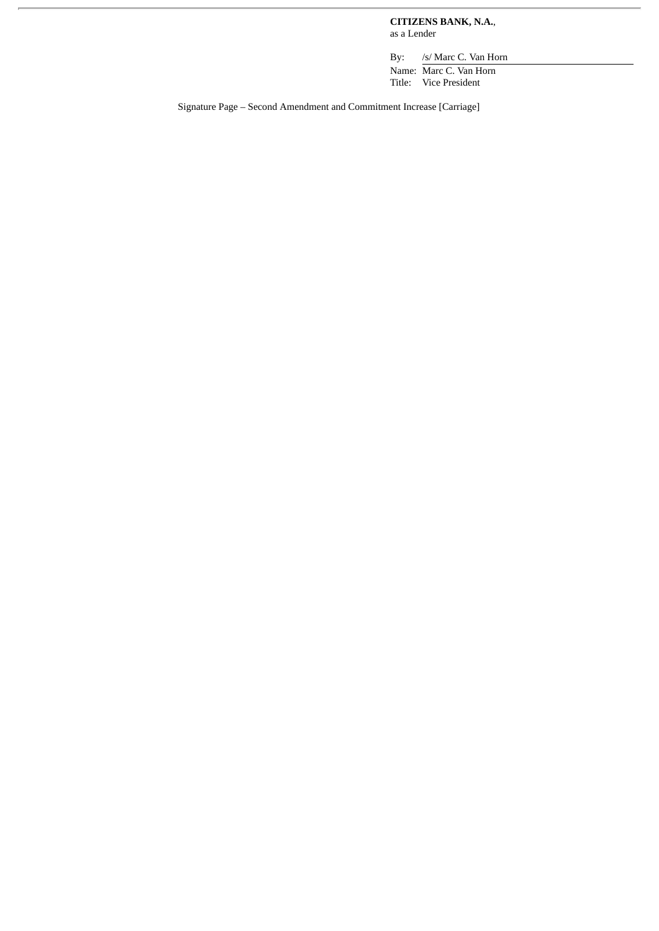#### **CITIZENS BANK, N.A.**, as a Lender

By: /s/ Marc C. Van Horn Name: Marc C. Van Horn Title: Vice President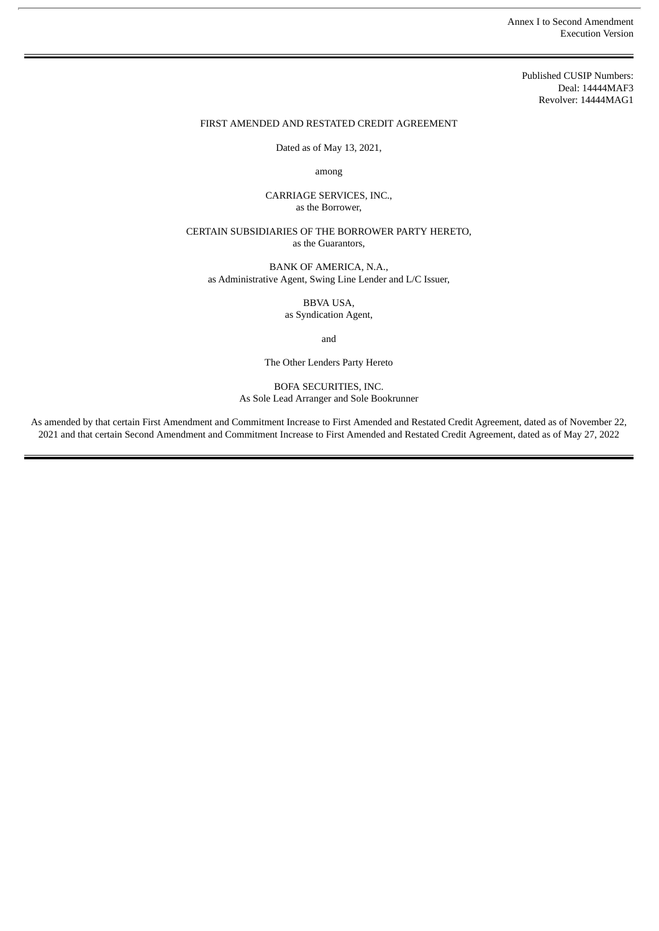Annex I to Second Amendment Execution Version

> Published CUSIP Numbers: Deal: 14444MAF3 Revolver: 14444MAG1

#### FIRST AMENDED AND RESTATED CREDIT AGREEMENT

Dated as of May 13, 2021,

among

CARRIAGE SERVICES, INC., as the Borrower,

CERTAIN SUBSIDIARIES OF THE BORROWER PARTY HERETO, as the Guarantors,

BANK OF AMERICA, N.A., as Administrative Agent, Swing Line Lender and L/C Issuer,

> BBVA USA, as Syndication Agent,

> > and

The Other Lenders Party Hereto

# BOFA SECURITIES, INC. As Sole Lead Arranger and Sole Bookrunner

As amended by that certain First Amendment and Commitment Increase to First Amended and Restated Credit Agreement, dated as of November 22, 2021 and that certain Second Amendment and Commitment Increase to First Amended and Restated Credit Agreement, dated as of May 27, 2022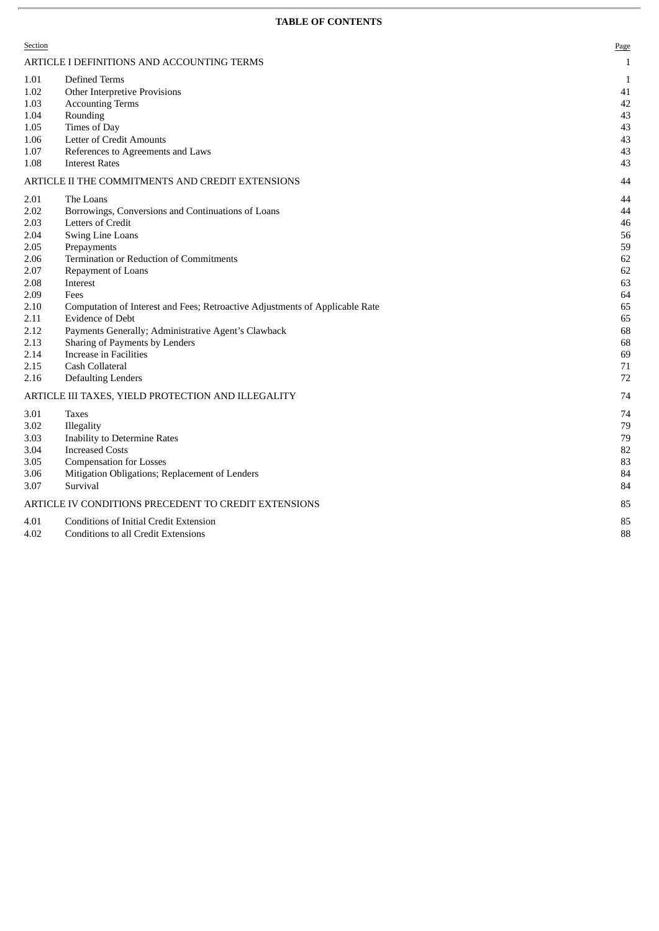# **TABLE OF CONTENTS**

| Section |                                                                              | Page         |
|---------|------------------------------------------------------------------------------|--------------|
|         | ARTICLE I DEFINITIONS AND ACCOUNTING TERMS                                   | $\mathbf{1}$ |
| 1.01    | <b>Defined Terms</b>                                                         | 1            |
| 1.02    | Other Interpretive Provisions                                                | 41           |
| 1.03    | <b>Accounting Terms</b>                                                      | 42           |
| 1.04    | Rounding                                                                     | 43           |
| 1.05    | Times of Day                                                                 | 43           |
| 1.06    | Letter of Credit Amounts                                                     | 43           |
| 1.07    | References to Agreements and Laws                                            | 43           |
| 1.08    | <b>Interest Rates</b><br>ARTICLE II THE COMMITMENTS AND CREDIT EXTENSIONS    | 43<br>44     |
| 2.01    | The Loans                                                                    | 44           |
| 2.02    | Borrowings, Conversions and Continuations of Loans                           | 44           |
| 2.03    | <b>Letters of Credit</b>                                                     | 46           |
| 2.04    | <b>Swing Line Loans</b>                                                      | 56           |
| 2.05    | Prepayments                                                                  | 59           |
| 2.06    | Termination or Reduction of Commitments                                      | 62           |
| 2.07    | Repayment of Loans                                                           | 62           |
| 2.08    | Interest                                                                     | 63           |
| 2.09    | Fees                                                                         | 64           |
| 2.10    | Computation of Interest and Fees; Retroactive Adjustments of Applicable Rate | 65           |
| 2.11    | <b>Evidence of Debt</b>                                                      | 65           |
| 2.12    | Payments Generally; Administrative Agent's Clawback                          | 68           |
| 2.13    | Sharing of Payments by Lenders                                               | 68           |
| 2.14    | <b>Increase in Facilities</b>                                                | 69           |
| 2.15    | Cash Collateral                                                              | 71           |
| 2.16    | <b>Defaulting Lenders</b>                                                    | 72           |
|         | ARTICLE III TAXES, YIELD PROTECTION AND ILLEGALITY                           | 74           |
| 3.01    | <b>Taxes</b>                                                                 | 74           |
| 3.02    | Illegality                                                                   | 79           |
| 3.03    | <b>Inability to Determine Rates</b>                                          | 79           |
| 3.04    | <b>Increased Costs</b>                                                       | 82           |
| 3.05    | <b>Compensation for Losses</b>                                               | 83           |
| 3.06    | Mitigation Obligations; Replacement of Lenders                               | 84           |
| 3.07    | Survival                                                                     | 84           |
|         | ARTICLE IV CONDITIONS PRECEDENT TO CREDIT EXTENSIONS                         | 85           |
| 4.01    | Conditions of Initial Credit Extension                                       | 85           |
| 4.02    | Conditions to all Credit Extensions                                          | 88           |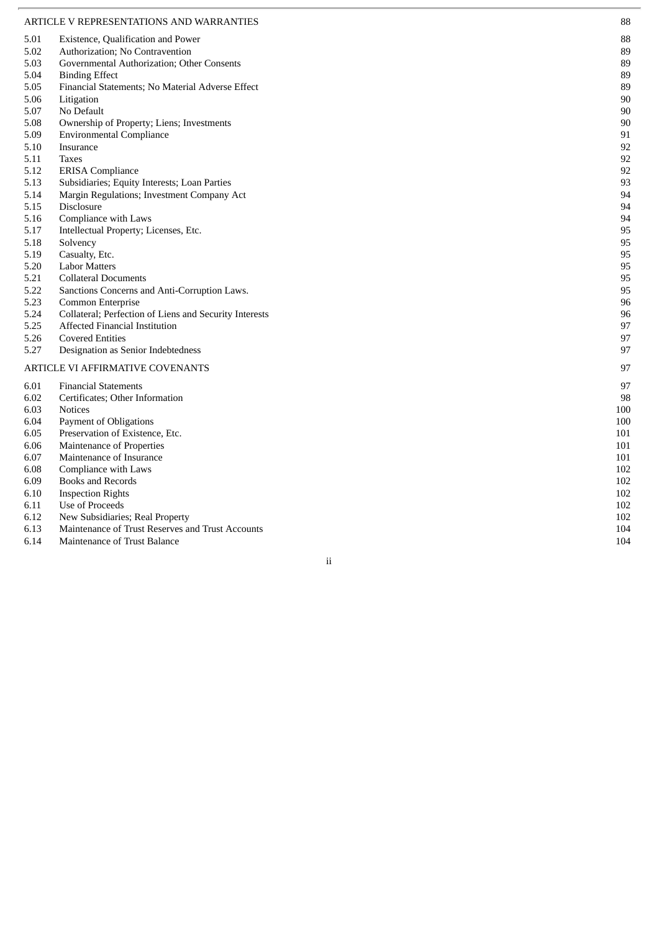| ARTICLE V REPRESENTATIONS AND WARRANTIES |                                                        |     |
|------------------------------------------|--------------------------------------------------------|-----|
| 5.01                                     | Existence, Qualification and Power                     | 88  |
| 5.02                                     | Authorization; No Contravention                        | 89  |
| 5.03                                     | Governmental Authorization; Other Consents             | 89  |
| 5.04                                     | <b>Binding Effect</b>                                  | 89  |
| 5.05                                     | Financial Statements; No Material Adverse Effect       | 89  |
| 5.06                                     | Litigation                                             | 90  |
| 5.07                                     | No Default                                             | 90  |
| 5.08                                     | Ownership of Property; Liens; Investments              | 90  |
| 5.09                                     | <b>Environmental Compliance</b>                        | 91  |
| 5.10                                     | Insurance                                              | 92  |
| 5.11                                     | <b>Taxes</b>                                           | 92  |
| 5.12                                     | <b>ERISA</b> Compliance                                | 92  |
| 5.13                                     | Subsidiaries; Equity Interests; Loan Parties           | 93  |
| 5.14                                     | Margin Regulations; Investment Company Act             | 94  |
| 5.15                                     | <b>Disclosure</b>                                      | 94  |
| 5.16                                     | Compliance with Laws                                   | 94  |
| 5.17                                     | Intellectual Property; Licenses, Etc.                  | 95  |
| 5.18                                     | Solvency                                               | 95  |
| 5.19                                     | Casualty, Etc.                                         | 95  |
| 5.20                                     | <b>Labor Matters</b>                                   | 95  |
| 5.21                                     | <b>Collateral Documents</b>                            | 95  |
| 5.22                                     | Sanctions Concerns and Anti-Corruption Laws.           | 95  |
| 5.23                                     | Common Enterprise                                      | 96  |
| 5.24                                     | Collateral; Perfection of Liens and Security Interests | 96  |
| 5.25                                     | Affected Financial Institution                         | 97  |
| 5.26                                     | <b>Covered Entities</b>                                | 97  |
| 5.27                                     | Designation as Senior Indebtedness                     | 97  |
|                                          | <b>ARTICLE VI AFFIRMATIVE COVENANTS</b>                | 97  |
| 6.01                                     | <b>Financial Statements</b>                            | 97  |
| 6.02                                     | Certificates; Other Information                        | 98  |
| 6.03                                     | <b>Notices</b>                                         | 100 |
| 6.04                                     | <b>Payment of Obligations</b>                          | 100 |
| 6.05                                     | Preservation of Existence, Etc.                        | 101 |
| 6.06                                     | Maintenance of Properties                              | 101 |
| 6.07                                     | Maintenance of Insurance                               | 101 |
| 6.08                                     | Compliance with Laws                                   | 102 |
| 6.09                                     | <b>Books and Records</b>                               | 102 |
| 6.10                                     | <b>Inspection Rights</b>                               | 102 |
| 6.11                                     | Use of Proceeds                                        | 102 |
| 6.12                                     | New Subsidiaries; Real Property                        | 102 |
| 6.13                                     | Maintenance of Trust Reserves and Trust Accounts       | 104 |
| 6.14                                     | Maintenance of Trust Balance                           | 104 |

i i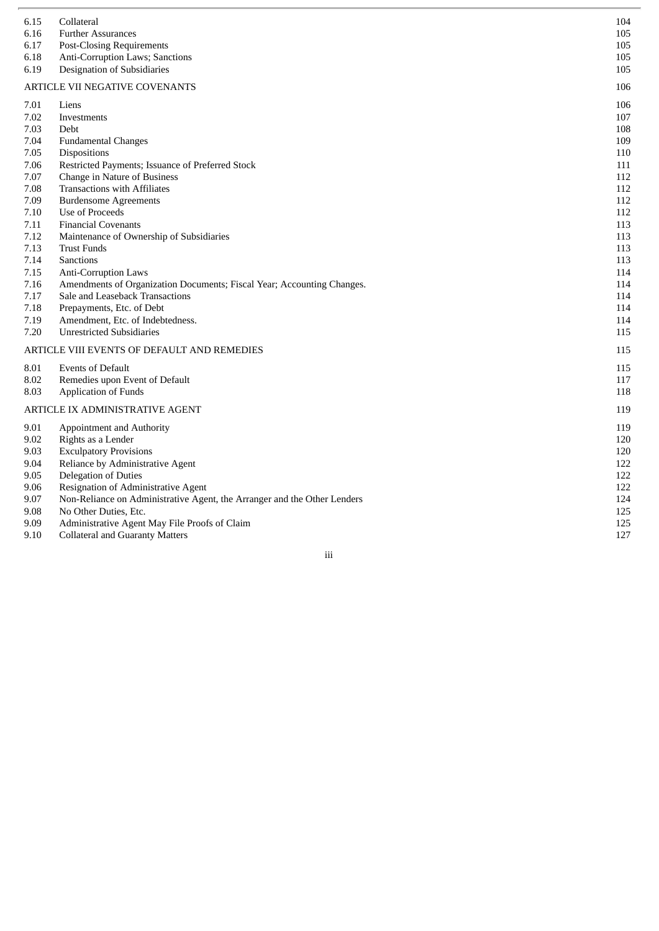| 6.15 | Collateral                                                               | 104 |
|------|--------------------------------------------------------------------------|-----|
| 6.16 | <b>Further Assurances</b>                                                | 105 |
| 6.17 | <b>Post-Closing Requirements</b>                                         | 105 |
| 6.18 | Anti-Corruption Laws; Sanctions                                          | 105 |
| 6.19 | Designation of Subsidiaries                                              | 105 |
|      | <b>ARTICLE VII NEGATIVE COVENANTS</b>                                    | 106 |
| 7.01 | Liens                                                                    | 106 |
| 7.02 | Investments                                                              | 107 |
| 7.03 | Debt                                                                     | 108 |
| 7.04 | <b>Fundamental Changes</b>                                               | 109 |
| 7.05 | Dispositions                                                             | 110 |
| 7.06 | Restricted Payments; Issuance of Preferred Stock                         | 111 |
| 7.07 | Change in Nature of Business                                             | 112 |
| 7.08 | <b>Transactions with Affiliates</b>                                      | 112 |
| 7.09 | <b>Burdensome Agreements</b>                                             | 112 |
| 7.10 | Use of Proceeds                                                          | 112 |
| 7.11 | <b>Financial Covenants</b>                                               | 113 |
| 7.12 | Maintenance of Ownership of Subsidiaries                                 | 113 |
| 7.13 | <b>Trust Funds</b>                                                       | 113 |
| 7.14 | <b>Sanctions</b>                                                         | 113 |
| 7.15 | Anti-Corruption Laws                                                     | 114 |
| 7.16 | Amendments of Organization Documents; Fiscal Year; Accounting Changes.   | 114 |
| 7.17 | Sale and Leaseback Transactions                                          | 114 |
| 7.18 | Prepayments, Etc. of Debt                                                | 114 |
| 7.19 | Amendment, Etc. of Indebtedness.                                         | 114 |
| 7.20 | <b>Unrestricted Subsidiaries</b>                                         | 115 |
|      | ARTICLE VIII EVENTS OF DEFAULT AND REMEDIES                              | 115 |
| 8.01 | <b>Events of Default</b>                                                 | 115 |
| 8.02 | Remedies upon Event of Default                                           | 117 |
| 8.03 | <b>Application of Funds</b>                                              | 118 |
|      | ARTICLE IX ADMINISTRATIVE AGENT                                          | 119 |
| 9.01 | Appointment and Authority                                                | 119 |
| 9.02 | Rights as a Lender                                                       | 120 |
| 9.03 | <b>Exculpatory Provisions</b>                                            | 120 |
| 9.04 | Reliance by Administrative Agent                                         | 122 |
| 9.05 | <b>Delegation of Duties</b>                                              | 122 |
| 9.06 | Resignation of Administrative Agent                                      | 122 |
| 9.07 | Non-Reliance on Administrative Agent, the Arranger and the Other Lenders | 124 |
| 9.08 | No Other Duties, Etc.                                                    | 125 |
| 9.09 | Administrative Agent May File Proofs of Claim                            | 125 |
| 9.10 | <b>Collateral and Guaranty Matters</b>                                   | 127 |

# i i i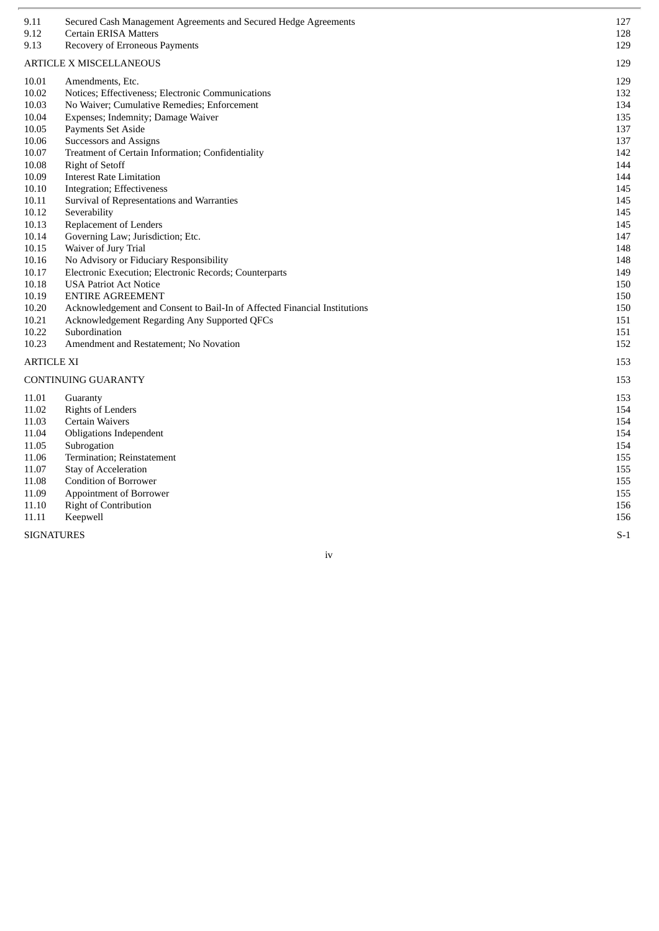| 9.11              | Secured Cash Management Agreements and Secured Hedge Agreements           | 127   |
|-------------------|---------------------------------------------------------------------------|-------|
| 9.12              | <b>Certain ERISA Matters</b>                                              | 128   |
| 9.13              | Recovery of Erroneous Payments                                            | 129   |
|                   | <b>ARTICLE X MISCELLANEOUS</b>                                            | 129   |
| 10.01             | Amendments, Etc.                                                          | 129   |
| 10.02             | Notices; Effectiveness; Electronic Communications                         | 132   |
| 10.03             | No Waiver; Cumulative Remedies; Enforcement                               | 134   |
| 10.04             | Expenses; Indemnity; Damage Waiver                                        | 135   |
| 10.05             | <b>Payments Set Aside</b>                                                 | 137   |
| 10.06             | <b>Successors and Assigns</b>                                             | 137   |
| 10.07             | Treatment of Certain Information; Confidentiality                         | 142   |
| 10.08             | <b>Right of Setoff</b>                                                    | 144   |
| 10.09             | <b>Interest Rate Limitation</b>                                           | 144   |
| 10.10             | <b>Integration</b> ; Effectiveness                                        | 145   |
| 10.11             | Survival of Representations and Warranties                                | 145   |
| 10.12             | Severability                                                              | 145   |
| 10.13             | Replacement of Lenders                                                    | 145   |
| 10.14             | Governing Law; Jurisdiction; Etc.                                         | 147   |
| 10.15             | Waiver of Jury Trial                                                      | 148   |
| 10.16             | No Advisory or Fiduciary Responsibility                                   | 148   |
| 10.17             | Electronic Execution; Electronic Records; Counterparts                    | 149   |
| 10.18             | <b>USA Patriot Act Notice</b>                                             | 150   |
| 10.19             | <b>ENTIRE AGREEMENT</b>                                                   | 150   |
| 10.20             | Acknowledgement and Consent to Bail-In of Affected Financial Institutions | 150   |
| 10.21             | Acknowledgement Regarding Any Supported QFCs                              | 151   |
| 10.22             | Subordination                                                             | 151   |
| 10.23             | Amendment and Restatement; No Novation                                    | 152   |
| <b>ARTICLE XI</b> |                                                                           | 153   |
|                   | <b>CONTINUING GUARANTY</b>                                                | 153   |
| 11.01             | Guaranty                                                                  | 153   |
| 11.02             | <b>Rights of Lenders</b>                                                  | 154   |
| 11.03             | Certain Waivers                                                           | 154   |
| 11.04             | <b>Obligations Independent</b>                                            | 154   |
| 11.05             | Subrogation                                                               | 154   |
| 11.06             | Termination; Reinstatement                                                | 155   |
| 11.07             | <b>Stay of Acceleration</b>                                               | 155   |
| 11.08             | <b>Condition of Borrower</b>                                              | 155   |
| 11.09             | Appointment of Borrower                                                   | 155   |
| 11.10             | Right of Contribution                                                     | 156   |
| 11.11             | Keepwell                                                                  | 156   |
|                   | <b>SIGNATURES</b>                                                         | $S-1$ |

#### i v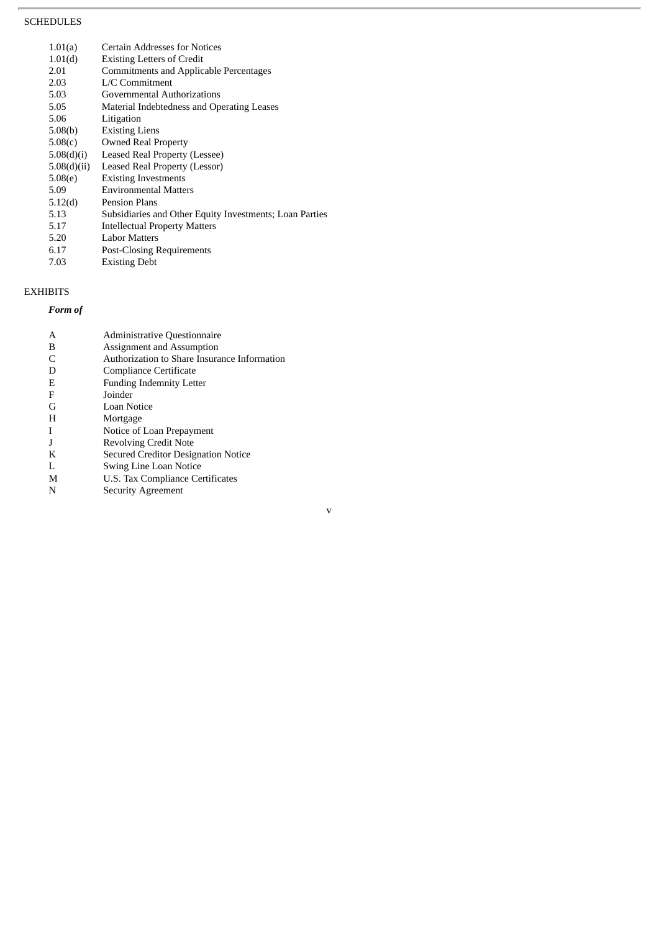# **SCHEDULES**

| 1.01(a)     | Certain Addresses for Notices                           |
|-------------|---------------------------------------------------------|
| 1.01(d)     | <b>Existing Letters of Credit</b>                       |
| 2.01        | Commitments and Applicable Percentages                  |
| 2.03        | L/C Commitment                                          |
| 5.03        | Governmental Authorizations                             |
| 5.05        | Material Indebtedness and Operating Leases              |
| 5.06        | Litigation                                              |
| 5.08(b)     | <b>Existing Liens</b>                                   |
| 5.08(c)     | Owned Real Property                                     |
| 5.08(d)(i)  | Leased Real Property (Lessee)                           |
| 5.08(d)(ii) | Leased Real Property (Lessor)                           |
| 5.08(e)     | <b>Existing Investments</b>                             |
| 5.09        | <b>Environmental Matters</b>                            |
| 5.12(d)     | <b>Pension Plans</b>                                    |
| 5.13        | Subsidiaries and Other Equity Investments; Loan Parties |
| 5.17        | <b>Intellectual Property Matters</b>                    |
| 5.20        | <b>Labor Matters</b>                                    |
| 6.17        | <b>Post-Closing Requirements</b>                        |
| 7.03        | <b>Existing Debt</b>                                    |
|             |                                                         |

# EXHIBITS

# *Form of*

| A  | <b>Administrative Questionnaire</b>          |
|----|----------------------------------------------|
| B  | Assignment and Assumption                    |
| C  | Authorization to Share Insurance Information |
| D  | Compliance Certificate                       |
| E  | <b>Funding Indemnity Letter</b>              |
| F  | Joinder                                      |
| G  | Loan Notice                                  |
| H  | Mortgage                                     |
|    | Notice of Loan Prepayment                    |
|    | <b>Revolving Credit Note</b>                 |
| K  | Secured Creditor Designation Notice          |
| L. | Swing Line Loan Notice                       |
| M  | U.S. Tax Compliance Certificates             |
| N  | <b>Security Agreement</b>                    |

v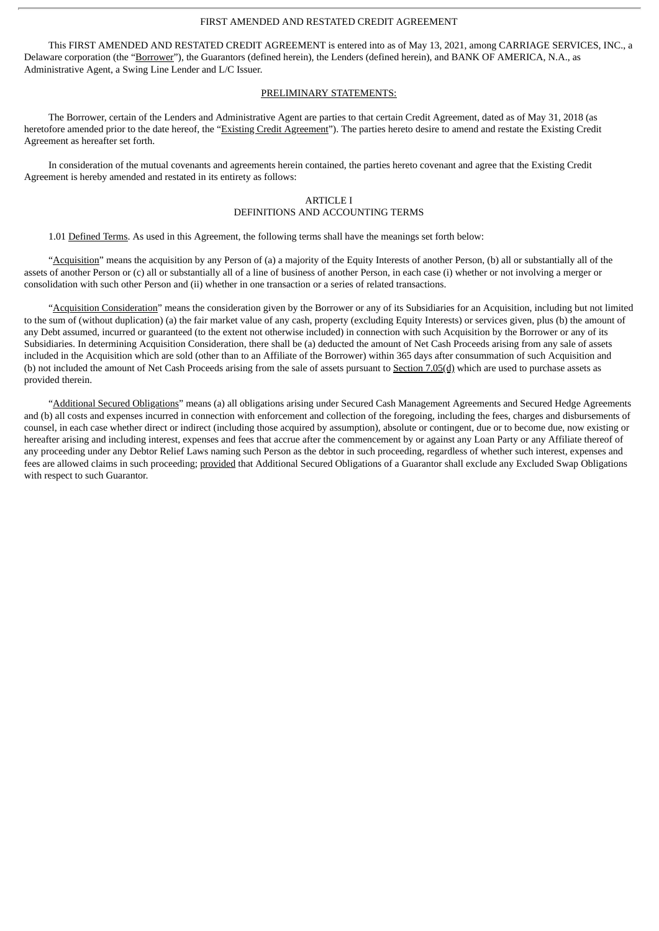#### FIRST AMENDED AND RESTATED CREDIT AGREEMENT

This FIRST AMENDED AND RESTATED CREDIT AGREEMENT is entered into as of May 13, 2021, among CARRIAGE SERVICES, INC., a Delaware corporation (the "Borrower"), the Guarantors (defined herein), the Lenders (defined herein), and BANK OF AMERICA, N.A., as Administrative Agent, a Swing Line Lender and L/C Issuer.

#### PRELIMINARY STATEMENTS:

The Borrower, certain of the Lenders and Administrative Agent are parties to that certain Credit Agreement, dated as of May 31, 2018 (as heretofore amended prior to the date hereof, the "Existing Credit Agreement"). The parties hereto desire to amend and restate the Existing Credit Agreement as hereafter set forth.

In consideration of the mutual covenants and agreements herein contained, the parties hereto covenant and agree that the Existing Credit Agreement is hereby amended and restated in its entirety as follows:

#### ARTICLE I

# DEFINITIONS AND ACCOUNTING TERMS

1.01 Defined Terms. As used in this Agreement, the following terms shall have the meanings set forth below:

"Acquisition" means the acquisition by any Person of (a) a majority of the Equity Interests of another Person, (b) all or substantially all of the assets of another Person or (c) all or substantially all of a line of business of another Person, in each case (i) whether or not involving a merger or consolidation with such other Person and (ii) whether in one transaction or a series of related transactions.

"Acquisition Consideration" means the consideration given by the Borrower or any of its Subsidiaries for an Acquisition, including but not limited to the sum of (without duplication) (a) the fair market value of any cash, property (excluding Equity Interests) or services given, plus (b) the amount of any Debt assumed, incurred or guaranteed (to the extent not otherwise included) in connection with such Acquisition by the Borrower or any of its Subsidiaries. In determining Acquisition Consideration, there shall be (a) deducted the amount of Net Cash Proceeds arising from any sale of assets included in the Acquisition which are sold (other than to an Affiliate of the Borrower) within 365 days after consummation of such Acquisition and (b) not included the amount of Net Cash Proceeds arising from the sale of assets pursuant to  $Section 7.05(d)$  which are used to purchase assets as provided therein.

"Additional Secured Obligations" means (a) all obligations arising under Secured Cash Management Agreements and Secured Hedge Agreements and (b) all costs and expenses incurred in connection with enforcement and collection of the foregoing, including the fees, charges and disbursements of counsel, in each case whether direct or indirect (including those acquired by assumption), absolute or contingent, due or to become due, now existing or hereafter arising and including interest, expenses and fees that accrue after the commencement by or against any Loan Party or any Affiliate thereof of any proceeding under any Debtor Relief Laws naming such Person as the debtor in such proceeding, regardless of whether such interest, expenses and fees are allowed claims in such proceeding; provided that Additional Secured Obligations of a Guarantor shall exclude any Excluded Swap Obligations with respect to such Guarantor.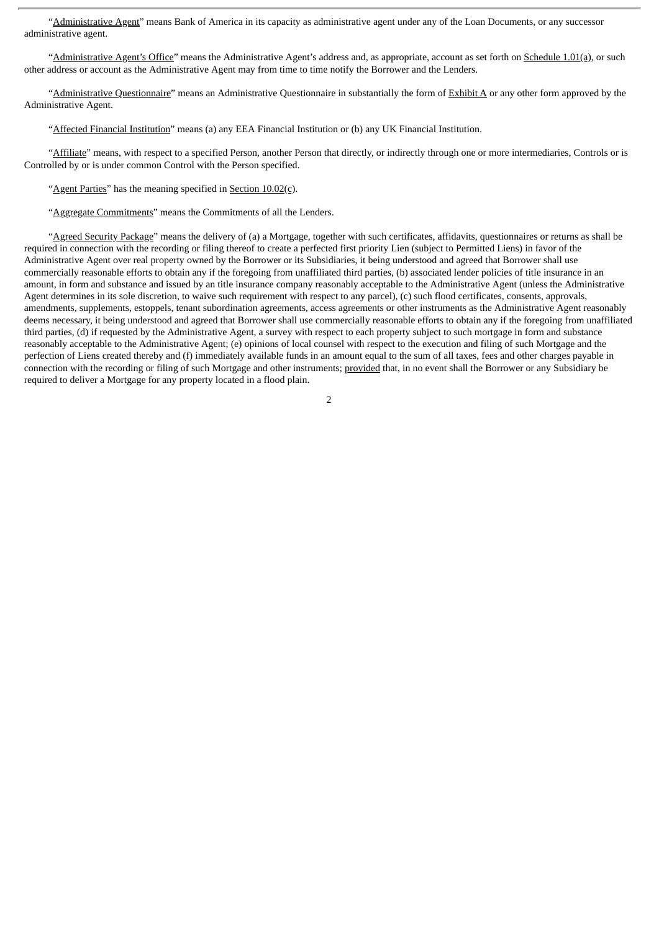"Administrative Agent" means Bank of America in its capacity as administrative agent under any of the Loan Documents, or any successor administrative agent.

"Administrative Agent's Office" means the Administrative Agent's address and, as appropriate, account as set forth on Schedule 1.01(a), or such other address or account as the Administrative Agent may from time to time notify the Borrower and the Lenders.

"Administrative Questionnaire" means an Administrative Questionnaire in substantially the form of Exhibit A or any other form approved by the Administrative Agent.

"Affected Financial Institution" means (a) any EEA Financial Institution or (b) any UK Financial Institution.

"Affiliate" means, with respect to a specified Person, another Person that directly, or indirectly through one or more intermediaries, Controls or is Controlled by or is under common Control with the Person specified.

"Agent Parties" has the meaning specified in Section 10.02(c).

"Aggregate Commitments" means the Commitments of all the Lenders.

"Agreed Security Package" means the delivery of (a) a Mortgage, together with such certificates, affidavits, questionnaires or returns as shall be required in connection with the recording or filing thereof to create a perfected first priority Lien (subject to Permitted Liens) in favor of the Administrative Agent over real property owned by the Borrower or its Subsidiaries, it being understood and agreed that Borrower shall use commercially reasonable efforts to obtain any if the foregoing from unaffiliated third parties, (b) associated lender policies of title insurance in an amount, in form and substance and issued by an title insurance company reasonably acceptable to the Administrative Agent (unless the Administrative Agent determines in its sole discretion, to waive such requirement with respect to any parcel), (c) such flood certificates, consents, approvals, amendments, supplements, estoppels, tenant subordination agreements, access agreements or other instruments as the Administrative Agent reasonably deems necessary, it being understood and agreed that Borrower shall use commercially reasonable efforts to obtain any if the foregoing from unaffiliated third parties, (d) if requested by the Administrative Agent, a survey with respect to each property subject to such mortgage in form and substance reasonably acceptable to the Administrative Agent; (e) opinions of local counsel with respect to the execution and filing of such Mortgage and the perfection of Liens created thereby and (f) immediately available funds in an amount equal to the sum of all taxes, fees and other charges payable in connection with the recording or filing of such Mortgage and other instruments; provided that, in no event shall the Borrower or any Subsidiary be required to deliver a Mortgage for any property located in a flood plain.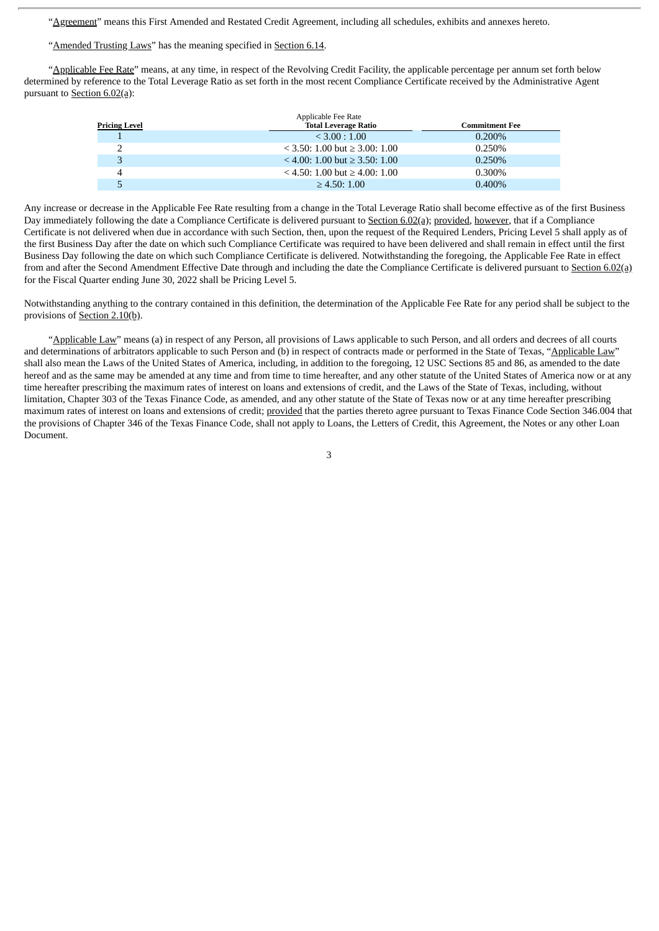"Agreement" means this First Amended and Restated Credit Agreement, including all schedules, exhibits and annexes hereto.

#### "Amended Trusting Laws" has the meaning specified in Section 6.14.

"Applicable Fee Rate" means, at any time, in respect of the Revolving Credit Facility, the applicable percentage per annum set forth below determined by reference to the Total Leverage Ratio as set forth in the most recent Compliance Certificate received by the Administrative Agent pursuant to Section 6.02(a):

| Applicable Fee Rate  |                                         |                       |  |  |
|----------------------|-----------------------------------------|-----------------------|--|--|
| <b>Pricing Level</b> | <b>Total Leverage Ratio</b>             | <b>Commitment Fee</b> |  |  |
|                      | < 3.00 : 1.00                           | $0.200\%$             |  |  |
|                      | $\leq$ 3.50: 1.00 but $\geq$ 3.00: 1.00 | 0.250%                |  |  |
|                      | $\leq$ 4.00: 1.00 but $\geq$ 3.50: 1.00 | $0.250\%$             |  |  |
|                      | $\leq$ 4.50: 1.00 but $\geq$ 4.00: 1.00 | 0.300%                |  |  |
|                      | $\geq 4.50$ : 1.00                      | $0.400\%$             |  |  |

Any increase or decrease in the Applicable Fee Rate resulting from a change in the Total Leverage Ratio shall become effective as of the first Business Day immediately following the date a Compliance Certificate is delivered pursuant to Section 6.02(a); provided, however, that if a Compliance Certificate is not delivered when due in accordance with such Section, then, upon the request of the Required Lenders, Pricing Level 5 shall apply as of the first Business Day after the date on which such Compliance Certificate was required to have been delivered and shall remain in effect until the first Business Day following the date on which such Compliance Certificate is delivered. Notwithstanding the foregoing, the Applicable Fee Rate in effect from and after the Second Amendment Effective Date through and including the date the Compliance Certificate is delivered pursuant to Section 6.02(a) for the Fiscal Quarter ending June 30, 2022 shall be Pricing Level 5.

Notwithstanding anything to the contrary contained in this definition, the determination of the Applicable Fee Rate for any period shall be subject to the provisions of Section 2.10(b).

"Applicable Law" means (a) in respect of any Person, all provisions of Laws applicable to such Person, and all orders and decrees of all courts and determinations of arbitrators applicable to such Person and (b) in respect of contracts made or performed in the State of Texas, "Applicable Law" shall also mean the Laws of the United States of America, including, in addition to the foregoing, 12 USC Sections 85 and 86, as amended to the date hereof and as the same may be amended at any time and from time to time hereafter, and any other statute of the United States of America now or at any time hereafter prescribing the maximum rates of interest on loans and extensions of credit, and the Laws of the State of Texas, including, without limitation, Chapter 303 of the Texas Finance Code, as amended, and any other statute of the State of Texas now or at any time hereafter prescribing maximum rates of interest on loans and extensions of credit; provided that the parties thereto agree pursuant to Texas Finance Code Section 346.004 that the provisions of Chapter 346 of the Texas Finance Code, shall not apply to Loans, the Letters of Credit, this Agreement, the Notes or any other Loan Document.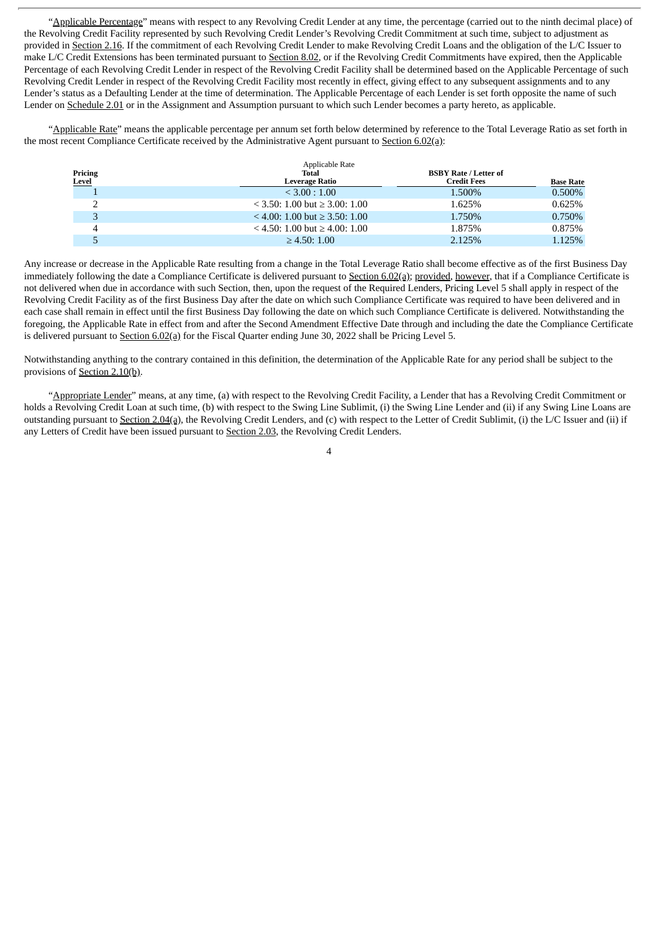"Applicable Percentage" means with respect to any Revolving Credit Lender at any time, the percentage (carried out to the ninth decimal place) of the Revolving Credit Facility represented by such Revolving Credit Lender's Revolving Credit Commitment at such time, subject to adjustment as provided in Section 2.16. If the commitment of each Revolving Credit Lender to make Revolving Credit Loans and the obligation of the L/C Issuer to make L/C Credit Extensions has been terminated pursuant to Section 8.02, or if the Revolving Credit Commitments have expired, then the Applicable Percentage of each Revolving Credit Lender in respect of the Revolving Credit Facility shall be determined based on the Applicable Percentage of such Revolving Credit Lender in respect of the Revolving Credit Facility most recently in effect, giving effect to any subsequent assignments and to any Lender's status as a Defaulting Lender at the time of determination. The Applicable Percentage of each Lender is set forth opposite the name of such Lender on Schedule 2.01 or in the Assignment and Assumption pursuant to which such Lender becomes a party hereto, as applicable.

"Applicable Rate" means the applicable percentage per annum set forth below determined by reference to the Total Leverage Ratio as set forth in the most recent Compliance Certificate received by the Administrative Agent pursuant to Section 6.02(a):

| Pricing<br><u>Level</u> | Applicable Rate<br>Total<br><b>Leverage Ratio</b> | <b>BSBY Rate / Letter of</b><br><b>Credit Fees</b> | <b>Base Rate</b> |
|-------------------------|---------------------------------------------------|----------------------------------------------------|------------------|
|                         | < 3.00 : 1.00                                     | 1.500%                                             | 0.500%           |
|                         | $\leq$ 3.50: 1.00 but $\geq$ 3.00: 1.00           | 1.625%                                             | 0.625%           |
|                         | $\leq$ 4.00: 1.00 but $\geq$ 3.50: 1.00           | 1.750\%                                            | 0.750%           |
|                         | $\leq$ 4.50: 1.00 but $\geq$ 4.00: 1.00           | 1.875%                                             | 0.875%           |
|                         | $\geq 4.50$ : 1.00                                | 2.125%                                             | 1.125%           |

Any increase or decrease in the Applicable Rate resulting from a change in the Total Leverage Ratio shall become effective as of the first Business Day immediately following the date a Compliance Certificate is delivered pursuant to Section 6.02(a); provided, however, that if a Compliance Certificate is not delivered when due in accordance with such Section, then, upon the request of the Required Lenders, Pricing Level 5 shall apply in respect of the Revolving Credit Facility as of the first Business Day after the date on which such Compliance Certificate was required to have been delivered and in each case shall remain in effect until the first Business Day following the date on which such Compliance Certificate is delivered. Notwithstanding the foregoing, the Applicable Rate in effect from and after the Second Amendment Effective Date through and including the date the Compliance Certificate is delivered pursuant to Section 6.02(a) for the Fiscal Quarter ending June 30, 2022 shall be Pricing Level 5.

Notwithstanding anything to the contrary contained in this definition, the determination of the Applicable Rate for any period shall be subject to the provisions of Section 2.10(b).

"Appropriate Lender" means, at any time, (a) with respect to the Revolving Credit Facility, a Lender that has a Revolving Credit Commitment or holds a Revolving Credit Loan at such time, (b) with respect to the Swing Line Sublimit, (i) the Swing Line Lender and (ii) if any Swing Line Loans are outstanding pursuant to Section 2.04(a), the Revolving Credit Lenders, and (c) with respect to the Letter of Credit Sublimit, (i) the L/C Issuer and (ii) if any Letters of Credit have been issued pursuant to Section 2.03, the Revolving Credit Lenders.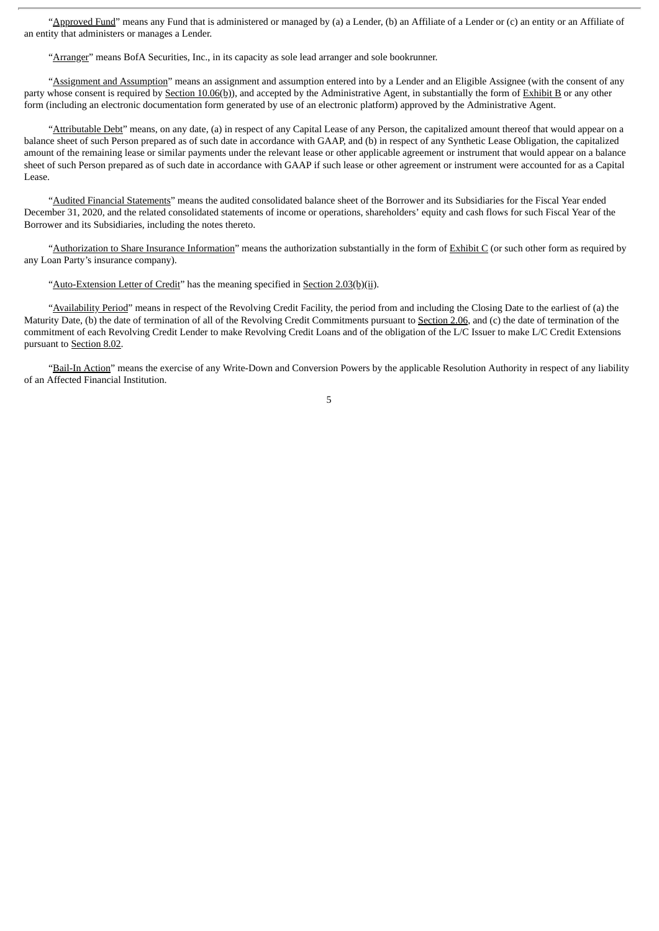"Approved Fund" means any Fund that is administered or managed by (a) a Lender, (b) an Affiliate of a Lender or (c) an entity or an Affiliate of an entity that administers or manages a Lender.

"Arranger" means BofA Securities, Inc., in its capacity as sole lead arranger and sole bookrunner.

"Assignment and Assumption" means an assignment and assumption entered into by a Lender and an Eligible Assignee (with the consent of any party whose consent is required by Section 10.06(b)), and accepted by the Administrative Agent, in substantially the form of Exhibit B or any other form (including an electronic documentation form generated by use of an electronic platform) approved by the Administrative Agent.

"Attributable Debt" means, on any date, (a) in respect of any Capital Lease of any Person, the capitalized amount thereof that would appear on a balance sheet of such Person prepared as of such date in accordance with GAAP, and (b) in respect of any Synthetic Lease Obligation, the capitalized amount of the remaining lease or similar payments under the relevant lease or other applicable agreement or instrument that would appear on a balance sheet of such Person prepared as of such date in accordance with GAAP if such lease or other agreement or instrument were accounted for as a Capital Lease.

"Audited Financial Statements" means the audited consolidated balance sheet of the Borrower and its Subsidiaries for the Fiscal Year ended December 31, 2020, and the related consolidated statements of income or operations, shareholders' equity and cash flows for such Fiscal Year of the Borrower and its Subsidiaries, including the notes thereto.

"Authorization to Share Insurance Information" means the authorization substantially in the form of Exhibit C (or such other form as required by any Loan Party's insurance company).

"Auto-Extension Letter of Credit" has the meaning specified in Section 2.03(b)(ii).

"Availability Period" means in respect of the Revolving Credit Facility, the period from and including the Closing Date to the earliest of (a) the Maturity Date, (b) the date of termination of all of the Revolving Credit Commitments pursuant to Section 2.06, and (c) the date of termination of the commitment of each Revolving Credit Lender to make Revolving Credit Loans and of the obligation of the L/C Issuer to make L/C Credit Extensions pursuant to Section 8.02.

"Bail-In Action" means the exercise of any Write-Down and Conversion Powers by the applicable Resolution Authority in respect of any liability of an Affected Financial Institution.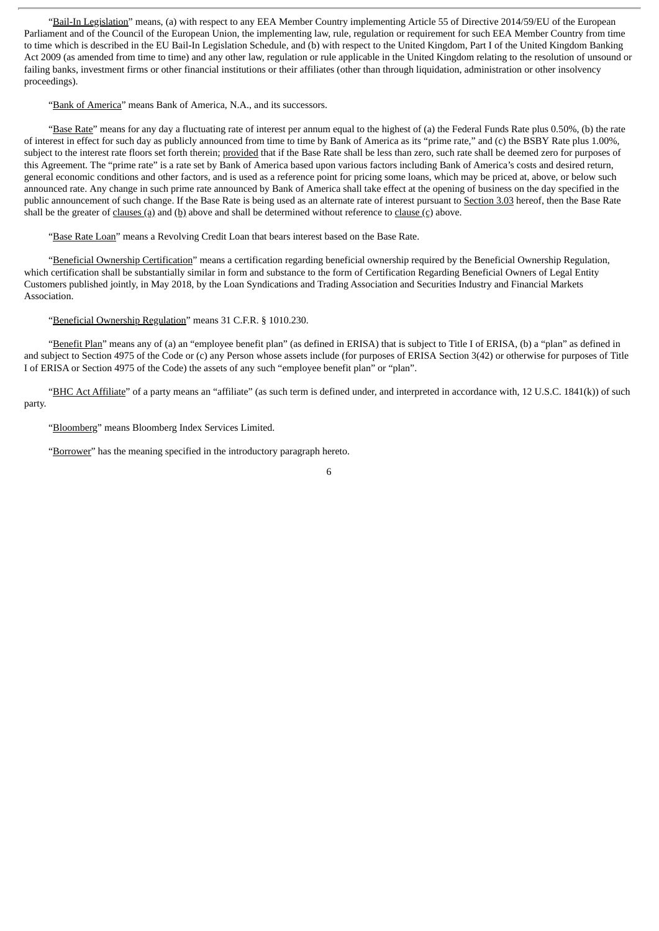"Bail-In Legislation" means, (a) with respect to any EEA Member Country implementing Article 55 of Directive 2014/59/EU of the European Parliament and of the Council of the European Union, the implementing law, rule, regulation or requirement for such EEA Member Country from time to time which is described in the EU Bail-In Legislation Schedule, and (b) with respect to the United Kingdom, Part I of the United Kingdom Banking Act 2009 (as amended from time to time) and any other law, regulation or rule applicable in the United Kingdom relating to the resolution of unsound or failing banks, investment firms or other financial institutions or their affiliates (other than through liquidation, administration or other insolvency proceedings).

### "Bank of America" means Bank of America, N.A., and its successors.

"Base Rate" means for any day a fluctuating rate of interest per annum equal to the highest of (a) the Federal Funds Rate plus 0.50%, (b) the rate of interest in effect for such day as publicly announced from time to time by Bank of America as its "prime rate," and (c) the BSBY Rate plus 1.00%, subject to the interest rate floors set forth therein; provided that if the Base Rate shall be less than zero, such rate shall be deemed zero for purposes of this Agreement. The "prime rate" is a rate set by Bank of America based upon various factors including Bank of America's costs and desired return, general economic conditions and other factors, and is used as a reference point for pricing some loans, which may be priced at, above, or below such announced rate. Any change in such prime rate announced by Bank of America shall take effect at the opening of business on the day specified in the public announcement of such change. If the Base Rate is being used as an alternate rate of interest pursuant to Section 3.03 hereof, then the Base Rate shall be the greater of clauses (a) and (b) above and shall be determined without reference to clause (c) above.

"Base Rate Loan" means a Revolving Credit Loan that bears interest based on the Base Rate.

"Beneficial Ownership Certification" means a certification regarding beneficial ownership required by the Beneficial Ownership Regulation, which certification shall be substantially similar in form and substance to the form of Certification Regarding Beneficial Owners of Legal Entity Customers published jointly, in May 2018, by the Loan Syndications and Trading Association and Securities Industry and Financial Markets Association.

# "Beneficial Ownership Regulation" means 31 C.F.R. § 1010.230.

"Benefit Plan" means any of (a) an "employee benefit plan" (as defined in ERISA) that is subject to Title I of ERISA, (b) a "plan" as defined in and subject to Section 4975 of the Code or (c) any Person whose assets include (for purposes of ERISA Section 3(42) or otherwise for purposes of Title I of ERISA or Section 4975 of the Code) the assets of any such "employee benefit plan" or "plan".

"BHC Act Affiliate" of a party means an "affiliate" (as such term is defined under, and interpreted in accordance with, 12 U.S.C. 1841(k)) of such party.

"Bloomberg" means Bloomberg Index Services Limited.

"Borrower" has the meaning specified in the introductory paragraph hereto.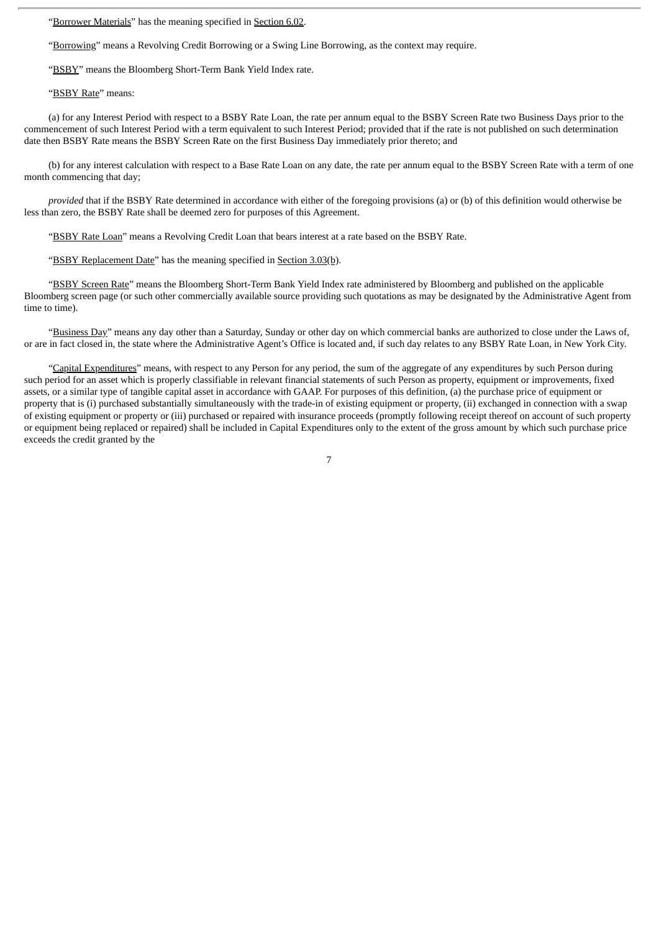"Borrower Materials" has the meaning specified in Section 6.02.

"Borrowing" means a Revolving Credit Borrowing or a Swing Line Borrowing, as the context may require.

"BSBY" means the Bloomberg Short-Term Bank Yield Index rate.

#### "BSBY Rate" means:

(a) for any Interest Period with respect to a BSBY Rate Loan, the rate per annum equal to the BSBY Screen Rate two Business Days prior to the commencement of such Interest Period with a term equivalent to such Interest Period; provided that if the rate is not published on such determination date then BSBY Rate means the BSBY Screen Rate on the first Business Day immediately prior thereto; and

(b) for any interest calculation with respect to a Base Rate Loan on any date, the rate per annum equal to the BSBY Screen Rate with a term of one month commencing that day;

*provided* that if the BSBY Rate determined in accordance with either of the foregoing provisions (a) or (b) of this definition would otherwise be less than zero, the BSBY Rate shall be deemed zero for purposes of this Agreement.

"BSBY Rate Loan" means a Revolving Credit Loan that bears interest at a rate based on the BSBY Rate.

"BSBY Replacement Date" has the meaning specified in Section 3.03(b).

"BSBY Screen Rate" means the Bloomberg Short-Term Bank Yield Index rate administered by Bloomberg and published on the applicable Bloomberg screen page (or such other commercially available source providing such quotations as may be designated by the Administrative Agent from time to time).

"Business Day" means any day other than a Saturday, Sunday or other day on which commercial banks are authorized to close under the Laws of, or are in fact closed in, the state where the Administrative Agent's Office is located and, if such day relates to any BSBY Rate Loan, in New York City.

"Capital Expenditures" means, with respect to any Person for any period, the sum of the aggregate of any expenditures by such Person during such period for an asset which is properly classifiable in relevant financial statements of such Person as property, equipment or improvements, fixed assets, or a similar type of tangible capital asset in accordance with GAAP. For purposes of this definition, (a) the purchase price of equipment or property that is (i) purchased substantially simultaneously with the trade-in of existing equipment or property, (ii) exchanged in connection with a swap of existing equipment or property or (iii) purchased or repaired with insurance proceeds (promptly following receipt thereof on account of such property or equipment being replaced or repaired) shall be included in Capital Expenditures only to the extent of the gross amount by which such purchase price exceeds the credit granted by the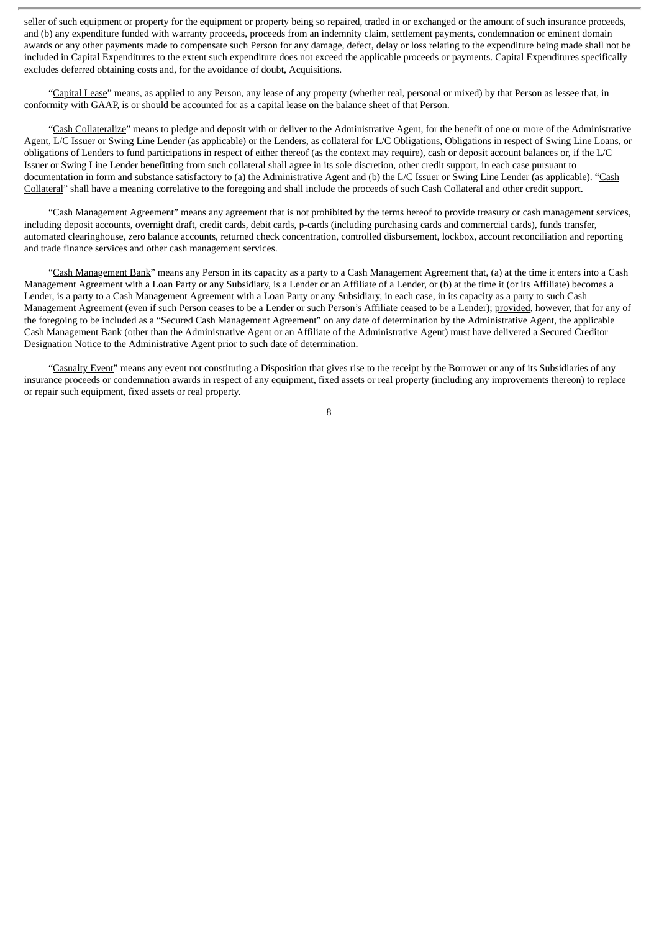seller of such equipment or property for the equipment or property being so repaired, traded in or exchanged or the amount of such insurance proceeds, and (b) any expenditure funded with warranty proceeds, proceeds from an indemnity claim, settlement payments, condemnation or eminent domain awards or any other payments made to compensate such Person for any damage, defect, delay or loss relating to the expenditure being made shall not be included in Capital Expenditures to the extent such expenditure does not exceed the applicable proceeds or payments. Capital Expenditures specifically excludes deferred obtaining costs and, for the avoidance of doubt, Acquisitions.

"Capital Lease" means, as applied to any Person, any lease of any property (whether real, personal or mixed) by that Person as lessee that, in conformity with GAAP, is or should be accounted for as a capital lease on the balance sheet of that Person.

"Cash Collateralize" means to pledge and deposit with or deliver to the Administrative Agent, for the benefit of one or more of the Administrative Agent, L/C Issuer or Swing Line Lender (as applicable) or the Lenders, as collateral for L/C Obligations, Obligations in respect of Swing Line Loans, or obligations of Lenders to fund participations in respect of either thereof (as the context may require), cash or deposit account balances or, if the L/C Issuer or Swing Line Lender benefitting from such collateral shall agree in its sole discretion, other credit support, in each case pursuant to documentation in form and substance satisfactory to (a) the Administrative Agent and (b) the L/C Issuer or Swing Line Lender (as applicable). "Cash Collateral" shall have a meaning correlative to the foregoing and shall include the proceeds of such Cash Collateral and other credit support.

"Cash Management Agreement" means any agreement that is not prohibited by the terms hereof to provide treasury or cash management services, including deposit accounts, overnight draft, credit cards, debit cards, p-cards (including purchasing cards and commercial cards), funds transfer, automated clearinghouse, zero balance accounts, returned check concentration, controlled disbursement, lockbox, account reconciliation and reporting and trade finance services and other cash management services.

"Cash Management Bank" means any Person in its capacity as a party to a Cash Management Agreement that, (a) at the time it enters into a Cash Management Agreement with a Loan Party or any Subsidiary, is a Lender or an Affiliate of a Lender, or (b) at the time it (or its Affiliate) becomes a Lender, is a party to a Cash Management Agreement with a Loan Party or any Subsidiary, in each case, in its capacity as a party to such Cash Management Agreement (even if such Person ceases to be a Lender or such Person's Affiliate ceased to be a Lender); provided, however, that for any of the foregoing to be included as a "Secured Cash Management Agreement" on any date of determination by the Administrative Agent, the applicable Cash Management Bank (other than the Administrative Agent or an Affiliate of the Administrative Agent) must have delivered a Secured Creditor Designation Notice to the Administrative Agent prior to such date of determination.

"Casualty Event" means any event not constituting a Disposition that gives rise to the receipt by the Borrower or any of its Subsidiaries of any insurance proceeds or condemnation awards in respect of any equipment, fixed assets or real property (including any improvements thereon) to replace or repair such equipment, fixed assets or real property.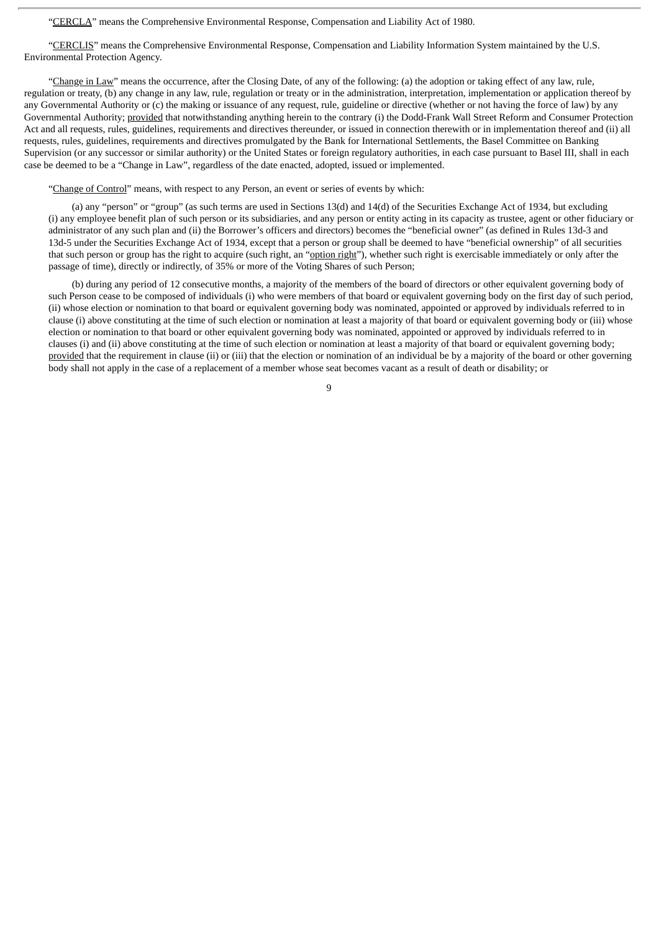#### "CERCLA" means the Comprehensive Environmental Response, Compensation and Liability Act of 1980.

"CERCLIS" means the Comprehensive Environmental Response, Compensation and Liability Information System maintained by the U.S. Environmental Protection Agency.

"Change in Law" means the occurrence, after the Closing Date, of any of the following: (a) the adoption or taking effect of any law, rule, regulation or treaty, (b) any change in any law, rule, regulation or treaty or in the administration, interpretation, implementation or application thereof by any Governmental Authority or (c) the making or issuance of any request, rule, guideline or directive (whether or not having the force of law) by any Governmental Authority; provided that notwithstanding anything herein to the contrary (i) the Dodd-Frank Wall Street Reform and Consumer Protection Act and all requests, rules, guidelines, requirements and directives thereunder, or issued in connection therewith or in implementation thereof and (ii) all requests, rules, guidelines, requirements and directives promulgated by the Bank for International Settlements, the Basel Committee on Banking Supervision (or any successor or similar authority) or the United States or foreign regulatory authorities, in each case pursuant to Basel III, shall in each case be deemed to be a "Change in Law", regardless of the date enacted, adopted, issued or implemented.

"Change of Control" means, with respect to any Person, an event or series of events by which:

(a) any "person" or "group" (as such terms are used in Sections 13(d) and 14(d) of the Securities Exchange Act of 1934, but excluding (i) any employee benefit plan of such person or its subsidiaries, and any person or entity acting in its capacity as trustee, agent or other fiduciary or administrator of any such plan and (ii) the Borrower's officers and directors) becomes the "beneficial owner" (as defined in Rules 13d-3 and 13d-5 under the Securities Exchange Act of 1934, except that a person or group shall be deemed to have "beneficial ownership" of all securities that such person or group has the right to acquire (such right, an "option right"), whether such right is exercisable immediately or only after the passage of time), directly or indirectly, of 35% or more of the Voting Shares of such Person;

(b) during any period of 12 consecutive months, a majority of the members of the board of directors or other equivalent governing body of such Person cease to be composed of individuals (i) who were members of that board or equivalent governing body on the first day of such period, (ii) whose election or nomination to that board or equivalent governing body was nominated, appointed or approved by individuals referred to in clause (i) above constituting at the time of such election or nomination at least a majority of that board or equivalent governing body or (iii) whose election or nomination to that board or other equivalent governing body was nominated, appointed or approved by individuals referred to in clauses (i) and (ii) above constituting at the time of such election or nomination at least a majority of that board or equivalent governing body; provided that the requirement in clause (ii) or (iii) that the election or nomination of an individual be by a majority of the board or other governing body shall not apply in the case of a replacement of a member whose seat becomes vacant as a result of death or disability; or

 $\mathbf q$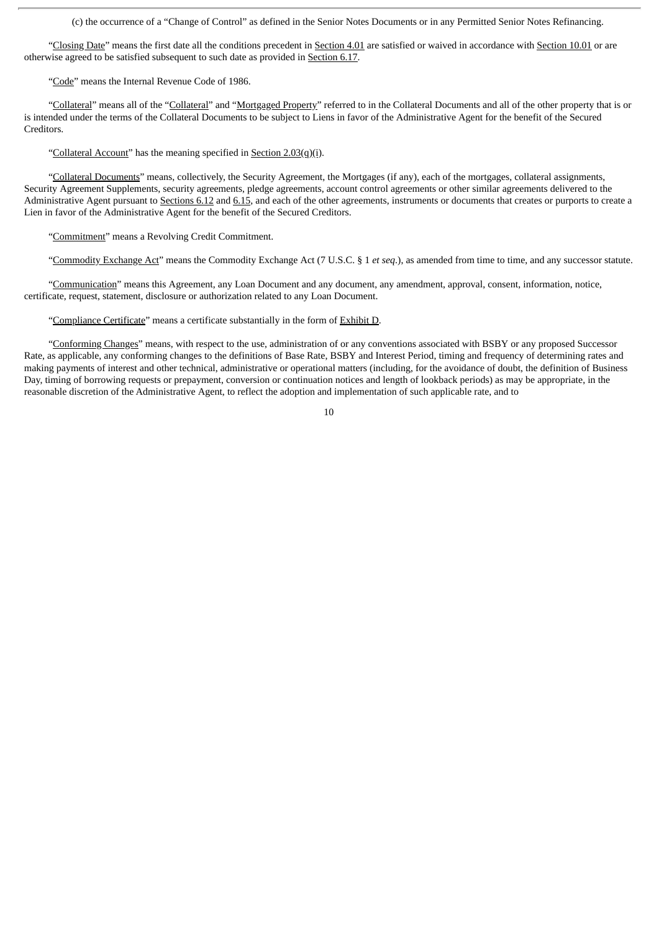(c) the occurrence of a "Change of Control" as defined in the Senior Notes Documents or in any Permitted Senior Notes Refinancing.

"Closing Date" means the first date all the conditions precedent in Section 4.01 are satisfied or waived in accordance with Section 10.01 or are otherwise agreed to be satisfied subsequent to such date as provided in Section 6.17.

"Code" means the Internal Revenue Code of 1986.

"Collateral" means all of the "Collateral" and "Mortgaged Property" referred to in the Collateral Documents and all of the other property that is or is intended under the terms of the Collateral Documents to be subject to Liens in favor of the Administrative Agent for the benefit of the Secured Creditors.

"Collateral Account" has the meaning specified in Section  $2.03(q)(i)$ .

"Collateral Documents" means, collectively, the Security Agreement, the Mortgages (if any), each of the mortgages, collateral assignments, Security Agreement Supplements, security agreements, pledge agreements, account control agreements or other similar agreements delivered to the Administrative Agent pursuant to Sections 6.12 and 6.15, and each of the other agreements, instruments or documents that creates or purports to create a Lien in favor of the Administrative Agent for the benefit of the Secured Creditors.

"Commitment" means a Revolving Credit Commitment.

"Commodity Exchange Act" means the Commodity Exchange Act (7 U.S.C. § 1 *et seq*.), as amended from time to time, and any successor statute.

"Communication" means this Agreement, any Loan Document and any document, any amendment, approval, consent, information, notice, certificate, request, statement, disclosure or authorization related to any Loan Document.

"Compliance Certificate" means a certificate substantially in the form of Exhibit D.

"Conforming Changes" means, with respect to the use, administration of or any conventions associated with BSBY or any proposed Successor Rate, as applicable, any conforming changes to the definitions of Base Rate, BSBY and Interest Period, timing and frequency of determining rates and making payments of interest and other technical, administrative or operational matters (including, for the avoidance of doubt, the definition of Business Day, timing of borrowing requests or prepayment, conversion or continuation notices and length of lookback periods) as may be appropriate, in the reasonable discretion of the Administrative Agent, to reflect the adoption and implementation of such applicable rate, and to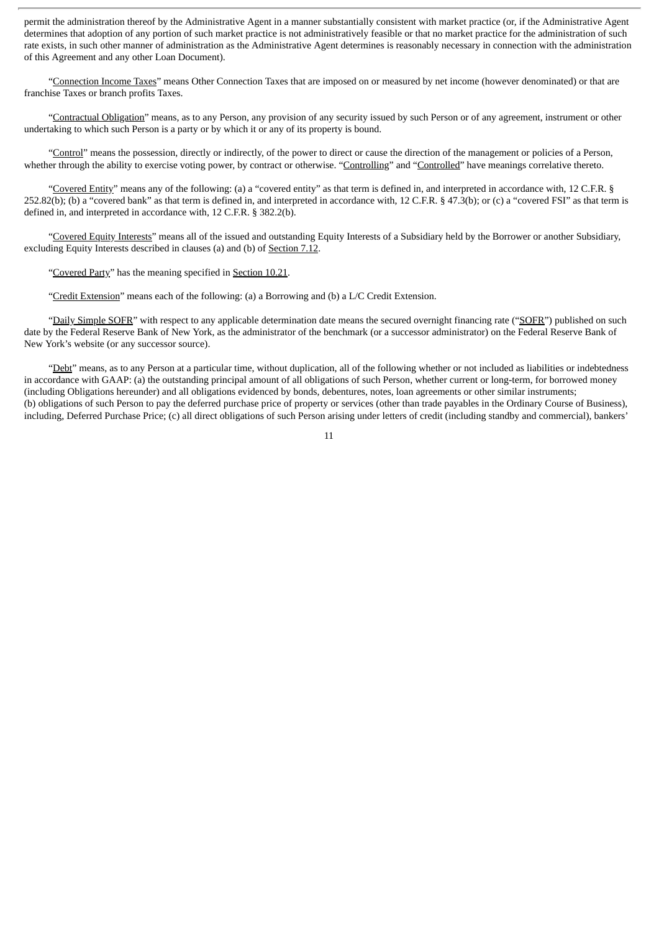permit the administration thereof by the Administrative Agent in a manner substantially consistent with market practice (or, if the Administrative Agent determines that adoption of any portion of such market practice is not administratively feasible or that no market practice for the administration of such rate exists, in such other manner of administration as the Administrative Agent determines is reasonably necessary in connection with the administration of this Agreement and any other Loan Document).

"Connection Income Taxes" means Other Connection Taxes that are imposed on or measured by net income (however denominated) or that are franchise Taxes or branch profits Taxes.

"Contractual Obligation" means, as to any Person, any provision of any security issued by such Person or of any agreement, instrument or other undertaking to which such Person is a party or by which it or any of its property is bound.

"Control" means the possession, directly or indirectly, of the power to direct or cause the direction of the management or policies of a Person, whether through the ability to exercise voting power, by contract or otherwise. "Controlling" and "Controlled" have meanings correlative thereto.

"Covered Entity" means any of the following: (a) a "covered entity" as that term is defined in, and interpreted in accordance with, 12 C.F.R. § 252.82(b); (b) a "covered bank" as that term is defined in, and interpreted in accordance with, 12 C.F.R. § 47.3(b); or (c) a "covered FSI" as that term is defined in, and interpreted in accordance with, 12 C.F.R. § 382.2(b).

"Covered Equity Interests" means all of the issued and outstanding Equity Interests of a Subsidiary held by the Borrower or another Subsidiary, excluding Equity Interests described in clauses (a) and (b) of Section 7.12.

"Covered Party" has the meaning specified in Section 10.21.

"Credit Extension" means each of the following: (a) a Borrowing and (b) a L/C Credit Extension.

"Daily Simple SOFR" with respect to any applicable determination date means the secured overnight financing rate ("SOFR") published on such date by the Federal Reserve Bank of New York, as the administrator of the benchmark (or a successor administrator) on the Federal Reserve Bank of New York's website (or any successor source).

"Debt" means, as to any Person at a particular time, without duplication, all of the following whether or not included as liabilities or indebtedness in accordance with GAAP: (a) the outstanding principal amount of all obligations of such Person, whether current or long-term, for borrowed money (including Obligations hereunder) and all obligations evidenced by bonds, debentures, notes, loan agreements or other similar instruments; (b) obligations of such Person to pay the deferred purchase price of property or services (other than trade payables in the Ordinary Course of Business), including, Deferred Purchase Price; (c) all direct obligations of such Person arising under letters of credit (including standby and commercial), bankers'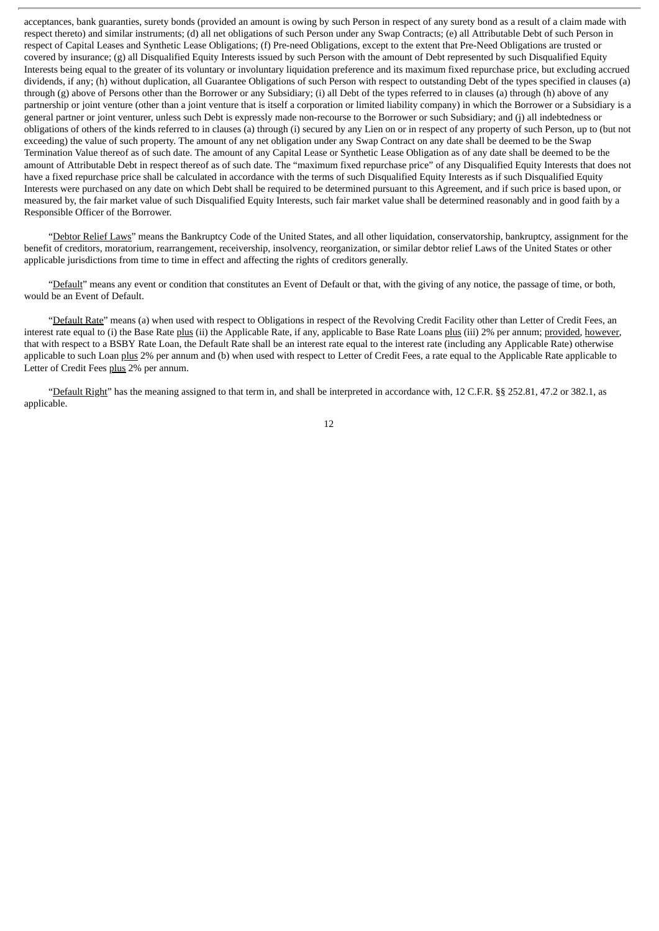acceptances, bank guaranties, surety bonds (provided an amount is owing by such Person in respect of any surety bond as a result of a claim made with respect thereto) and similar instruments; (d) all net obligations of such Person under any Swap Contracts; (e) all Attributable Debt of such Person in respect of Capital Leases and Synthetic Lease Obligations; (f) Pre-need Obligations, except to the extent that Pre-Need Obligations are trusted or covered by insurance; (g) all Disqualified Equity Interests issued by such Person with the amount of Debt represented by such Disqualified Equity Interests being equal to the greater of its voluntary or involuntary liquidation preference and its maximum fixed repurchase price, but excluding accrued dividends, if any; (h) without duplication, all Guarantee Obligations of such Person with respect to outstanding Debt of the types specified in clauses (a) through (g) above of Persons other than the Borrower or any Subsidiary; (i) all Debt of the types referred to in clauses (a) through (h) above of any partnership or joint venture (other than a joint venture that is itself a corporation or limited liability company) in which the Borrower or a Subsidiary is a general partner or joint venturer, unless such Debt is expressly made non-recourse to the Borrower or such Subsidiary; and (j) all indebtedness or obligations of others of the kinds referred to in clauses (a) through (i) secured by any Lien on or in respect of any property of such Person, up to (but not exceeding) the value of such property. The amount of any net obligation under any Swap Contract on any date shall be deemed to be the Swap Termination Value thereof as of such date. The amount of any Capital Lease or Synthetic Lease Obligation as of any date shall be deemed to be the amount of Attributable Debt in respect thereof as of such date. The "maximum fixed repurchase price" of any Disqualified Equity Interests that does not have a fixed repurchase price shall be calculated in accordance with the terms of such Disqualified Equity Interests as if such Disqualified Equity Interests were purchased on any date on which Debt shall be required to be determined pursuant to this Agreement, and if such price is based upon, or measured by, the fair market value of such Disqualified Equity Interests, such fair market value shall be determined reasonably and in good faith by a Responsible Officer of the Borrower.

"Debtor Relief Laws" means the Bankruptcy Code of the United States, and all other liquidation, conservatorship, bankruptcy, assignment for the benefit of creditors, moratorium, rearrangement, receivership, insolvency, reorganization, or similar debtor relief Laws of the United States or other applicable jurisdictions from time to time in effect and affecting the rights of creditors generally.

"Default" means any event or condition that constitutes an Event of Default or that, with the giving of any notice, the passage of time, or both, would be an Event of Default.

"Default Rate" means (a) when used with respect to Obligations in respect of the Revolving Credit Facility other than Letter of Credit Fees, an interest rate equal to (i) the Base Rate plus (ii) the Applicable Rate, if any, applicable to Base Rate Loans plus (iii) 2% per annum; provided, however, that with respect to a BSBY Rate Loan, the Default Rate shall be an interest rate equal to the interest rate (including any Applicable Rate) otherwise applicable to such Loan plus 2% per annum and (b) when used with respect to Letter of Credit Fees, a rate equal to the Applicable Rate applicable to Letter of Credit Fees plus 2% per annum.

"Default Right" has the meaning assigned to that term in, and shall be interpreted in accordance with, 12 C.F.R. §§ 252.81, 47.2 or 382.1, as applicable.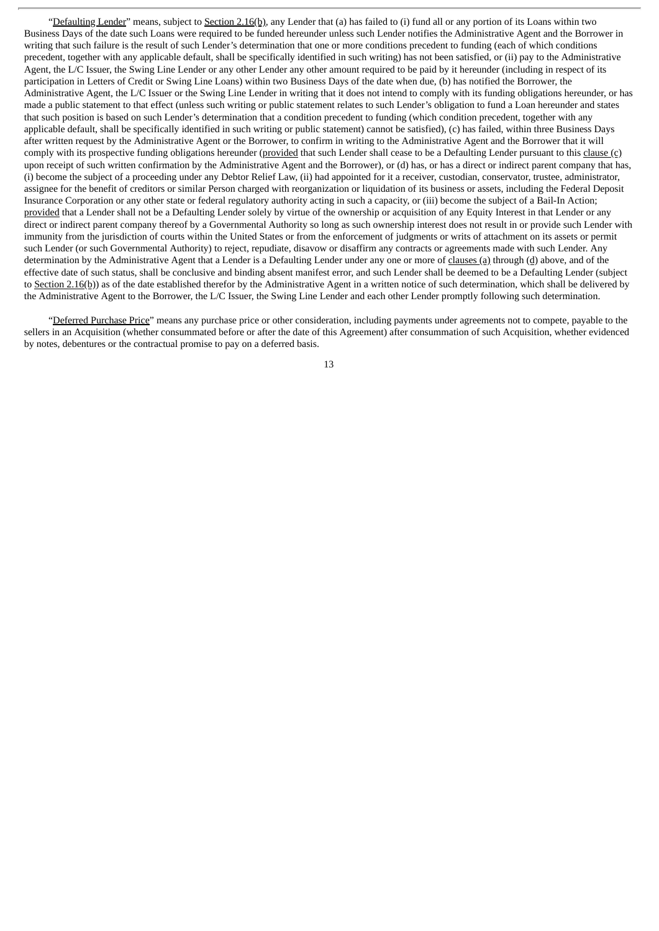"Defaulting Lender" means, subject to Section 2.16(b), any Lender that (a) has failed to (i) fund all or any portion of its Loans within two Business Days of the date such Loans were required to be funded hereunder unless such Lender notifies the Administrative Agent and the Borrower in writing that such failure is the result of such Lender's determination that one or more conditions precedent to funding (each of which conditions precedent, together with any applicable default, shall be specifically identified in such writing) has not been satisfied, or (ii) pay to the Administrative Agent, the L/C Issuer, the Swing Line Lender or any other Lender any other amount required to be paid by it hereunder (including in respect of its participation in Letters of Credit or Swing Line Loans) within two Business Days of the date when due, (b) has notified the Borrower, the Administrative Agent, the L/C Issuer or the Swing Line Lender in writing that it does not intend to comply with its funding obligations hereunder, or has made a public statement to that effect (unless such writing or public statement relates to such Lender's obligation to fund a Loan hereunder and states that such position is based on such Lender's determination that a condition precedent to funding (which condition precedent, together with any applicable default, shall be specifically identified in such writing or public statement) cannot be satisfied), (c) has failed, within three Business Days after written request by the Administrative Agent or the Borrower, to confirm in writing to the Administrative Agent and the Borrower that it will comply with its prospective funding obligations hereunder (provided that such Lender shall cease to be a Defaulting Lender pursuant to this clause (c) upon receipt of such written confirmation by the Administrative Agent and the Borrower), or (d) has, or has a direct or indirect parent company that has, (i) become the subject of a proceeding under any Debtor Relief Law, (ii) had appointed for it a receiver, custodian, conservator, trustee, administrator, assignee for the benefit of creditors or similar Person charged with reorganization or liquidation of its business or assets, including the Federal Deposit Insurance Corporation or any other state or federal regulatory authority acting in such a capacity, or (iii) become the subject of a Bail-In Action; provided that a Lender shall not be a Defaulting Lender solely by virtue of the ownership or acquisition of any Equity Interest in that Lender or any direct or indirect parent company thereof by a Governmental Authority so long as such ownership interest does not result in or provide such Lender with immunity from the jurisdiction of courts within the United States or from the enforcement of judgments or writs of attachment on its assets or permit such Lender (or such Governmental Authority) to reject, repudiate, disavow or disaffirm any contracts or agreements made with such Lender. Any determination by the Administrative Agent that a Lender is a Defaulting Lender under any one or more of clauses (a) through (d) above, and of the effective date of such status, shall be conclusive and binding absent manifest error, and such Lender shall be deemed to be a Defaulting Lender (subject to Section  $2.16(b)$ ) as of the date established therefor by the Administrative Agent in a written notice of such determination, which shall be delivered by the Administrative Agent to the Borrower, the L/C Issuer, the Swing Line Lender and each other Lender promptly following such determination.

"Deferred Purchase Price" means any purchase price or other consideration, including payments under agreements not to compete, payable to the sellers in an Acquisition (whether consummated before or after the date of this Agreement) after consummation of such Acquisition, whether evidenced by notes, debentures or the contractual promise to pay on a deferred basis.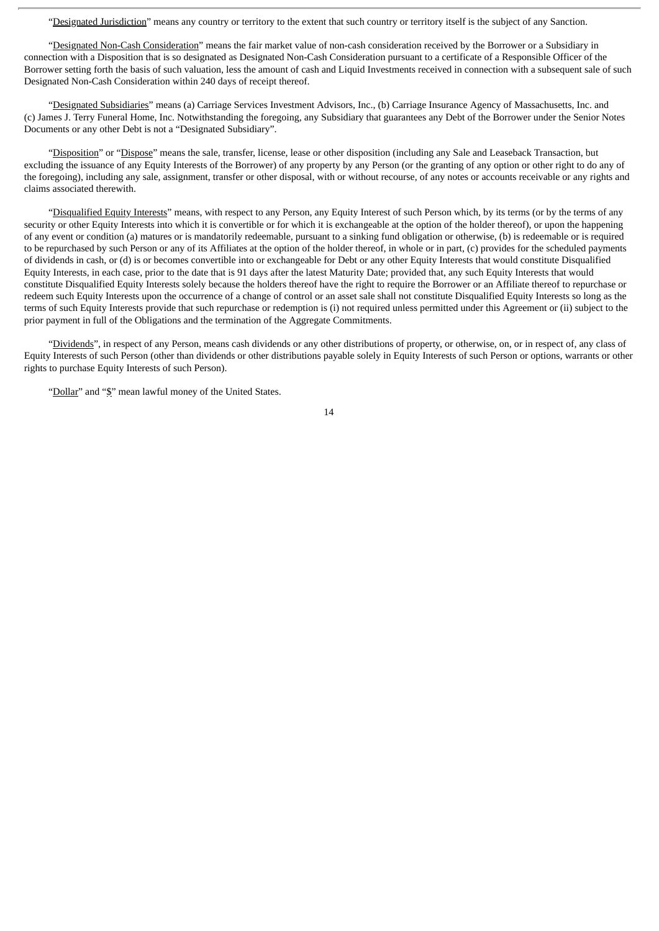"Designated Jurisdiction" means any country or territory to the extent that such country or territory itself is the subject of any Sanction.

"Designated Non-Cash Consideration" means the fair market value of non-cash consideration received by the Borrower or a Subsidiary in connection with a Disposition that is so designated as Designated Non-Cash Consideration pursuant to a certificate of a Responsible Officer of the Borrower setting forth the basis of such valuation, less the amount of cash and Liquid Investments received in connection with a subsequent sale of such Designated Non-Cash Consideration within 240 days of receipt thereof.

"Designated Subsidiaries" means (a) Carriage Services Investment Advisors, Inc., (b) Carriage Insurance Agency of Massachusetts, Inc. and (c) James J. Terry Funeral Home, Inc. Notwithstanding the foregoing, any Subsidiary that guarantees any Debt of the Borrower under the Senior Notes Documents or any other Debt is not a "Designated Subsidiary".

"Disposition" or "Dispose" means the sale, transfer, license, lease or other disposition (including any Sale and Leaseback Transaction, but excluding the issuance of any Equity Interests of the Borrower) of any property by any Person (or the granting of any option or other right to do any of the foregoing), including any sale, assignment, transfer or other disposal, with or without recourse, of any notes or accounts receivable or any rights and claims associated therewith.

"Disqualified Equity Interests" means, with respect to any Person, any Equity Interest of such Person which, by its terms (or by the terms of any security or other Equity Interests into which it is convertible or for which it is exchangeable at the option of the holder thereof), or upon the happening of any event or condition (a) matures or is mandatorily redeemable, pursuant to a sinking fund obligation or otherwise, (b) is redeemable or is required to be repurchased by such Person or any of its Affiliates at the option of the holder thereof, in whole or in part, (c) provides for the scheduled payments of dividends in cash, or (d) is or becomes convertible into or exchangeable for Debt or any other Equity Interests that would constitute Disqualified Equity Interests, in each case, prior to the date that is 91 days after the latest Maturity Date; provided that, any such Equity Interests that would constitute Disqualified Equity Interests solely because the holders thereof have the right to require the Borrower or an Affiliate thereof to repurchase or redeem such Equity Interests upon the occurrence of a change of control or an asset sale shall not constitute Disqualified Equity Interests so long as the terms of such Equity Interests provide that such repurchase or redemption is (i) not required unless permitted under this Agreement or (ii) subject to the prior payment in full of the Obligations and the termination of the Aggregate Commitments.

"Dividends", in respect of any Person, means cash dividends or any other distributions of property, or otherwise, on, or in respect of, any class of Equity Interests of such Person (other than dividends or other distributions payable solely in Equity Interests of such Person or options, warrants or other rights to purchase Equity Interests of such Person).

"Dollar" and "\$" mean lawful money of the United States.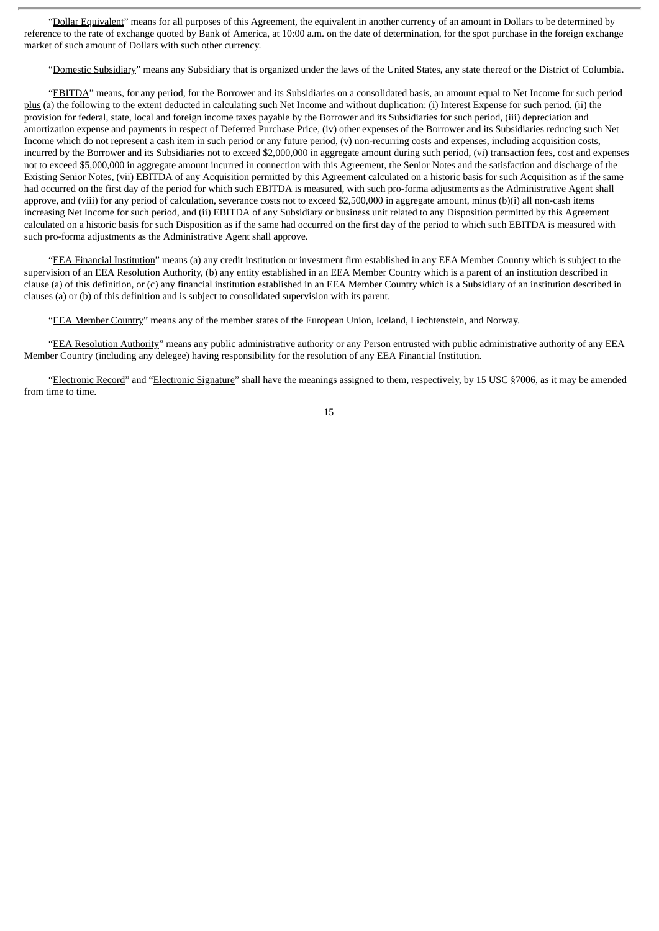"Dollar Equivalent" means for all purposes of this Agreement, the equivalent in another currency of an amount in Dollars to be determined by reference to the rate of exchange quoted by Bank of America, at 10:00 a.m. on the date of determination, for the spot purchase in the foreign exchange market of such amount of Dollars with such other currency.

"Domestic Subsidiary" means any Subsidiary that is organized under the laws of the United States, any state thereof or the District of Columbia.

"EBITDA" means, for any period, for the Borrower and its Subsidiaries on a consolidated basis, an amount equal to Net Income for such period plus (a) the following to the extent deducted in calculating such Net Income and without duplication: (i) Interest Expense for such period, (ii) the provision for federal, state, local and foreign income taxes payable by the Borrower and its Subsidiaries for such period, (iii) depreciation and amortization expense and payments in respect of Deferred Purchase Price, (iv) other expenses of the Borrower and its Subsidiaries reducing such Net Income which do not represent a cash item in such period or any future period, (v) non-recurring costs and expenses, including acquisition costs, incurred by the Borrower and its Subsidiaries not to exceed \$2,000,000 in aggregate amount during such period, (vi) transaction fees, cost and expenses not to exceed \$5,000,000 in aggregate amount incurred in connection with this Agreement, the Senior Notes and the satisfaction and discharge of the Existing Senior Notes, (vii) EBITDA of any Acquisition permitted by this Agreement calculated on a historic basis for such Acquisition as if the same had occurred on the first day of the period for which such EBITDA is measured, with such pro-forma adjustments as the Administrative Agent shall approve, and (viii) for any period of calculation, severance costs not to exceed \$2,500,000 in aggregate amount, minus (b)(i) all non-cash items increasing Net Income for such period, and (ii) EBITDA of any Subsidiary or business unit related to any Disposition permitted by this Agreement calculated on a historic basis for such Disposition as if the same had occurred on the first day of the period to which such EBITDA is measured with such pro-forma adjustments as the Administrative Agent shall approve.

"EEA Financial Institution" means (a) any credit institution or investment firm established in any EEA Member Country which is subject to the supervision of an EEA Resolution Authority, (b) any entity established in an EEA Member Country which is a parent of an institution described in clause (a) of this definition, or (c) any financial institution established in an EEA Member Country which is a Subsidiary of an institution described in clauses (a) or (b) of this definition and is subject to consolidated supervision with its parent.

"EEA Member Country" means any of the member states of the European Union, Iceland, Liechtenstein, and Norway.

"EEA Resolution Authority" means any public administrative authority or any Person entrusted with public administrative authority of any EEA Member Country (including any delegee) having responsibility for the resolution of any EEA Financial Institution.

"Electronic Record" and "Electronic Signature" shall have the meanings assigned to them, respectively, by 15 USC §7006, as it may be amended from time to time.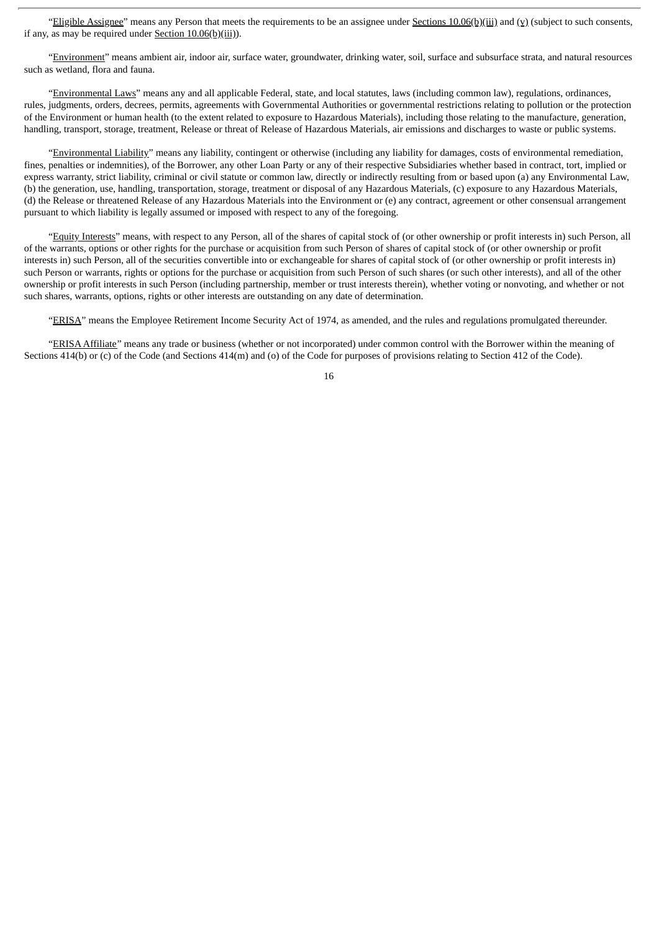"Eligible Assignee" means any Person that meets the requirements to be an assignee under Sections 10.06(b)(iii) and (v) (subject to such consents, if any, as may be required under Section 10.06(b)(iii)).

"Environment" means ambient air, indoor air, surface water, groundwater, drinking water, soil, surface and subsurface strata, and natural resources such as wetland, flora and fauna.

"Environmental Laws" means any and all applicable Federal, state, and local statutes, laws (including common law), regulations, ordinances, rules, judgments, orders, decrees, permits, agreements with Governmental Authorities or governmental restrictions relating to pollution or the protection of the Environment or human health (to the extent related to exposure to Hazardous Materials), including those relating to the manufacture, generation, handling, transport, storage, treatment, Release or threat of Release of Hazardous Materials, air emissions and discharges to waste or public systems.

"Environmental Liability" means any liability, contingent or otherwise (including any liability for damages, costs of environmental remediation, fines, penalties or indemnities), of the Borrower, any other Loan Party or any of their respective Subsidiaries whether based in contract, tort, implied or express warranty, strict liability, criminal or civil statute or common law, directly or indirectly resulting from or based upon (a) any Environmental Law, (b) the generation, use, handling, transportation, storage, treatment or disposal of any Hazardous Materials, (c) exposure to any Hazardous Materials, (d) the Release or threatened Release of any Hazardous Materials into the Environment or (e) any contract, agreement or other consensual arrangement pursuant to which liability is legally assumed or imposed with respect to any of the foregoing.

"Equity Interests" means, with respect to any Person, all of the shares of capital stock of (or other ownership or profit interests in) such Person, all of the warrants, options or other rights for the purchase or acquisition from such Person of shares of capital stock of (or other ownership or profit interests in) such Person, all of the securities convertible into or exchangeable for shares of capital stock of (or other ownership or profit interests in) such Person or warrants, rights or options for the purchase or acquisition from such Person of such shares (or such other interests), and all of the other ownership or profit interests in such Person (including partnership, member or trust interests therein), whether voting or nonvoting, and whether or not such shares, warrants, options, rights or other interests are outstanding on any date of determination.

"ERISA" means the Employee Retirement Income Security Act of 1974, as amended, and the rules and regulations promulgated thereunder.

"ERISAAffiliate" means any trade or business (whether or not incorporated) under common control with the Borrower within the meaning of Sections 414(b) or (c) of the Code (and Sections 414(m) and (o) of the Code for purposes of provisions relating to Section 412 of the Code).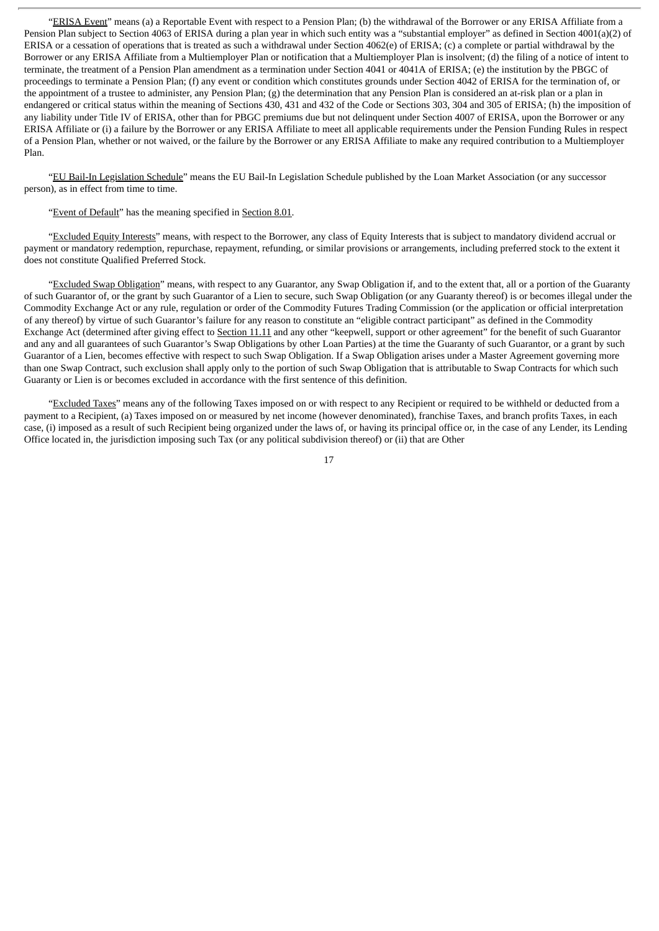"ERISA Event" means (a) a Reportable Event with respect to a Pension Plan; (b) the withdrawal of the Borrower or any ERISA Affiliate from a Pension Plan subject to Section 4063 of ERISA during a plan year in which such entity was a "substantial employer" as defined in Section 4001(a)(2) of ERISA or a cessation of operations that is treated as such a withdrawal under Section 4062(e) of ERISA; (c) a complete or partial withdrawal by the Borrower or any ERISA Affiliate from a Multiemployer Plan or notification that a Multiemployer Plan is insolvent; (d) the filing of a notice of intent to terminate, the treatment of a Pension Plan amendment as a termination under Section 4041 or 4041A of ERISA; (e) the institution by the PBGC of proceedings to terminate a Pension Plan; (f) any event or condition which constitutes grounds under Section 4042 of ERISA for the termination of, or the appointment of a trustee to administer, any Pension Plan; (g) the determination that any Pension Plan is considered an at-risk plan or a plan in endangered or critical status within the meaning of Sections 430, 431 and 432 of the Code or Sections 303, 304 and 305 of ERISA; (h) the imposition of any liability under Title IV of ERISA, other than for PBGC premiums due but not delinquent under Section 4007 of ERISA, upon the Borrower or any ERISA Affiliate or (i) a failure by the Borrower or any ERISA Affiliate to meet all applicable requirements under the Pension Funding Rules in respect of a Pension Plan, whether or not waived, or the failure by the Borrower or any ERISA Affiliate to make any required contribution to a Multiemployer Plan.

"EU Bail-In Legislation Schedule" means the EU Bail-In Legislation Schedule published by the Loan Market Association (or any successor person), as in effect from time to time.

"Event of Default" has the meaning specified in Section 8.01.

"Excluded Equity Interests" means, with respect to the Borrower, any class of Equity Interests that is subject to mandatory dividend accrual or payment or mandatory redemption, repurchase, repayment, refunding, or similar provisions or arrangements, including preferred stock to the extent it does not constitute Qualified Preferred Stock.

"Excluded Swap Obligation" means, with respect to any Guarantor, any Swap Obligation if, and to the extent that, all or a portion of the Guaranty of such Guarantor of, or the grant by such Guarantor of a Lien to secure, such Swap Obligation (or any Guaranty thereof) is or becomes illegal under the Commodity Exchange Act or any rule, regulation or order of the Commodity Futures Trading Commission (or the application or official interpretation of any thereof) by virtue of such Guarantor's failure for any reason to constitute an "eligible contract participant" as defined in the Commodity Exchange Act (determined after giving effect to Section 11.11 and any other "keepwell, support or other agreement" for the benefit of such Guarantor and any and all guarantees of such Guarantor's Swap Obligations by other Loan Parties) at the time the Guaranty of such Guarantor, or a grant by such Guarantor of a Lien, becomes effective with respect to such Swap Obligation. If a Swap Obligation arises under a Master Agreement governing more than one Swap Contract, such exclusion shall apply only to the portion of such Swap Obligation that is attributable to Swap Contracts for which such Guaranty or Lien is or becomes excluded in accordance with the first sentence of this definition.

"Excluded Taxes" means any of the following Taxes imposed on or with respect to any Recipient or required to be withheld or deducted from a payment to a Recipient, (a) Taxes imposed on or measured by net income (however denominated), franchise Taxes, and branch profits Taxes, in each case, (i) imposed as a result of such Recipient being organized under the laws of, or having its principal office or, in the case of any Lender, its Lending Office located in, the jurisdiction imposing such Tax (or any political subdivision thereof) or (ii) that are Other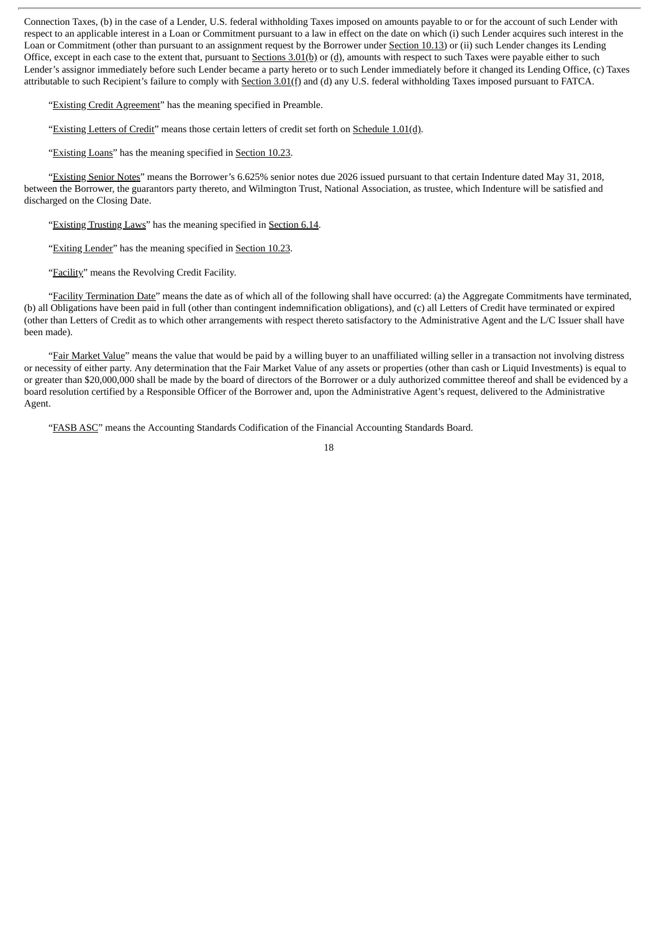Connection Taxes, (b) in the case of a Lender, U.S. federal withholding Taxes imposed on amounts payable to or for the account of such Lender with respect to an applicable interest in a Loan or Commitment pursuant to a law in effect on the date on which (i) such Lender acquires such interest in the Loan or Commitment (other than pursuant to an assignment request by the Borrower under Section 10.13) or (ii) such Lender changes its Lending Office, except in each case to the extent that, pursuant to Sections  $3.01(b)$  or (d), amounts with respect to such Taxes were payable either to such Lender's assignor immediately before such Lender became a party hereto or to such Lender immediately before it changed its Lending Office, (c) Taxes attributable to such Recipient's failure to comply with Section 3.01(f) and (d) any U.S. federal withholding Taxes imposed pursuant to FATCA.

"Existing Credit Agreement" has the meaning specified in Preamble.

"Existing Letters of Credit" means those certain letters of credit set forth on Schedule 1.01(d).

"Existing Loans" has the meaning specified in Section 10.23.

"Existing Senior Notes" means the Borrower's 6.625% senior notes due 2026 issued pursuant to that certain Indenture dated May 31, 2018, between the Borrower, the guarantors party thereto, and Wilmington Trust, National Association, as trustee, which Indenture will be satisfied and discharged on the Closing Date.

"Existing Trusting Laws" has the meaning specified in Section 6.14.

"Exiting Lender" has the meaning specified in Section 10.23.

"Facility" means the Revolving Credit Facility.

"Facility Termination Date" means the date as of which all of the following shall have occurred: (a) the Aggregate Commitments have terminated, (b) all Obligations have been paid in full (other than contingent indemnification obligations), and (c) all Letters of Credit have terminated or expired (other than Letters of Credit as to which other arrangements with respect thereto satisfactory to the Administrative Agent and the L/C Issuer shall have been made).

"Fair Market Value" means the value that would be paid by a willing buyer to an unaffiliated willing seller in a transaction not involving distress or necessity of either party. Any determination that the Fair Market Value of any assets or properties (other than cash or Liquid Investments) is equal to or greater than \$20,000,000 shall be made by the board of directors of the Borrower or a duly authorized committee thereof and shall be evidenced by a board resolution certified by a Responsible Officer of the Borrower and, upon the Administrative Agent's request, delivered to the Administrative Agent.

"FASB ASC" means the Accounting Standards Codification of the Financial Accounting Standards Board.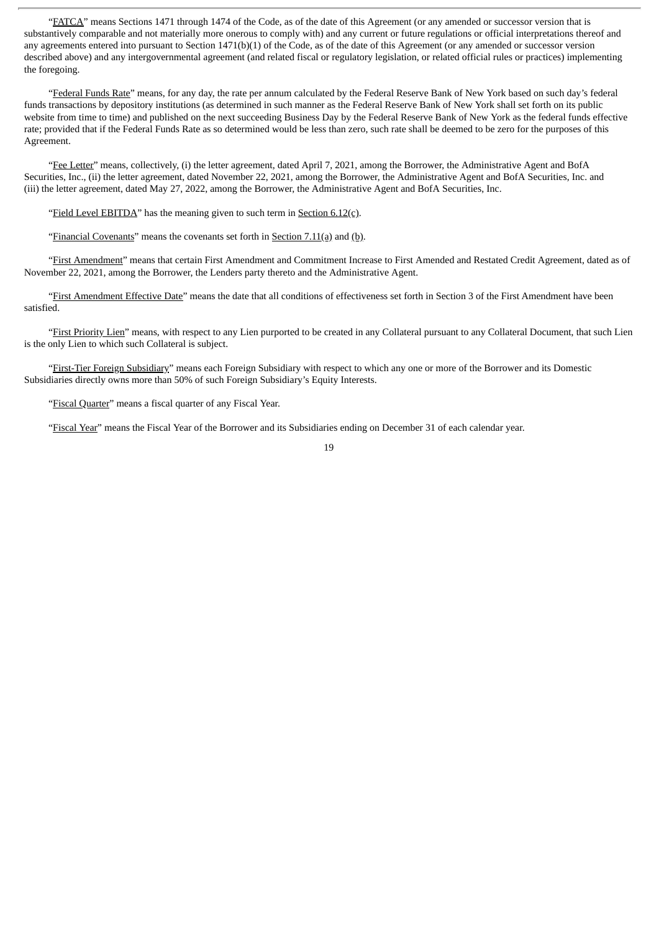"FATCA" means Sections 1471 through 1474 of the Code, as of the date of this Agreement (or any amended or successor version that is substantively comparable and not materially more onerous to comply with) and any current or future regulations or official interpretations thereof and any agreements entered into pursuant to Section 1471(b)(1) of the Code, as of the date of this Agreement (or any amended or successor version described above) and any intergovernmental agreement (and related fiscal or regulatory legislation, or related official rules or practices) implementing the foregoing.

"Federal Funds Rate" means, for any day, the rate per annum calculated by the Federal Reserve Bank of New York based on such day's federal funds transactions by depository institutions (as determined in such manner as the Federal Reserve Bank of New York shall set forth on its public website from time to time) and published on the next succeeding Business Day by the Federal Reserve Bank of New York as the federal funds effective rate; provided that if the Federal Funds Rate as so determined would be less than zero, such rate shall be deemed to be zero for the purposes of this Agreement.

"Fee Letter" means, collectively, (i) the letter agreement, dated April 7, 2021, among the Borrower, the Administrative Agent and BofA Securities, Inc., (ii) the letter agreement, dated November 22, 2021, among the Borrower, the Administrative Agent and BofA Securities, Inc. and (iii) the letter agreement, dated May 27, 2022, among the Borrower, the Administrative Agent and BofA Securities, Inc.

"Field Level EBITDA" has the meaning given to such term in Section  $6.12(c)$ .

"Financial Covenants" means the covenants set forth in Section  $7.11(a)$  and (b).

"First Amendment" means that certain First Amendment and Commitment Increase to First Amended and Restated Credit Agreement, dated as of November 22, 2021, among the Borrower, the Lenders party thereto and the Administrative Agent.

"First Amendment Effective Date" means the date that all conditions of effectiveness set forth in Section 3 of the First Amendment have been satisfied.

"First Priority Lien" means, with respect to any Lien purported to be created in any Collateral pursuant to any Collateral Document, that such Lien is the only Lien to which such Collateral is subject.

"First-Tier Foreign Subsidiary" means each Foreign Subsidiary with respect to which any one or more of the Borrower and its Domestic Subsidiaries directly owns more than 50% of such Foreign Subsidiary's Equity Interests.

"Fiscal Quarter" means a fiscal quarter of any Fiscal Year.

"Fiscal Year" means the Fiscal Year of the Borrower and its Subsidiaries ending on December 31 of each calendar year.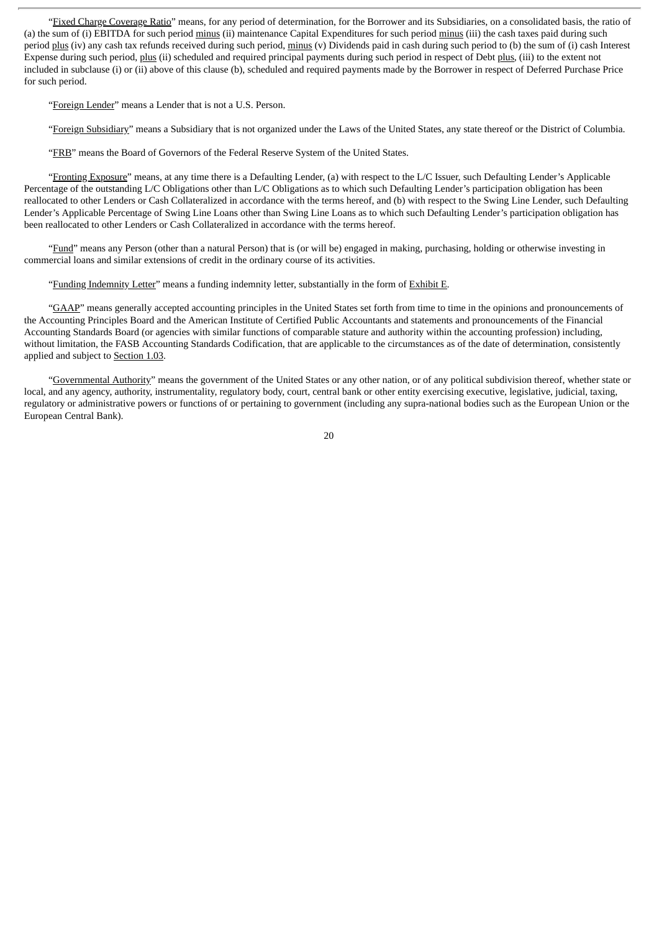"Fixed Charge Coverage Ratio" means, for any period of determination, for the Borrower and its Subsidiaries, on a consolidated basis, the ratio of (a) the sum of (i) EBITDA for such period minus (ii) maintenance Capital Expenditures for such period minus (iii) the cash taxes paid during such period plus (iv) any cash tax refunds received during such period, minus (v) Dividends paid in cash during such period to (b) the sum of (i) cash Interest Expense during such period, plus (ii) scheduled and required principal payments during such period in respect of Debt plus, (iii) to the extent not included in subclause (i) or (ii) above of this clause (b), scheduled and required payments made by the Borrower in respect of Deferred Purchase Price for such period.

"Foreign Lender" means a Lender that is not a U.S. Person.

"Foreign Subsidiary" means a Subsidiary that is not organized under the Laws of the United States, any state thereof or the District of Columbia.

"FRB" means the Board of Governors of the Federal Reserve System of the United States.

"Fronting Exposure" means, at any time there is a Defaulting Lender, (a) with respect to the L/C Issuer, such Defaulting Lender's Applicable Percentage of the outstanding L/C Obligations other than L/C Obligations as to which such Defaulting Lender's participation obligation has been reallocated to other Lenders or Cash Collateralized in accordance with the terms hereof, and (b) with respect to the Swing Line Lender, such Defaulting Lender's Applicable Percentage of Swing Line Loans other than Swing Line Loans as to which such Defaulting Lender's participation obligation has been reallocated to other Lenders or Cash Collateralized in accordance with the terms hereof.

"Fund" means any Person (other than a natural Person) that is (or will be) engaged in making, purchasing, holding or otherwise investing in commercial loans and similar extensions of credit in the ordinary course of its activities.

"Funding Indemnity Letter" means a funding indemnity letter, substantially in the form of Exhibit E.

"GAAP" means generally accepted accounting principles in the United States set forth from time to time in the opinions and pronouncements of the Accounting Principles Board and the American Institute of Certified Public Accountants and statements and pronouncements of the Financial Accounting Standards Board (or agencies with similar functions of comparable stature and authority within the accounting profession) including, without limitation, the FASB Accounting Standards Codification, that are applicable to the circumstances as of the date of determination, consistently applied and subject to Section 1.03.

"Governmental Authority" means the government of the United States or any other nation, or of any political subdivision thereof, whether state or local, and any agency, authority, instrumentality, regulatory body, court, central bank or other entity exercising executive, legislative, judicial, taxing, regulatory or administrative powers or functions of or pertaining to government (including any supra-national bodies such as the European Union or the European Central Bank).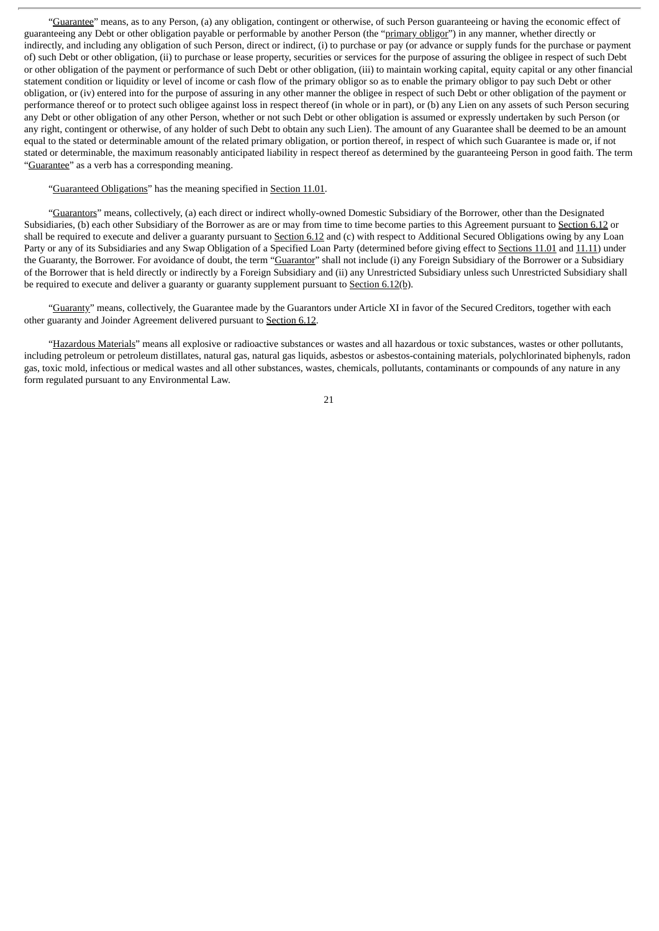"Guarantee" means, as to any Person, (a) any obligation, contingent or otherwise, of such Person guaranteeing or having the economic effect of guaranteeing any Debt or other obligation payable or performable by another Person (the "primary obligor") in any manner, whether directly or indirectly, and including any obligation of such Person, direct or indirect, (i) to purchase or pay (or advance or supply funds for the purchase or payment of) such Debt or other obligation, (ii) to purchase or lease property, securities or services for the purpose of assuring the obligee in respect of such Debt or other obligation of the payment or performance of such Debt or other obligation, (iii) to maintain working capital, equity capital or any other financial statement condition or liquidity or level of income or cash flow of the primary obligor so as to enable the primary obligor to pay such Debt or other obligation, or (iv) entered into for the purpose of assuring in any other manner the obligee in respect of such Debt or other obligation of the payment or performance thereof or to protect such obligee against loss in respect thereof (in whole or in part), or (b) any Lien on any assets of such Person securing any Debt or other obligation of any other Person, whether or not such Debt or other obligation is assumed or expressly undertaken by such Person (or any right, contingent or otherwise, of any holder of such Debt to obtain any such Lien). The amount of any Guarantee shall be deemed to be an amount equal to the stated or determinable amount of the related primary obligation, or portion thereof, in respect of which such Guarantee is made or, if not stated or determinable, the maximum reasonably anticipated liability in respect thereof as determined by the guaranteeing Person in good faith. The term "Guarantee" as a verb has a corresponding meaning.

### "Guaranteed Obligations" has the meaning specified in Section 11.01.

"Guarantors" means, collectively, (a) each direct or indirect wholly-owned Domestic Subsidiary of the Borrower, other than the Designated Subsidiaries, (b) each other Subsidiary of the Borrower as are or may from time to time become parties to this Agreement pursuant to Section 6.12 or shall be required to execute and deliver a guaranty pursuant to Section 6.12 and (c) with respect to Additional Secured Obligations owing by any Loan Party or any of its Subsidiaries and any Swap Obligation of a Specified Loan Party (determined before giving effect to Sections 11.01 and 11.11) under the Guaranty, the Borrower. For avoidance of doubt, the term "Guarantor" shall not include (i) any Foreign Subsidiary of the Borrower or a Subsidiary of the Borrower that is held directly or indirectly by a Foreign Subsidiary and (ii) any Unrestricted Subsidiary unless such Unrestricted Subsidiary shall be required to execute and deliver a guaranty or guaranty supplement pursuant to Section 6.12(b).

"Guaranty" means, collectively, the Guarantee made by the Guarantors under Article XI in favor of the Secured Creditors, together with each other guaranty and Joinder Agreement delivered pursuant to Section 6.12.

"Hazardous Materials" means all explosive or radioactive substances or wastes and all hazardous or toxic substances, wastes or other pollutants, including petroleum or petroleum distillates, natural gas, natural gas liquids, asbestos or asbestos-containing materials, polychlorinated biphenyls, radon gas, toxic mold, infectious or medical wastes and all other substances, wastes, chemicals, pollutants, contaminants or compounds of any nature in any form regulated pursuant to any Environmental Law.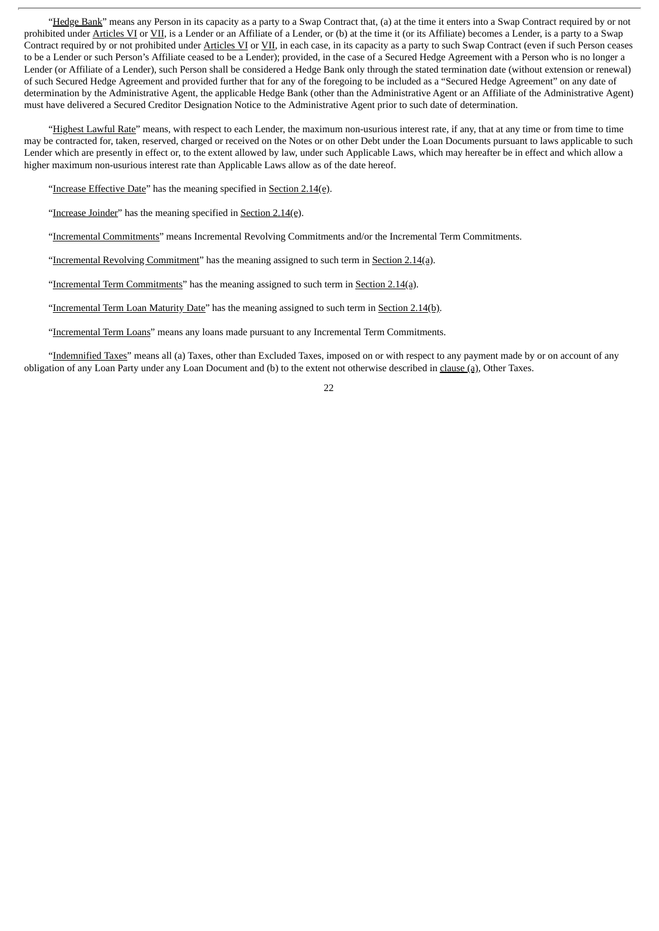"Hedge Bank" means any Person in its capacity as a party to a Swap Contract that, (a) at the time it enters into a Swap Contract required by or not prohibited under Articles VI or VII, is a Lender or an Affiliate of a Lender, or (b) at the time it (or its Affiliate) becomes a Lender, is a party to a Swap Contract required by or not prohibited under Articles VI or VII, in each case, in its capacity as a party to such Swap Contract (even if such Person ceases to be a Lender or such Person's Affiliate ceased to be a Lender); provided, in the case of a Secured Hedge Agreement with a Person who is no longer a Lender (or Affiliate of a Lender), such Person shall be considered a Hedge Bank only through the stated termination date (without extension or renewal) of such Secured Hedge Agreement and provided further that for any of the foregoing to be included as a "Secured Hedge Agreement" on any date of determination by the Administrative Agent, the applicable Hedge Bank (other than the Administrative Agent or an Affiliate of the Administrative Agent) must have delivered a Secured Creditor Designation Notice to the Administrative Agent prior to such date of determination.

"Highest Lawful Rate" means, with respect to each Lender, the maximum non-usurious interest rate, if any, that at any time or from time to time may be contracted for, taken, reserved, charged or received on the Notes or on other Debt under the Loan Documents pursuant to laws applicable to such Lender which are presently in effect or, to the extent allowed by law, under such Applicable Laws, which may hereafter be in effect and which allow a higher maximum non-usurious interest rate than Applicable Laws allow as of the date hereof.

"Increase Effective Date" has the meaning specified in Section 2.14(e).

"Increase Joinder" has the meaning specified in Section 2.14(e).

"Incremental Commitments" means Incremental Revolving Commitments and/or the Incremental Term Commitments.

"Incremental Revolving Commitment" has the meaning assigned to such term in Section 2.14(a).

"Incremental Term Commitments" has the meaning assigned to such term in Section 2.14(a).

"Incremental Term Loan Maturity Date" has the meaning assigned to such term in Section 2.14(b).

"Incremental Term Loans" means any loans made pursuant to any Incremental Term Commitments.

"Indemnified Taxes" means all (a) Taxes, other than Excluded Taxes, imposed on or with respect to any payment made by or on account of any obligation of any Loan Party under any Loan Document and (b) to the extent not otherwise described in clause (a), Other Taxes.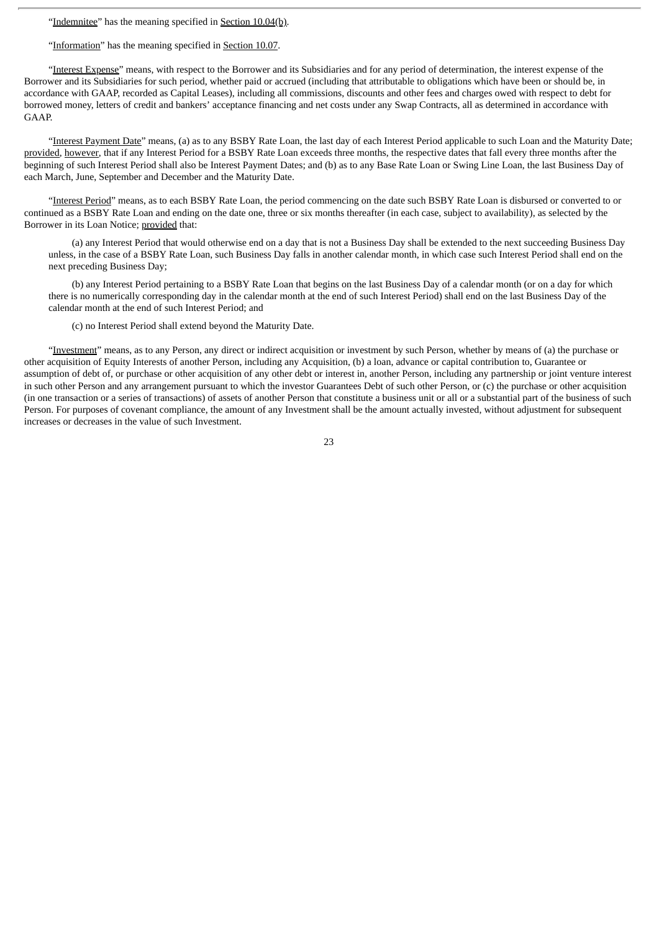"Indemnitee" has the meaning specified in Section 10.04(b).

"Information" has the meaning specified in Section 10.07.

"Interest Expense" means, with respect to the Borrower and its Subsidiaries and for any period of determination, the interest expense of the Borrower and its Subsidiaries for such period, whether paid or accrued (including that attributable to obligations which have been or should be, in accordance with GAAP, recorded as Capital Leases), including all commissions, discounts and other fees and charges owed with respect to debt for borrowed money, letters of credit and bankers' acceptance financing and net costs under any Swap Contracts, all as determined in accordance with GAAP.

"Interest Payment Date" means, (a) as to any BSBY Rate Loan, the last day of each Interest Period applicable to such Loan and the Maturity Date; provided, however, that if any Interest Period for a BSBY Rate Loan exceeds three months, the respective dates that fall every three months after the beginning of such Interest Period shall also be Interest Payment Dates; and (b) as to any Base Rate Loan or Swing Line Loan, the last Business Day of each March, June, September and December and the Maturity Date.

"Interest Period" means, as to each BSBY Rate Loan, the period commencing on the date such BSBY Rate Loan is disbursed or converted to or continued as a BSBY Rate Loan and ending on the date one, three or six months thereafter (in each case, subject to availability), as selected by the Borrower in its Loan Notice; provided that:

(a) any Interest Period that would otherwise end on a day that is not a Business Day shall be extended to the next succeeding Business Day unless, in the case of a BSBY Rate Loan, such Business Day falls in another calendar month, in which case such Interest Period shall end on the next preceding Business Day;

(b) any Interest Period pertaining to a BSBY Rate Loan that begins on the last Business Day of a calendar month (or on a day for which there is no numerically corresponding day in the calendar month at the end of such Interest Period) shall end on the last Business Day of the calendar month at the end of such Interest Period; and

(c) no Interest Period shall extend beyond the Maturity Date.

"Investment" means, as to any Person, any direct or indirect acquisition or investment by such Person, whether by means of (a) the purchase or other acquisition of Equity Interests of another Person, including any Acquisition, (b) a loan, advance or capital contribution to, Guarantee or assumption of debt of, or purchase or other acquisition of any other debt or interest in, another Person, including any partnership or joint venture interest in such other Person and any arrangement pursuant to which the investor Guarantees Debt of such other Person, or (c) the purchase or other acquisition (in one transaction or a series of transactions) of assets of another Person that constitute a business unit or all or a substantial part of the business of such Person. For purposes of covenant compliance, the amount of any Investment shall be the amount actually invested, without adjustment for subsequent increases or decreases in the value of such Investment.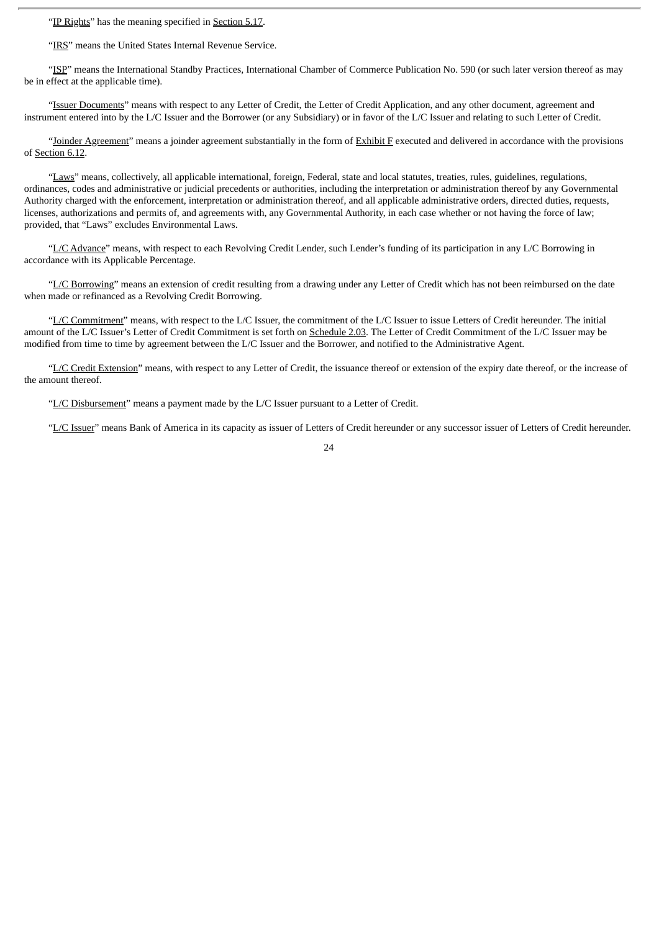"IP Rights" has the meaning specified in Section 5.17.

"IRS" means the United States Internal Revenue Service.

"ISP" means the International Standby Practices, International Chamber of Commerce Publication No. 590 (or such later version thereof as may be in effect at the applicable time).

"Issuer Documents" means with respect to any Letter of Credit, the Letter of Credit Application, and any other document, agreement and instrument entered into by the L/C Issuer and the Borrower (or any Subsidiary) or in favor of the L/C Issuer and relating to such Letter of Credit.

"Joinder Agreement" means a joinder agreement substantially in the form of Exhibit F executed and delivered in accordance with the provisions of Section 6.12.

"Laws" means, collectively, all applicable international, foreign, Federal, state and local statutes, treaties, rules, guidelines, regulations, ordinances, codes and administrative or judicial precedents or authorities, including the interpretation or administration thereof by any Governmental Authority charged with the enforcement, interpretation or administration thereof, and all applicable administrative orders, directed duties, requests, licenses, authorizations and permits of, and agreements with, any Governmental Authority, in each case whether or not having the force of law; provided, that "Laws" excludes Environmental Laws.

"L/C Advance" means, with respect to each Revolving Credit Lender, such Lender's funding of its participation in any L/C Borrowing in accordance with its Applicable Percentage.

"L/C Borrowing" means an extension of credit resulting from a drawing under any Letter of Credit which has not been reimbursed on the date when made or refinanced as a Revolving Credit Borrowing.

"L/C Commitment" means, with respect to the L/C Issuer, the commitment of the L/C Issuer to issue Letters of Credit hereunder. The initial amount of the L/C Issuer's Letter of Credit Commitment is set forth on Schedule 2.03. The Letter of Credit Commitment of the L/C Issuer may be modified from time to time by agreement between the L/C Issuer and the Borrower, and notified to the Administrative Agent.

"L/C Credit Extension" means, with respect to any Letter of Credit, the issuance thereof or extension of the expiry date thereof, or the increase of the amount thereof.

"L/C Disbursement" means a payment made by the L/C Issuer pursuant to a Letter of Credit.

"L/C Issuer" means Bank of America in its capacity as issuer of Letters of Credit hereunder or any successor issuer of Letters of Credit hereunder.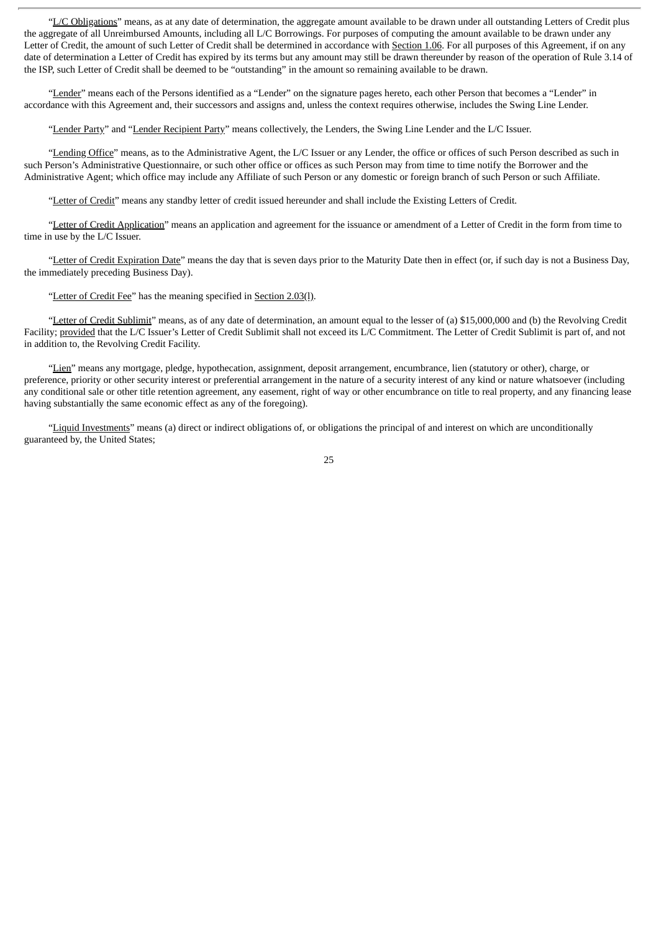"L/C Obligations" means, as at any date of determination, the aggregate amount available to be drawn under all outstanding Letters of Credit plus the aggregate of all Unreimbursed Amounts, including all L/C Borrowings. For purposes of computing the amount available to be drawn under any Letter of Credit, the amount of such Letter of Credit shall be determined in accordance with Section 1.06. For all purposes of this Agreement, if on any date of determination a Letter of Credit has expired by its terms but any amount may still be drawn thereunder by reason of the operation of Rule 3.14 of the ISP, such Letter of Credit shall be deemed to be "outstanding" in the amount so remaining available to be drawn.

"Lender" means each of the Persons identified as a "Lender" on the signature pages hereto, each other Person that becomes a "Lender" in accordance with this Agreement and, their successors and assigns and, unless the context requires otherwise, includes the Swing Line Lender.

"Lender Party" and "Lender Recipient Party" means collectively, the Lenders, the Swing Line Lender and the L/C Issuer.

"Lending Office" means, as to the Administrative Agent, the L/C Issuer or any Lender, the office or offices of such Person described as such in such Person's Administrative Questionnaire, or such other office or offices as such Person may from time to time notify the Borrower and the Administrative Agent; which office may include any Affiliate of such Person or any domestic or foreign branch of such Person or such Affiliate.

"Letter of Credit" means any standby letter of credit issued hereunder and shall include the Existing Letters of Credit.

"Letter of Credit Application" means an application and agreement for the issuance or amendment of a Letter of Credit in the form from time to time in use by the L/C Issuer.

"Letter of Credit Expiration Date" means the day that is seven days prior to the Maturity Date then in effect (or, if such day is not a Business Day, the immediately preceding Business Day).

"Letter of Credit Fee" has the meaning specified in Section 2.03(l).

"Letter of Credit Sublimit" means, as of any date of determination, an amount equal to the lesser of (a) \$15,000,000 and (b) the Revolving Credit Facility; provided that the L/C Issuer's Letter of Credit Sublimit shall not exceed its L/C Commitment. The Letter of Credit Sublimit is part of, and not in addition to, the Revolving Credit Facility.

"Lien" means any mortgage, pledge, hypothecation, assignment, deposit arrangement, encumbrance, lien (statutory or other), charge, or preference, priority or other security interest or preferential arrangement in the nature of a security interest of any kind or nature whatsoever (including any conditional sale or other title retention agreement, any easement, right of way or other encumbrance on title to real property, and any financing lease having substantially the same economic effect as any of the foregoing).

"Liquid Investments" means (a) direct or indirect obligations of, or obligations the principal of and interest on which are unconditionally guaranteed by, the United States;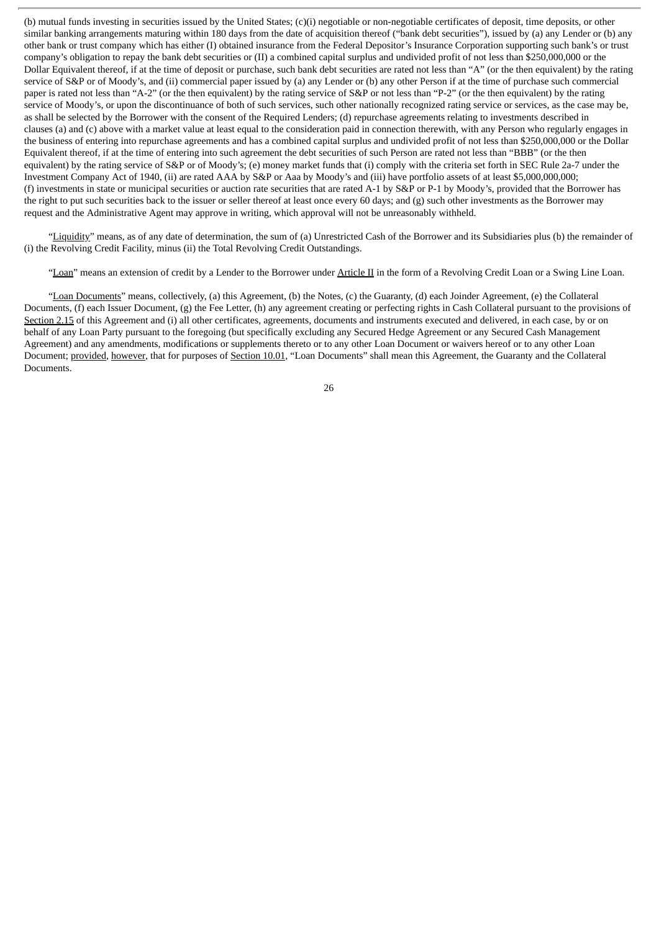(b) mutual funds investing in securities issued by the United States; (c)(i) negotiable or non-negotiable certificates of deposit, time deposits, or other similar banking arrangements maturing within 180 days from the date of acquisition thereof ("bank debt securities"), issued by (a) any Lender or (b) any other bank or trust company which has either (I) obtained insurance from the Federal Depositor's Insurance Corporation supporting such bank's or trust company's obligation to repay the bank debt securities or (II) a combined capital surplus and undivided profit of not less than \$250,000,000 or the Dollar Equivalent thereof, if at the time of deposit or purchase, such bank debt securities are rated not less than "A" (or the then equivalent) by the rating service of S&P or of Moody's, and (ii) commercial paper issued by (a) any Lender or (b) any other Person if at the time of purchase such commercial paper is rated not less than "A-2" (or the then equivalent) by the rating service of S&P or not less than "P-2" (or the then equivalent) by the rating service of Moody's, or upon the discontinuance of both of such services, such other nationally recognized rating service or services, as the case may be, as shall be selected by the Borrower with the consent of the Required Lenders; (d) repurchase agreements relating to investments described in clauses (a) and (c) above with a market value at least equal to the consideration paid in connection therewith, with any Person who regularly engages in the business of entering into repurchase agreements and has a combined capital surplus and undivided profit of not less than \$250,000,000 or the Dollar Equivalent thereof, if at the time of entering into such agreement the debt securities of such Person are rated not less than "BBB" (or the then equivalent) by the rating service of S&P or of Moody's; (e) money market funds that (i) comply with the criteria set forth in SEC Rule 2a-7 under the Investment Company Act of 1940, (ii) are rated AAA by S&P or Aaa by Moody's and (iii) have portfolio assets of at least \$5,000,000,000; (f) investments in state or municipal securities or auction rate securities that are rated A-1 by S&P or P-1 by Moody's, provided that the Borrower has the right to put such securities back to the issuer or seller thereof at least once every 60 days; and (g) such other investments as the Borrower may request and the Administrative Agent may approve in writing, which approval will not be unreasonably withheld.

"Liquidity" means, as of any date of determination, the sum of (a) Unrestricted Cash of the Borrower and its Subsidiaries plus (b) the remainder of (i) the Revolving Credit Facility, minus (ii) the Total Revolving Credit Outstandings.

"Loan" means an extension of credit by a Lender to the Borrower under Article II in the form of a Revolving Credit Loan or a Swing Line Loan.

"Loan Documents" means, collectively, (a) this Agreement, (b) the Notes, (c) the Guaranty, (d) each Joinder Agreement, (e) the Collateral Documents, (f) each Issuer Document, (g) the Fee Letter, (h) any agreement creating or perfecting rights in Cash Collateral pursuant to the provisions of Section 2.15 of this Agreement and (i) all other certificates, agreements, documents and instruments executed and delivered, in each case, by or on behalf of any Loan Party pursuant to the foregoing (but specifically excluding any Secured Hedge Agreement or any Secured Cash Management Agreement) and any amendments, modifications or supplements thereto or to any other Loan Document or waivers hereof or to any other Loan Document; provided, however, that for purposes of Section 10.01, "Loan Documents" shall mean this Agreement, the Guaranty and the Collateral Documents.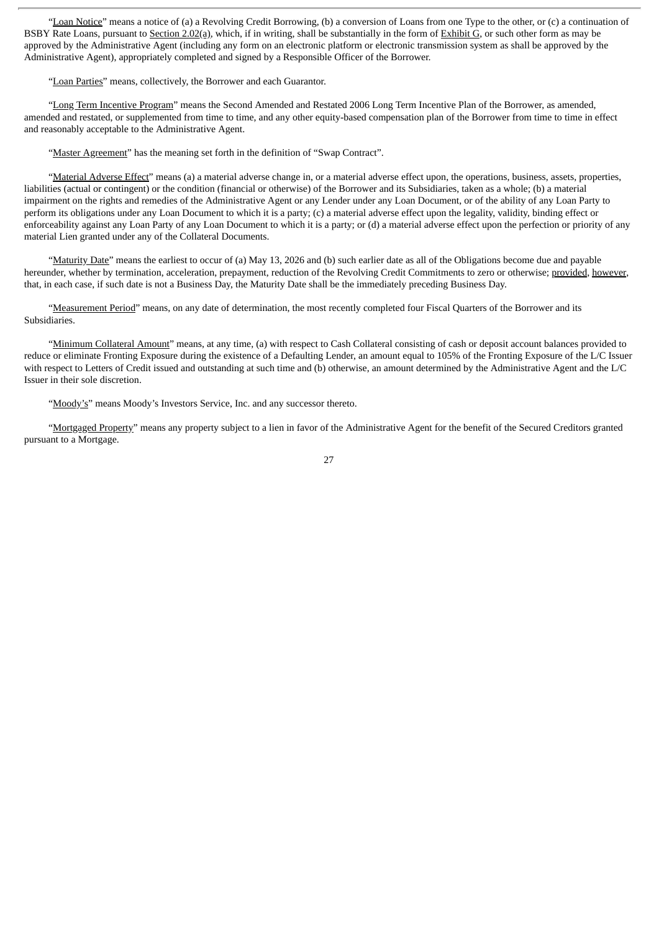"Loan Notice" means a notice of (a) a Revolving Credit Borrowing, (b) a conversion of Loans from one Type to the other, or (c) a continuation of BSBY Rate Loans, pursuant to Section 2.02(a), which, if in writing, shall be substantially in the form of Exhibit G, or such other form as may be approved by the Administrative Agent (including any form on an electronic platform or electronic transmission system as shall be approved by the Administrative Agent), appropriately completed and signed by a Responsible Officer of the Borrower.

"Loan Parties" means, collectively, the Borrower and each Guarantor.

"Long Term Incentive Program" means the Second Amended and Restated 2006 Long Term Incentive Plan of the Borrower, as amended, amended and restated, or supplemented from time to time, and any other equity-based compensation plan of the Borrower from time to time in effect and reasonably acceptable to the Administrative Agent.

"Master Agreement" has the meaning set forth in the definition of "Swap Contract".

"Material Adverse Effect" means (a) a material adverse change in, or a material adverse effect upon, the operations, business, assets, properties, liabilities (actual or contingent) or the condition (financial or otherwise) of the Borrower and its Subsidiaries, taken as a whole; (b) a material impairment on the rights and remedies of the Administrative Agent or any Lender under any Loan Document, or of the ability of any Loan Party to perform its obligations under any Loan Document to which it is a party; (c) a material adverse effect upon the legality, validity, binding effect or enforceability against any Loan Party of any Loan Document to which it is a party; or (d) a material adverse effect upon the perfection or priority of any material Lien granted under any of the Collateral Documents.

"Maturity Date" means the earliest to occur of (a) May 13, 2026 and (b) such earlier date as all of the Obligations become due and payable hereunder, whether by termination, acceleration, prepayment, reduction of the Revolving Credit Commitments to zero or otherwise; provided, however, that, in each case, if such date is not a Business Day, the Maturity Date shall be the immediately preceding Business Day.

"Measurement Period" means, on any date of determination, the most recently completed four Fiscal Quarters of the Borrower and its Subsidiaries.

"Minimum Collateral Amount" means, at any time, (a) with respect to Cash Collateral consisting of cash or deposit account balances provided to reduce or eliminate Fronting Exposure during the existence of a Defaulting Lender, an amount equal to 105% of the Fronting Exposure of the L/C Issuer with respect to Letters of Credit issued and outstanding at such time and (b) otherwise, an amount determined by the Administrative Agent and the L/C Issuer in their sole discretion.

"Moody's" means Moody's Investors Service, Inc. and any successor thereto.

"Mortgaged Property" means any property subject to a lien in favor of the Administrative Agent for the benefit of the Secured Creditors granted pursuant to a Mortgage.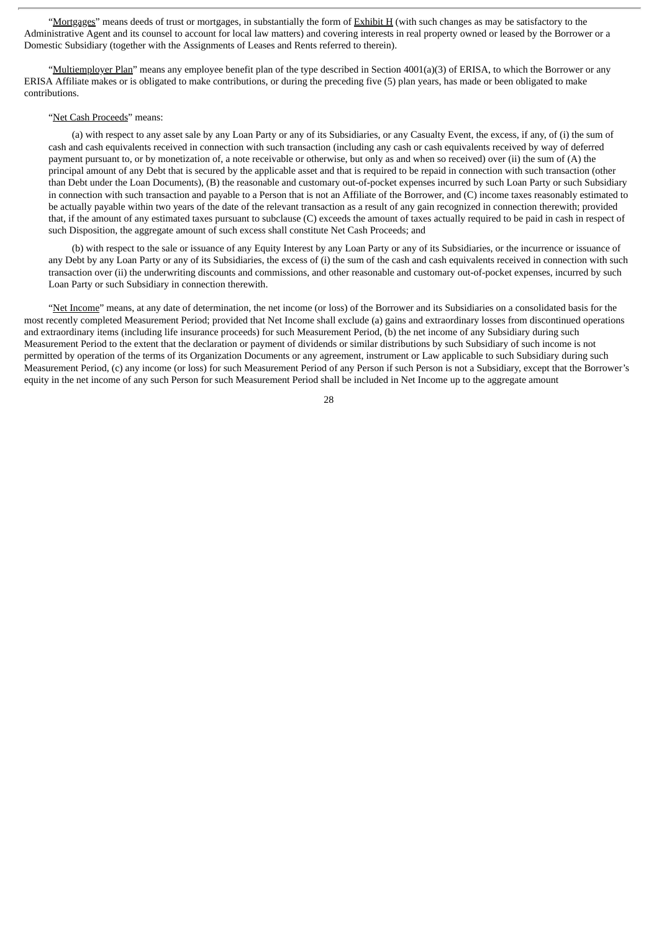"Mortgages" means deeds of trust or mortgages, in substantially the form of Exhibit H (with such changes as may be satisfactory to the Administrative Agent and its counsel to account for local law matters) and covering interests in real property owned or leased by the Borrower or a Domestic Subsidiary (together with the Assignments of Leases and Rents referred to therein).

"Multiemployer Plan" means any employee benefit plan of the type described in Section 4001(a)(3) of ERISA, to which the Borrower or any ERISA Affiliate makes or is obligated to make contributions, or during the preceding five (5) plan years, has made or been obligated to make contributions.

#### "Net Cash Proceeds" means:

(a) with respect to any asset sale by any Loan Party or any of its Subsidiaries, or any Casualty Event, the excess, if any, of (i) the sum of cash and cash equivalents received in connection with such transaction (including any cash or cash equivalents received by way of deferred payment pursuant to, or by monetization of, a note receivable or otherwise, but only as and when so received) over (ii) the sum of (A) the principal amount of any Debt that is secured by the applicable asset and that is required to be repaid in connection with such transaction (other than Debt under the Loan Documents), (B) the reasonable and customary out-of-pocket expenses incurred by such Loan Party or such Subsidiary in connection with such transaction and payable to a Person that is not an Affiliate of the Borrower, and (C) income taxes reasonably estimated to be actually payable within two years of the date of the relevant transaction as a result of any gain recognized in connection therewith; provided that, if the amount of any estimated taxes pursuant to subclause (C) exceeds the amount of taxes actually required to be paid in cash in respect of such Disposition, the aggregate amount of such excess shall constitute Net Cash Proceeds; and

(b) with respect to the sale or issuance of any Equity Interest by any Loan Party or any of its Subsidiaries, or the incurrence or issuance of any Debt by any Loan Party or any of its Subsidiaries, the excess of (i) the sum of the cash and cash equivalents received in connection with such transaction over (ii) the underwriting discounts and commissions, and other reasonable and customary out-of-pocket expenses, incurred by such Loan Party or such Subsidiary in connection therewith.

"Net Income" means, at any date of determination, the net income (or loss) of the Borrower and its Subsidiaries on a consolidated basis for the most recently completed Measurement Period; provided that Net Income shall exclude (a) gains and extraordinary losses from discontinued operations and extraordinary items (including life insurance proceeds) for such Measurement Period, (b) the net income of any Subsidiary during such Measurement Period to the extent that the declaration or payment of dividends or similar distributions by such Subsidiary of such income is not permitted by operation of the terms of its Organization Documents or any agreement, instrument or Law applicable to such Subsidiary during such Measurement Period, (c) any income (or loss) for such Measurement Period of any Person if such Person is not a Subsidiary, except that the Borrower's equity in the net income of any such Person for such Measurement Period shall be included in Net Income up to the aggregate amount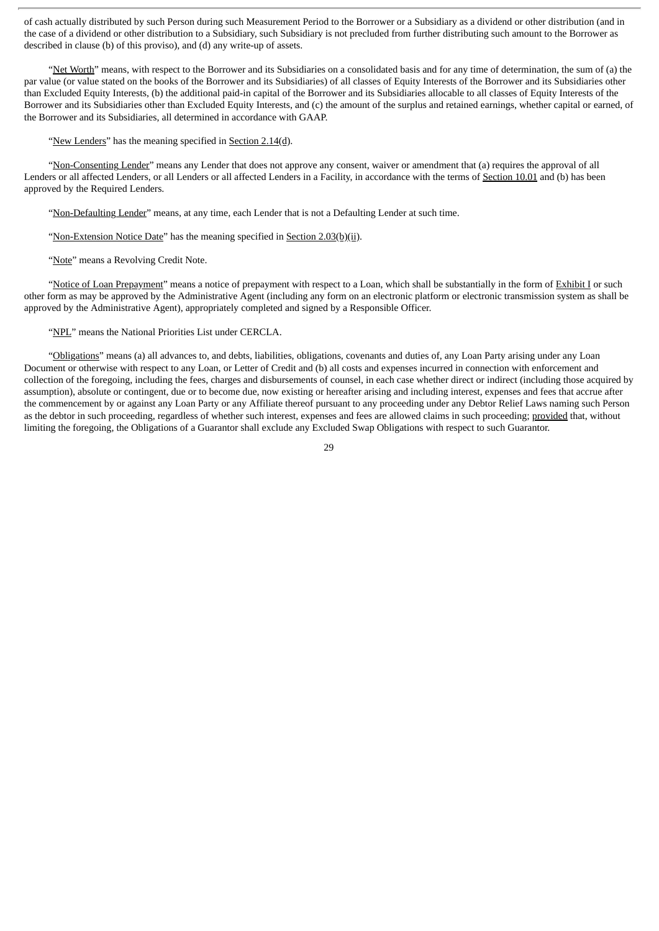of cash actually distributed by such Person during such Measurement Period to the Borrower or a Subsidiary as a dividend or other distribution (and in the case of a dividend or other distribution to a Subsidiary, such Subsidiary is not precluded from further distributing such amount to the Borrower as described in clause (b) of this proviso), and (d) any write-up of assets.

"Net Worth" means, with respect to the Borrower and its Subsidiaries on a consolidated basis and for any time of determination, the sum of (a) the par value (or value stated on the books of the Borrower and its Subsidiaries) of all classes of Equity Interests of the Borrower and its Subsidiaries other than Excluded Equity Interests, (b) the additional paid-in capital of the Borrower and its Subsidiaries allocable to all classes of Equity Interests of the Borrower and its Subsidiaries other than Excluded Equity Interests, and (c) the amount of the surplus and retained earnings, whether capital or earned, of the Borrower and its Subsidiaries, all determined in accordance with GAAP.

"New Lenders" has the meaning specified in Section 2.14(d).

"Non-Consenting Lender" means any Lender that does not approve any consent, waiver or amendment that (a) requires the approval of all Lenders or all affected Lenders, or all Lenders or all affected Lenders in a Facility, in accordance with the terms of Section 10.01 and (b) has been approved by the Required Lenders.

"Non-Defaulting Lender" means, at any time, each Lender that is not a Defaulting Lender at such time.

"Non-Extension Notice Date" has the meaning specified in Section 2.03(b)(ii).

"Note" means a Revolving Credit Note.

"Notice of Loan Prepayment" means a notice of prepayment with respect to a Loan, which shall be substantially in the form of Exhibit I or such other form as may be approved by the Administrative Agent (including any form on an electronic platform or electronic transmission system as shall be approved by the Administrative Agent), appropriately completed and signed by a Responsible Officer.

"NPL" means the National Priorities List under CERCLA.

"Obligations" means (a) all advances to, and debts, liabilities, obligations, covenants and duties of, any Loan Party arising under any Loan Document or otherwise with respect to any Loan, or Letter of Credit and (b) all costs and expenses incurred in connection with enforcement and collection of the foregoing, including the fees, charges and disbursements of counsel, in each case whether direct or indirect (including those acquired by assumption), absolute or contingent, due or to become due, now existing or hereafter arising and including interest, expenses and fees that accrue after the commencement by or against any Loan Party or any Affiliate thereof pursuant to any proceeding under any Debtor Relief Laws naming such Person as the debtor in such proceeding, regardless of whether such interest, expenses and fees are allowed claims in such proceeding; provided that, without limiting the foregoing, the Obligations of a Guarantor shall exclude any Excluded Swap Obligations with respect to such Guarantor.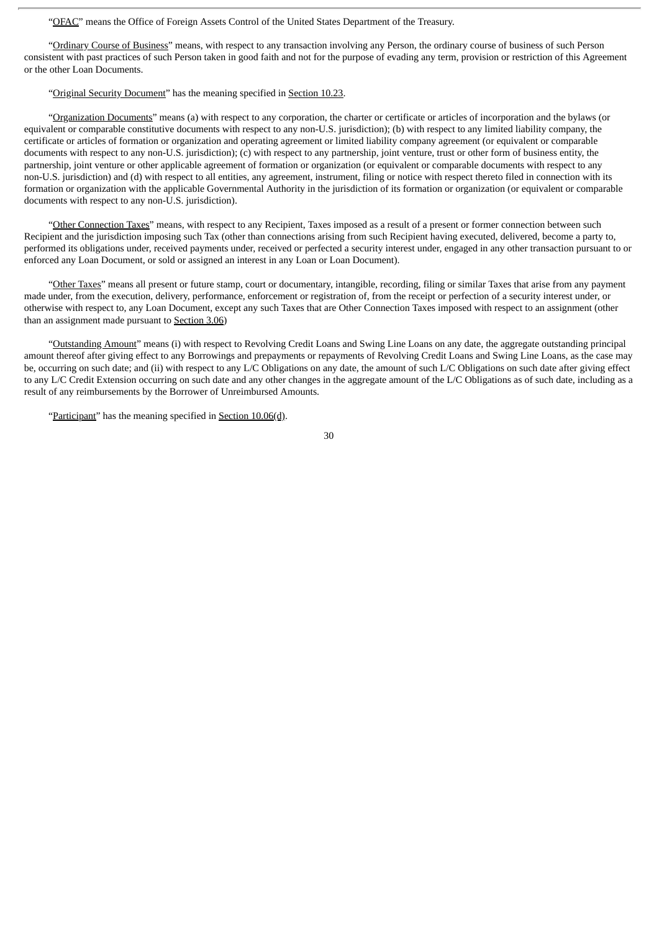"OFAC" means the Office of Foreign Assets Control of the United States Department of the Treasury.

"Ordinary Course of Business" means, with respect to any transaction involving any Person, the ordinary course of business of such Person consistent with past practices of such Person taken in good faith and not for the purpose of evading any term, provision or restriction of this Agreement or the other Loan Documents.

"Original Security Document" has the meaning specified in Section 10.23.

"Organization Documents" means (a) with respect to any corporation, the charter or certificate or articles of incorporation and the bylaws (or equivalent or comparable constitutive documents with respect to any non-U.S. jurisdiction); (b) with respect to any limited liability company, the certificate or articles of formation or organization and operating agreement or limited liability company agreement (or equivalent or comparable documents with respect to any non-U.S. jurisdiction); (c) with respect to any partnership, joint venture, trust or other form of business entity, the partnership, joint venture or other applicable agreement of formation or organization (or equivalent or comparable documents with respect to any non-U.S. jurisdiction) and (d) with respect to all entities, any agreement, instrument, filing or notice with respect thereto filed in connection with its formation or organization with the applicable Governmental Authority in the jurisdiction of its formation or organization (or equivalent or comparable documents with respect to any non-U.S. jurisdiction).

"Other Connection Taxes" means, with respect to any Recipient, Taxes imposed as a result of a present or former connection between such Recipient and the jurisdiction imposing such Tax (other than connections arising from such Recipient having executed, delivered, become a party to, performed its obligations under, received payments under, received or perfected a security interest under, engaged in any other transaction pursuant to or enforced any Loan Document, or sold or assigned an interest in any Loan or Loan Document).

"Other Taxes" means all present or future stamp, court or documentary, intangible, recording, filing or similar Taxes that arise from any payment made under, from the execution, delivery, performance, enforcement or registration of, from the receipt or perfection of a security interest under, or otherwise with respect to, any Loan Document, except any such Taxes that are Other Connection Taxes imposed with respect to an assignment (other than an assignment made pursuant to Section 3.06)

"Outstanding Amount" means (i) with respect to Revolving Credit Loans and Swing Line Loans on any date, the aggregate outstanding principal amount thereof after giving effect to any Borrowings and prepayments or repayments of Revolving Credit Loans and Swing Line Loans, as the case may be, occurring on such date; and (ii) with respect to any L/C Obligations on any date, the amount of such L/C Obligations on such date after giving effect to any L/C Credit Extension occurring on such date and any other changes in the aggregate amount of the L/C Obligations as of such date, including as a result of any reimbursements by the Borrower of Unreimbursed Amounts.

"Participant" has the meaning specified in Section 10.06(d).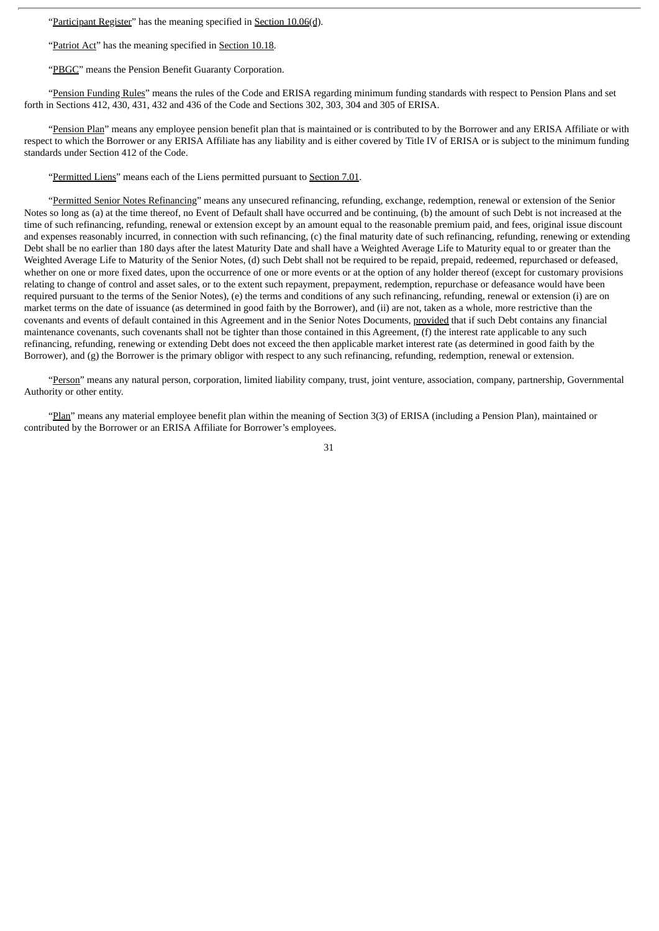"Participant Register" has the meaning specified in Section 10.06(d).

"Patriot Act" has the meaning specified in Section 10.18.

"PBGC" means the Pension Benefit Guaranty Corporation.

"Pension Funding Rules" means the rules of the Code and ERISA regarding minimum funding standards with respect to Pension Plans and set forth in Sections 412, 430, 431, 432 and 436 of the Code and Sections 302, 303, 304 and 305 of ERISA.

"Pension Plan" means any employee pension benefit plan that is maintained or is contributed to by the Borrower and any ERISA Affiliate or with respect to which the Borrower or any ERISA Affiliate has any liability and is either covered by Title IV of ERISA or is subject to the minimum funding standards under Section 412 of the Code.

"Permitted Liens" means each of the Liens permitted pursuant to Section 7.01.

"Permitted Senior Notes Refinancing" means any unsecured refinancing, refunding, exchange, redemption, renewal or extension of the Senior Notes so long as (a) at the time thereof, no Event of Default shall have occurred and be continuing, (b) the amount of such Debt is not increased at the time of such refinancing, refunding, renewal or extension except by an amount equal to the reasonable premium paid, and fees, original issue discount and expenses reasonably incurred, in connection with such refinancing, (c) the final maturity date of such refinancing, refunding, renewing or extending Debt shall be no earlier than 180 days after the latest Maturity Date and shall have a Weighted Average Life to Maturity equal to or greater than the Weighted Average Life to Maturity of the Senior Notes, (d) such Debt shall not be required to be repaid, prepaid, redeemed, repurchased or defeased, whether on one or more fixed dates, upon the occurrence of one or more events or at the option of any holder thereof (except for customary provisions relating to change of control and asset sales, or to the extent such repayment, prepayment, redemption, repurchase or defeasance would have been required pursuant to the terms of the Senior Notes), (e) the terms and conditions of any such refinancing, refunding, renewal or extension (i) are on market terms on the date of issuance (as determined in good faith by the Borrower), and (ii) are not, taken as a whole, more restrictive than the covenants and events of default contained in this Agreement and in the Senior Notes Documents, provided that if such Debt contains any financial maintenance covenants, such covenants shall not be tighter than those contained in this Agreement, (f) the interest rate applicable to any such refinancing, refunding, renewing or extending Debt does not exceed the then applicable market interest rate (as determined in good faith by the Borrower), and (g) the Borrower is the primary obligor with respect to any such refinancing, refunding, redemption, renewal or extension.

"Person" means any natural person, corporation, limited liability company, trust, joint venture, association, company, partnership, Governmental Authority or other entity.

"Plan" means any material employee benefit plan within the meaning of Section 3(3) of ERISA (including a Pension Plan), maintained or contributed by the Borrower or an ERISA Affiliate for Borrower's employees.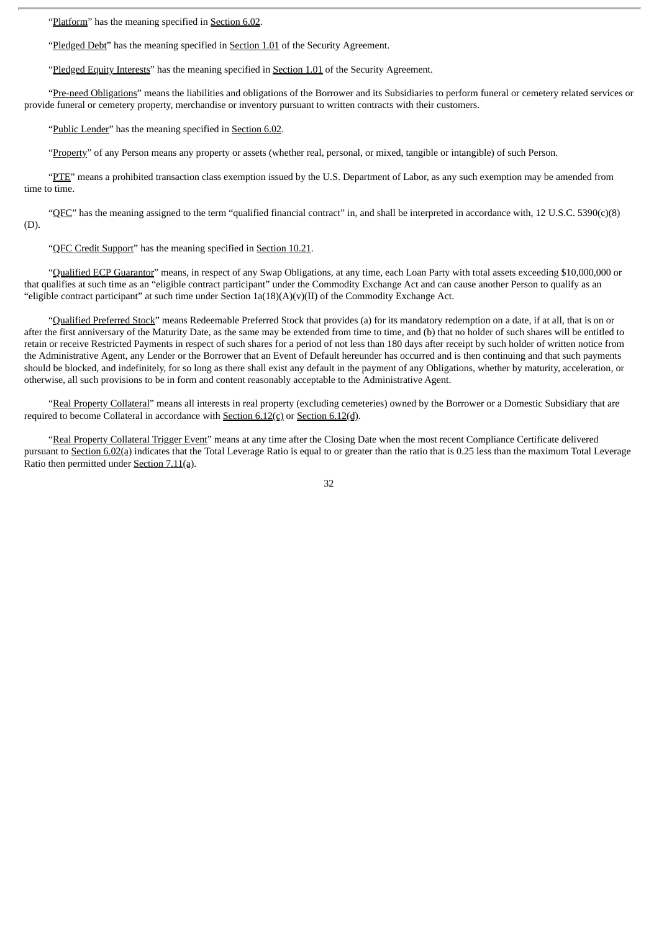"Platform" has the meaning specified in Section 6.02.

"Pledged Debt" has the meaning specified in Section 1.01 of the Security Agreement.

"Pledged Equity Interests" has the meaning specified in Section 1.01 of the Security Agreement.

"Pre-need Obligations" means the liabilities and obligations of the Borrower and its Subsidiaries to perform funeral or cemetery related services or provide funeral or cemetery property, merchandise or inventory pursuant to written contracts with their customers.

"Public Lender" has the meaning specified in Section 6.02.

"Property" of any Person means any property or assets (whether real, personal, or mixed, tangible or intangible) of such Person.

"PTE" means a prohibited transaction class exemption issued by the U.S. Department of Labor, as any such exemption may be amended from time to time.

" $QFC$ " has the meaning assigned to the term "qualified financial contract" in, and shall be interpreted in accordance with, 12 U.S.C. 5390(c)(8) (D).

"OFC Credit Support" has the meaning specified in Section 10.21.

"Qualified ECP Guarantor" means, in respect of any Swap Obligations, at any time, each Loan Party with total assets exceeding \$10,000,000 or that qualifies at such time as an "eligible contract participant" under the Commodity Exchange Act and can cause another Person to qualify as an "eligible contract participant" at such time under Section  $1a(18)(A)(v)(II)$  of the Commodity Exchange Act.

"Qualified Preferred Stock" means Redeemable Preferred Stock that provides (a) for its mandatory redemption on a date, if at all, that is on or after the first anniversary of the Maturity Date, as the same may be extended from time to time, and (b) that no holder of such shares will be entitled to retain or receive Restricted Payments in respect of such shares for a period of not less than 180 days after receipt by such holder of written notice from the Administrative Agent, any Lender or the Borrower that an Event of Default hereunder has occurred and is then continuing and that such payments should be blocked, and indefinitely, for so long as there shall exist any default in the payment of any Obligations, whether by maturity, acceleration, or otherwise, all such provisions to be in form and content reasonably acceptable to the Administrative Agent.

"Real Property Collateral" means all interests in real property (excluding cemeteries) owned by the Borrower or a Domestic Subsidiary that are required to become Collateral in accordance with Section 6.12(c) or Section 6.12(d).

"Real Property Collateral Trigger Event" means at any time after the Closing Date when the most recent Compliance Certificate delivered pursuant to Section 6.02(a) indicates that the Total Leverage Ratio is equal to or greater than the ratio that is 0.25 less than the maximum Total Leverage Ratio then permitted under Section 7.11(a).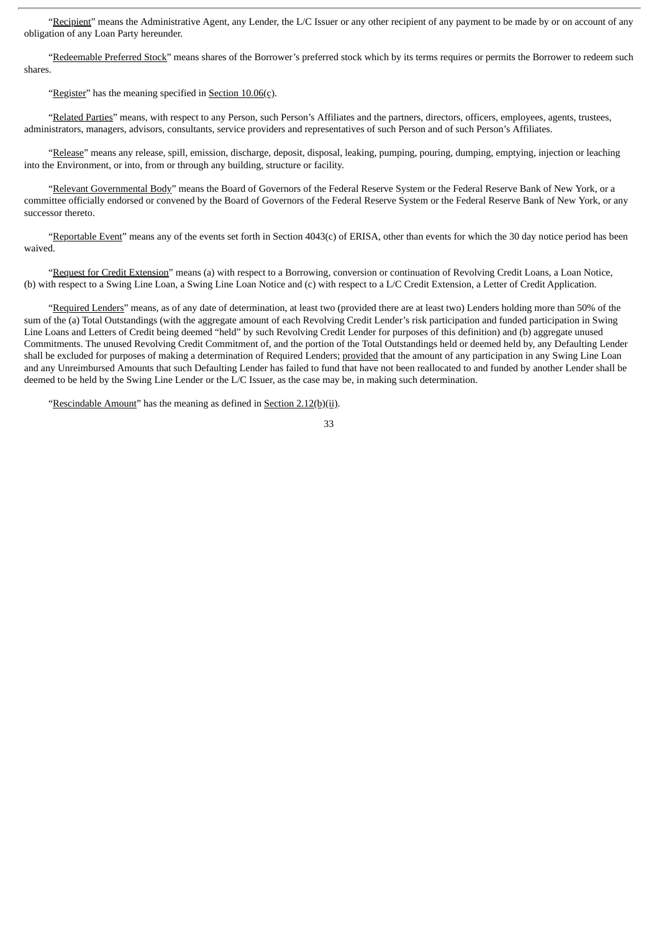"Recipient" means the Administrative Agent, any Lender, the L/C Issuer or any other recipient of any payment to be made by or on account of any obligation of any Loan Party hereunder.

"Redeemable Preferred Stock" means shares of the Borrower's preferred stock which by its terms requires or permits the Borrower to redeem such shares.

"Register" has the meaning specified in Section 10.06(c).

"Related Parties" means, with respect to any Person, such Person's Affiliates and the partners, directors, officers, employees, agents, trustees, administrators, managers, advisors, consultants, service providers and representatives of such Person and of such Person's Affiliates.

"Release" means any release, spill, emission, discharge, deposit, disposal, leaking, pumping, pouring, dumping, emptying, injection or leaching into the Environment, or into, from or through any building, structure or facility.

"Relevant Governmental Body" means the Board of Governors of the Federal Reserve System or the Federal Reserve Bank of New York, or a committee officially endorsed or convened by the Board of Governors of the Federal Reserve System or the Federal Reserve Bank of New York, or any successor thereto.

"Reportable Event" means any of the events set forth in Section 4043(c) of ERISA, other than events for which the 30 day notice period has been waived.

"Request for Credit Extension" means (a) with respect to a Borrowing, conversion or continuation of Revolving Credit Loans, a Loan Notice, (b) with respect to a Swing Line Loan, a Swing Line Loan Notice and (c) with respect to a L/C Credit Extension, a Letter of Credit Application.

"Required Lenders" means, as of any date of determination, at least two (provided there are at least two) Lenders holding more than 50% of the sum of the (a) Total Outstandings (with the aggregate amount of each Revolving Credit Lender's risk participation and funded participation in Swing Line Loans and Letters of Credit being deemed "held" by such Revolving Credit Lender for purposes of this definition) and (b) aggregate unused Commitments. The unused Revolving Credit Commitment of, and the portion of the Total Outstandings held or deemed held by, any Defaulting Lender shall be excluded for purposes of making a determination of Required Lenders; provided that the amount of any participation in any Swing Line Loan and any Unreimbursed Amounts that such Defaulting Lender has failed to fund that have not been reallocated to and funded by another Lender shall be deemed to be held by the Swing Line Lender or the L/C Issuer, as the case may be, in making such determination.

"Rescindable Amount" has the meaning as defined in Section 2.12(b)(ii).

<sup>33</sup>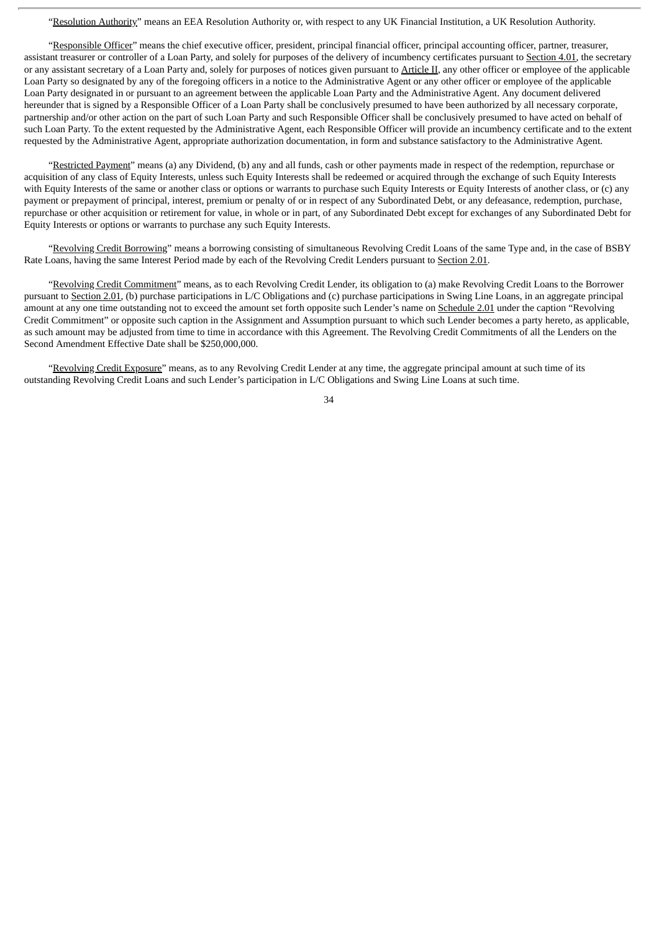"Resolution Authority" means an EEA Resolution Authority or, with respect to any UK Financial Institution, a UK Resolution Authority.

"Responsible Officer" means the chief executive officer, president, principal financial officer, principal accounting officer, partner, treasurer, assistant treasurer or controller of a Loan Party, and solely for purposes of the delivery of incumbency certificates pursuant to Section 4.01, the secretary or any assistant secretary of a Loan Party and, solely for purposes of notices given pursuant to Article II, any other officer or employee of the applicable Loan Party so designated by any of the foregoing officers in a notice to the Administrative Agent or any other officer or employee of the applicable Loan Party designated in or pursuant to an agreement between the applicable Loan Party and the Administrative Agent. Any document delivered hereunder that is signed by a Responsible Officer of a Loan Party shall be conclusively presumed to have been authorized by all necessary corporate, partnership and/or other action on the part of such Loan Party and such Responsible Officer shall be conclusively presumed to have acted on behalf of such Loan Party. To the extent requested by the Administrative Agent, each Responsible Officer will provide an incumbency certificate and to the extent requested by the Administrative Agent, appropriate authorization documentation, in form and substance satisfactory to the Administrative Agent.

"Restricted Payment" means (a) any Dividend, (b) any and all funds, cash or other payments made in respect of the redemption, repurchase or acquisition of any class of Equity Interests, unless such Equity Interests shall be redeemed or acquired through the exchange of such Equity Interests with Equity Interests of the same or another class or options or warrants to purchase such Equity Interests or Equity Interests of another class, or (c) any payment or prepayment of principal, interest, premium or penalty of or in respect of any Subordinated Debt, or any defeasance, redemption, purchase, repurchase or other acquisition or retirement for value, in whole or in part, of any Subordinated Debt except for exchanges of any Subordinated Debt for Equity Interests or options or warrants to purchase any such Equity Interests.

"Revolving Credit Borrowing" means a borrowing consisting of simultaneous Revolving Credit Loans of the same Type and, in the case of BSBY Rate Loans, having the same Interest Period made by each of the Revolving Credit Lenders pursuant to Section 2.01.

"Revolving Credit Commitment" means, as to each Revolving Credit Lender, its obligation to (a) make Revolving Credit Loans to the Borrower pursuant to Section 2.01, (b) purchase participations in L/C Obligations and (c) purchase participations in Swing Line Loans, in an aggregate principal amount at any one time outstanding not to exceed the amount set forth opposite such Lender's name on Schedule 2.01 under the caption "Revolving Credit Commitment" or opposite such caption in the Assignment and Assumption pursuant to which such Lender becomes a party hereto, as applicable, as such amount may be adjusted from time to time in accordance with this Agreement. The Revolving Credit Commitments of all the Lenders on the Second Amendment Effective Date shall be \$250,000,000.

"Revolving Credit Exposure" means, as to any Revolving Credit Lender at any time, the aggregate principal amount at such time of its outstanding Revolving Credit Loans and such Lender's participation in L/C Obligations and Swing Line Loans at such time.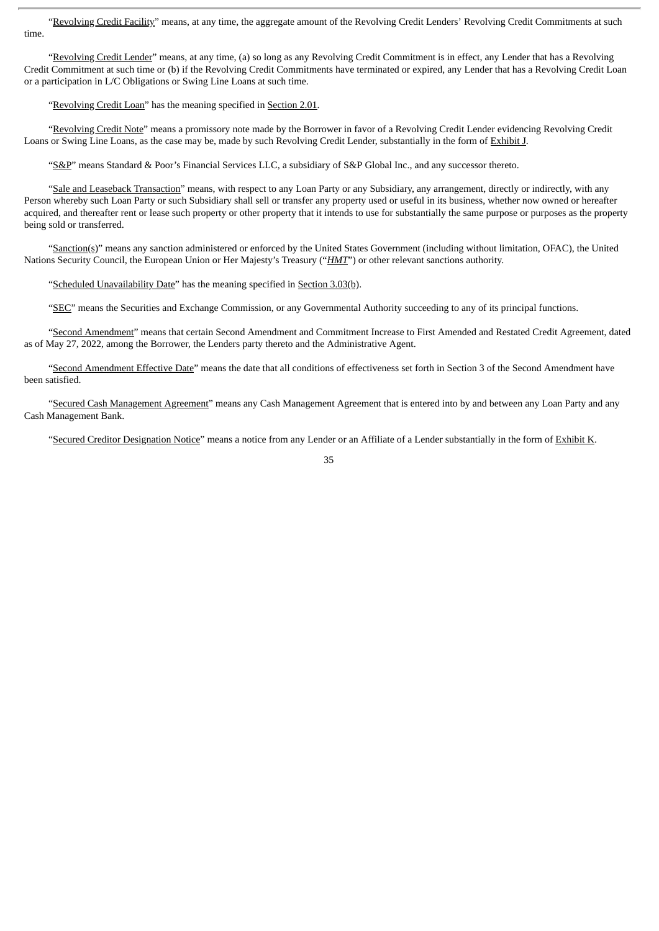"Revolving Credit Facility" means, at any time, the aggregate amount of the Revolving Credit Lenders' Revolving Credit Commitments at such time.

"Revolving Credit Lender" means, at any time, (a) so long as any Revolving Credit Commitment is in effect, any Lender that has a Revolving Credit Commitment at such time or (b) if the Revolving Credit Commitments have terminated or expired, any Lender that has a Revolving Credit Loan or a participation in L/C Obligations or Swing Line Loans at such time.

"Revolving Credit Loan" has the meaning specified in Section 2.01.

"Revolving Credit Note" means a promissory note made by the Borrower in favor of a Revolving Credit Lender evidencing Revolving Credit Loans or Swing Line Loans, as the case may be, made by such Revolving Credit Lender, substantially in the form of Exhibit J.

"S&P" means Standard & Poor's Financial Services LLC, a subsidiary of S&P Global Inc., and any successor thereto.

"Sale and Leaseback Transaction" means, with respect to any Loan Party or any Subsidiary, any arrangement, directly or indirectly, with any Person whereby such Loan Party or such Subsidiary shall sell or transfer any property used or useful in its business, whether now owned or hereafter acquired, and thereafter rent or lease such property or other property that it intends to use for substantially the same purpose or purposes as the property being sold or transferred.

"Sanction(s)" means any sanction administered or enforced by the United States Government (including without limitation, OFAC), the United Nations Security Council, the European Union or Her Majesty's Treasury ("*HMT*") or other relevant sanctions authority.

"Scheduled Unavailability Date" has the meaning specified in Section 3.03(b).

"SEC" means the Securities and Exchange Commission, or any Governmental Authority succeeding to any of its principal functions.

"Second Amendment" means that certain Second Amendment and Commitment Increase to First Amended and Restated Credit Agreement, dated as of May 27, 2022, among the Borrower, the Lenders party thereto and the Administrative Agent.

"Second Amendment Effective Date" means the date that all conditions of effectiveness set forth in Section 3 of the Second Amendment have been satisfied.

"Secured Cash Management Agreement" means any Cash Management Agreement that is entered into by and between any Loan Party and any Cash Management Bank.

"Secured Creditor Designation Notice" means a notice from any Lender or an Affiliate of a Lender substantially in the form of Exhibit K.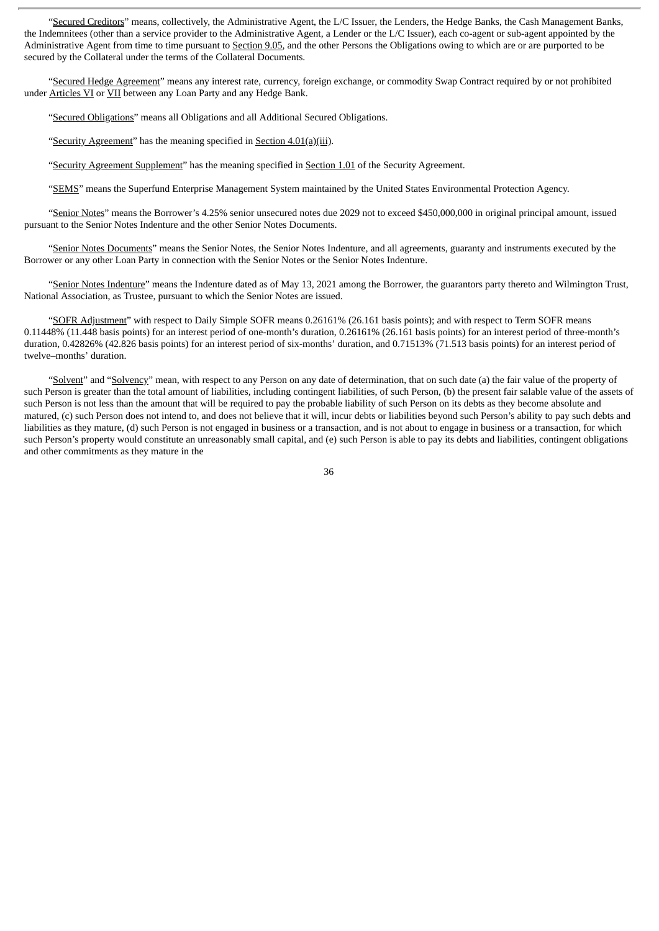"Secured Creditors" means, collectively, the Administrative Agent, the L/C Issuer, the Lenders, the Hedge Banks, the Cash Management Banks, the Indemnitees (other than a service provider to the Administrative Agent, a Lender or the L/C Issuer), each co-agent or sub-agent appointed by the Administrative Agent from time to time pursuant to Section 9.05, and the other Persons the Obligations owing to which are or are purported to be secured by the Collateral under the terms of the Collateral Documents.

"Secured Hedge Agreement" means any interest rate, currency, foreign exchange, or commodity Swap Contract required by or not prohibited under Articles VI or VII between any Loan Party and any Hedge Bank.

"Secured Obligations" means all Obligations and all Additional Secured Obligations.

"Security Agreement" has the meaning specified in Section 4.01(a)(iii).

"Security Agreement Supplement" has the meaning specified in Section 1.01 of the Security Agreement.

"SEMS" means the Superfund Enterprise Management System maintained by the United States Environmental Protection Agency.

"Senior Notes" means the Borrower's 4.25% senior unsecured notes due 2029 not to exceed \$450,000,000 in original principal amount, issued pursuant to the Senior Notes Indenture and the other Senior Notes Documents.

"Senior Notes Documents" means the Senior Notes, the Senior Notes Indenture, and all agreements, guaranty and instruments executed by the Borrower or any other Loan Party in connection with the Senior Notes or the Senior Notes Indenture.

"Senior Notes Indenture" means the Indenture dated as of May 13, 2021 among the Borrower, the guarantors party thereto and Wilmington Trust, National Association, as Trustee, pursuant to which the Senior Notes are issued.

"SOFR Adjustment" with respect to Daily Simple SOFR means 0.26161% (26.161 basis points); and with respect to Term SOFR means 0.11448% (11.448 basis points) for an interest period of one-month's duration, 0.26161% (26.161 basis points) for an interest period of three-month's duration, 0.42826% (42.826 basis points) for an interest period of six-months' duration, and 0.71513% (71.513 basis points) for an interest period of twelve–months' duration.

"Solvent" and "Solvency" mean, with respect to any Person on any date of determination, that on such date (a) the fair value of the property of such Person is greater than the total amount of liabilities, including contingent liabilities, of such Person, (b) the present fair salable value of the assets of such Person is not less than the amount that will be required to pay the probable liability of such Person on its debts as they become absolute and matured, (c) such Person does not intend to, and does not believe that it will, incur debts or liabilities beyond such Person's ability to pay such debts and liabilities as they mature, (d) such Person is not engaged in business or a transaction, and is not about to engage in business or a transaction, for which such Person's property would constitute an unreasonably small capital, and (e) such Person is able to pay its debts and liabilities, contingent obligations and other commitments as they mature in the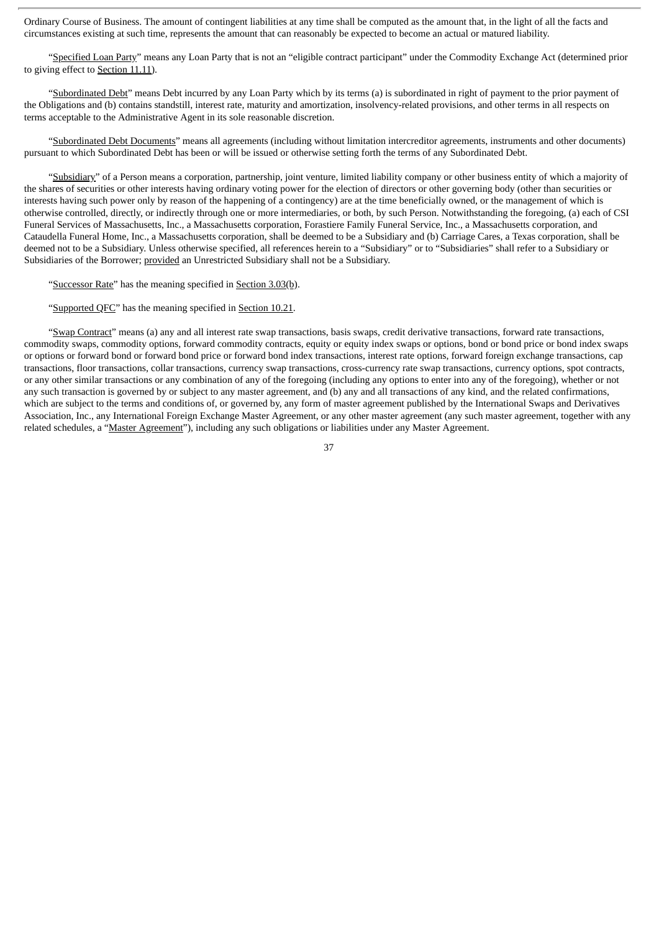Ordinary Course of Business. The amount of contingent liabilities at any time shall be computed as the amount that, in the light of all the facts and circumstances existing at such time, represents the amount that can reasonably be expected to become an actual or matured liability.

"Specified Loan Party" means any Loan Party that is not an "eligible contract participant" under the Commodity Exchange Act (determined prior to giving effect to Section 11.11).

"Subordinated Debt" means Debt incurred by any Loan Party which by its terms (a) is subordinated in right of payment to the prior payment of the Obligations and (b) contains standstill, interest rate, maturity and amortization, insolvency-related provisions, and other terms in all respects on terms acceptable to the Administrative Agent in its sole reasonable discretion.

"Subordinated Debt Documents" means all agreements (including without limitation intercreditor agreements, instruments and other documents) pursuant to which Subordinated Debt has been or will be issued or otherwise setting forth the terms of any Subordinated Debt.

"Subsidiary" of a Person means a corporation, partnership, joint venture, limited liability company or other business entity of which a majority of the shares of securities or other interests having ordinary voting power for the election of directors or other governing body (other than securities or interests having such power only by reason of the happening of a contingency) are at the time beneficially owned, or the management of which is otherwise controlled, directly, or indirectly through one or more intermediaries, or both, by such Person. Notwithstanding the foregoing, (a) each of CSI Funeral Services of Massachusetts, Inc., a Massachusetts corporation, Forastiere Family Funeral Service, Inc., a Massachusetts corporation, and Cataudella Funeral Home, Inc., a Massachusetts corporation, shall be deemed to be a Subsidiary and (b) Carriage Cares, a Texas corporation, shall be deemed not to be a Subsidiary. Unless otherwise specified, all references herein to a "Subsidiary" or to "Subsidiaries" shall refer to a Subsidiary or Subsidiaries of the Borrower; provided an Unrestricted Subsidiary shall not be a Subsidiary.

## "Successor Rate" has the meaning specified in Section 3.03(b).

"Supported QFC" has the meaning specified in Section 10.21.

"Swap Contract" means (a) any and all interest rate swap transactions, basis swaps, credit derivative transactions, forward rate transactions, commodity swaps, commodity options, forward commodity contracts, equity or equity index swaps or options, bond or bond price or bond index swaps or options or forward bond or forward bond price or forward bond index transactions, interest rate options, forward foreign exchange transactions, cap transactions, floor transactions, collar transactions, currency swap transactions, cross-currency rate swap transactions, currency options, spot contracts, or any other similar transactions or any combination of any of the foregoing (including any options to enter into any of the foregoing), whether or not any such transaction is governed by or subject to any master agreement, and (b) any and all transactions of any kind, and the related confirmations, which are subject to the terms and conditions of, or governed by, any form of master agreement published by the International Swaps and Derivatives Association, Inc., any International Foreign Exchange Master Agreement, or any other master agreement (any such master agreement, together with any related schedules, a "Master Agreement"), including any such obligations or liabilities under any Master Agreement.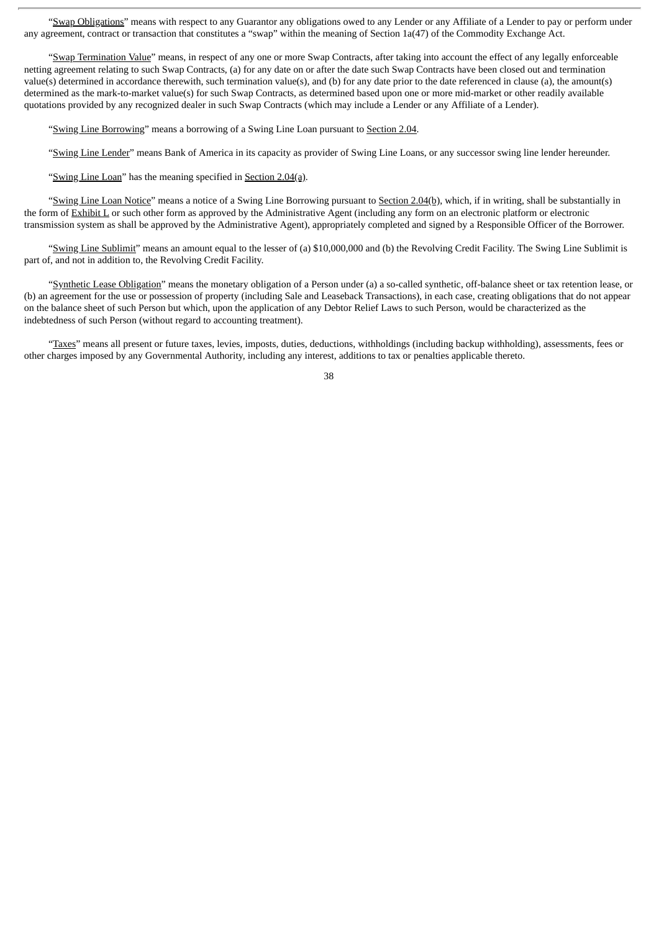"Swap Obligations" means with respect to any Guarantor any obligations owed to any Lender or any Affiliate of a Lender to pay or perform under any agreement, contract or transaction that constitutes a "swap" within the meaning of Section 1a(47) of the Commodity Exchange Act.

"Swap Termination Value" means, in respect of any one or more Swap Contracts, after taking into account the effect of any legally enforceable netting agreement relating to such Swap Contracts, (a) for any date on or after the date such Swap Contracts have been closed out and termination value(s) determined in accordance therewith, such termination value(s), and (b) for any date prior to the date referenced in clause (a), the amount(s) determined as the mark-to-market value(s) for such Swap Contracts, as determined based upon one or more mid-market or other readily available quotations provided by any recognized dealer in such Swap Contracts (which may include a Lender or any Affiliate of a Lender).

"Swing Line Borrowing" means a borrowing of a Swing Line Loan pursuant to Section 2.04.

"Swing Line Lender" means Bank of America in its capacity as provider of Swing Line Loans, or any successor swing line lender hereunder.

"Swing Line Loan" has the meaning specified in Section 2.04(a).

"Swing Line Loan Notice" means a notice of a Swing Line Borrowing pursuant to Section 2.04(b), which, if in writing, shall be substantially in the form of Exhibit L or such other form as approved by the Administrative Agent (including any form on an electronic platform or electronic transmission system as shall be approved by the Administrative Agent), appropriately completed and signed by a Responsible Officer of the Borrower.

"Swing Line Sublimit" means an amount equal to the lesser of (a) \$10,000,000 and (b) the Revolving Credit Facility. The Swing Line Sublimit is part of, and not in addition to, the Revolving Credit Facility.

"Synthetic Lease Obligation" means the monetary obligation of a Person under (a) a so-called synthetic, off-balance sheet or tax retention lease, or (b) an agreement for the use or possession of property (including Sale and Leaseback Transactions), in each case, creating obligations that do not appear on the balance sheet of such Person but which, upon the application of any Debtor Relief Laws to such Person, would be characterized as the indebtedness of such Person (without regard to accounting treatment).

"Taxes" means all present or future taxes, levies, imposts, duties, deductions, withholdings (including backup withholding), assessments, fees or other charges imposed by any Governmental Authority, including any interest, additions to tax or penalties applicable thereto.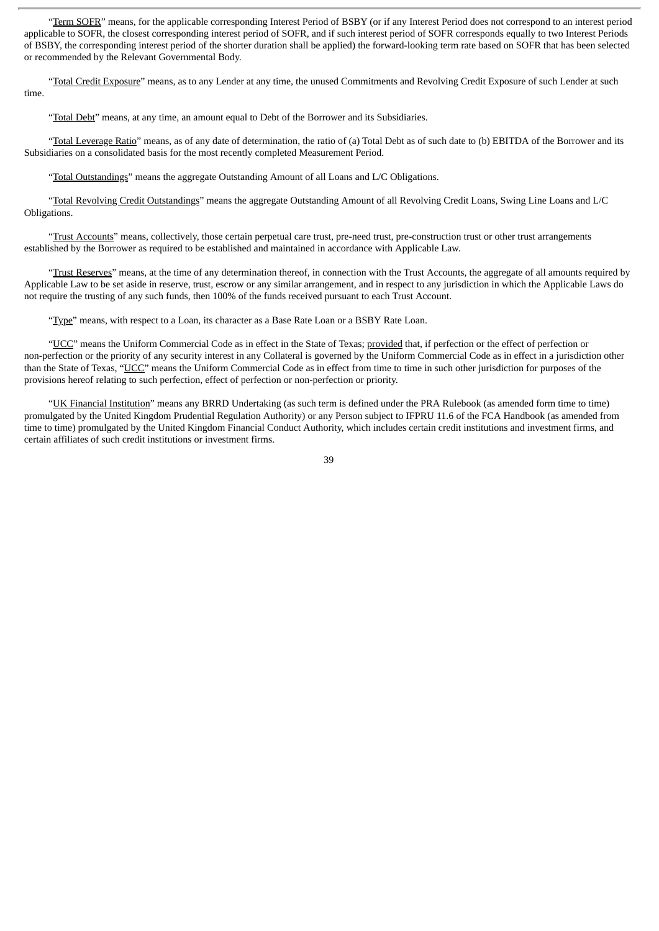"Term SOFR" means, for the applicable corresponding Interest Period of BSBY (or if any Interest Period does not correspond to an interest period applicable to SOFR, the closest corresponding interest period of SOFR, and if such interest period of SOFR corresponds equally to two Interest Periods of BSBY, the corresponding interest period of the shorter duration shall be applied) the forward-looking term rate based on SOFR that has been selected or recommended by the Relevant Governmental Body.

"Total Credit Exposure" means, as to any Lender at any time, the unused Commitments and Revolving Credit Exposure of such Lender at such time.

"Total Debt" means, at any time, an amount equal to Debt of the Borrower and its Subsidiaries.

"Total Leverage Ratio" means, as of any date of determination, the ratio of (a) Total Debt as of such date to (b) EBITDA of the Borrower and its Subsidiaries on a consolidated basis for the most recently completed Measurement Period.

"Total Outstandings" means the aggregate Outstanding Amount of all Loans and L/C Obligations.

"Total Revolving Credit Outstandings" means the aggregate Outstanding Amount of all Revolving Credit Loans, Swing Line Loans and L/C Obligations.

"Trust Accounts" means, collectively, those certain perpetual care trust, pre-need trust, pre-construction trust or other trust arrangements established by the Borrower as required to be established and maintained in accordance with Applicable Law.

"Trust Reserves" means, at the time of any determination thereof, in connection with the Trust Accounts, the aggregate of all amounts required by Applicable Law to be set aside in reserve, trust, escrow or any similar arrangement, and in respect to any jurisdiction in which the Applicable Laws do not require the trusting of any such funds, then 100% of the funds received pursuant to each Trust Account.

"Type" means, with respect to a Loan, its character as a Base Rate Loan or a BSBY Rate Loan.

"UCC" means the Uniform Commercial Code as in effect in the State of Texas; provided that, if perfection or the effect of perfection or non-perfection or the priority of any security interest in any Collateral is governed by the Uniform Commercial Code as in effect in a jurisdiction other than the State of Texas, "UCC" means the Uniform Commercial Code as in effect from time to time in such other jurisdiction for purposes of the provisions hereof relating to such perfection, effect of perfection or non-perfection or priority.

"UK Financial Institution" means any BRRD Undertaking (as such term is defined under the PRA Rulebook (as amended form time to time) promulgated by the United Kingdom Prudential Regulation Authority) or any Person subject to IFPRU 11.6 of the FCA Handbook (as amended from time to time) promulgated by the United Kingdom Financial Conduct Authority, which includes certain credit institutions and investment firms, and certain affiliates of such credit institutions or investment firms.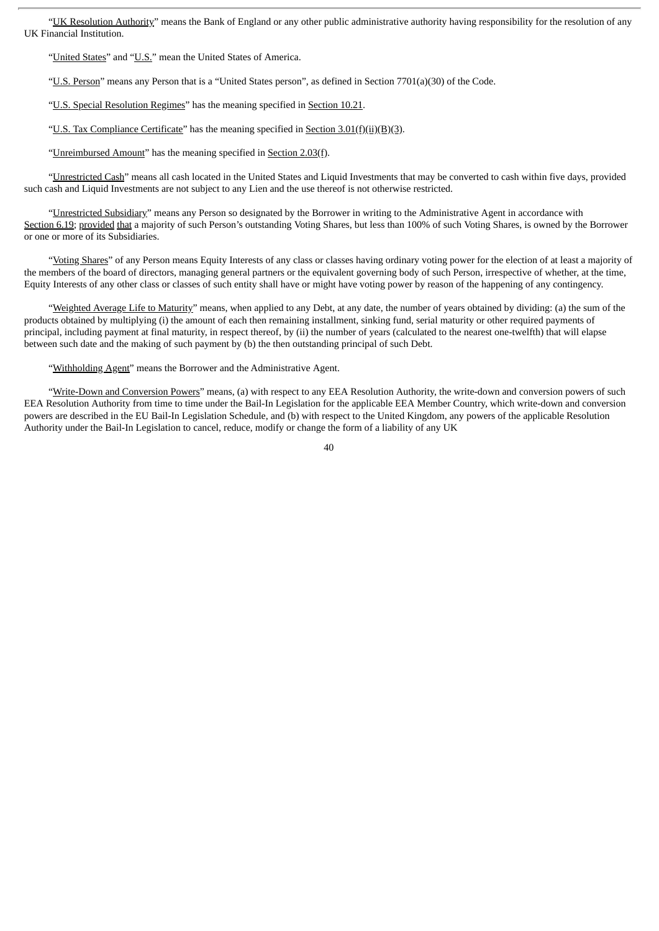"UK Resolution Authority" means the Bank of England or any other public administrative authority having responsibility for the resolution of any UK Financial Institution.

"United States" and "U.S." mean the United States of America.

"U.S. Person" means any Person that is a "United States person", as defined in Section 7701(a)(30) of the Code.

"U.S. Special Resolution Regimes" has the meaning specified in Section 10.21.

"U.S. Tax Compliance Certificate" has the meaning specified in Section 3.01(f)(ii)(B)(3).

"Unreimbursed Amount" has the meaning specified in Section 2.03(f).

"Unrestricted Cash" means all cash located in the United States and Liquid Investments that may be converted to cash within five days, provided such cash and Liquid Investments are not subject to any Lien and the use thereof is not otherwise restricted.

"Unrestricted Subsidiary" means any Person so designated by the Borrower in writing to the Administrative Agent in accordance with Section 6.19; provided that a majority of such Person's outstanding Voting Shares, but less than 100% of such Voting Shares, is owned by the Borrower or one or more of its Subsidiaries.

"Voting Shares" of any Person means Equity Interests of any class or classes having ordinary voting power for the election of at least a majority of the members of the board of directors, managing general partners or the equivalent governing body of such Person, irrespective of whether, at the time, Equity Interests of any other class or classes of such entity shall have or might have voting power by reason of the happening of any contingency.

"Weighted Average Life to Maturity" means, when applied to any Debt, at any date, the number of years obtained by dividing: (a) the sum of the products obtained by multiplying (i) the amount of each then remaining installment, sinking fund, serial maturity or other required payments of principal, including payment at final maturity, in respect thereof, by (ii) the number of years (calculated to the nearest one-twelfth) that will elapse between such date and the making of such payment by (b) the then outstanding principal of such Debt.

"Withholding Agent" means the Borrower and the Administrative Agent.

"Write-Down and Conversion Powers" means, (a) with respect to any EEA Resolution Authority, the write-down and conversion powers of such EEA Resolution Authority from time to time under the Bail-In Legislation for the applicable EEA Member Country, which write-down and conversion powers are described in the EU Bail-In Legislation Schedule, and (b) with respect to the United Kingdom, any powers of the applicable Resolution Authority under the Bail-In Legislation to cancel, reduce, modify or change the form of a liability of any UK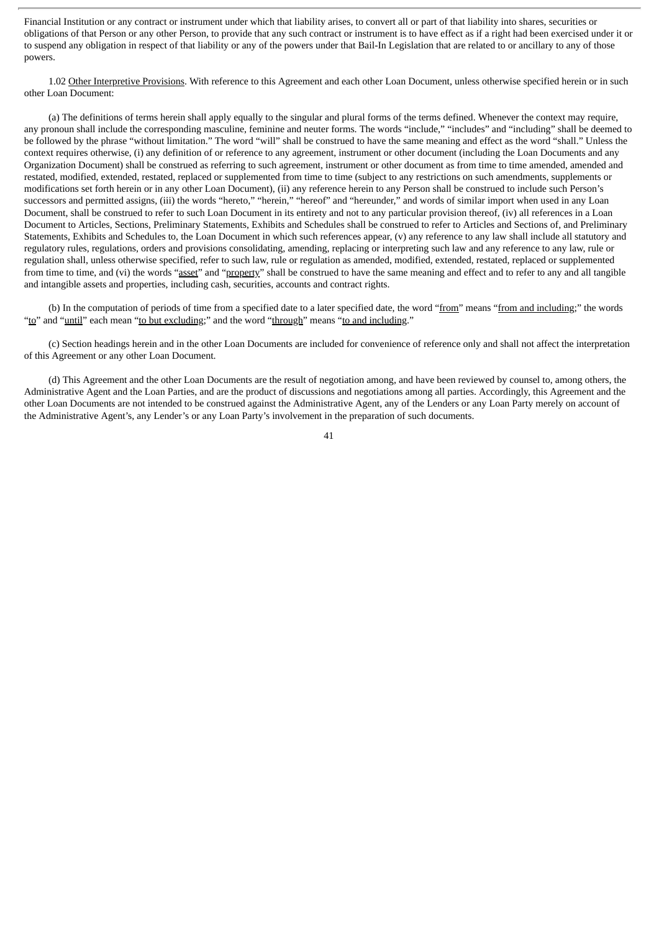Financial Institution or any contract or instrument under which that liability arises, to convert all or part of that liability into shares, securities or obligations of that Person or any other Person, to provide that any such contract or instrument is to have effect as if a right had been exercised under it or to suspend any obligation in respect of that liability or any of the powers under that Bail-In Legislation that are related to or ancillary to any of those powers.

1.02 Other Interpretive Provisions. With reference to this Agreement and each other Loan Document, unless otherwise specified herein or in such other Loan Document:

(a) The definitions of terms herein shall apply equally to the singular and plural forms of the terms defined. Whenever the context may require, any pronoun shall include the corresponding masculine, feminine and neuter forms. The words "include," "includes" and "including" shall be deemed to be followed by the phrase "without limitation." The word "will" shall be construed to have the same meaning and effect as the word "shall." Unless the context requires otherwise, (i) any definition of or reference to any agreement, instrument or other document (including the Loan Documents and any Organization Document) shall be construed as referring to such agreement, instrument or other document as from time to time amended, amended and restated, modified, extended, restated, replaced or supplemented from time to time (subject to any restrictions on such amendments, supplements or modifications set forth herein or in any other Loan Document), (ii) any reference herein to any Person shall be construed to include such Person's successors and permitted assigns, (iii) the words "hereto," "herein," "hereof" and "hereunder," and words of similar import when used in any Loan Document, shall be construed to refer to such Loan Document in its entirety and not to any particular provision thereof, (iv) all references in a Loan Document to Articles, Sections, Preliminary Statements, Exhibits and Schedules shall be construed to refer to Articles and Sections of, and Preliminary Statements, Exhibits and Schedules to, the Loan Document in which such references appear, (v) any reference to any law shall include all statutory and regulatory rules, regulations, orders and provisions consolidating, amending, replacing or interpreting such law and any reference to any law, rule or regulation shall, unless otherwise specified, refer to such law, rule or regulation as amended, modified, extended, restated, replaced or supplemented from time to time, and (vi) the words "asset" and "property" shall be construed to have the same meaning and effect and to refer to any and all tangible and intangible assets and properties, including cash, securities, accounts and contract rights.

(b) In the computation of periods of time from a specified date to a later specified date, the word "from" means "from and including;" the words "to" and "until" each mean "to but excluding;" and the word "through" means "to and including."

(c) Section headings herein and in the other Loan Documents are included for convenience of reference only and shall not affect the interpretation of this Agreement or any other Loan Document.

(d) This Agreement and the other Loan Documents are the result of negotiation among, and have been reviewed by counsel to, among others, the Administrative Agent and the Loan Parties, and are the product of discussions and negotiations among all parties. Accordingly, this Agreement and the other Loan Documents are not intended to be construed against the Administrative Agent, any of the Lenders or any Loan Party merely on account of the Administrative Agent's, any Lender's or any Loan Party's involvement in the preparation of such documents.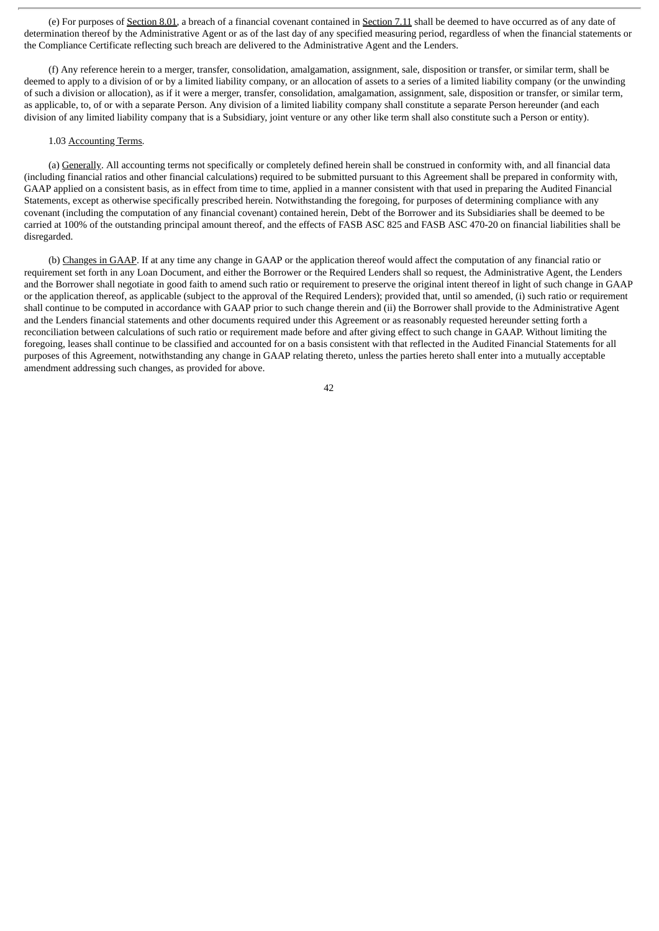(e) For purposes of Section 8.01, a breach of a financial covenant contained in Section 7.11 shall be deemed to have occurred as of any date of determination thereof by the Administrative Agent or as of the last day of any specified measuring period, regardless of when the financial statements or the Compliance Certificate reflecting such breach are delivered to the Administrative Agent and the Lenders.

(f) Any reference herein to a merger, transfer, consolidation, amalgamation, assignment, sale, disposition or transfer, or similar term, shall be deemed to apply to a division of or by a limited liability company, or an allocation of assets to a series of a limited liability company (or the unwinding of such a division or allocation), as if it were a merger, transfer, consolidation, amalgamation, assignment, sale, disposition or transfer, or similar term, as applicable, to, of or with a separate Person. Any division of a limited liability company shall constitute a separate Person hereunder (and each division of any limited liability company that is a Subsidiary, joint venture or any other like term shall also constitute such a Person or entity).

## 1.03 Accounting Terms.

(a) Generally. All accounting terms not specifically or completely defined herein shall be construed in conformity with, and all financial data (including financial ratios and other financial calculations) required to be submitted pursuant to this Agreement shall be prepared in conformity with, GAAP applied on a consistent basis, as in effect from time to time, applied in a manner consistent with that used in preparing the Audited Financial Statements, except as otherwise specifically prescribed herein. Notwithstanding the foregoing, for purposes of determining compliance with any covenant (including the computation of any financial covenant) contained herein, Debt of the Borrower and its Subsidiaries shall be deemed to be carried at 100% of the outstanding principal amount thereof, and the effects of FASB ASC 825 and FASB ASC 470-20 on financial liabilities shall be disregarded.

(b) Changes in GAAP. If at any time any change in GAAP or the application thereof would affect the computation of any financial ratio or requirement set forth in any Loan Document, and either the Borrower or the Required Lenders shall so request, the Administrative Agent, the Lenders and the Borrower shall negotiate in good faith to amend such ratio or requirement to preserve the original intent thereof in light of such change in GAAP or the application thereof, as applicable (subject to the approval of the Required Lenders); provided that, until so amended, (i) such ratio or requirement shall continue to be computed in accordance with GAAP prior to such change therein and (ii) the Borrower shall provide to the Administrative Agent and the Lenders financial statements and other documents required under this Agreement or as reasonably requested hereunder setting forth a reconciliation between calculations of such ratio or requirement made before and after giving effect to such change in GAAP. Without limiting the foregoing, leases shall continue to be classified and accounted for on a basis consistent with that reflected in the Audited Financial Statements for all purposes of this Agreement, notwithstanding any change in GAAP relating thereto, unless the parties hereto shall enter into a mutually acceptable amendment addressing such changes, as provided for above.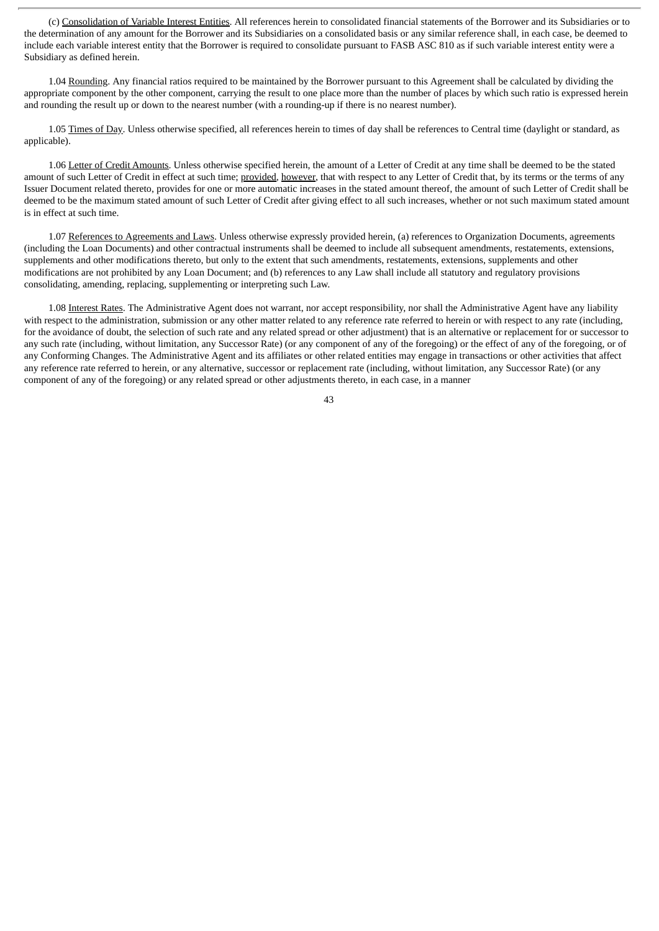(c) Consolidation of Variable Interest Entities. All references herein to consolidated financial statements of the Borrower and its Subsidiaries or to the determination of any amount for the Borrower and its Subsidiaries on a consolidated basis or any similar reference shall, in each case, be deemed to include each variable interest entity that the Borrower is required to consolidate pursuant to FASB ASC 810 as if such variable interest entity were a Subsidiary as defined herein.

1.04 Rounding. Any financial ratios required to be maintained by the Borrower pursuant to this Agreement shall be calculated by dividing the appropriate component by the other component, carrying the result to one place more than the number of places by which such ratio is expressed herein and rounding the result up or down to the nearest number (with a rounding-up if there is no nearest number).

1.05 Times of Day. Unless otherwise specified, all references herein to times of day shall be references to Central time (daylight or standard, as applicable).

1.06 Letter of Credit Amounts. Unless otherwise specified herein, the amount of a Letter of Credit at any time shall be deemed to be the stated amount of such Letter of Credit in effect at such time; provided, however, that with respect to any Letter of Credit that, by its terms or the terms of any Issuer Document related thereto, provides for one or more automatic increases in the stated amount thereof, the amount of such Letter of Credit shall be deemed to be the maximum stated amount of such Letter of Credit after giving effect to all such increases, whether or not such maximum stated amount is in effect at such time.

1.07 References to Agreements and Laws. Unless otherwise expressly provided herein, (a) references to Organization Documents, agreements (including the Loan Documents) and other contractual instruments shall be deemed to include all subsequent amendments, restatements, extensions, supplements and other modifications thereto, but only to the extent that such amendments, restatements, extensions, supplements and other modifications are not prohibited by any Loan Document; and (b) references to any Law shall include all statutory and regulatory provisions consolidating, amending, replacing, supplementing or interpreting such Law.

1.08 Interest Rates. The Administrative Agent does not warrant, nor accept responsibility, nor shall the Administrative Agent have any liability with respect to the administration, submission or any other matter related to any reference rate referred to herein or with respect to any rate (including, for the avoidance of doubt, the selection of such rate and any related spread or other adjustment) that is an alternative or replacement for or successor to any such rate (including, without limitation, any Successor Rate) (or any component of any of the foregoing) or the effect of any of the foregoing, or of any Conforming Changes. The Administrative Agent and its affiliates or other related entities may engage in transactions or other activities that affect any reference rate referred to herein, or any alternative, successor or replacement rate (including, without limitation, any Successor Rate) (or any component of any of the foregoing) or any related spread or other adjustments thereto, in each case, in a manner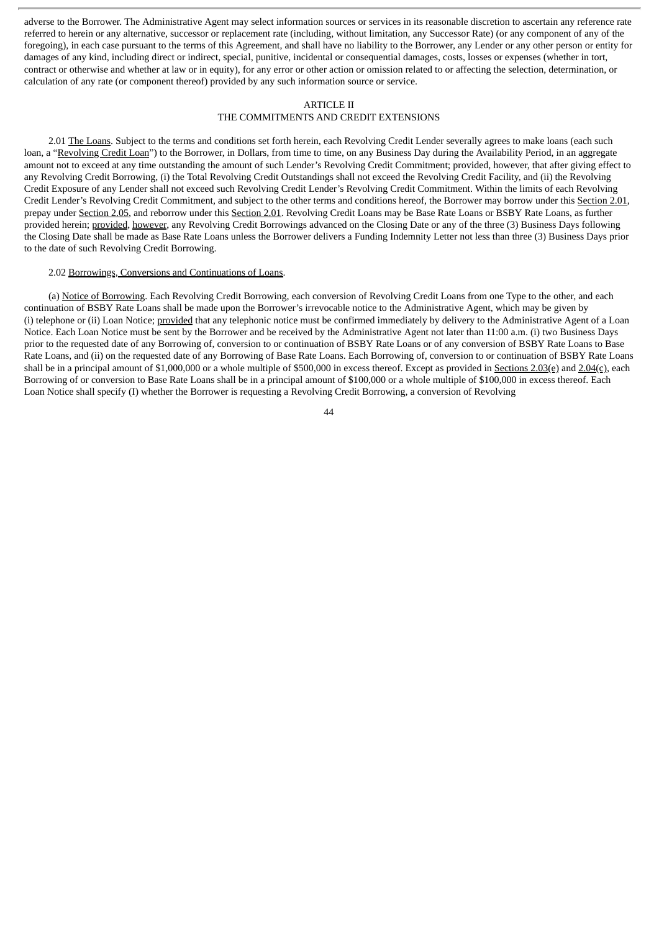adverse to the Borrower. The Administrative Agent may select information sources or services in its reasonable discretion to ascertain any reference rate referred to herein or any alternative, successor or replacement rate (including, without limitation, any Successor Rate) (or any component of any of the foregoing), in each case pursuant to the terms of this Agreement, and shall have no liability to the Borrower, any Lender or any other person or entity for damages of any kind, including direct or indirect, special, punitive, incidental or consequential damages, costs, losses or expenses (whether in tort, contract or otherwise and whether at law or in equity), for any error or other action or omission related to or affecting the selection, determination, or calculation of any rate (or component thereof) provided by any such information source or service.

#### ARTICLE II

## THE COMMITMENTS AND CREDIT EXTENSIONS

2.01 The Loans. Subject to the terms and conditions set forth herein, each Revolving Credit Lender severally agrees to make loans (each such loan, a "Revolving Credit Loan") to the Borrower, in Dollars, from time to time, on any Business Day during the Availability Period, in an aggregate amount not to exceed at any time outstanding the amount of such Lender's Revolving Credit Commitment; provided, however, that after giving effect to any Revolving Credit Borrowing, (i) the Total Revolving Credit Outstandings shall not exceed the Revolving Credit Facility, and (ii) the Revolving Credit Exposure of any Lender shall not exceed such Revolving Credit Lender's Revolving Credit Commitment. Within the limits of each Revolving Credit Lender's Revolving Credit Commitment, and subject to the other terms and conditions hereof, the Borrower may borrow under this Section 2.01, prepay under Section 2.05, and reborrow under this Section 2.01. Revolving Credit Loans may be Base Rate Loans or BSBY Rate Loans, as further provided herein; provided, however, any Revolving Credit Borrowings advanced on the Closing Date or any of the three (3) Business Days following the Closing Date shall be made as Base Rate Loans unless the Borrower delivers a Funding Indemnity Letter not less than three (3) Business Days prior to the date of such Revolving Credit Borrowing.

#### 2.02 Borrowings, Conversions and Continuations of Loans.

(a) Notice of Borrowing. Each Revolving Credit Borrowing, each conversion of Revolving Credit Loans from one Type to the other, and each continuation of BSBY Rate Loans shall be made upon the Borrower's irrevocable notice to the Administrative Agent, which may be given by (i) telephone or (ii) Loan Notice; provided that any telephonic notice must be confirmed immediately by delivery to the Administrative Agent of a Loan Notice. Each Loan Notice must be sent by the Borrower and be received by the Administrative Agent not later than 11:00 a.m. (i) two Business Days prior to the requested date of any Borrowing of, conversion to or continuation of BSBY Rate Loans or of any conversion of BSBY Rate Loans to Base Rate Loans, and (ii) on the requested date of any Borrowing of Base Rate Loans. Each Borrowing of, conversion to or continuation of BSBY Rate Loans shall be in a principal amount of \$1,000,000 or a whole multiple of \$500,000 in excess thereof. Except as provided in Sections 2.03(e) and  $2.04(c)$ , each Borrowing of or conversion to Base Rate Loans shall be in a principal amount of \$100,000 or a whole multiple of \$100,000 in excess thereof. Each Loan Notice shall specify (I) whether the Borrower is requesting a Revolving Credit Borrowing, a conversion of Revolving

 $\overline{A}$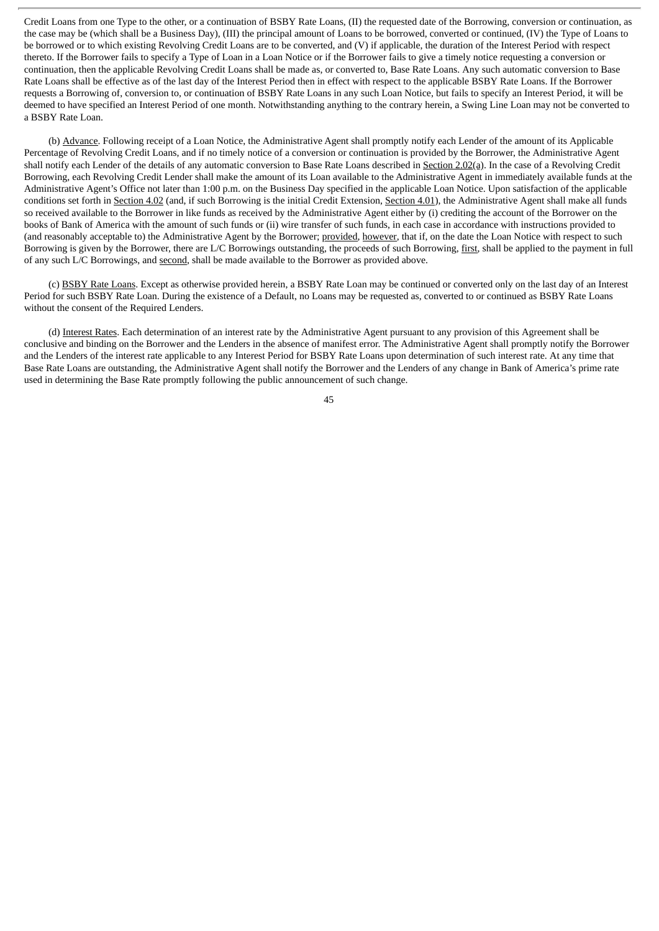Credit Loans from one Type to the other, or a continuation of BSBY Rate Loans, (II) the requested date of the Borrowing, conversion or continuation, as the case may be (which shall be a Business Day), (III) the principal amount of Loans to be borrowed, converted or continued, (IV) the Type of Loans to be borrowed or to which existing Revolving Credit Loans are to be converted, and (V) if applicable, the duration of the Interest Period with respect thereto. If the Borrower fails to specify a Type of Loan in a Loan Notice or if the Borrower fails to give a timely notice requesting a conversion or continuation, then the applicable Revolving Credit Loans shall be made as, or converted to, Base Rate Loans. Any such automatic conversion to Base Rate Loans shall be effective as of the last day of the Interest Period then in effect with respect to the applicable BSBY Rate Loans. If the Borrower requests a Borrowing of, conversion to, or continuation of BSBY Rate Loans in any such Loan Notice, but fails to specify an Interest Period, it will be deemed to have specified an Interest Period of one month. Notwithstanding anything to the contrary herein, a Swing Line Loan may not be converted to a BSBY Rate Loan.

(b) Advance. Following receipt of a Loan Notice, the Administrative Agent shall promptly notify each Lender of the amount of its Applicable Percentage of Revolving Credit Loans, and if no timely notice of a conversion or continuation is provided by the Borrower, the Administrative Agent shall notify each Lender of the details of any automatic conversion to Base Rate Loans described in Section 2.02(a). In the case of a Revolving Credit Borrowing, each Revolving Credit Lender shall make the amount of its Loan available to the Administrative Agent in immediately available funds at the Administrative Agent's Office not later than 1:00 p.m. on the Business Day specified in the applicable Loan Notice. Upon satisfaction of the applicable conditions set forth in Section 4.02 (and, if such Borrowing is the initial Credit Extension, Section 4.01), the Administrative Agent shall make all funds so received available to the Borrower in like funds as received by the Administrative Agent either by (i) crediting the account of the Borrower on the books of Bank of America with the amount of such funds or (ii) wire transfer of such funds, in each case in accordance with instructions provided to (and reasonably acceptable to) the Administrative Agent by the Borrower; provided, however, that if, on the date the Loan Notice with respect to such Borrowing is given by the Borrower, there are L/C Borrowings outstanding, the proceeds of such Borrowing, first, shall be applied to the payment in full of any such L/C Borrowings, and second, shall be made available to the Borrower as provided above.

(c) BSBY Rate Loans. Except as otherwise provided herein, a BSBY Rate Loan may be continued or converted only on the last day of an Interest Period for such BSBY Rate Loan. During the existence of a Default, no Loans may be requested as, converted to or continued as BSBY Rate Loans without the consent of the Required Lenders.

(d) Interest Rates. Each determination of an interest rate by the Administrative Agent pursuant to any provision of this Agreement shall be conclusive and binding on the Borrower and the Lenders in the absence of manifest error. The Administrative Agent shall promptly notify the Borrower and the Lenders of the interest rate applicable to any Interest Period for BSBY Rate Loans upon determination of such interest rate. At any time that Base Rate Loans are outstanding, the Administrative Agent shall notify the Borrower and the Lenders of any change in Bank of America's prime rate used in determining the Base Rate promptly following the public announcement of such change.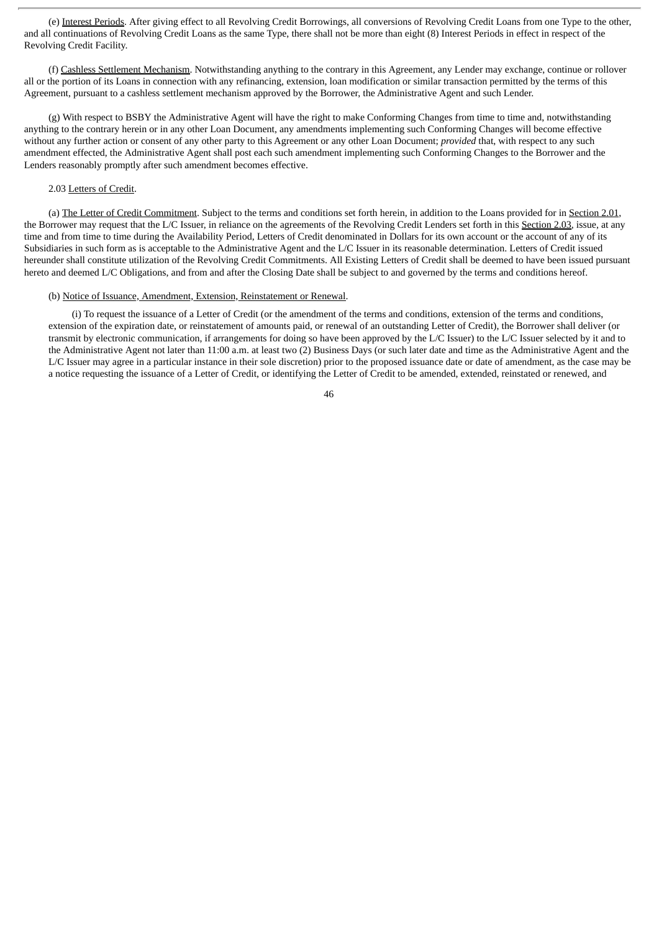(e) Interest Periods. After giving effect to all Revolving Credit Borrowings, all conversions of Revolving Credit Loans from one Type to the other, and all continuations of Revolving Credit Loans as the same Type, there shall not be more than eight (8) Interest Periods in effect in respect of the Revolving Credit Facility.

(f) Cashless Settlement Mechanism. Notwithstanding anything to the contrary in this Agreement, any Lender may exchange, continue or rollover all or the portion of its Loans in connection with any refinancing, extension, loan modification or similar transaction permitted by the terms of this Agreement, pursuant to a cashless settlement mechanism approved by the Borrower, the Administrative Agent and such Lender.

(g) With respect to BSBY the Administrative Agent will have the right to make Conforming Changes from time to time and, notwithstanding anything to the contrary herein or in any other Loan Document, any amendments implementing such Conforming Changes will become effective without any further action or consent of any other party to this Agreement or any other Loan Document; *provided* that, with respect to any such amendment effected, the Administrative Agent shall post each such amendment implementing such Conforming Changes to the Borrower and the Lenders reasonably promptly after such amendment becomes effective.

# 2.03 Letters of Credit.

(a) The Letter of Credit Commitment. Subject to the terms and conditions set forth herein, in addition to the Loans provided for in Section 2.01, the Borrower may request that the L/C Issuer, in reliance on the agreements of the Revolving Credit Lenders set forth in this Section 2.03, issue, at any time and from time to time during the Availability Period, Letters of Credit denominated in Dollars for its own account or the account of any of its Subsidiaries in such form as is acceptable to the Administrative Agent and the L/C Issuer in its reasonable determination. Letters of Credit issued hereunder shall constitute utilization of the Revolving Credit Commitments. All Existing Letters of Credit shall be deemed to have been issued pursuant hereto and deemed L/C Obligations, and from and after the Closing Date shall be subject to and governed by the terms and conditions hereof.

## (b) Notice of Issuance, Amendment, Extension, Reinstatement or Renewal.

(i) To request the issuance of a Letter of Credit (or the amendment of the terms and conditions, extension of the terms and conditions, extension of the expiration date, or reinstatement of amounts paid, or renewal of an outstanding Letter of Credit), the Borrower shall deliver (or transmit by electronic communication, if arrangements for doing so have been approved by the L/C Issuer) to the L/C Issuer selected by it and to the Administrative Agent not later than 11:00 a.m. at least two (2) Business Days (or such later date and time as the Administrative Agent and the L/C Issuer may agree in a particular instance in their sole discretion) prior to the proposed issuance date or date of amendment, as the case may be a notice requesting the issuance of a Letter of Credit, or identifying the Letter of Credit to be amended, extended, reinstated or renewed, and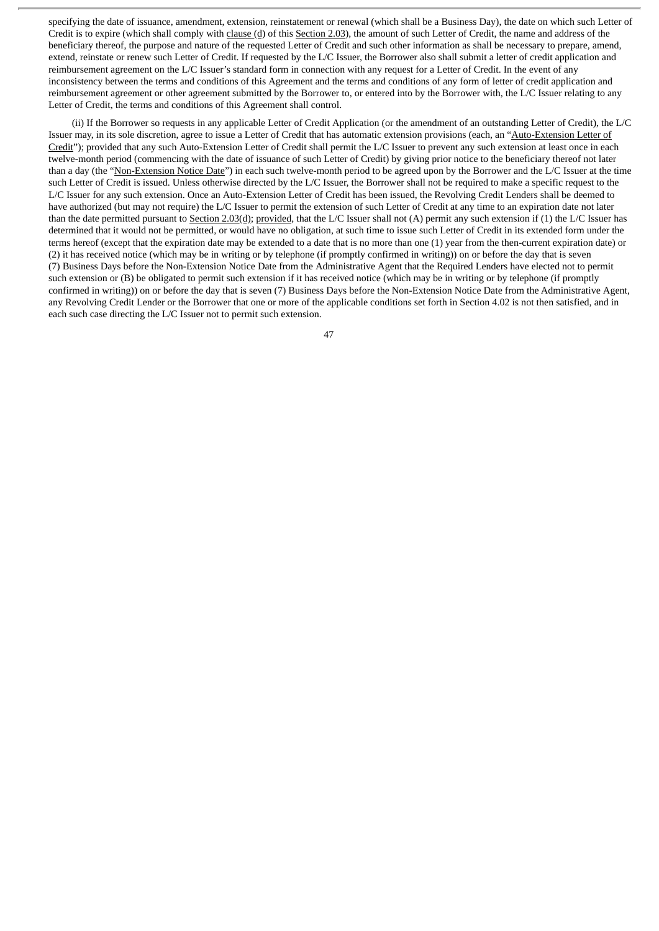specifying the date of issuance, amendment, extension, reinstatement or renewal (which shall be a Business Day), the date on which such Letter of Credit is to expire (which shall comply with clause (d) of this Section 2.03), the amount of such Letter of Credit, the name and address of the beneficiary thereof, the purpose and nature of the requested Letter of Credit and such other information as shall be necessary to prepare, amend, extend, reinstate or renew such Letter of Credit. If requested by the L/C Issuer, the Borrower also shall submit a letter of credit application and reimbursement agreement on the L/C Issuer's standard form in connection with any request for a Letter of Credit. In the event of any inconsistency between the terms and conditions of this Agreement and the terms and conditions of any form of letter of credit application and reimbursement agreement or other agreement submitted by the Borrower to, or entered into by the Borrower with, the L/C Issuer relating to any Letter of Credit, the terms and conditions of this Agreement shall control.

(ii) If the Borrower so requests in any applicable Letter of Credit Application (or the amendment of an outstanding Letter of Credit), the L/C Issuer may, in its sole discretion, agree to issue a Letter of Credit that has automatic extension provisions (each, an "Auto-Extension Letter of Credit"); provided that any such Auto-Extension Letter of Credit shall permit the L/C Issuer to prevent any such extension at least once in each twelve-month period (commencing with the date of issuance of such Letter of Credit) by giving prior notice to the beneficiary thereof not later than a day (the "Non-Extension Notice Date") in each such twelve-month period to be agreed upon by the Borrower and the L/C Issuer at the time such Letter of Credit is issued. Unless otherwise directed by the L/C Issuer, the Borrower shall not be required to make a specific request to the L/C Issuer for any such extension. Once an Auto-Extension Letter of Credit has been issued, the Revolving Credit Lenders shall be deemed to have authorized (but may not require) the L/C Issuer to permit the extension of such Letter of Credit at any time to an expiration date not later than the date permitted pursuant to Section 2.03(d); provided, that the L/C Issuer shall not (A) permit any such extension if (1) the L/C Issuer has determined that it would not be permitted, or would have no obligation, at such time to issue such Letter of Credit in its extended form under the terms hereof (except that the expiration date may be extended to a date that is no more than one (1) year from the then-current expiration date) or (2) it has received notice (which may be in writing or by telephone (if promptly confirmed in writing)) on or before the day that is seven (7) Business Days before the Non-Extension Notice Date from the Administrative Agent that the Required Lenders have elected not to permit such extension or (B) be obligated to permit such extension if it has received notice (which may be in writing or by telephone (if promptly confirmed in writing)) on or before the day that is seven (7) Business Days before the Non-Extension Notice Date from the Administrative Agent, any Revolving Credit Lender or the Borrower that one or more of the applicable conditions set forth in Section 4.02 is not then satisfied, and in each such case directing the L/C Issuer not to permit such extension.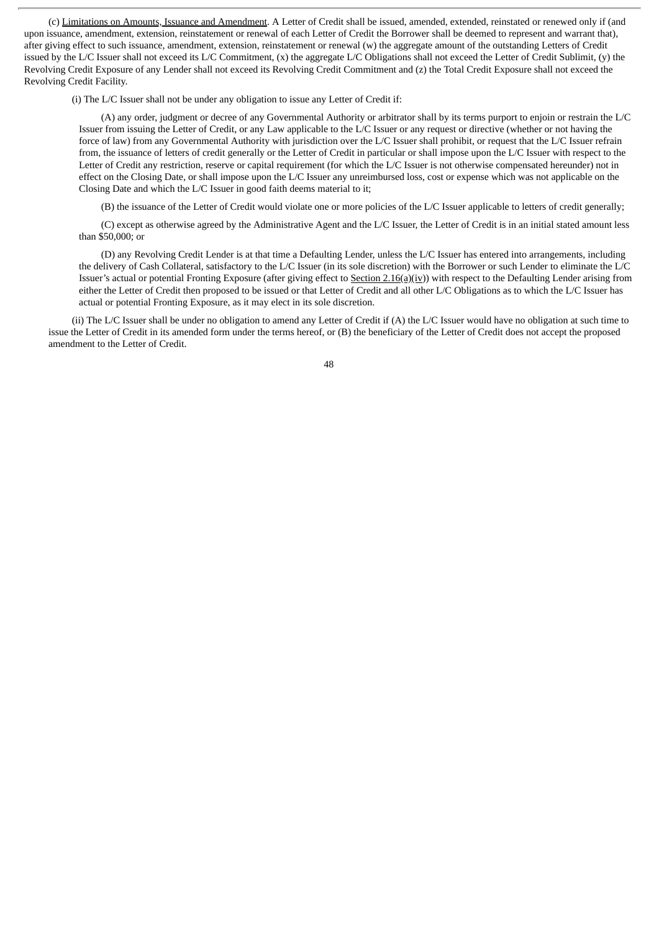(c) Limitations on Amounts, Issuance and Amendment. A Letter of Credit shall be issued, amended, extended, reinstated or renewed only if (and upon issuance, amendment, extension, reinstatement or renewal of each Letter of Credit the Borrower shall be deemed to represent and warrant that), after giving effect to such issuance, amendment, extension, reinstatement or renewal (w) the aggregate amount of the outstanding Letters of Credit issued by the L/C Issuer shall not exceed its L/C Commitment, (x) the aggregate L/C Obligations shall not exceed the Letter of Credit Sublimit, (y) the Revolving Credit Exposure of any Lender shall not exceed its Revolving Credit Commitment and (z) the Total Credit Exposure shall not exceed the Revolving Credit Facility.

(i) The L/C Issuer shall not be under any obligation to issue any Letter of Credit if:

(A) any order, judgment or decree of any Governmental Authority or arbitrator shall by its terms purport to enjoin or restrain the L/C Issuer from issuing the Letter of Credit, or any Law applicable to the L/C Issuer or any request or directive (whether or not having the force of law) from any Governmental Authority with jurisdiction over the L/C Issuer shall prohibit, or request that the L/C Issuer refrain from, the issuance of letters of credit generally or the Letter of Credit in particular or shall impose upon the L/C Issuer with respect to the Letter of Credit any restriction, reserve or capital requirement (for which the L/C Issuer is not otherwise compensated hereunder) not in effect on the Closing Date, or shall impose upon the L/C Issuer any unreimbursed loss, cost or expense which was not applicable on the Closing Date and which the L/C Issuer in good faith deems material to it;

(B) the issuance of the Letter of Credit would violate one or more policies of the L/C Issuer applicable to letters of credit generally;

(C) except as otherwise agreed by the Administrative Agent and the L/C Issuer, the Letter of Credit is in an initial stated amount less than \$50,000; or

(D) any Revolving Credit Lender is at that time a Defaulting Lender, unless the L/C Issuer has entered into arrangements, including the delivery of Cash Collateral, satisfactory to the L/C Issuer (in its sole discretion) with the Borrower or such Lender to eliminate the L/C Issuer's actual or potential Fronting Exposure (after giving effect to Section  $2.16(a)(iv)$ ) with respect to the Defaulting Lender arising from either the Letter of Credit then proposed to be issued or that Letter of Credit and all other L/C Obligations as to which the L/C Issuer has actual or potential Fronting Exposure, as it may elect in its sole discretion.

(ii) The L/C Issuer shall be under no obligation to amend any Letter of Credit if (A) the L/C Issuer would have no obligation at such time to issue the Letter of Credit in its amended form under the terms hereof, or (B) the beneficiary of the Letter of Credit does not accept the proposed amendment to the Letter of Credit.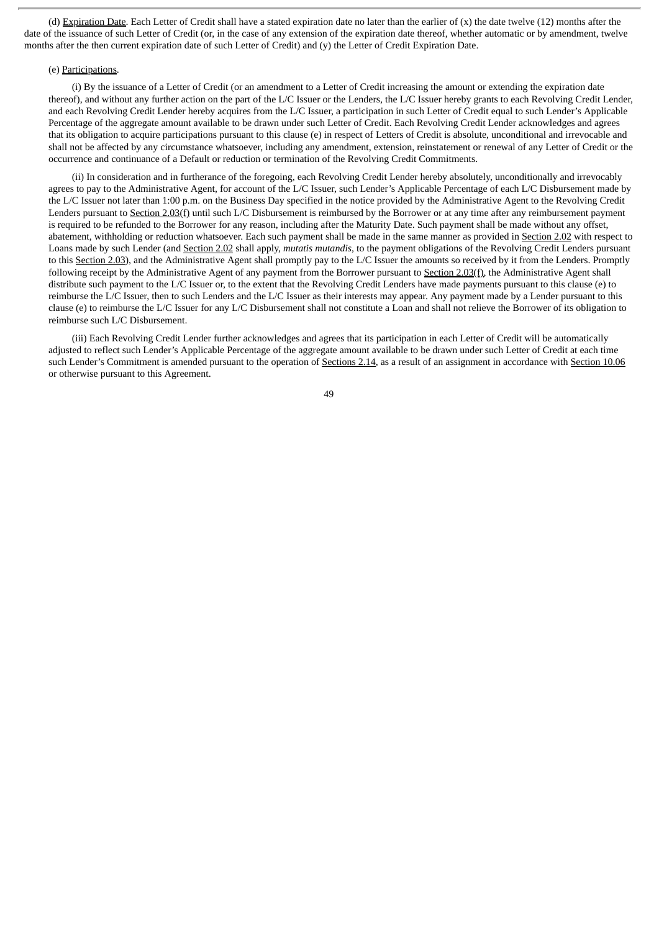(d) Expiration Date. Each Letter of Credit shall have a stated expiration date no later than the earlier of  $(x)$  the date twelve (12) months after the date of the issuance of such Letter of Credit (or, in the case of any extension of the expiration date thereof, whether automatic or by amendment, twelve months after the then current expiration date of such Letter of Credit) and (y) the Letter of Credit Expiration Date.

#### (e) Participations.

(i) By the issuance of a Letter of Credit (or an amendment to a Letter of Credit increasing the amount or extending the expiration date thereof), and without any further action on the part of the L/C Issuer or the Lenders, the L/C Issuer hereby grants to each Revolving Credit Lender, and each Revolving Credit Lender hereby acquires from the L/C Issuer, a participation in such Letter of Credit equal to such Lender's Applicable Percentage of the aggregate amount available to be drawn under such Letter of Credit. Each Revolving Credit Lender acknowledges and agrees that its obligation to acquire participations pursuant to this clause (e) in respect of Letters of Credit is absolute, unconditional and irrevocable and shall not be affected by any circumstance whatsoever, including any amendment, extension, reinstatement or renewal of any Letter of Credit or the occurrence and continuance of a Default or reduction or termination of the Revolving Credit Commitments.

(ii) In consideration and in furtherance of the foregoing, each Revolving Credit Lender hereby absolutely, unconditionally and irrevocably agrees to pay to the Administrative Agent, for account of the L/C Issuer, such Lender's Applicable Percentage of each L/C Disbursement made by the L/C Issuer not later than 1:00 p.m. on the Business Day specified in the notice provided by the Administrative Agent to the Revolving Credit Lenders pursuant to Section 2.03(f) until such L/C Disbursement is reimbursed by the Borrower or at any time after any reimbursement payment is required to be refunded to the Borrower for any reason, including after the Maturity Date. Such payment shall be made without any offset, abatement, withholding or reduction whatsoever. Each such payment shall be made in the same manner as provided in Section 2.02 with respect to Loans made by such Lender (and Section 2.02 shall apply, *mutatis mutandis*, to the payment obligations of the Revolving Credit Lenders pursuant to this Section 2.03), and the Administrative Agent shall promptly pay to the L/C Issuer the amounts so received by it from the Lenders. Promptly following receipt by the Administrative Agent of any payment from the Borrower pursuant to Section 2.03(f), the Administrative Agent shall distribute such payment to the L/C Issuer or, to the extent that the Revolving Credit Lenders have made payments pursuant to this clause (e) to reimburse the L/C Issuer, then to such Lenders and the L/C Issuer as their interests may appear. Any payment made by a Lender pursuant to this clause (e) to reimburse the L/C Issuer for any L/C Disbursement shall not constitute a Loan and shall not relieve the Borrower of its obligation to reimburse such L/C Disbursement.

(iii) Each Revolving Credit Lender further acknowledges and agrees that its participation in each Letter of Credit will be automatically adjusted to reflect such Lender's Applicable Percentage of the aggregate amount available to be drawn under such Letter of Credit at each time such Lender's Commitment is amended pursuant to the operation of Sections 2.14, as a result of an assignment in accordance with Section 10.06 or otherwise pursuant to this Agreement.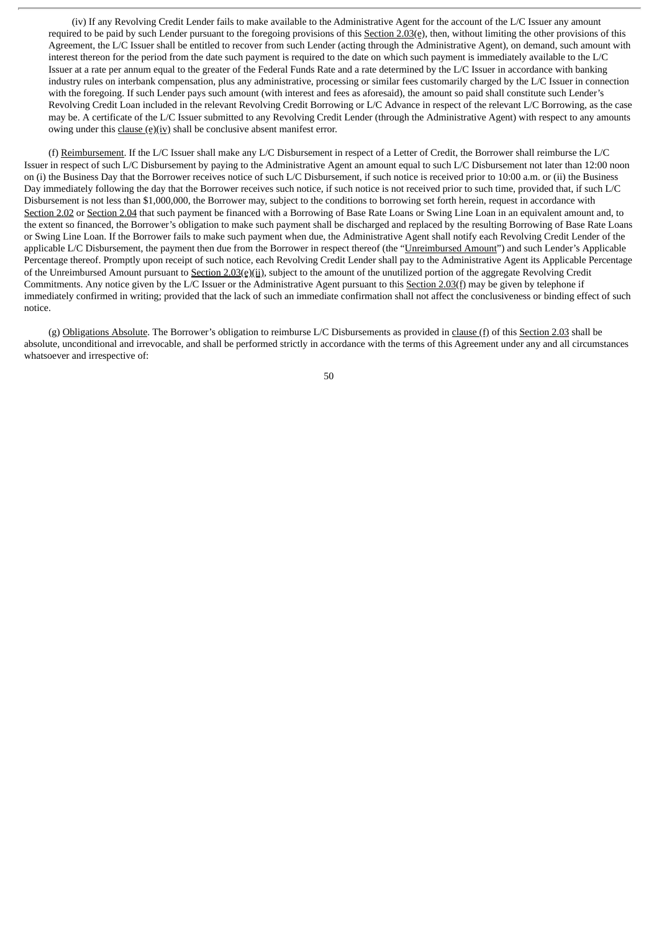(iv) If any Revolving Credit Lender fails to make available to the Administrative Agent for the account of the L/C Issuer any amount required to be paid by such Lender pursuant to the foregoing provisions of this  $Section 2.03(e)$ , then, without limiting the other provisions of this Agreement, the L/C Issuer shall be entitled to recover from such Lender (acting through the Administrative Agent), on demand, such amount with interest thereon for the period from the date such payment is required to the date on which such payment is immediately available to the L/C Issuer at a rate per annum equal to the greater of the Federal Funds Rate and a rate determined by the L/C Issuer in accordance with banking industry rules on interbank compensation, plus any administrative, processing or similar fees customarily charged by the L/C Issuer in connection with the foregoing. If such Lender pays such amount (with interest and fees as aforesaid), the amount so paid shall constitute such Lender's Revolving Credit Loan included in the relevant Revolving Credit Borrowing or L/C Advance in respect of the relevant L/C Borrowing, as the case may be. A certificate of the L/C Issuer submitted to any Revolving Credit Lender (through the Administrative Agent) with respect to any amounts owing under this clause (e)(iv) shall be conclusive absent manifest error.

(f) Reimbursement. If the L/C Issuer shall make any L/C Disbursement in respect of a Letter of Credit, the Borrower shall reimburse the L/C Issuer in respect of such L/C Disbursement by paying to the Administrative Agent an amount equal to such L/C Disbursement not later than 12:00 noon on (i) the Business Day that the Borrower receives notice of such L/C Disbursement, if such notice is received prior to 10:00 a.m. or (ii) the Business Day immediately following the day that the Borrower receives such notice, if such notice is not received prior to such time, provided that, if such L/C Disbursement is not less than \$1,000,000, the Borrower may, subject to the conditions to borrowing set forth herein, request in accordance with Section 2.02 or Section 2.04 that such payment be financed with a Borrowing of Base Rate Loans or Swing Line Loan in an equivalent amount and, to the extent so financed, the Borrower's obligation to make such payment shall be discharged and replaced by the resulting Borrowing of Base Rate Loans or Swing Line Loan. If the Borrower fails to make such payment when due, the Administrative Agent shall notify each Revolving Credit Lender of the applicable L/C Disbursement, the payment then due from the Borrower in respect thereof (the "Unreimbursed Amount") and such Lender's Applicable Percentage thereof. Promptly upon receipt of such notice, each Revolving Credit Lender shall pay to the Administrative Agent its Applicable Percentage of the Unreimbursed Amount pursuant to Section 2.03(e)(ii), subject to the amount of the unutilized portion of the aggregate Revolving Credit Commitments. Any notice given by the L/C Issuer or the Administrative Agent pursuant to this Section 2.03(f) may be given by telephone if immediately confirmed in writing; provided that the lack of such an immediate confirmation shall not affect the conclusiveness or binding effect of such notice.

(g) Obligations Absolute. The Borrower's obligation to reimburse L/C Disbursements as provided in clause (f) of this Section 2.03 shall be absolute, unconditional and irrevocable, and shall be performed strictly in accordance with the terms of this Agreement under any and all circumstances whatsoever and irrespective of: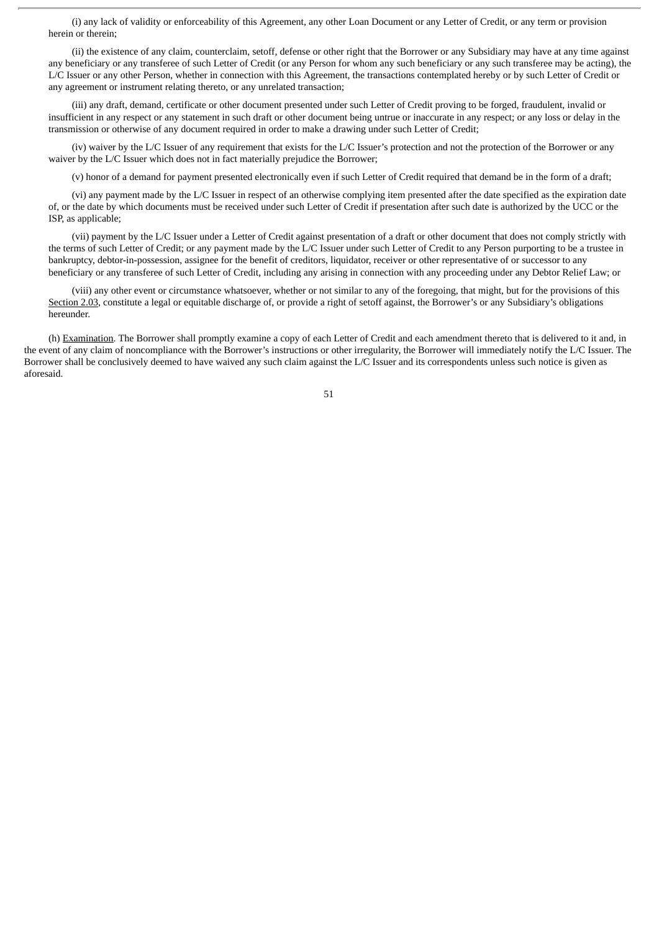(i) any lack of validity or enforceability of this Agreement, any other Loan Document or any Letter of Credit, or any term or provision herein or therein;

(ii) the existence of any claim, counterclaim, setoff, defense or other right that the Borrower or any Subsidiary may have at any time against any beneficiary or any transferee of such Letter of Credit (or any Person for whom any such beneficiary or any such transferee may be acting), the L/C Issuer or any other Person, whether in connection with this Agreement, the transactions contemplated hereby or by such Letter of Credit or any agreement or instrument relating thereto, or any unrelated transaction;

(iii) any draft, demand, certificate or other document presented under such Letter of Credit proving to be forged, fraudulent, invalid or insufficient in any respect or any statement in such draft or other document being untrue or inaccurate in any respect; or any loss or delay in the transmission or otherwise of any document required in order to make a drawing under such Letter of Credit;

(iv) waiver by the L/C Issuer of any requirement that exists for the L/C Issuer's protection and not the protection of the Borrower or any waiver by the L/C Issuer which does not in fact materially prejudice the Borrower;

(v) honor of a demand for payment presented electronically even if such Letter of Credit required that demand be in the form of a draft;

(vi) any payment made by the L/C Issuer in respect of an otherwise complying item presented after the date specified as the expiration date of, or the date by which documents must be received under such Letter of Credit if presentation after such date is authorized by the UCC or the ISP, as applicable;

(vii) payment by the L/C Issuer under a Letter of Credit against presentation of a draft or other document that does not comply strictly with the terms of such Letter of Credit; or any payment made by the L/C Issuer under such Letter of Credit to any Person purporting to be a trustee in bankruptcy, debtor-in-possession, assignee for the benefit of creditors, liquidator, receiver or other representative of or successor to any beneficiary or any transferee of such Letter of Credit, including any arising in connection with any proceeding under any Debtor Relief Law; or

(viii) any other event or circumstance whatsoever, whether or not similar to any of the foregoing, that might, but for the provisions of this Section 2.03, constitute a legal or equitable discharge of, or provide a right of setoff against, the Borrower's or any Subsidiary's obligations hereunder.

(h) Examination. The Borrower shall promptly examine a copy of each Letter of Credit and each amendment thereto that is delivered to it and, in the event of any claim of noncompliance with the Borrower's instructions or other irregularity, the Borrower will immediately notify the L/C Issuer. The Borrower shall be conclusively deemed to have waived any such claim against the L/C Issuer and its correspondents unless such notice is given as aforesaid.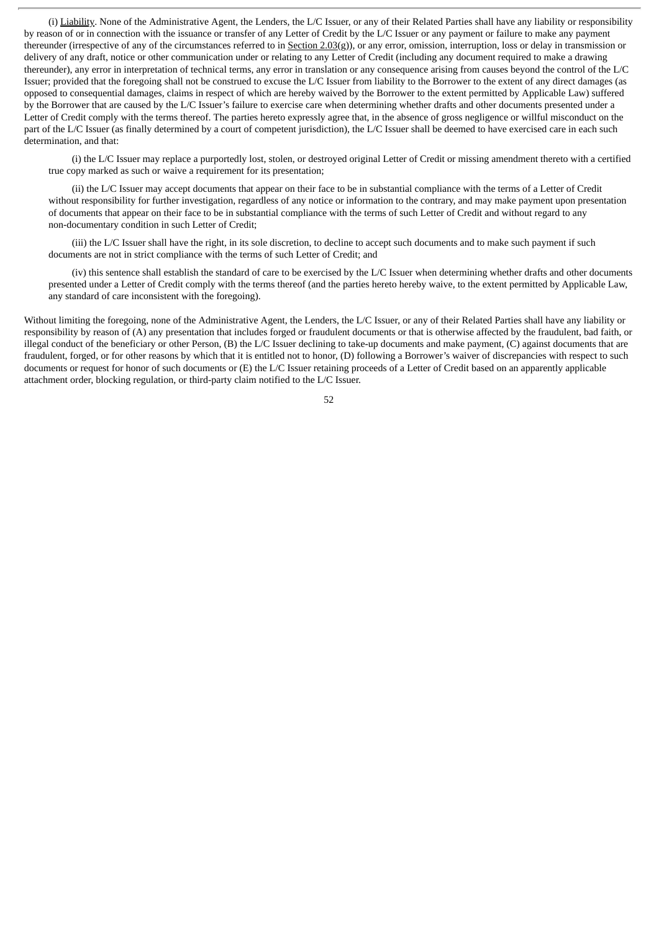(i) Liability. None of the Administrative Agent, the Lenders, the L/C Issuer, or any of their Related Parties shall have any liability or responsibility by reason of or in connection with the issuance or transfer of any Letter of Credit by the L/C Issuer or any payment or failure to make any payment thereunder (irrespective of any of the circumstances referred to in Section 2.03(g)), or any error, omission, interruption, loss or delay in transmission or delivery of any draft, notice or other communication under or relating to any Letter of Credit (including any document required to make a drawing thereunder), any error in interpretation of technical terms, any error in translation or any consequence arising from causes beyond the control of the L/C Issuer; provided that the foregoing shall not be construed to excuse the L/C Issuer from liability to the Borrower to the extent of any direct damages (as opposed to consequential damages, claims in respect of which are hereby waived by the Borrower to the extent permitted by Applicable Law) suffered by the Borrower that are caused by the L/C Issuer's failure to exercise care when determining whether drafts and other documents presented under a Letter of Credit comply with the terms thereof. The parties hereto expressly agree that, in the absence of gross negligence or willful misconduct on the part of the L/C Issuer (as finally determined by a court of competent jurisdiction), the L/C Issuer shall be deemed to have exercised care in each such determination, and that:

(i) the L/C Issuer may replace a purportedly lost, stolen, or destroyed original Letter of Credit or missing amendment thereto with a certified true copy marked as such or waive a requirement for its presentation;

(ii) the L/C Issuer may accept documents that appear on their face to be in substantial compliance with the terms of a Letter of Credit without responsibility for further investigation, regardless of any notice or information to the contrary, and may make payment upon presentation of documents that appear on their face to be in substantial compliance with the terms of such Letter of Credit and without regard to any non-documentary condition in such Letter of Credit;

(iii) the L/C Issuer shall have the right, in its sole discretion, to decline to accept such documents and to make such payment if such documents are not in strict compliance with the terms of such Letter of Credit; and

(iv) this sentence shall establish the standard of care to be exercised by the L/C Issuer when determining whether drafts and other documents presented under a Letter of Credit comply with the terms thereof (and the parties hereto hereby waive, to the extent permitted by Applicable Law, any standard of care inconsistent with the foregoing).

Without limiting the foregoing, none of the Administrative Agent, the Lenders, the L/C Issuer, or any of their Related Parties shall have any liability or responsibility by reason of (A) any presentation that includes forged or fraudulent documents or that is otherwise affected by the fraudulent, bad faith, or illegal conduct of the beneficiary or other Person, (B) the L/C Issuer declining to take-up documents and make payment, (C) against documents that are fraudulent, forged, or for other reasons by which that it is entitled not to honor, (D) following a Borrower's waiver of discrepancies with respect to such documents or request for honor of such documents or (E) the L/C Issuer retaining proceeds of a Letter of Credit based on an apparently applicable attachment order, blocking regulation, or third-party claim notified to the L/C Issuer.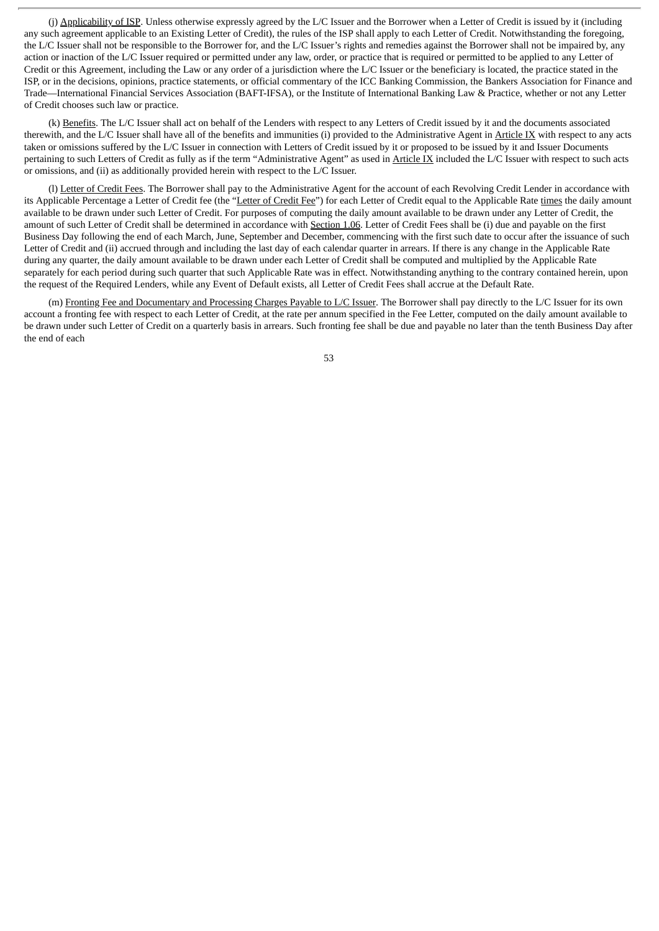(j) Applicability of ISP. Unless otherwise expressly agreed by the L/C Issuer and the Borrower when a Letter of Credit is issued by it (including any such agreement applicable to an Existing Letter of Credit), the rules of the ISP shall apply to each Letter of Credit. Notwithstanding the foregoing, the L/C Issuer shall not be responsible to the Borrower for, and the L/C Issuer's rights and remedies against the Borrower shall not be impaired by, any action or inaction of the L/C Issuer required or permitted under any law, order, or practice that is required or permitted to be applied to any Letter of Credit or this Agreement, including the Law or any order of a jurisdiction where the L/C Issuer or the beneficiary is located, the practice stated in the ISP, or in the decisions, opinions, practice statements, or official commentary of the ICC Banking Commission, the Bankers Association for Finance and Trade—International Financial Services Association (BAFT-IFSA), or the Institute of International Banking Law & Practice, whether or not any Letter of Credit chooses such law or practice.

(k) Benefits. The L/C Issuer shall act on behalf of the Lenders with respect to any Letters of Credit issued by it and the documents associated therewith, and the L/C Issuer shall have all of the benefits and immunities (i) provided to the Administrative Agent in Article IX with respect to any acts taken or omissions suffered by the L/C Issuer in connection with Letters of Credit issued by it or proposed to be issued by it and Issuer Documents pertaining to such Letters of Credit as fully as if the term "Administrative Agent" as used in  $\overline{\text{Article IX}}$  included the L/C Issuer with respect to such acts or omissions, and (ii) as additionally provided herein with respect to the L/C Issuer.

(l) Letter of Credit Fees. The Borrower shall pay to the Administrative Agent for the account of each Revolving Credit Lender in accordance with its Applicable Percentage a Letter of Credit fee (the "Letter of Credit Fee") for each Letter of Credit equal to the Applicable Rate times the daily amount available to be drawn under such Letter of Credit. For purposes of computing the daily amount available to be drawn under any Letter of Credit, the amount of such Letter of Credit shall be determined in accordance with Section 1.06. Letter of Credit Fees shall be (i) due and payable on the first Business Day following the end of each March, June, September and December, commencing with the first such date to occur after the issuance of such Letter of Credit and (ii) accrued through and including the last day of each calendar quarter in arrears. If there is any change in the Applicable Rate during any quarter, the daily amount available to be drawn under each Letter of Credit shall be computed and multiplied by the Applicable Rate separately for each period during such quarter that such Applicable Rate was in effect. Notwithstanding anything to the contrary contained herein, upon the request of the Required Lenders, while any Event of Default exists, all Letter of Credit Fees shall accrue at the Default Rate.

(m) Fronting Fee and Documentary and Processing Charges Payable to L/C Issuer. The Borrower shall pay directly to the L/C Issuer for its own account a fronting fee with respect to each Letter of Credit, at the rate per annum specified in the Fee Letter, computed on the daily amount available to be drawn under such Letter of Credit on a quarterly basis in arrears. Such fronting fee shall be due and payable no later than the tenth Business Day after the end of each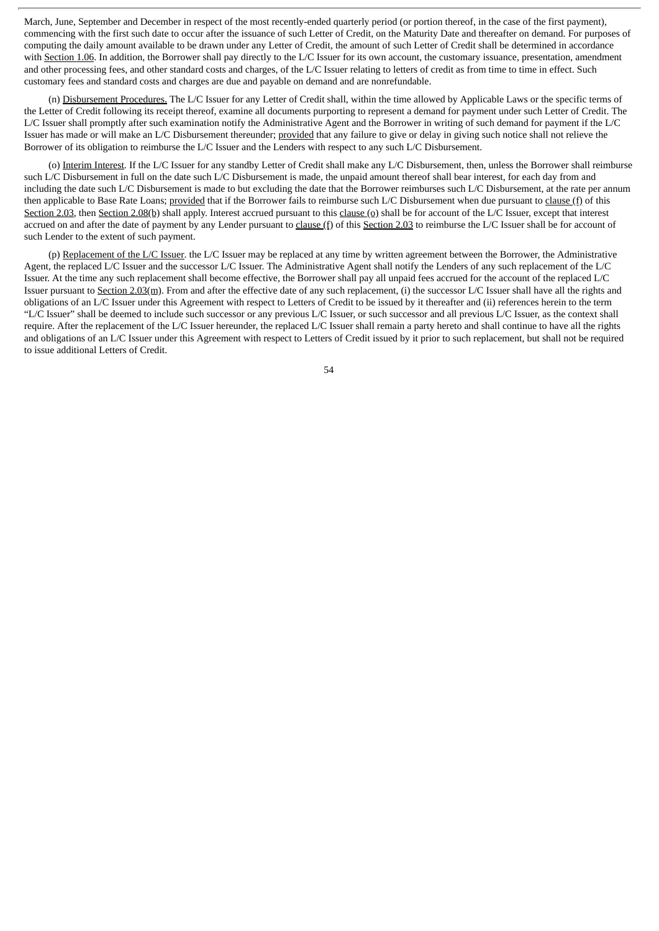March, June, September and December in respect of the most recently-ended quarterly period (or portion thereof, in the case of the first payment), commencing with the first such date to occur after the issuance of such Letter of Credit, on the Maturity Date and thereafter on demand. For purposes of computing the daily amount available to be drawn under any Letter of Credit, the amount of such Letter of Credit shall be determined in accordance with Section 1.06. In addition, the Borrower shall pay directly to the L/C Issuer for its own account, the customary issuance, presentation, amendment and other processing fees, and other standard costs and charges, of the L/C Issuer relating to letters of credit as from time to time in effect. Such customary fees and standard costs and charges are due and payable on demand and are nonrefundable.

(n) Disbursement Procedures. The L/C Issuer for any Letter of Credit shall, within the time allowed by Applicable Laws or the specific terms of the Letter of Credit following its receipt thereof, examine all documents purporting to represent a demand for payment under such Letter of Credit. The L/C Issuer shall promptly after such examination notify the Administrative Agent and the Borrower in writing of such demand for payment if the L/C Issuer has made or will make an L/C Disbursement thereunder; provided that any failure to give or delay in giving such notice shall not relieve the Borrower of its obligation to reimburse the L/C Issuer and the Lenders with respect to any such L/C Disbursement.

(o) Interim Interest. If the L/C Issuer for any standby Letter of Credit shall make any L/C Disbursement, then, unless the Borrower shall reimburse such L/C Disbursement in full on the date such L/C Disbursement is made, the unpaid amount thereof shall bear interest, for each day from and including the date such L/C Disbursement is made to but excluding the date that the Borrower reimburses such L/C Disbursement, at the rate per annum then applicable to Base Rate Loans; provided that if the Borrower fails to reimburse such L/C Disbursement when due pursuant to clause (f) of this Section 2.03, then Section 2.08(b) shall apply. Interest accrued pursuant to this clause (0) shall be for account of the L/C Issuer, except that interest accrued on and after the date of payment by any Lender pursuant to clause (f) of this Section 2.03 to reimburse the L/C Issuer shall be for account of such Lender to the extent of such payment.

(p) Replacement of the L/C Issuer. the L/C Issuer may be replaced at any time by written agreement between the Borrower, the Administrative Agent, the replaced L/C Issuer and the successor L/C Issuer. The Administrative Agent shall notify the Lenders of any such replacement of the L/C Issuer. At the time any such replacement shall become effective, the Borrower shall pay all unpaid fees accrued for the account of the replaced L/C Issuer pursuant to Section 2.03(m). From and after the effective date of any such replacement, (i) the successor L/C Issuer shall have all the rights and obligations of an L/C Issuer under this Agreement with respect to Letters of Credit to be issued by it thereafter and (ii) references herein to the term "L/C Issuer" shall be deemed to include such successor or any previous L/C Issuer, or such successor and all previous L/C Issuer, as the context shall require. After the replacement of the L/C Issuer hereunder, the replaced L/C Issuer shall remain a party hereto and shall continue to have all the rights and obligations of an L/C Issuer under this Agreement with respect to Letters of Credit issued by it prior to such replacement, but shall not be required to issue additional Letters of Credit.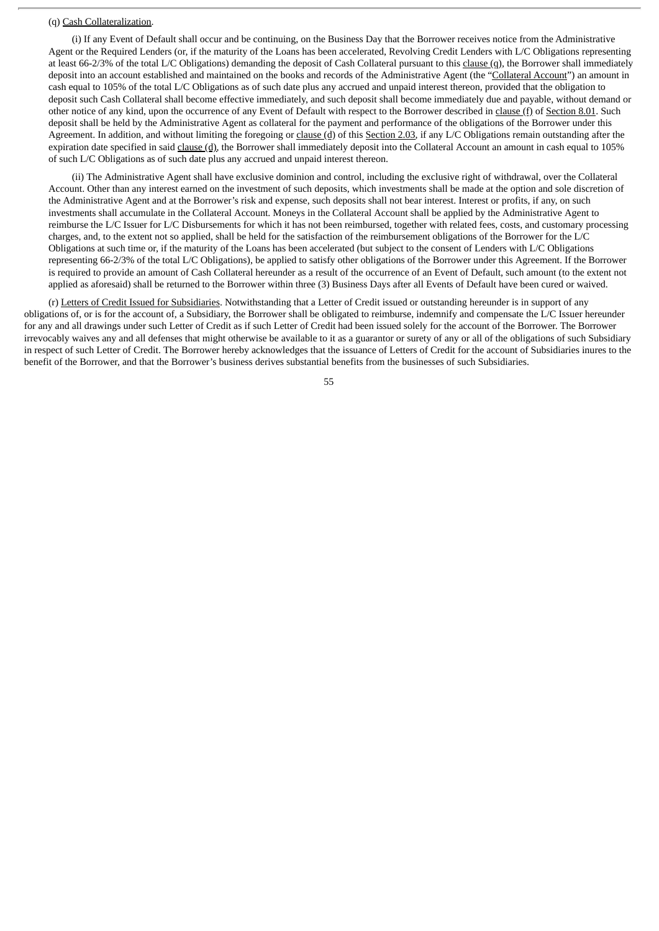# (q) Cash Collateralization.

(i) If any Event of Default shall occur and be continuing, on the Business Day that the Borrower receives notice from the Administrative Agent or the Required Lenders (or, if the maturity of the Loans has been accelerated, Revolving Credit Lenders with L/C Obligations representing at least 66-2/3% of the total L/C Obligations) demanding the deposit of Cash Collateral pursuant to this clause (q), the Borrower shall immediately deposit into an account established and maintained on the books and records of the Administrative Agent (the "Collateral Account") an amount in cash equal to 105% of the total L/C Obligations as of such date plus any accrued and unpaid interest thereon, provided that the obligation to deposit such Cash Collateral shall become effective immediately, and such deposit shall become immediately due and payable, without demand or other notice of any kind, upon the occurrence of any Event of Default with respect to the Borrower described in clause (f) of Section 8.01. Such deposit shall be held by the Administrative Agent as collateral for the payment and performance of the obligations of the Borrower under this Agreement. In addition, and without limiting the foregoing or clause (d) of this Section 2.03, if any L/C Obligations remain outstanding after the expiration date specified in said clause (d), the Borrower shall immediately deposit into the Collateral Account an amount in cash equal to 105% of such L/C Obligations as of such date plus any accrued and unpaid interest thereon.

(ii) The Administrative Agent shall have exclusive dominion and control, including the exclusive right of withdrawal, over the Collateral Account. Other than any interest earned on the investment of such deposits, which investments shall be made at the option and sole discretion of the Administrative Agent and at the Borrower's risk and expense, such deposits shall not bear interest. Interest or profits, if any, on such investments shall accumulate in the Collateral Account. Moneys in the Collateral Account shall be applied by the Administrative Agent to reimburse the L/C Issuer for L/C Disbursements for which it has not been reimbursed, together with related fees, costs, and customary processing charges, and, to the extent not so applied, shall be held for the satisfaction of the reimbursement obligations of the Borrower for the L/C Obligations at such time or, if the maturity of the Loans has been accelerated (but subject to the consent of Lenders with L/C Obligations representing 66-2/3% of the total L/C Obligations), be applied to satisfy other obligations of the Borrower under this Agreement. If the Borrower is required to provide an amount of Cash Collateral hereunder as a result of the occurrence of an Event of Default, such amount (to the extent not applied as aforesaid) shall be returned to the Borrower within three (3) Business Days after all Events of Default have been cured or waived.

(r) Letters of Credit Issued for Subsidiaries. Notwithstanding that a Letter of Credit issued or outstanding hereunder is in support of any obligations of, or is for the account of, a Subsidiary, the Borrower shall be obligated to reimburse, indemnify and compensate the L/C Issuer hereunder for any and all drawings under such Letter of Credit as if such Letter of Credit had been issued solely for the account of the Borrower. The Borrower irrevocably waives any and all defenses that might otherwise be available to it as a guarantor or surety of any or all of the obligations of such Subsidiary in respect of such Letter of Credit. The Borrower hereby acknowledges that the issuance of Letters of Credit for the account of Subsidiaries inures to the benefit of the Borrower, and that the Borrower's business derives substantial benefits from the businesses of such Subsidiaries.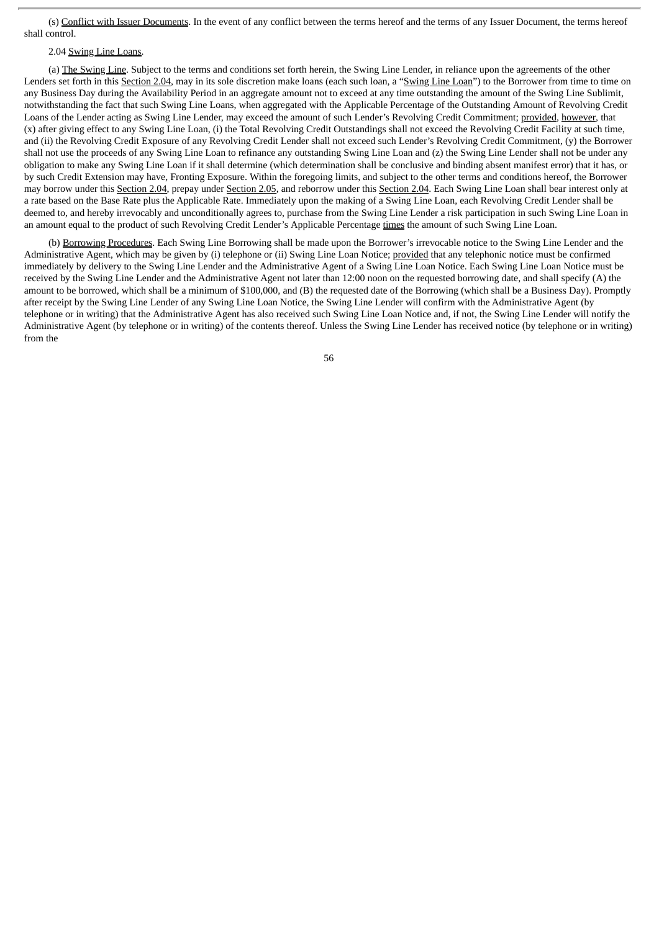(s) Conflict with Issuer Documents. In the event of any conflict between the terms hereof and the terms of any Issuer Document, the terms hereof shall control.

### 2.04 Swing Line Loans.

(a) The Swing Line. Subject to the terms and conditions set forth herein, the Swing Line Lender, in reliance upon the agreements of the other Lenders set forth in this Section 2.04, may in its sole discretion make loans (each such loan, a "Swing Line Loan") to the Borrower from time to time on any Business Day during the Availability Period in an aggregate amount not to exceed at any time outstanding the amount of the Swing Line Sublimit, notwithstanding the fact that such Swing Line Loans, when aggregated with the Applicable Percentage of the Outstanding Amount of Revolving Credit Loans of the Lender acting as Swing Line Lender, may exceed the amount of such Lender's Revolving Credit Commitment; provided, however, that (x) after giving effect to any Swing Line Loan, (i) the Total Revolving Credit Outstandings shall not exceed the Revolving Credit Facility at such time, and (ii) the Revolving Credit Exposure of any Revolving Credit Lender shall not exceed such Lender's Revolving Credit Commitment, (y) the Borrower shall not use the proceeds of any Swing Line Loan to refinance any outstanding Swing Line Loan and (z) the Swing Line Lender shall not be under any obligation to make any Swing Line Loan if it shall determine (which determination shall be conclusive and binding absent manifest error) that it has, or by such Credit Extension may have, Fronting Exposure. Within the foregoing limits, and subject to the other terms and conditions hereof, the Borrower may borrow under this Section 2.04, prepay under Section 2.05, and reborrow under this Section 2.04. Each Swing Line Loan shall bear interest only at a rate based on the Base Rate plus the Applicable Rate. Immediately upon the making of a Swing Line Loan, each Revolving Credit Lender shall be deemed to, and hereby irrevocably and unconditionally agrees to, purchase from the Swing Line Lender a risk participation in such Swing Line Loan in an amount equal to the product of such Revolving Credit Lender's Applicable Percentage times the amount of such Swing Line Loan.

(b) Borrowing Procedures. Each Swing Line Borrowing shall be made upon the Borrower's irrevocable notice to the Swing Line Lender and the Administrative Agent, which may be given by (i) telephone or (ii) Swing Line Loan Notice; provided that any telephonic notice must be confirmed immediately by delivery to the Swing Line Lender and the Administrative Agent of a Swing Line Loan Notice. Each Swing Line Loan Notice must be received by the Swing Line Lender and the Administrative Agent not later than 12:00 noon on the requested borrowing date, and shall specify (A) the amount to be borrowed, which shall be a minimum of \$100,000, and (B) the requested date of the Borrowing (which shall be a Business Day). Promptly after receipt by the Swing Line Lender of any Swing Line Loan Notice, the Swing Line Lender will confirm with the Administrative Agent (by telephone or in writing) that the Administrative Agent has also received such Swing Line Loan Notice and, if not, the Swing Line Lender will notify the Administrative Agent (by telephone or in writing) of the contents thereof. Unless the Swing Line Lender has received notice (by telephone or in writing) from the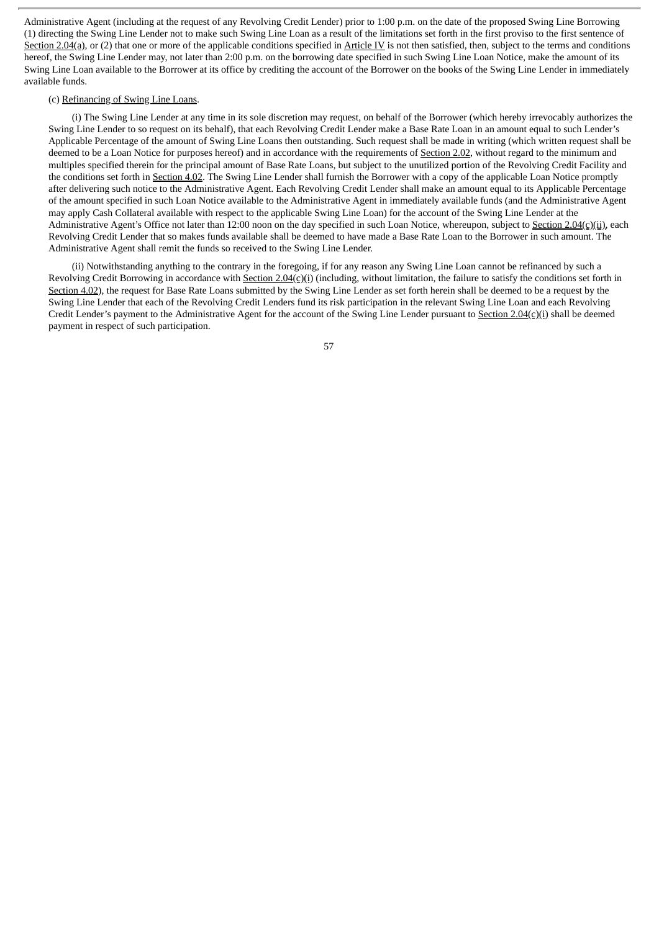Administrative Agent (including at the request of any Revolving Credit Lender) prior to 1:00 p.m. on the date of the proposed Swing Line Borrowing (1) directing the Swing Line Lender not to make such Swing Line Loan as a result of the limitations set forth in the first proviso to the first sentence of Section 2.04(a), or (2) that one or more of the applicable conditions specified in Article IV is not then satisfied, then, subject to the terms and conditions hereof, the Swing Line Lender may, not later than 2:00 p.m. on the borrowing date specified in such Swing Line Loan Notice, make the amount of its Swing Line Loan available to the Borrower at its office by crediting the account of the Borrower on the books of the Swing Line Lender in immediately available funds.

### (c) Refinancing of Swing Line Loans.

(i) The Swing Line Lender at any time in its sole discretion may request, on behalf of the Borrower (which hereby irrevocably authorizes the Swing Line Lender to so request on its behalf), that each Revolving Credit Lender make a Base Rate Loan in an amount equal to such Lender's Applicable Percentage of the amount of Swing Line Loans then outstanding. Such request shall be made in writing (which written request shall be deemed to be a Loan Notice for purposes hereof) and in accordance with the requirements of Section 2.02, without regard to the minimum and multiples specified therein for the principal amount of Base Rate Loans, but subject to the unutilized portion of the Revolving Credit Facility and the conditions set forth in Section 4.02. The Swing Line Lender shall furnish the Borrower with a copy of the applicable Loan Notice promptly after delivering such notice to the Administrative Agent. Each Revolving Credit Lender shall make an amount equal to its Applicable Percentage of the amount specified in such Loan Notice available to the Administrative Agent in immediately available funds (and the Administrative Agent may apply Cash Collateral available with respect to the applicable Swing Line Loan) for the account of the Swing Line Lender at the Administrative Agent's Office not later than 12:00 noon on the day specified in such Loan Notice, whereupon, subject to Section 2.04(c)(ii), each Revolving Credit Lender that so makes funds available shall be deemed to have made a Base Rate Loan to the Borrower in such amount. The Administrative Agent shall remit the funds so received to the Swing Line Lender.

(ii) Notwithstanding anything to the contrary in the foregoing, if for any reason any Swing Line Loan cannot be refinanced by such a Revolving Credit Borrowing in accordance with Section  $2.04(c)(i)$  (including, without limitation, the failure to satisfy the conditions set forth in Section 4.02), the request for Base Rate Loans submitted by the Swing Line Lender as set forth herein shall be deemed to be a request by the Swing Line Lender that each of the Revolving Credit Lenders fund its risk participation in the relevant Swing Line Loan and each Revolving Credit Lender's payment to the Administrative Agent for the account of the Swing Line Lender pursuant to Section 2.04(c)(i) shall be deemed payment in respect of such participation.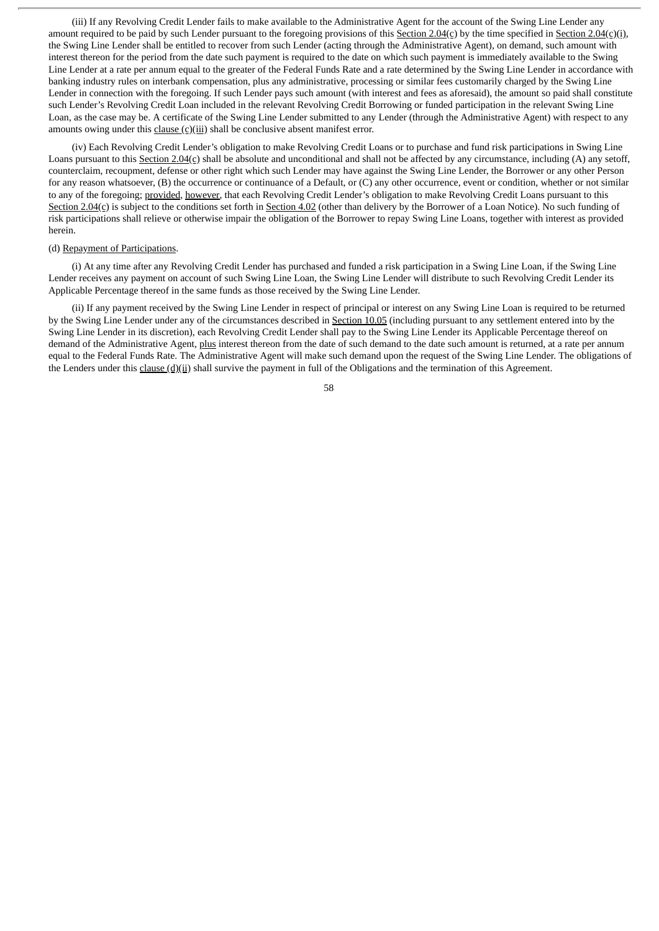(iii) If any Revolving Credit Lender fails to make available to the Administrative Agent for the account of the Swing Line Lender any amount required to be paid by such Lender pursuant to the foregoing provisions of this Section 2.04(c) by the time specified in Section 2.04(c)(i), the Swing Line Lender shall be entitled to recover from such Lender (acting through the Administrative Agent), on demand, such amount with interest thereon for the period from the date such payment is required to the date on which such payment is immediately available to the Swing Line Lender at a rate per annum equal to the greater of the Federal Funds Rate and a rate determined by the Swing Line Lender in accordance with banking industry rules on interbank compensation, plus any administrative, processing or similar fees customarily charged by the Swing Line Lender in connection with the foregoing. If such Lender pays such amount (with interest and fees as aforesaid), the amount so paid shall constitute such Lender's Revolving Credit Loan included in the relevant Revolving Credit Borrowing or funded participation in the relevant Swing Line Loan, as the case may be. A certificate of the Swing Line Lender submitted to any Lender (through the Administrative Agent) with respect to any amounts owing under this  $clause (c)(iii)$  shall be conclusive absent manifest error.

(iv) Each Revolving Credit Lender's obligation to make Revolving Credit Loans or to purchase and fund risk participations in Swing Line Loans pursuant to this Section 2.04(c) shall be absolute and unconditional and shall not be affected by any circumstance, including (A) any setoff, counterclaim, recoupment, defense or other right which such Lender may have against the Swing Line Lender, the Borrower or any other Person for any reason whatsoever, (B) the occurrence or continuance of a Default, or (C) any other occurrence, event or condition, whether or not similar to any of the foregoing; provided, however, that each Revolving Credit Lender's obligation to make Revolving Credit Loans pursuant to this Section 2.04(c) is subject to the conditions set forth in Section 4.02 (other than delivery by the Borrower of a Loan Notice). No such funding of risk participations shall relieve or otherwise impair the obligation of the Borrower to repay Swing Line Loans, together with interest as provided herein.

### (d) Repayment of Participations.

(i) At any time after any Revolving Credit Lender has purchased and funded a risk participation in a Swing Line Loan, if the Swing Line Lender receives any payment on account of such Swing Line Loan, the Swing Line Lender will distribute to such Revolving Credit Lender its Applicable Percentage thereof in the same funds as those received by the Swing Line Lender.

(ii) If any payment received by the Swing Line Lender in respect of principal or interest on any Swing Line Loan is required to be returned by the Swing Line Lender under any of the circumstances described in Section 10.05 (including pursuant to any settlement entered into by the Swing Line Lender in its discretion), each Revolving Credit Lender shall pay to the Swing Line Lender its Applicable Percentage thereof on demand of the Administrative Agent, plus interest thereon from the date of such demand to the date such amount is returned, at a rate per annum equal to the Federal Funds Rate. The Administrative Agent will make such demand upon the request of the Swing Line Lender. The obligations of the Lenders under this  $\text{ clause } (\text{d})(ii)$  shall survive the payment in full of the Obligations and the termination of this Agreement.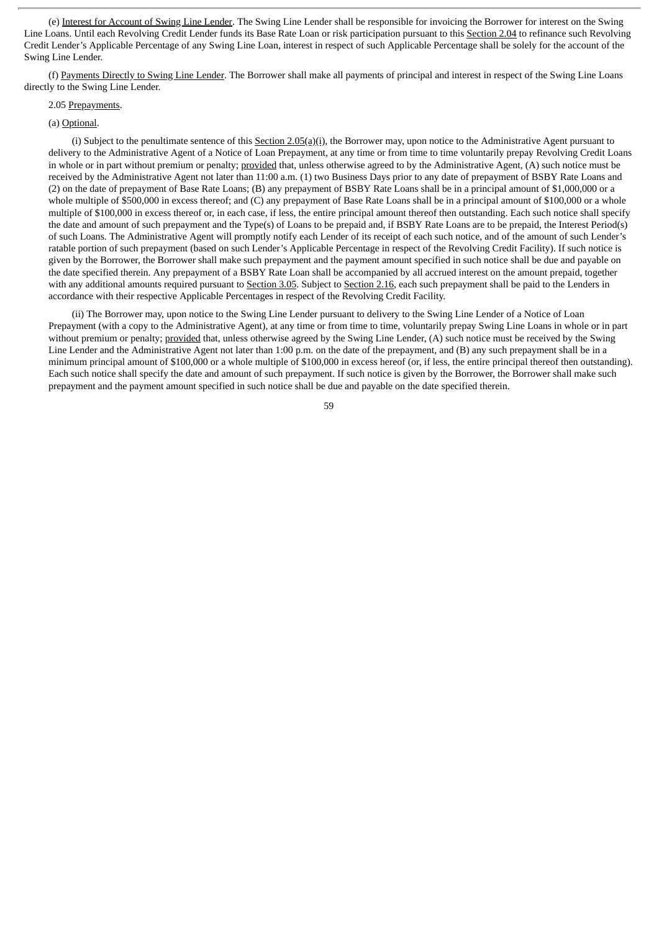(e) Interest for Account of Swing Line Lender. The Swing Line Lender shall be responsible for invoicing the Borrower for interest on the Swing Line Loans. Until each Revolving Credit Lender funds its Base Rate Loan or risk participation pursuant to this Section 2.04 to refinance such Revolving Credit Lender's Applicable Percentage of any Swing Line Loan, interest in respect of such Applicable Percentage shall be solely for the account of the Swing Line Lender.

(f) Payments Directly to Swing Line Lender. The Borrower shall make all payments of principal and interest in respect of the Swing Line Loans directly to the Swing Line Lender.

# 2.05 Prepayments.

### (a) Optional.

(i) Subject to the penultimate sentence of this Section 2.05(a)(i), the Borrower may, upon notice to the Administrative Agent pursuant to delivery to the Administrative Agent of a Notice of Loan Prepayment, at any time or from time to time voluntarily prepay Revolving Credit Loans in whole or in part without premium or penalty; provided that, unless otherwise agreed to by the Administrative Agent, (A) such notice must be received by the Administrative Agent not later than 11:00 a.m. (1) two Business Days prior to any date of prepayment of BSBY Rate Loans and (2) on the date of prepayment of Base Rate Loans; (B) any prepayment of BSBY Rate Loans shall be in a principal amount of \$1,000,000 or a whole multiple of \$500,000 in excess thereof; and (C) any prepayment of Base Rate Loans shall be in a principal amount of \$100,000 or a whole multiple of \$100,000 in excess thereof or, in each case, if less, the entire principal amount thereof then outstanding. Each such notice shall specify the date and amount of such prepayment and the Type(s) of Loans to be prepaid and, if BSBY Rate Loans are to be prepaid, the Interest Period(s) of such Loans. The Administrative Agent will promptly notify each Lender of its receipt of each such notice, and of the amount of such Lender's ratable portion of such prepayment (based on such Lender's Applicable Percentage in respect of the Revolving Credit Facility). If such notice is given by the Borrower, the Borrower shall make such prepayment and the payment amount specified in such notice shall be due and payable on the date specified therein. Any prepayment of a BSBY Rate Loan shall be accompanied by all accrued interest on the amount prepaid, together with any additional amounts required pursuant to Section 3.05. Subject to Section 2.16, each such prepayment shall be paid to the Lenders in accordance with their respective Applicable Percentages in respect of the Revolving Credit Facility.

(ii) The Borrower may, upon notice to the Swing Line Lender pursuant to delivery to the Swing Line Lender of a Notice of Loan Prepayment (with a copy to the Administrative Agent), at any time or from time to time, voluntarily prepay Swing Line Loans in whole or in part without premium or penalty; provided that, unless otherwise agreed by the Swing Line Lender, (A) such notice must be received by the Swing Line Lender and the Administrative Agent not later than 1:00 p.m. on the date of the prepayment, and (B) any such prepayment shall be in a minimum principal amount of \$100,000 or a whole multiple of \$100,000 in excess hereof (or, if less, the entire principal thereof then outstanding). Each such notice shall specify the date and amount of such prepayment. If such notice is given by the Borrower, the Borrower shall make such prepayment and the payment amount specified in such notice shall be due and payable on the date specified therein.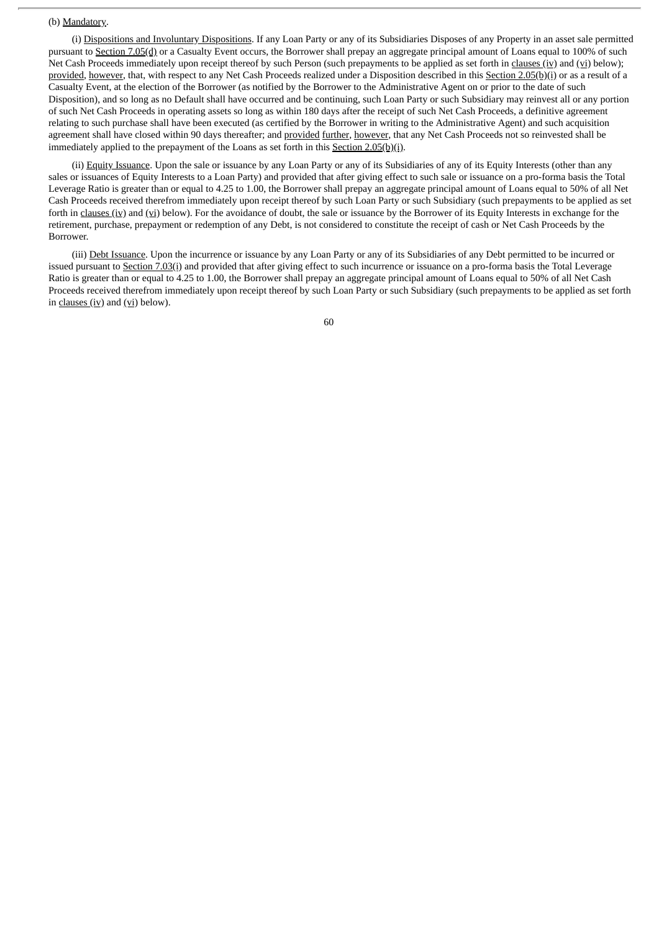### (b) Mandatory.

(i) Dispositions and Involuntary Dispositions. If any Loan Party or any of its Subsidiaries Disposes of any Property in an asset sale permitted pursuant to Section 7.05(d) or a Casualty Event occurs, the Borrower shall prepay an aggregate principal amount of Loans equal to 100% of such Net Cash Proceeds immediately upon receipt thereof by such Person (such prepayments to be applied as set forth in clauses (iv) and (vi) below); provided, however, that, with respect to any Net Cash Proceeds realized under a Disposition described in this Section 2.05(b)(i) or as a result of a Casualty Event, at the election of the Borrower (as notified by the Borrower to the Administrative Agent on or prior to the date of such Disposition), and so long as no Default shall have occurred and be continuing, such Loan Party or such Subsidiary may reinvest all or any portion of such Net Cash Proceeds in operating assets so long as within 180 days after the receipt of such Net Cash Proceeds, a definitive agreement relating to such purchase shall have been executed (as certified by the Borrower in writing to the Administrative Agent) and such acquisition agreement shall have closed within 90 days thereafter; and provided further, however, that any Net Cash Proceeds not so reinvested shall be immediately applied to the prepayment of the Loans as set forth in this Section  $2.05(b)(i)$ .

(ii) Equity Issuance. Upon the sale or issuance by any Loan Party or any of its Subsidiaries of any of its Equity Interests (other than any sales or issuances of Equity Interests to a Loan Party) and provided that after giving effect to such sale or issuance on a pro-forma basis the Total Leverage Ratio is greater than or equal to 4.25 to 1.00, the Borrower shall prepay an aggregate principal amount of Loans equal to 50% of all Net Cash Proceeds received therefrom immediately upon receipt thereof by such Loan Party or such Subsidiary (such prepayments to be applied as set forth in clauses (iv) and (vi) below). For the avoidance of doubt, the sale or issuance by the Borrower of its Equity Interests in exchange for the retirement, purchase, prepayment or redemption of any Debt, is not considered to constitute the receipt of cash or Net Cash Proceeds by the Borrower.

(iii) Debt Issuance. Upon the incurrence or issuance by any Loan Party or any of its Subsidiaries of any Debt permitted to be incurred or issued pursuant to Section 7.03(i) and provided that after giving effect to such incurrence or issuance on a pro-forma basis the Total Leverage Ratio is greater than or equal to 4.25 to 1.00, the Borrower shall prepay an aggregate principal amount of Loans equal to 50% of all Net Cash Proceeds received therefrom immediately upon receipt thereof by such Loan Party or such Subsidiary (such prepayments to be applied as set forth in clauses  $(iv)$  and  $(vi)$  below).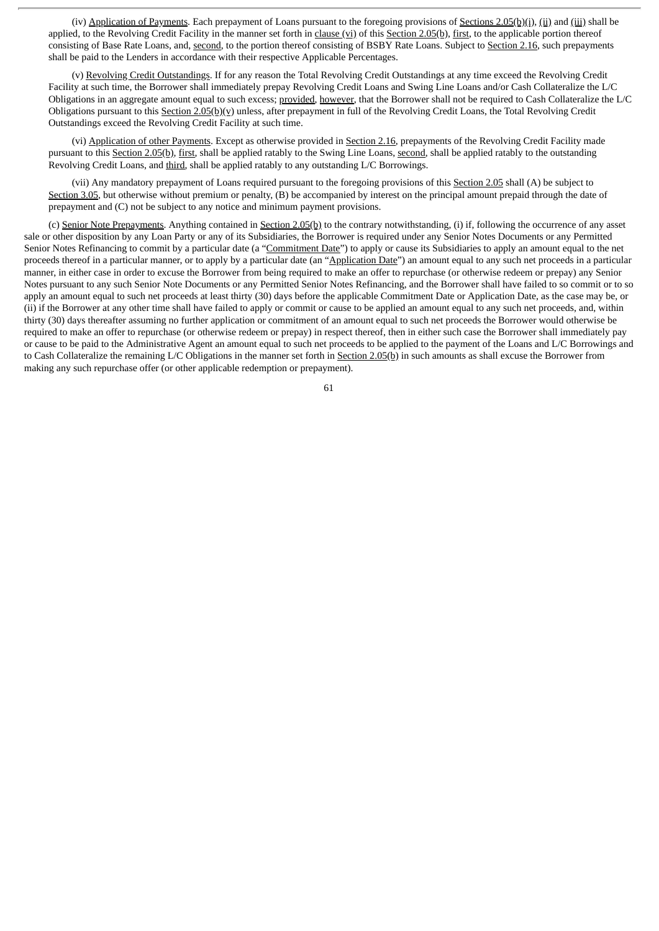(iv) Application of Payments. Each prepayment of Loans pursuant to the foregoing provisions of Sections 2.05(b)(i), (ii) and (iii) shall be applied, to the Revolving Credit Facility in the manner set forth in clause (vi) of this Section 2.05(b), first, to the applicable portion thereof consisting of Base Rate Loans, and, second, to the portion thereof consisting of BSBY Rate Loans. Subject to Section 2.16, such prepayments shall be paid to the Lenders in accordance with their respective Applicable Percentages.

(v) Revolving Credit Outstandings. If for any reason the Total Revolving Credit Outstandings at any time exceed the Revolving Credit Facility at such time, the Borrower shall immediately prepay Revolving Credit Loans and Swing Line Loans and/or Cash Collateralize the L/C Obligations in an aggregate amount equal to such excess; provided, however, that the Borrower shall not be required to Cash Collateralize the L/C Obligations pursuant to this  $Section 2.05(b)(v)$  unless, after prepayment in full of the Revolving Credit Loans, the Total Revolving Credit</u> Outstandings exceed the Revolving Credit Facility at such time.

(vi) Application of other Payments. Except as otherwise provided in Section 2.16, prepayments of the Revolving Credit Facility made pursuant to this Section 2.05(b), first, shall be applied ratably to the Swing Line Loans, second, shall be applied ratably to the outstanding Revolving Credit Loans, and third, shall be applied ratably to any outstanding L/C Borrowings.

(vii) Any mandatory prepayment of Loans required pursuant to the foregoing provisions of this Section 2.05 shall (A) be subject to Section 3.05, but otherwise without premium or penalty, (B) be accompanied by interest on the principal amount prepaid through the date of prepayment and (C) not be subject to any notice and minimum payment provisions.

(c) Senior Note Prepayments. Anything contained in Section 2.05(b) to the contrary notwithstanding, (i) if, following the occurrence of any asset sale or other disposition by any Loan Party or any of its Subsidiaries, the Borrower is required under any Senior Notes Documents or any Permitted Senior Notes Refinancing to commit by a particular date (a "Commitment Date") to apply or cause its Subsidiaries to apply an amount equal to the net proceeds thereof in a particular manner, or to apply by a particular date (an "Application Date") an amount equal to any such net proceeds in a particular manner, in either case in order to excuse the Borrower from being required to make an offer to repurchase (or otherwise redeem or prepay) any Senior Notes pursuant to any such Senior Note Documents or any Permitted Senior Notes Refinancing, and the Borrower shall have failed to so commit or to so apply an amount equal to such net proceeds at least thirty (30) days before the applicable Commitment Date or Application Date, as the case may be, or (ii) if the Borrower at any other time shall have failed to apply or commit or cause to be applied an amount equal to any such net proceeds, and, within thirty (30) days thereafter assuming no further application or commitment of an amount equal to such net proceeds the Borrower would otherwise be required to make an offer to repurchase (or otherwise redeem or prepay) in respect thereof, then in either such case the Borrower shall immediately pay or cause to be paid to the Administrative Agent an amount equal to such net proceeds to be applied to the payment of the Loans and L/C Borrowings and to Cash Collateralize the remaining L/C Obligations in the manner set forth in Section 2.05(b) in such amounts as shall excuse the Borrower from making any such repurchase offer (or other applicable redemption or prepayment).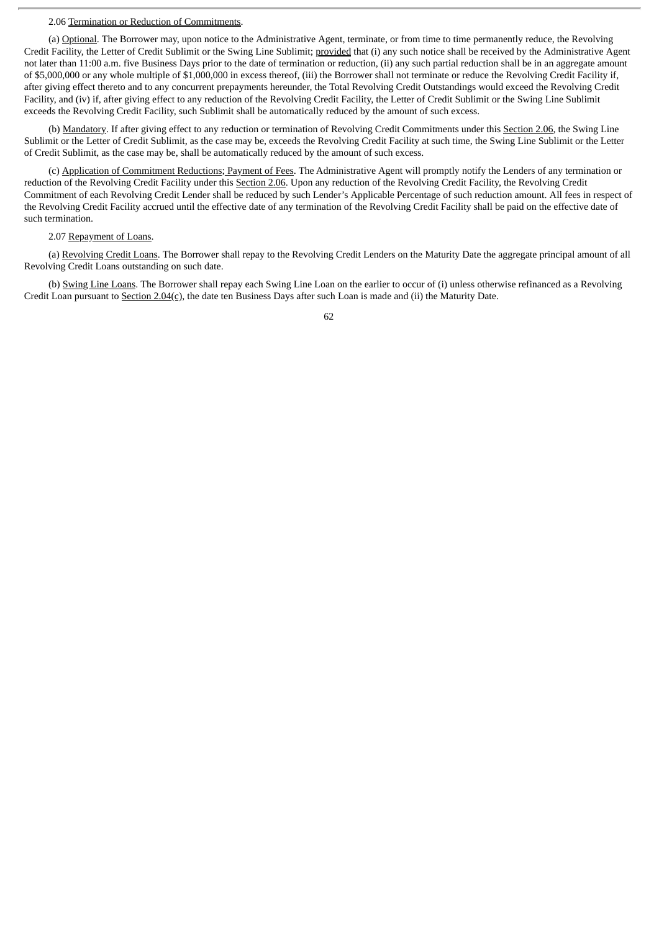# 2.06 Termination or Reduction of Commitments.

(a) Optional. The Borrower may, upon notice to the Administrative Agent, terminate, or from time to time permanently reduce, the Revolving Credit Facility, the Letter of Credit Sublimit or the Swing Line Sublimit; provided that (i) any such notice shall be received by the Administrative Agent not later than 11:00 a.m. five Business Days prior to the date of termination or reduction, (ii) any such partial reduction shall be in an aggregate amount of \$5,000,000 or any whole multiple of \$1,000,000 in excess thereof, (iii) the Borrower shall not terminate or reduce the Revolving Credit Facility if, after giving effect thereto and to any concurrent prepayments hereunder, the Total Revolving Credit Outstandings would exceed the Revolving Credit Facility, and (iv) if, after giving effect to any reduction of the Revolving Credit Facility, the Letter of Credit Sublimit or the Swing Line Sublimit exceeds the Revolving Credit Facility, such Sublimit shall be automatically reduced by the amount of such excess.

(b) Mandatory. If after giving effect to any reduction or termination of Revolving Credit Commitments under this Section 2.06, the Swing Line Sublimit or the Letter of Credit Sublimit, as the case may be, exceeds the Revolving Credit Facility at such time, the Swing Line Sublimit or the Letter of Credit Sublimit, as the case may be, shall be automatically reduced by the amount of such excess.

(c) Application of Commitment Reductions; Payment of Fees. The Administrative Agent will promptly notify the Lenders of any termination or reduction of the Revolving Credit Facility under this Section 2.06. Upon any reduction of the Revolving Credit Facility, the Revolving Credit Commitment of each Revolving Credit Lender shall be reduced by such Lender's Applicable Percentage of such reduction amount. All fees in respect of the Revolving Credit Facility accrued until the effective date of any termination of the Revolving Credit Facility shall be paid on the effective date of such termination.

# 2.07 Repayment of Loans.

(a) Revolving Credit Loans. The Borrower shall repay to the Revolving Credit Lenders on the Maturity Date the aggregate principal amount of all Revolving Credit Loans outstanding on such date.

(b) Swing Line Loans. The Borrower shall repay each Swing Line Loan on the earlier to occur of (i) unless otherwise refinanced as a Revolving Credit Loan pursuant to Section  $2.04(c)$ , the date ten Business Days after such Loan is made and (ii) the Maturity Date.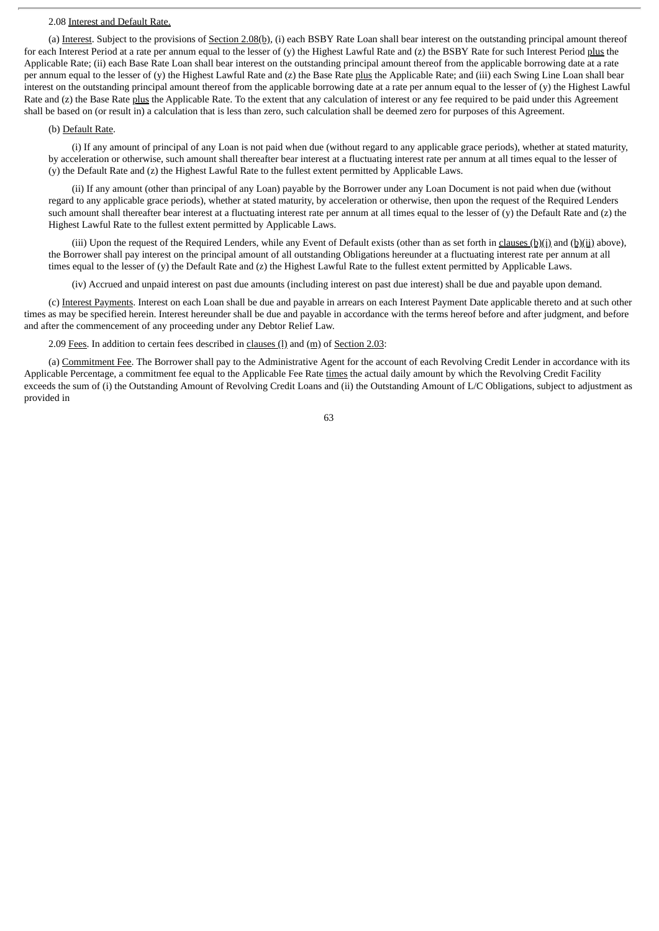### 2.08 Interest and Default Rate.

(a) Interest. Subject to the provisions of Section 2.08(b), (i) each BSBY Rate Loan shall bear interest on the outstanding principal amount thereof for each Interest Period at a rate per annum equal to the lesser of (y) the Highest Lawful Rate and (z) the BSBY Rate for such Interest Period plus the Applicable Rate; (ii) each Base Rate Loan shall bear interest on the outstanding principal amount thereof from the applicable borrowing date at a rate per annum equal to the lesser of (y) the Highest Lawful Rate and (z) the Base Rate plus the Applicable Rate; and (iii) each Swing Line Loan shall bear interest on the outstanding principal amount thereof from the applicable borrowing date at a rate per annum equal to the lesser of (y) the Highest Lawful Rate and (z) the Base Rate plus the Applicable Rate. To the extent that any calculation of interest or any fee required to be paid under this Agreement shall be based on (or result in) a calculation that is less than zero, such calculation shall be deemed zero for purposes of this Agreement.

#### (b) Default Rate.

(i) If any amount of principal of any Loan is not paid when due (without regard to any applicable grace periods), whether at stated maturity, by acceleration or otherwise, such amount shall thereafter bear interest at a fluctuating interest rate per annum at all times equal to the lesser of (y) the Default Rate and (z) the Highest Lawful Rate to the fullest extent permitted by Applicable Laws.

(ii) If any amount (other than principal of any Loan) payable by the Borrower under any Loan Document is not paid when due (without regard to any applicable grace periods), whether at stated maturity, by acceleration or otherwise, then upon the request of the Required Lenders such amount shall thereafter bear interest at a fluctuating interest rate per annum at all times equal to the lesser of  $(y)$  the Default Rate and  $(z)$  the Highest Lawful Rate to the fullest extent permitted by Applicable Laws.

(iii) Upon the request of the Required Lenders, while any Event of Default exists (other than as set forth in clauses (b)(i) and (b)(ii) above), the Borrower shall pay interest on the principal amount of all outstanding Obligations hereunder at a fluctuating interest rate per annum at all times equal to the lesser of (y) the Default Rate and (z) the Highest Lawful Rate to the fullest extent permitted by Applicable Laws.

(iv) Accrued and unpaid interest on past due amounts (including interest on past due interest) shall be due and payable upon demand.

(c) Interest Payments. Interest on each Loan shall be due and payable in arrears on each Interest Payment Date applicable thereto and at such other times as may be specified herein. Interest hereunder shall be due and payable in accordance with the terms hereof before and after judgment, and before and after the commencement of any proceeding under any Debtor Relief Law.

2.09 Fees. In addition to certain fees described in clauses  $(l)$  and  $(m)$  of Section 2.03:

(a) Commitment Fee. The Borrower shall pay to the Administrative Agent for the account of each Revolving Credit Lender in accordance with its Applicable Percentage, a commitment fee equal to the Applicable Fee Rate times the actual daily amount by which the Revolving Credit Facility exceeds the sum of (i) the Outstanding Amount of Revolving Credit Loans and (ii) the Outstanding Amount of L/C Obligations, subject to adjustment as provided in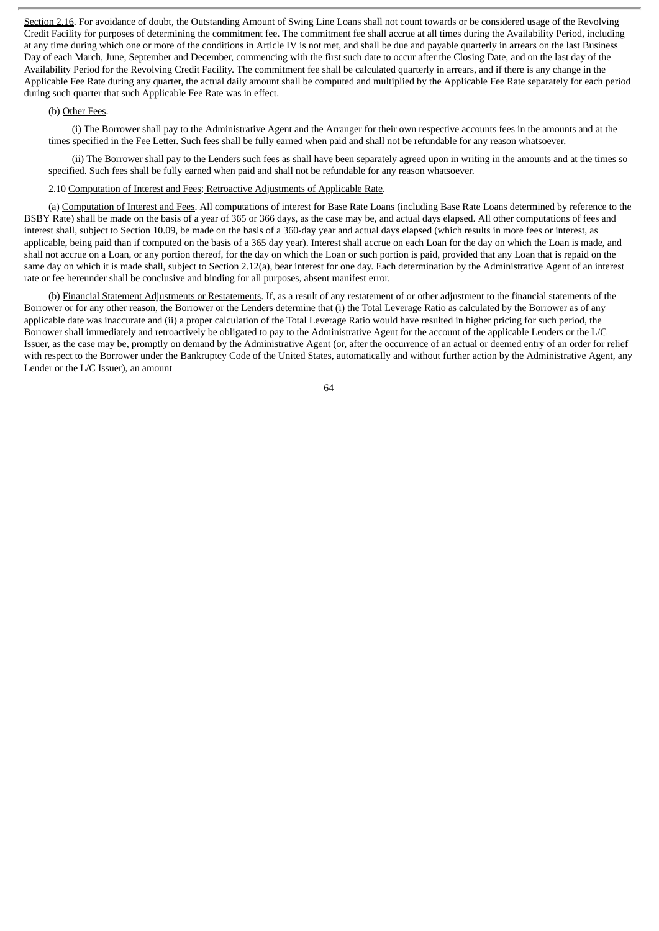Section 2.16. For avoidance of doubt, the Outstanding Amount of Swing Line Loans shall not count towards or be considered usage of the Revolving Credit Facility for purposes of determining the commitment fee. The commitment fee shall accrue at all times during the Availability Period, including at any time during which one or more of the conditions in  $\Delta$ rticle IV is not met, and shall be due and payable quarterly in arrears on the last Business Day of each March, June, September and December, commencing with the first such date to occur after the Closing Date, and on the last day of the Availability Period for the Revolving Credit Facility. The commitment fee shall be calculated quarterly in arrears, and if there is any change in the Applicable Fee Rate during any quarter, the actual daily amount shall be computed and multiplied by the Applicable Fee Rate separately for each period during such quarter that such Applicable Fee Rate was in effect.

### (b) Other Fees.

(i) The Borrower shall pay to the Administrative Agent and the Arranger for their own respective accounts fees in the amounts and at the times specified in the Fee Letter. Such fees shall be fully earned when paid and shall not be refundable for any reason whatsoever.

(ii) The Borrower shall pay to the Lenders such fees as shall have been separately agreed upon in writing in the amounts and at the times so specified. Such fees shall be fully earned when paid and shall not be refundable for any reason whatsoever.

### 2.10 Computation of Interest and Fees; Retroactive Adjustments of Applicable Rate.

(a) Computation of Interest and Fees. All computations of interest for Base Rate Loans (including Base Rate Loans determined by reference to the BSBY Rate) shall be made on the basis of a year of 365 or 366 days, as the case may be, and actual days elapsed. All other computations of fees and interest shall, subject to Section 10.09, be made on the basis of a 360-day year and actual days elapsed (which results in more fees or interest, as applicable, being paid than if computed on the basis of a 365 day year). Interest shall accrue on each Loan for the day on which the Loan is made, and shall not accrue on a Loan, or any portion thereof, for the day on which the Loan or such portion is paid, provided that any Loan that is repaid on the same day on which it is made shall, subject to Section 2.12(a), bear interest for one day. Each determination by the Administrative Agent of an interest rate or fee hereunder shall be conclusive and binding for all purposes, absent manifest error.

(b) Financial Statement Adjustments or Restatements. If, as a result of any restatement of or other adjustment to the financial statements of the Borrower or for any other reason, the Borrower or the Lenders determine that (i) the Total Leverage Ratio as calculated by the Borrower as of any applicable date was inaccurate and (ii) a proper calculation of the Total Leverage Ratio would have resulted in higher pricing for such period, the Borrower shall immediately and retroactively be obligated to pay to the Administrative Agent for the account of the applicable Lenders or the L/C Issuer, as the case may be, promptly on demand by the Administrative Agent (or, after the occurrence of an actual or deemed entry of an order for relief with respect to the Borrower under the Bankruptcy Code of the United States, automatically and without further action by the Administrative Agent, any Lender or the L/C Issuer), an amount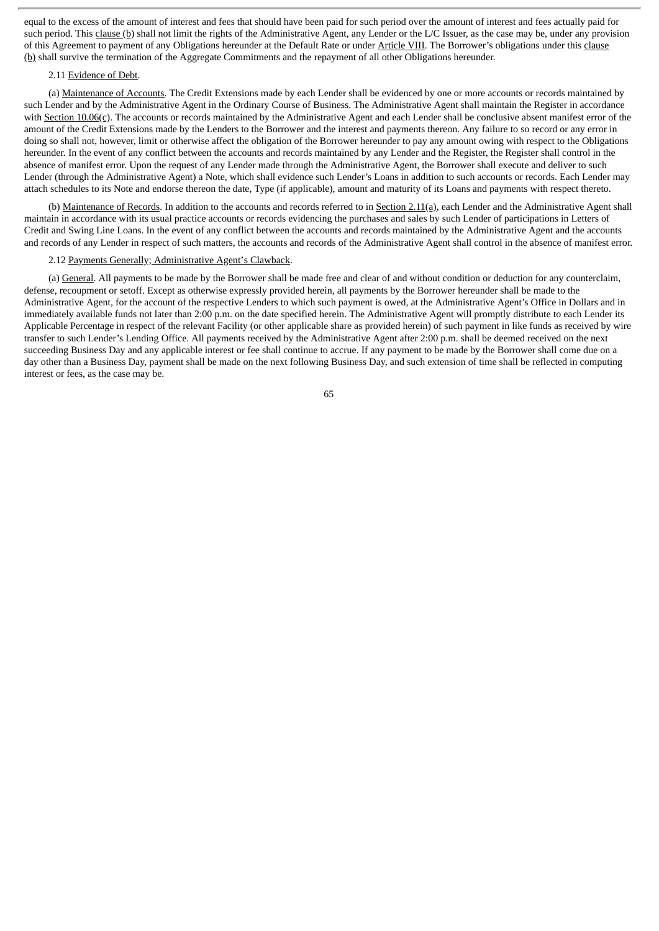equal to the excess of the amount of interest and fees that should have been paid for such period over the amount of interest and fees actually paid for such period. This clause (b) shall not limit the rights of the Administrative Agent, any Lender or the L/C Issuer, as the case may be, under any provision of this Agreement to payment of any Obligations hereunder at the Default Rate or under Article VIII. The Borrower's obligations under this clause (b) shall survive the termination of the Aggregate Commitments and the repayment of all other Obligations hereunder.

#### 2.11 Evidence of Debt.

(a) Maintenance of Accounts. The Credit Extensions made by each Lender shall be evidenced by one or more accounts or records maintained by such Lender and by the Administrative Agent in the Ordinary Course of Business. The Administrative Agent shall maintain the Register in accordance with Section 10.06(c). The accounts or records maintained by the Administrative Agent and each Lender shall be conclusive absent manifest error of the amount of the Credit Extensions made by the Lenders to the Borrower and the interest and payments thereon. Any failure to so record or any error in doing so shall not, however, limit or otherwise affect the obligation of the Borrower hereunder to pay any amount owing with respect to the Obligations hereunder. In the event of any conflict between the accounts and records maintained by any Lender and the Register, the Register shall control in the absence of manifest error. Upon the request of any Lender made through the Administrative Agent, the Borrower shall execute and deliver to such Lender (through the Administrative Agent) a Note, which shall evidence such Lender's Loans in addition to such accounts or records. Each Lender may attach schedules to its Note and endorse thereon the date, Type (if applicable), amount and maturity of its Loans and payments with respect thereto.

(b) Maintenance of Records. In addition to the accounts and records referred to in Section 2.11(a), each Lender and the Administrative Agent shall maintain in accordance with its usual practice accounts or records evidencing the purchases and sales by such Lender of participations in Letters of Credit and Swing Line Loans. In the event of any conflict between the accounts and records maintained by the Administrative Agent and the accounts and records of any Lender in respect of such matters, the accounts and records of the Administrative Agent shall control in the absence of manifest error.

# 2.12 Payments Generally; Administrative Agent's Clawback.

(a) General. All payments to be made by the Borrower shall be made free and clear of and without condition or deduction for any counterclaim, defense, recoupment or setoff. Except as otherwise expressly provided herein, all payments by the Borrower hereunder shall be made to the Administrative Agent, for the account of the respective Lenders to which such payment is owed, at the Administrative Agent's Office in Dollars and in immediately available funds not later than 2:00 p.m. on the date specified herein. The Administrative Agent will promptly distribute to each Lender its Applicable Percentage in respect of the relevant Facility (or other applicable share as provided herein) of such payment in like funds as received by wire transfer to such Lender's Lending Office. All payments received by the Administrative Agent after 2:00 p.m. shall be deemed received on the next succeeding Business Day and any applicable interest or fee shall continue to accrue. If any payment to be made by the Borrower shall come due on a day other than a Business Day, payment shall be made on the next following Business Day, and such extension of time shall be reflected in computing interest or fees, as the case may be.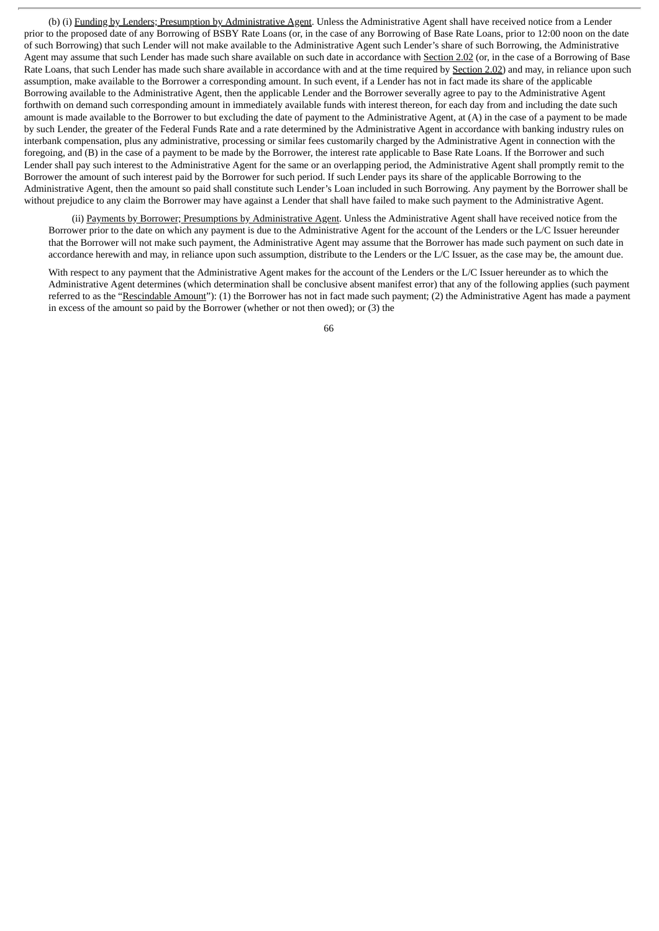(b) (i) Funding by Lenders; Presumption by Administrative Agent. Unless the Administrative Agent shall have received notice from a Lender prior to the proposed date of any Borrowing of BSBY Rate Loans (or, in the case of any Borrowing of Base Rate Loans, prior to 12:00 noon on the date of such Borrowing) that such Lender will not make available to the Administrative Agent such Lender's share of such Borrowing, the Administrative Agent may assume that such Lender has made such share available on such date in accordance with Section 2.02 (or, in the case of a Borrowing of Base Rate Loans, that such Lender has made such share available in accordance with and at the time required by Section 2.02) and may, in reliance upon such assumption, make available to the Borrower a corresponding amount. In such event, if a Lender has not in fact made its share of the applicable Borrowing available to the Administrative Agent, then the applicable Lender and the Borrower severally agree to pay to the Administrative Agent forthwith on demand such corresponding amount in immediately available funds with interest thereon, for each day from and including the date such amount is made available to the Borrower to but excluding the date of payment to the Administrative Agent, at (A) in the case of a payment to be made by such Lender, the greater of the Federal Funds Rate and a rate determined by the Administrative Agent in accordance with banking industry rules on interbank compensation, plus any administrative, processing or similar fees customarily charged by the Administrative Agent in connection with the foregoing, and (B) in the case of a payment to be made by the Borrower, the interest rate applicable to Base Rate Loans. If the Borrower and such Lender shall pay such interest to the Administrative Agent for the same or an overlapping period, the Administrative Agent shall promptly remit to the Borrower the amount of such interest paid by the Borrower for such period. If such Lender pays its share of the applicable Borrowing to the Administrative Agent, then the amount so paid shall constitute such Lender's Loan included in such Borrowing. Any payment by the Borrower shall be without prejudice to any claim the Borrower may have against a Lender that shall have failed to make such payment to the Administrative Agent.

(ii) Payments by Borrower; Presumptions by Administrative Agent. Unless the Administrative Agent shall have received notice from the Borrower prior to the date on which any payment is due to the Administrative Agent for the account of the Lenders or the L/C Issuer hereunder that the Borrower will not make such payment, the Administrative Agent may assume that the Borrower has made such payment on such date in accordance herewith and may, in reliance upon such assumption, distribute to the Lenders or the L/C Issuer, as the case may be, the amount due.

With respect to any payment that the Administrative Agent makes for the account of the Lenders or the L/C Issuer hereunder as to which the Administrative Agent determines (which determination shall be conclusive absent manifest error) that any of the following applies (such payment referred to as the "Rescindable Amount"): (1) the Borrower has not in fact made such payment; (2) the Administrative Agent has made a payment in excess of the amount so paid by the Borrower (whether or not then owed); or (3) the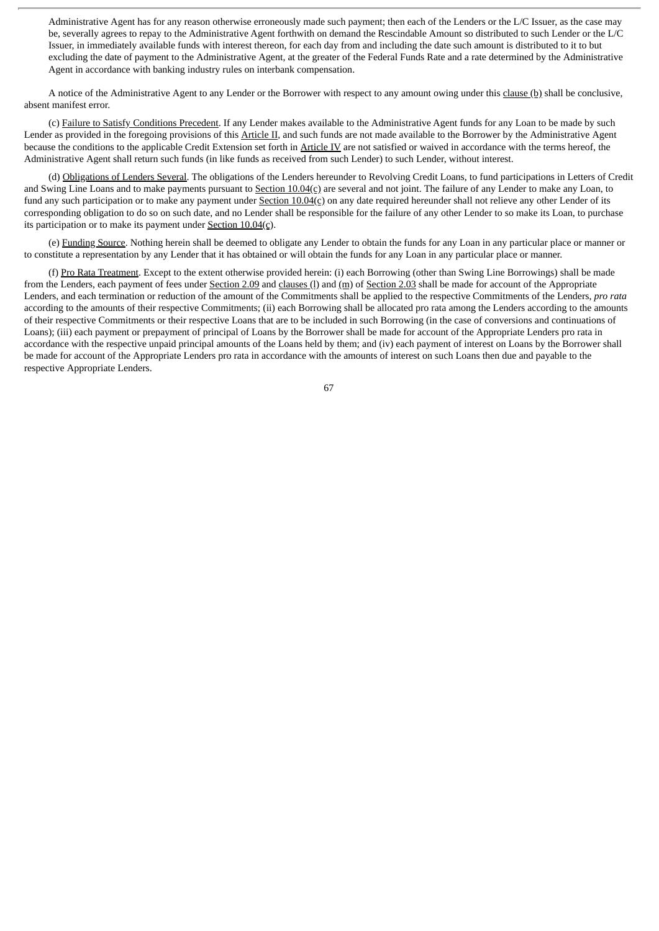Administrative Agent has for any reason otherwise erroneously made such payment; then each of the Lenders or the L/C Issuer, as the case may be, severally agrees to repay to the Administrative Agent forthwith on demand the Rescindable Amount so distributed to such Lender or the L/C Issuer, in immediately available funds with interest thereon, for each day from and including the date such amount is distributed to it to but excluding the date of payment to the Administrative Agent, at the greater of the Federal Funds Rate and a rate determined by the Administrative Agent in accordance with banking industry rules on interbank compensation.

A notice of the Administrative Agent to any Lender or the Borrower with respect to any amount owing under this clause (b) shall be conclusive, absent manifest error.

(c) Failure to Satisfy Conditions Precedent. If any Lender makes available to the Administrative Agent funds for any Loan to be made by such Lender as provided in the foregoing provisions of this Article II, and such funds are not made available to the Borrower by the Administrative Agent because the conditions to the applicable Credit Extension set forth in Article IV are not satisfied or waived in accordance with the terms hereof, the Administrative Agent shall return such funds (in like funds as received from such Lender) to such Lender, without interest.

(d) Obligations of Lenders Several. The obligations of the Lenders hereunder to Revolving Credit Loans, to fund participations in Letters of Credit and Swing Line Loans and to make payments pursuant to Section 10.04(c) are several and not joint. The failure of any Lender to make any Loan, to fund any such participation or to make any payment under Section  $10.04(c)$  on any date required hereunder shall not relieve any other Lender of its corresponding obligation to do so on such date, and no Lender shall be responsible for the failure of any other Lender to so make its Loan, to purchase its participation or to make its payment under Section  $10.04(c)$ .

(e) Funding Source. Nothing herein shall be deemed to obligate any Lender to obtain the funds for any Loan in any particular place or manner or to constitute a representation by any Lender that it has obtained or will obtain the funds for any Loan in any particular place or manner.

(f) Pro Rata Treatment. Except to the extent otherwise provided herein: (i) each Borrowing (other than Swing Line Borrowings) shall be made from the Lenders, each payment of fees under Section 2.09 and clauses (1) and (m) of Section 2.03 shall be made for account of the Appropriate Lenders, and each termination or reduction of the amount of the Commitments shall be applied to the respective Commitments of the Lenders, *pro rata* according to the amounts of their respective Commitments; (ii) each Borrowing shall be allocated pro rata among the Lenders according to the amounts of their respective Commitments or their respective Loans that are to be included in such Borrowing (in the case of conversions and continuations of Loans); (iii) each payment or prepayment of principal of Loans by the Borrower shall be made for account of the Appropriate Lenders pro rata in accordance with the respective unpaid principal amounts of the Loans held by them; and (iv) each payment of interest on Loans by the Borrower shall be made for account of the Appropriate Lenders pro rata in accordance with the amounts of interest on such Loans then due and payable to the respective Appropriate Lenders.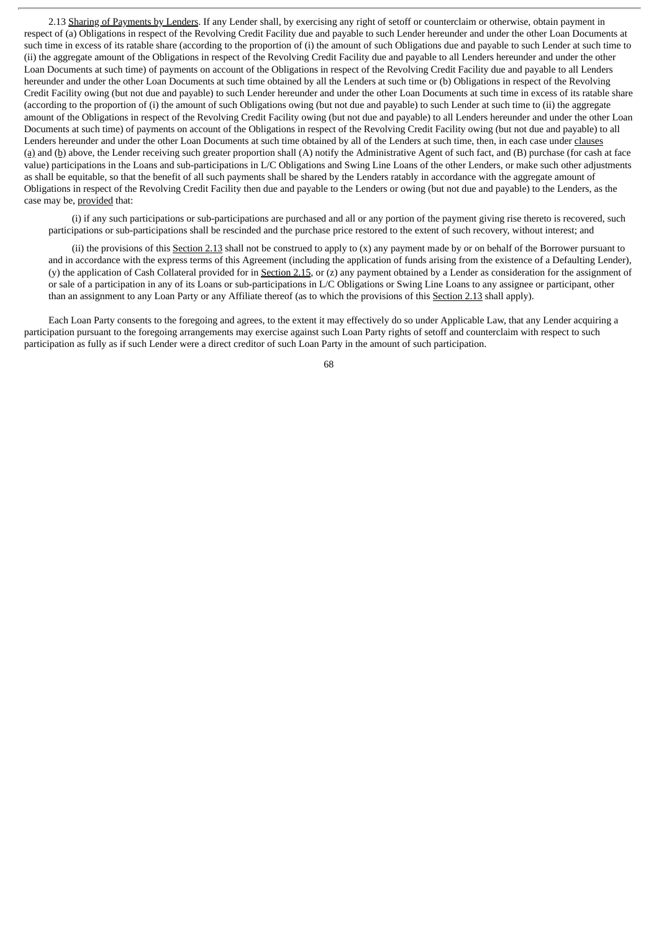2.13 Sharing of Payments by Lenders. If any Lender shall, by exercising any right of setoff or counterclaim or otherwise, obtain payment in respect of (a) Obligations in respect of the Revolving Credit Facility due and payable to such Lender hereunder and under the other Loan Documents at such time in excess of its ratable share (according to the proportion of (i) the amount of such Obligations due and payable to such Lender at such time to (ii) the aggregate amount of the Obligations in respect of the Revolving Credit Facility due and payable to all Lenders hereunder and under the other Loan Documents at such time) of payments on account of the Obligations in respect of the Revolving Credit Facility due and payable to all Lenders hereunder and under the other Loan Documents at such time obtained by all the Lenders at such time or (b) Obligations in respect of the Revolving Credit Facility owing (but not due and payable) to such Lender hereunder and under the other Loan Documents at such time in excess of its ratable share (according to the proportion of (i) the amount of such Obligations owing (but not due and payable) to such Lender at such time to (ii) the aggregate amount of the Obligations in respect of the Revolving Credit Facility owing (but not due and payable) to all Lenders hereunder and under the other Loan Documents at such time) of payments on account of the Obligations in respect of the Revolving Credit Facility owing (but not due and payable) to all Lenders hereunder and under the other Loan Documents at such time obtained by all of the Lenders at such time, then, in each case under clauses (a) and (b) above, the Lender receiving such greater proportion shall (A) notify the Administrative Agent of such fact, and (B) purchase (for cash at face value) participations in the Loans and sub-participations in L/C Obligations and Swing Line Loans of the other Lenders, or make such other adjustments as shall be equitable, so that the benefit of all such payments shall be shared by the Lenders ratably in accordance with the aggregate amount of Obligations in respect of the Revolving Credit Facility then due and payable to the Lenders or owing (but not due and payable) to the Lenders, as the case may be, provided that:

(i) if any such participations or sub-participations are purchased and all or any portion of the payment giving rise thereto is recovered, such participations or sub-participations shall be rescinded and the purchase price restored to the extent of such recovery, without interest; and

(ii) the provisions of this Section 2.13 shall not be construed to apply to  $(x)$  any payment made by or on behalf of the Borrower pursuant to and in accordance with the express terms of this Agreement (including the application of funds arising from the existence of a Defaulting Lender), (y) the application of Cash Collateral provided for in Section 2.15, or (z) any payment obtained by a Lender as consideration for the assignment of or sale of a participation in any of its Loans or sub-participations in L/C Obligations or Swing Line Loans to any assignee or participant, other than an assignment to any Loan Party or any Affiliate thereof (as to which the provisions of this Section 2.13 shall apply).

Each Loan Party consents to the foregoing and agrees, to the extent it may effectively do so under Applicable Law, that any Lender acquiring a participation pursuant to the foregoing arrangements may exercise against such Loan Party rights of setoff and counterclaim with respect to such participation as fully as if such Lender were a direct creditor of such Loan Party in the amount of such participation.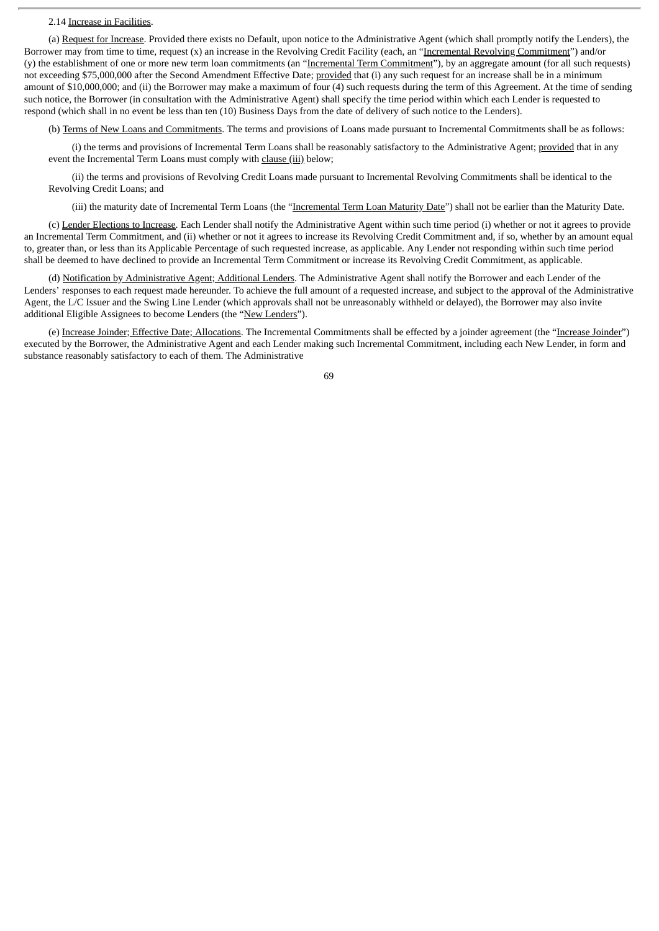#### 2.14 Increase in Facilities.

(a) Request for Increase. Provided there exists no Default, upon notice to the Administrative Agent (which shall promptly notify the Lenders), the Borrower may from time to time, request (x) an increase in the Revolving Credit Facility (each, an "Incremental Revolving Commitment") and/or (y) the establishment of one or more new term loan commitments (an "Incremental Term Commitment"), by an aggregate amount (for all such requests) not exceeding \$75,000,000 after the Second Amendment Effective Date; provided that (i) any such request for an increase shall be in a minimum amount of \$10,000,000; and (ii) the Borrower may make a maximum of four (4) such requests during the term of this Agreement. At the time of sending such notice, the Borrower (in consultation with the Administrative Agent) shall specify the time period within which each Lender is requested to respond (which shall in no event be less than ten (10) Business Days from the date of delivery of such notice to the Lenders).

(b) Terms of New Loans and Commitments. The terms and provisions of Loans made pursuant to Incremental Commitments shall be as follows:

(i) the terms and provisions of Incremental Term Loans shall be reasonably satisfactory to the Administrative Agent; provided that in any event the Incremental Term Loans must comply with clause (iii) below;

(ii) the terms and provisions of Revolving Credit Loans made pursuant to Incremental Revolving Commitments shall be identical to the Revolving Credit Loans; and

(iii) the maturity date of Incremental Term Loans (the "Incremental Term Loan Maturity Date") shall not be earlier than the Maturity Date.

(c) Lender Elections to Increase. Each Lender shall notify the Administrative Agent within such time period (i) whether or not it agrees to provide an Incremental Term Commitment, and (ii) whether or not it agrees to increase its Revolving Credit Commitment and, if so, whether by an amount equal to, greater than, or less than its Applicable Percentage of such requested increase, as applicable. Any Lender not responding within such time period shall be deemed to have declined to provide an Incremental Term Commitment or increase its Revolving Credit Commitment, as applicable.

(d) Notification by Administrative Agent; Additional Lenders. The Administrative Agent shall notify the Borrower and each Lender of the Lenders' responses to each request made hereunder. To achieve the full amount of a requested increase, and subject to the approval of the Administrative Agent, the L/C Issuer and the Swing Line Lender (which approvals shall not be unreasonably withheld or delayed), the Borrower may also invite additional Eligible Assignees to become Lenders (the "New Lenders").

(e) Increase Joinder; Effective Date; Allocations. The Incremental Commitments shall be effected by a joinder agreement (the "Increase Joinder") executed by the Borrower, the Administrative Agent and each Lender making such Incremental Commitment, including each New Lender, in form and substance reasonably satisfactory to each of them. The Administrative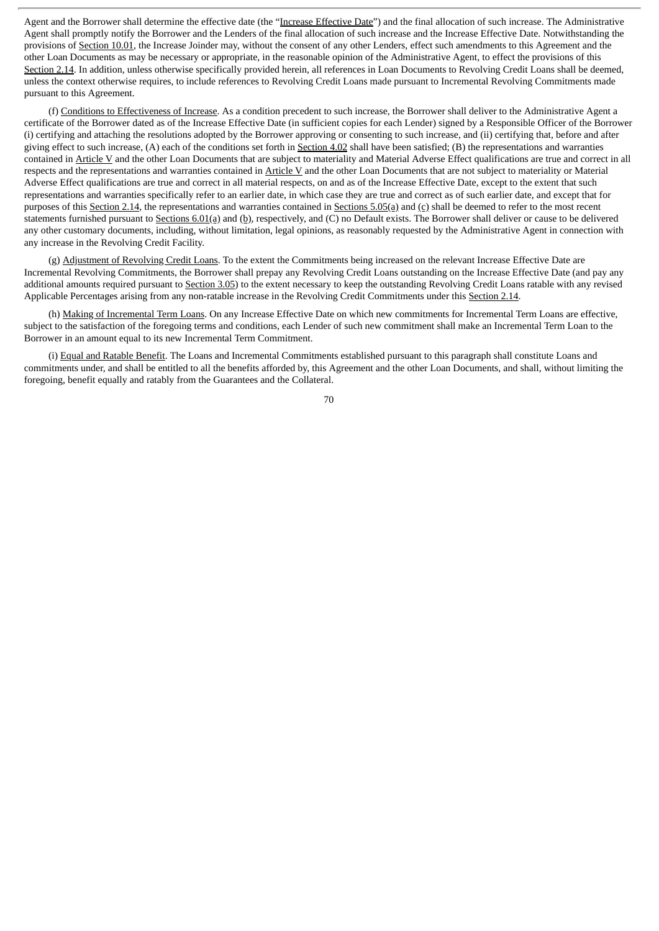Agent and the Borrower shall determine the effective date (the "Increase Effective Date") and the final allocation of such increase. The Administrative Agent shall promptly notify the Borrower and the Lenders of the final allocation of such increase and the Increase Effective Date. Notwithstanding the provisions of Section 10.01, the Increase Joinder may, without the consent of any other Lenders, effect such amendments to this Agreement and the other Loan Documents as may be necessary or appropriate, in the reasonable opinion of the Administrative Agent, to effect the provisions of this Section 2.14. In addition, unless otherwise specifically provided herein, all references in Loan Documents to Revolving Credit Loans shall be deemed, unless the context otherwise requires, to include references to Revolving Credit Loans made pursuant to Incremental Revolving Commitments made pursuant to this Agreement.

(f) Conditions to Effectiveness of Increase. As a condition precedent to such increase, the Borrower shall deliver to the Administrative Agent a certificate of the Borrower dated as of the Increase Effective Date (in sufficient copies for each Lender) signed by a Responsible Officer of the Borrower (i) certifying and attaching the resolutions adopted by the Borrower approving or consenting to such increase, and (ii) certifying that, before and after giving effect to such increase,  $(A)$  each of the conditions set forth in Section 4.02 shall have been satisfied;  $(B)$  the representations and warranties contained in Article V and the other Loan Documents that are subject to materiality and Material Adverse Effect qualifications are true and correct in all respects and the representations and warranties contained in Article V and the other Loan Documents that are not subject to materiality or Material Adverse Effect qualifications are true and correct in all material respects, on and as of the Increase Effective Date, except to the extent that such representations and warranties specifically refer to an earlier date, in which case they are true and correct as of such earlier date, and except that for purposes of this Section 2.14, the representations and warranties contained in Sections 5.05(a) and (c) shall be deemed to refer to the most recent statements furnished pursuant to Sections 6.01(a) and (b), respectively, and (C) no Default exists. The Borrower shall deliver or cause to be delivered any other customary documents, including, without limitation, legal opinions, as reasonably requested by the Administrative Agent in connection with any increase in the Revolving Credit Facility.

(g) Adjustment of Revolving Credit Loans. To the extent the Commitments being increased on the relevant Increase Effective Date are Incremental Revolving Commitments, the Borrower shall prepay any Revolving Credit Loans outstanding on the Increase Effective Date (and pay any additional amounts required pursuant to Section 3.05) to the extent necessary to keep the outstanding Revolving Credit Loans ratable with any revised Applicable Percentages arising from any non-ratable increase in the Revolving Credit Commitments under this Section 2.14.

(h) Making of Incremental Term Loans. On any Increase Effective Date on which new commitments for Incremental Term Loans are effective, subject to the satisfaction of the foregoing terms and conditions, each Lender of such new commitment shall make an Incremental Term Loan to the Borrower in an amount equal to its new Incremental Term Commitment.

(i) Equal and Ratable Benefit. The Loans and Incremental Commitments established pursuant to this paragraph shall constitute Loans and commitments under, and shall be entitled to all the benefits afforded by, this Agreement and the other Loan Documents, and shall, without limiting the foregoing, benefit equally and ratably from the Guarantees and the Collateral.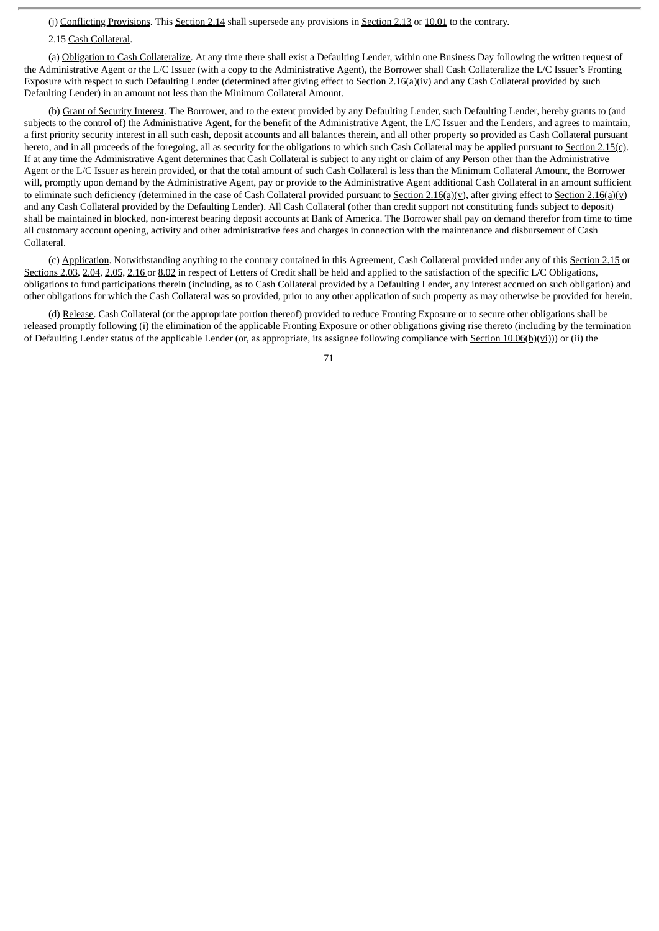(j) Conflicting Provisions. This Section 2.14 shall supersede any provisions in Section 2.13 or 10.01 to the contrary.

# 2.15 Cash Collateral.

(a) Obligation to Cash Collateralize. At any time there shall exist a Defaulting Lender, within one Business Day following the written request of the Administrative Agent or the L/C Issuer (with a copy to the Administrative Agent), the Borrower shall Cash Collateralize the L/C Issuer's Fronting Exposure with respect to such Defaulting Lender (determined after giving effect to Section 2.16(a)(iv) and any Cash Collateral provided by such Defaulting Lender) in an amount not less than the Minimum Collateral Amount.

(b) Grant of Security Interest. The Borrower, and to the extent provided by any Defaulting Lender, such Defaulting Lender, hereby grants to (and subjects to the control of) the Administrative Agent, for the benefit of the Administrative Agent, the L/C Issuer and the Lenders, and agrees to maintain, a first priority security interest in all such cash, deposit accounts and all balances therein, and all other property so provided as Cash Collateral pursuant hereto, and in all proceeds of the foregoing, all as security for the obligations to which such Cash Collateral may be applied pursuant to Section 2.15(c). If at any time the Administrative Agent determines that Cash Collateral is subject to any right or claim of any Person other than the Administrative Agent or the L/C Issuer as herein provided, or that the total amount of such Cash Collateral is less than the Minimum Collateral Amount, the Borrower will, promptly upon demand by the Administrative Agent, pay or provide to the Administrative Agent additional Cash Collateral in an amount sufficient to eliminate such deficiency (determined in the case of Cash Collateral provided pursuant to Section 2.16(a)(y), after giving effect to Section 2.16(a)(y) and any Cash Collateral provided by the Defaulting Lender). All Cash Collateral (other than credit support not constituting funds subject to deposit) shall be maintained in blocked, non-interest bearing deposit accounts at Bank of America. The Borrower shall pay on demand therefor from time to time all customary account opening, activity and other administrative fees and charges in connection with the maintenance and disbursement of Cash Collateral.

(c) Application. Notwithstanding anything to the contrary contained in this Agreement, Cash Collateral provided under any of this Section 2.15 or Sections 2.03, 2.04, 2.05, 2.16 or 8.02 in respect of Letters of Credit shall be held and applied to the satisfaction of the specific L/C Obligations, obligations to fund participations therein (including, as to Cash Collateral provided by a Defaulting Lender, any interest accrued on such obligation) and other obligations for which the Cash Collateral was so provided, prior to any other application of such property as may otherwise be provided for herein.

(d) Release. Cash Collateral (or the appropriate portion thereof) provided to reduce Fronting Exposure or to secure other obligations shall be released promptly following (i) the elimination of the applicable Fronting Exposure or other obligations giving rise thereto (including by the termination of Defaulting Lender status of the applicable Lender (or, as appropriate, its assignee following compliance with Section  $10.06(b)(vi))$ ) or (ii) the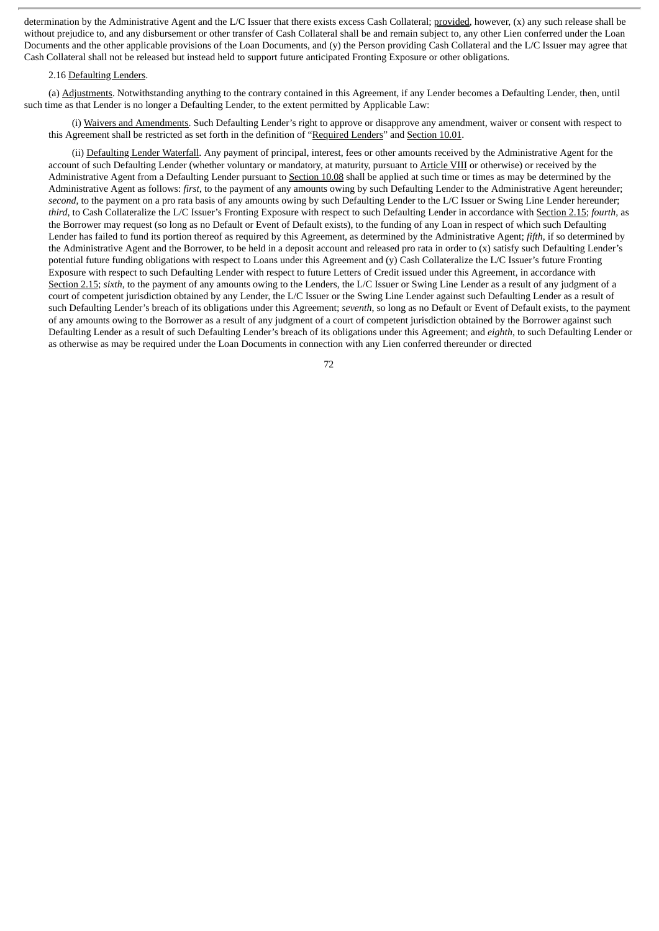determination by the Administrative Agent and the L/C Issuer that there exists excess Cash Collateral; provided, however, (x) any such release shall be without prejudice to, and any disbursement or other transfer of Cash Collateral shall be and remain subject to, any other Lien conferred under the Loan Documents and the other applicable provisions of the Loan Documents, and (y) the Person providing Cash Collateral and the L/C Issuer may agree that Cash Collateral shall not be released but instead held to support future anticipated Fronting Exposure or other obligations.

# 2.16 Defaulting Lenders.

(a) Adjustments. Notwithstanding anything to the contrary contained in this Agreement, if any Lender becomes a Defaulting Lender, then, until such time as that Lender is no longer a Defaulting Lender, to the extent permitted by Applicable Law:

(i) Waivers and Amendments. Such Defaulting Lender's right to approve or disapprove any amendment, waiver or consent with respect to this Agreement shall be restricted as set forth in the definition of "Required Lenders" and Section 10.01.

(ii) Defaulting Lender Waterfall. Any payment of principal, interest, fees or other amounts received by the Administrative Agent for the account of such Defaulting Lender (whether voluntary or mandatory, at maturity, pursuant to Article VIII or otherwise) or received by the Administrative Agent from a Defaulting Lender pursuant to Section 10.08 shall be applied at such time or times as may be determined by the Administrative Agent as follows: *first*, to the payment of any amounts owing by such Defaulting Lender to the Administrative Agent hereunder; *second*, to the payment on a pro rata basis of any amounts owing by such Defaulting Lender to the L/C Issuer or Swing Line Lender hereunder; *third*, to Cash Collateralize the L/C Issuer's Fronting Exposure with respect to such Defaulting Lender in accordance with Section 2.15; *fourth*, as the Borrower may request (so long as no Default or Event of Default exists), to the funding of any Loan in respect of which such Defaulting Lender has failed to fund its portion thereof as required by this Agreement, as determined by the Administrative Agent; *fifth*, if so determined by the Administrative Agent and the Borrower, to be held in a deposit account and released pro rata in order to (x) satisfy such Defaulting Lender's potential future funding obligations with respect to Loans under this Agreement and (y) Cash Collateralize the L/C Issuer's future Fronting Exposure with respect to such Defaulting Lender with respect to future Letters of Credit issued under this Agreement, in accordance with Section 2.15; *sixth*, to the payment of any amounts owing to the Lenders, the L/C Issuer or Swing Line Lender as a result of any judgment of a court of competent jurisdiction obtained by any Lender, the L/C Issuer or the Swing Line Lender against such Defaulting Lender as a result of such Defaulting Lender's breach of its obligations under this Agreement; *seventh*, so long as no Default or Event of Default exists, to the payment of any amounts owing to the Borrower as a result of any judgment of a court of competent jurisdiction obtained by the Borrower against such Defaulting Lender as a result of such Defaulting Lender's breach of its obligations under this Agreement; and *eighth*, to such Defaulting Lender or as otherwise as may be required under the Loan Documents in connection with any Lien conferred thereunder or directed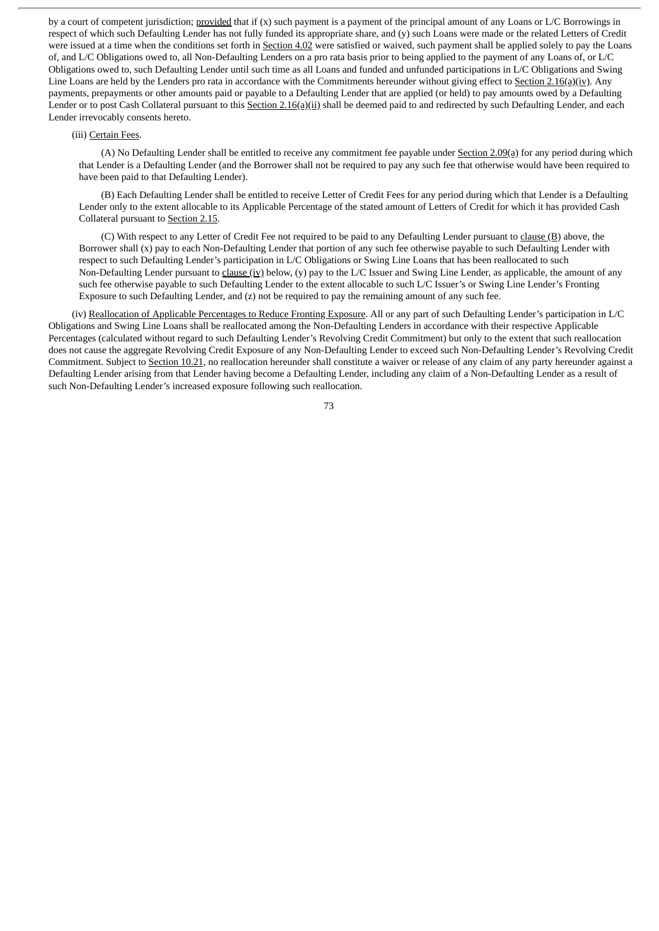by a court of competent jurisdiction; provided that if (x) such payment is a payment of the principal amount of any Loans or L/C Borrowings in respect of which such Defaulting Lender has not fully funded its appropriate share, and (y) such Loans were made or the related Letters of Credit were issued at a time when the conditions set forth in Section 4.02 were satisfied or waived, such payment shall be applied solely to pay the Loans of, and L/C Obligations owed to, all Non-Defaulting Lenders on a pro rata basis prior to being applied to the payment of any Loans of, or L/C Obligations owed to, such Defaulting Lender until such time as all Loans and funded and unfunded participations in L/C Obligations and Swing Line Loans are held by the Lenders pro rata in accordance with the Commitments hereunder without giving effect to Section 2.16(a)(iv). Any payments, prepayments or other amounts paid or payable to a Defaulting Lender that are applied (or held) to pay amounts owed by a Defaulting Lender or to post Cash Collateral pursuant to this Section 2.16(a)(ii) shall be deemed paid to and redirected by such Defaulting Lender, and each Lender irrevocably consents hereto.

### (iii) Certain Fees.

(A) No Defaulting Lender shall be entitled to receive any commitment fee payable under Section 2.09(a) for any period during which that Lender is a Defaulting Lender (and the Borrower shall not be required to pay any such fee that otherwise would have been required to have been paid to that Defaulting Lender).

(B) Each Defaulting Lender shall be entitled to receive Letter of Credit Fees for any period during which that Lender is a Defaulting Lender only to the extent allocable to its Applicable Percentage of the stated amount of Letters of Credit for which it has provided Cash Collateral pursuant to Section 2.15.

(C) With respect to any Letter of Credit Fee not required to be paid to any Defaulting Lender pursuant to clause (B) above, the Borrower shall (x) pay to each Non-Defaulting Lender that portion of any such fee otherwise payable to such Defaulting Lender with respect to such Defaulting Lender's participation in L/C Obligations or Swing Line Loans that has been reallocated to such Non-Defaulting Lender pursuant to clause (iv) below, (y) pay to the L/C Issuer and Swing Line Lender, as applicable, the amount of any such fee otherwise payable to such Defaulting Lender to the extent allocable to such L/C Issuer's or Swing Line Lender's Fronting Exposure to such Defaulting Lender, and (z) not be required to pay the remaining amount of any such fee.

(iv) Reallocation of Applicable Percentages to Reduce Fronting Exposure. All or any part of such Defaulting Lender's participation in L/C Obligations and Swing Line Loans shall be reallocated among the Non-Defaulting Lenders in accordance with their respective Applicable Percentages (calculated without regard to such Defaulting Lender's Revolving Credit Commitment) but only to the extent that such reallocation does not cause the aggregate Revolving Credit Exposure of any Non-Defaulting Lender to exceed such Non-Defaulting Lender's Revolving Credit Commitment. Subject to Section 10.21, no reallocation hereunder shall constitute a waiver or release of any claim of any party hereunder against a Defaulting Lender arising from that Lender having become a Defaulting Lender, including any claim of a Non-Defaulting Lender as a result of such Non-Defaulting Lender's increased exposure following such reallocation.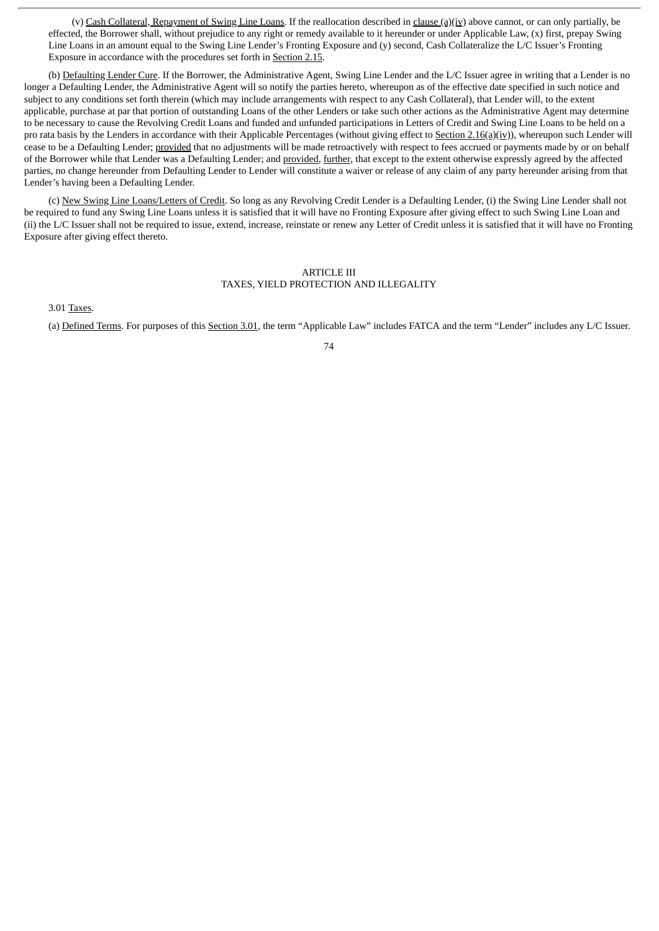(v) Cash Collateral, Repayment of Swing Line Loans. If the reallocation described in clause (a)(iv) above cannot, or can only partially, be effected, the Borrower shall, without prejudice to any right or remedy available to it hereunder or under Applicable Law, (x) first, prepay Swing Line Loans in an amount equal to the Swing Line Lender's Fronting Exposure and (y) second, Cash Collateralize the L/C Issuer's Fronting Exposure in accordance with the procedures set forth in Section 2.15.

(b) Defaulting Lender Cure. If the Borrower, the Administrative Agent, Swing Line Lender and the L/C Issuer agree in writing that a Lender is no longer a Defaulting Lender, the Administrative Agent will so notify the parties hereto, whereupon as of the effective date specified in such notice and subject to any conditions set forth therein (which may include arrangements with respect to any Cash Collateral), that Lender will, to the extent applicable, purchase at par that portion of outstanding Loans of the other Lenders or take such other actions as the Administrative Agent may determine to be necessary to cause the Revolving Credit Loans and funded and unfunded participations in Letters of Credit and Swing Line Loans to be held on a pro rata basis by the Lenders in accordance with their Applicable Percentages (without giving effect to Section 2.16(a)(iv)), whereupon such Lender will cease to be a Defaulting Lender; provided that no adjustments will be made retroactively with respect to fees accrued or payments made by or on behalf of the Borrower while that Lender was a Defaulting Lender; and provided, further, that except to the extent otherwise expressly agreed by the affected parties, no change hereunder from Defaulting Lender to Lender will constitute a waiver or release of any claim of any party hereunder arising from that Lender's having been a Defaulting Lender.

(c) New Swing Line Loans/Letters of Credit. So long as any Revolving Credit Lender is a Defaulting Lender, (i) the Swing Line Lender shall not be required to fund any Swing Line Loans unless it is satisfied that it will have no Fronting Exposure after giving effect to such Swing Line Loan and (ii) the L/C Issuer shall not be required to issue, extend, increase, reinstate or renew any Letter of Credit unless it is satisfied that it will have no Fronting Exposure after giving effect thereto.

# ARTICLE III TAXES, YIELD PROTECTION AND ILLEGALITY

3.01 Taxes.

(a) Defined Terms. For purposes of this Section 3.01, the term "Applicable Law" includes FATCA and the term "Lender" includes any L/C Issuer.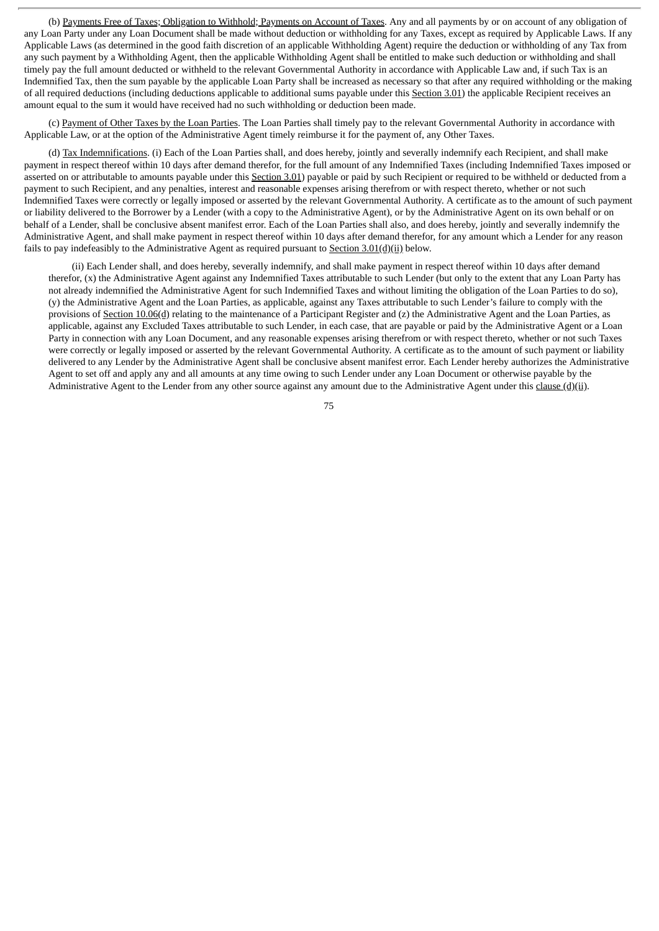(b) Payments Free of Taxes; Obligation to Withhold; Payments on Account of Taxes. Any and all payments by or on account of any obligation of any Loan Party under any Loan Document shall be made without deduction or withholding for any Taxes, except as required by Applicable Laws. If any Applicable Laws (as determined in the good faith discretion of an applicable Withholding Agent) require the deduction or withholding of any Tax from any such payment by a Withholding Agent, then the applicable Withholding Agent shall be entitled to make such deduction or withholding and shall timely pay the full amount deducted or withheld to the relevant Governmental Authority in accordance with Applicable Law and, if such Tax is an Indemnified Tax, then the sum payable by the applicable Loan Party shall be increased as necessary so that after any required withholding or the making of all required deductions (including deductions applicable to additional sums payable under this Section 3.01) the applicable Recipient receives an amount equal to the sum it would have received had no such withholding or deduction been made.

(c) Payment of Other Taxes by the Loan Parties. The Loan Parties shall timely pay to the relevant Governmental Authority in accordance with Applicable Law, or at the option of the Administrative Agent timely reimburse it for the payment of, any Other Taxes.

(d) Tax Indemnifications. (i) Each of the Loan Parties shall, and does hereby, jointly and severally indemnify each Recipient, and shall make payment in respect thereof within 10 days after demand therefor, for the full amount of any Indemnified Taxes (including Indemnified Taxes imposed or asserted on or attributable to amounts payable under this Section 3.01) payable or paid by such Recipient or required to be withheld or deducted from a payment to such Recipient, and any penalties, interest and reasonable expenses arising therefrom or with respect thereto, whether or not such Indemnified Taxes were correctly or legally imposed or asserted by the relevant Governmental Authority. A certificate as to the amount of such payment or liability delivered to the Borrower by a Lender (with a copy to the Administrative Agent), or by the Administrative Agent on its own behalf or on behalf of a Lender, shall be conclusive absent manifest error. Each of the Loan Parties shall also, and does hereby, jointly and severally indemnify the Administrative Agent, and shall make payment in respect thereof within 10 days after demand therefor, for any amount which a Lender for any reason fails to pay indefeasibly to the Administrative Agent as required pursuant to Section 3.01(d)(ii) below.

(ii) Each Lender shall, and does hereby, severally indemnify, and shall make payment in respect thereof within 10 days after demand therefor, (x) the Administrative Agent against any Indemnified Taxes attributable to such Lender (but only to the extent that any Loan Party has not already indemnified the Administrative Agent for such Indemnified Taxes and without limiting the obligation of the Loan Parties to do so), (y) the Administrative Agent and the Loan Parties, as applicable, against any Taxes attributable to such Lender's failure to comply with the provisions of Section 10.06(d) relating to the maintenance of a Participant Register and (z) the Administrative Agent and the Loan Parties, as applicable, against any Excluded Taxes attributable to such Lender, in each case, that are payable or paid by the Administrative Agent or a Loan Party in connection with any Loan Document, and any reasonable expenses arising therefrom or with respect thereto, whether or not such Taxes were correctly or legally imposed or asserted by the relevant Governmental Authority. A certificate as to the amount of such payment or liability delivered to any Lender by the Administrative Agent shall be conclusive absent manifest error. Each Lender hereby authorizes the Administrative Agent to set off and apply any and all amounts at any time owing to such Lender under any Loan Document or otherwise payable by the Administrative Agent to the Lender from any other source against any amount due to the Administrative Agent under this clause (d)(ii).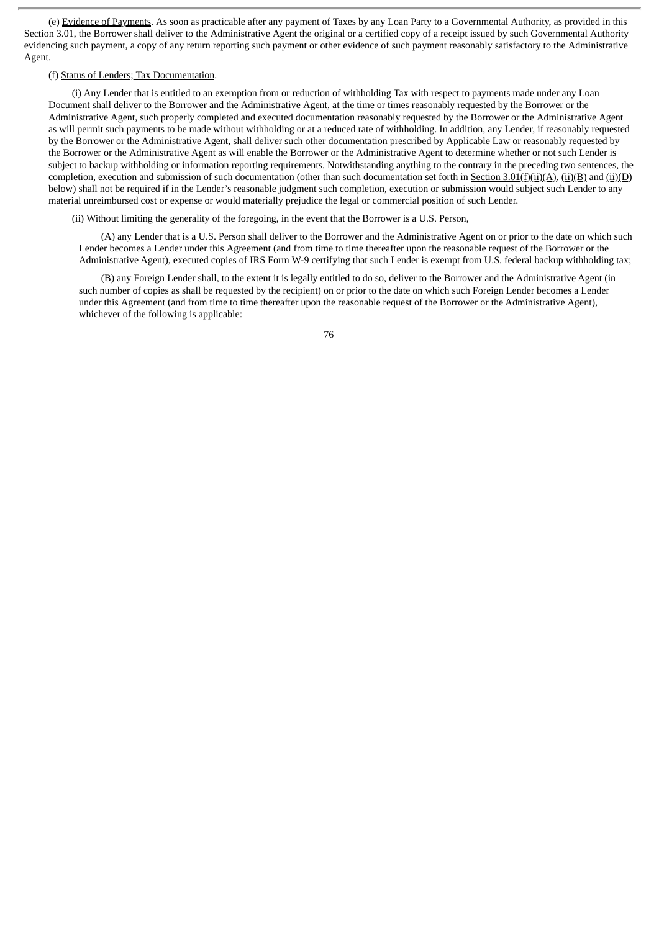(e) Evidence of Payments. As soon as practicable after any payment of Taxes by any Loan Party to a Governmental Authority, as provided in this Section 3.01, the Borrower shall deliver to the Administrative Agent the original or a certified copy of a receipt issued by such Governmental Authority evidencing such payment, a copy of any return reporting such payment or other evidence of such payment reasonably satisfactory to the Administrative Agent.

### (f) Status of Lenders; Tax Documentation.

(i) Any Lender that is entitled to an exemption from or reduction of withholding Tax with respect to payments made under any Loan Document shall deliver to the Borrower and the Administrative Agent, at the time or times reasonably requested by the Borrower or the Administrative Agent, such properly completed and executed documentation reasonably requested by the Borrower or the Administrative Agent as will permit such payments to be made without withholding or at a reduced rate of withholding. In addition, any Lender, if reasonably requested by the Borrower or the Administrative Agent, shall deliver such other documentation prescribed by Applicable Law or reasonably requested by the Borrower or the Administrative Agent as will enable the Borrower or the Administrative Agent to determine whether or not such Lender is subject to backup withholding or information reporting requirements. Notwithstanding anything to the contrary in the preceding two sentences, the completion, execution and submission of such documentation (other than such documentation set forth in Section 3.01(f)(ii)(A), (ii)(B) and (ii)(D) below) shall not be required if in the Lender's reasonable judgment such completion, execution or submission would subject such Lender to any material unreimbursed cost or expense or would materially prejudice the legal or commercial position of such Lender.

(ii) Without limiting the generality of the foregoing, in the event that the Borrower is a U.S. Person,

(A) any Lender that is a U.S. Person shall deliver to the Borrower and the Administrative Agent on or prior to the date on which such Lender becomes a Lender under this Agreement (and from time to time thereafter upon the reasonable request of the Borrower or the Administrative Agent), executed copies of IRS Form W-9 certifying that such Lender is exempt from U.S. federal backup withholding tax;

(B) any Foreign Lender shall, to the extent it is legally entitled to do so, deliver to the Borrower and the Administrative Agent (in such number of copies as shall be requested by the recipient) on or prior to the date on which such Foreign Lender becomes a Lender under this Agreement (and from time to time thereafter upon the reasonable request of the Borrower or the Administrative Agent), whichever of the following is applicable: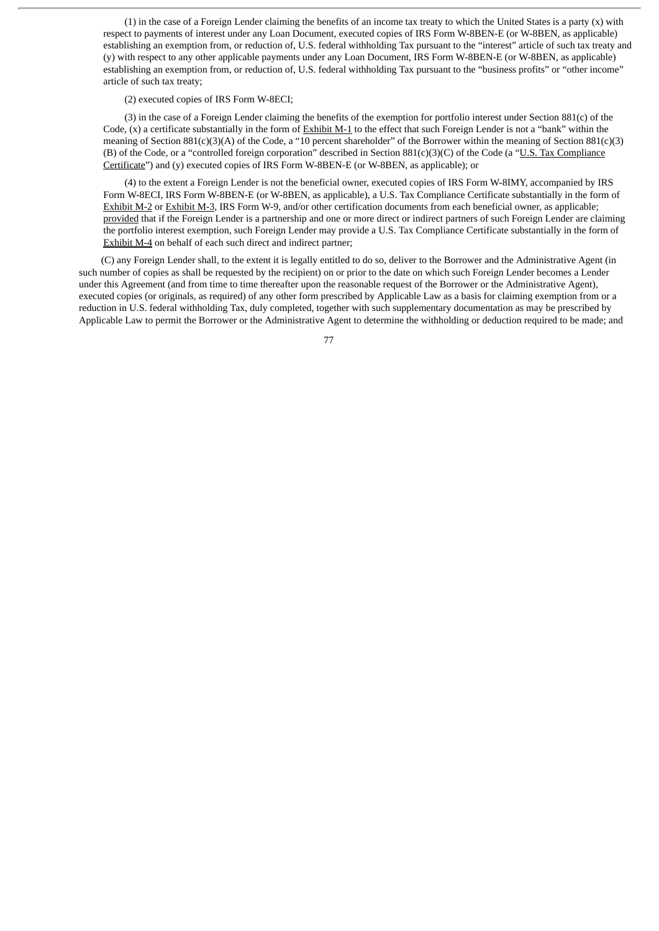(1) in the case of a Foreign Lender claiming the benefits of an income tax treaty to which the United States is a party (x) with respect to payments of interest under any Loan Document, executed copies of IRS Form W-8BEN-E (or W-8BEN, as applicable) establishing an exemption from, or reduction of, U.S. federal withholding Tax pursuant to the "interest" article of such tax treaty and (y) with respect to any other applicable payments under any Loan Document, IRS Form W-8BEN-E (or W-8BEN, as applicable) establishing an exemption from, or reduction of, U.S. federal withholding Tax pursuant to the "business profits" or "other income" article of such tax treaty;

(2) executed copies of IRS Form W-8ECI;

(3) in the case of a Foreign Lender claiming the benefits of the exemption for portfolio interest under Section 881(c) of the Code, (x) a certificate substantially in the form of Exhibit M-1 to the effect that such Foreign Lender is not a "bank" within the meaning of Section 881(c)(3)(A) of the Code, a "10 percent shareholder" of the Borrower within the meaning of Section 881(c)(3) (B) of the Code, or a "controlled foreign corporation" described in Section 881(c)(3)(C) of the Code (a "U.S. Tax Compliance Certificate") and (y) executed copies of IRS Form W-8BEN-E (or W-8BEN, as applicable); or

(4) to the extent a Foreign Lender is not the beneficial owner, executed copies of IRS Form W-8IMY, accompanied by IRS Form W-8ECI, IRS Form W-8BEN-E (or W-8BEN, as applicable), a U.S. Tax Compliance Certificate substantially in the form of Exhibit M-2 or Exhibit M-3, IRS Form W-9, and/or other certification documents from each beneficial owner, as applicable; provided that if the Foreign Lender is a partnership and one or more direct or indirect partners of such Foreign Lender are claiming the portfolio interest exemption, such Foreign Lender may provide a U.S. Tax Compliance Certificate substantially in the form of Exhibit M-4 on behalf of each such direct and indirect partner;

(C) any Foreign Lender shall, to the extent it is legally entitled to do so, deliver to the Borrower and the Administrative Agent (in such number of copies as shall be requested by the recipient) on or prior to the date on which such Foreign Lender becomes a Lender under this Agreement (and from time to time thereafter upon the reasonable request of the Borrower or the Administrative Agent), executed copies (or originals, as required) of any other form prescribed by Applicable Law as a basis for claiming exemption from or a reduction in U.S. federal withholding Tax, duly completed, together with such supplementary documentation as may be prescribed by Applicable Law to permit the Borrower or the Administrative Agent to determine the withholding or deduction required to be made; and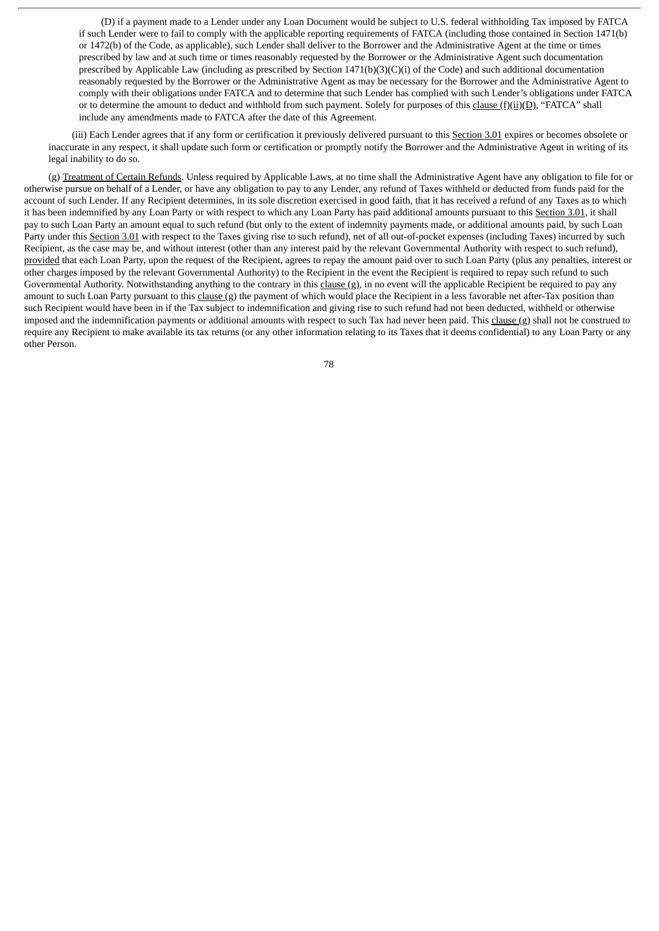(D) if a payment made to a Lender under any Loan Document would be subject to U.S. federal withholding Tax imposed by FATCA if such Lender were to fail to comply with the applicable reporting requirements of FATCA (including those contained in Section 1471(b) or 1472(b) of the Code, as applicable), such Lender shall deliver to the Borrower and the Administrative Agent at the time or times prescribed by law and at such time or times reasonably requested by the Borrower or the Administrative Agent such documentation prescribed by Applicable Law (including as prescribed by Section 1471(b)(3)(C)(i) of the Code) and such additional documentation reasonably requested by the Borrower or the Administrative Agent as may be necessary for the Borrower and the Administrative Agent to comply with their obligations under FATCA and to determine that such Lender has complied with such Lender's obligations under FATCA or to determine the amount to deduct and withhold from such payment. Solely for purposes of this clause (f)(ii)(D), "FATCA" shall include any amendments made to FATCA after the date of this Agreement.

(iii) Each Lender agrees that if any form or certification it previously delivered pursuant to this Section 3.01 expires or becomes obsolete or inaccurate in any respect, it shall update such form or certification or promptly notify the Borrower and the Administrative Agent in writing of its legal inability to do so.

(g) Treatment of Certain Refunds. Unless required by Applicable Laws, at no time shall the Administrative Agent have any obligation to file for or otherwise pursue on behalf of a Lender, or have any obligation to pay to any Lender, any refund of Taxes withheld or deducted from funds paid for the account of such Lender. If any Recipient determines, in its sole discretion exercised in good faith, that it has received a refund of any Taxes as to which it has been indemnified by any Loan Party or with respect to which any Loan Party has paid additional amounts pursuant to this Section 3.01, it shall pay to such Loan Party an amount equal to such refund (but only to the extent of indemnity payments made, or additional amounts paid, by such Loan Party under this Section 3.01 with respect to the Taxes giving rise to such refund), net of all out-of-pocket expenses (including Taxes) incurred by such Recipient, as the case may be, and without interest (other than any interest paid by the relevant Governmental Authority with respect to such refund), provided that each Loan Party, upon the request of the Recipient, agrees to repay the amount paid over to such Loan Party (plus any penalties, interest or other charges imposed by the relevant Governmental Authority) to the Recipient in the event the Recipient is required to repay such refund to such Governmental Authority. Notwithstanding anything to the contrary in this clause  $(g)$ , in no event will the applicable Recipient be required to pay any amount to such Loan Party pursuant to this clause (g) the payment of which would place the Recipient in a less favorable net after-Tax position than such Recipient would have been in if the Tax subject to indemnification and giving rise to such refund had not been deducted, withheld or otherwise imposed and the indemnification payments or additional amounts with respect to such Tax had never been paid. This clause (g) shall not be construed to require any Recipient to make available its tax returns (or any other information relating to its Taxes that it deems confidential) to any Loan Party or any other Person.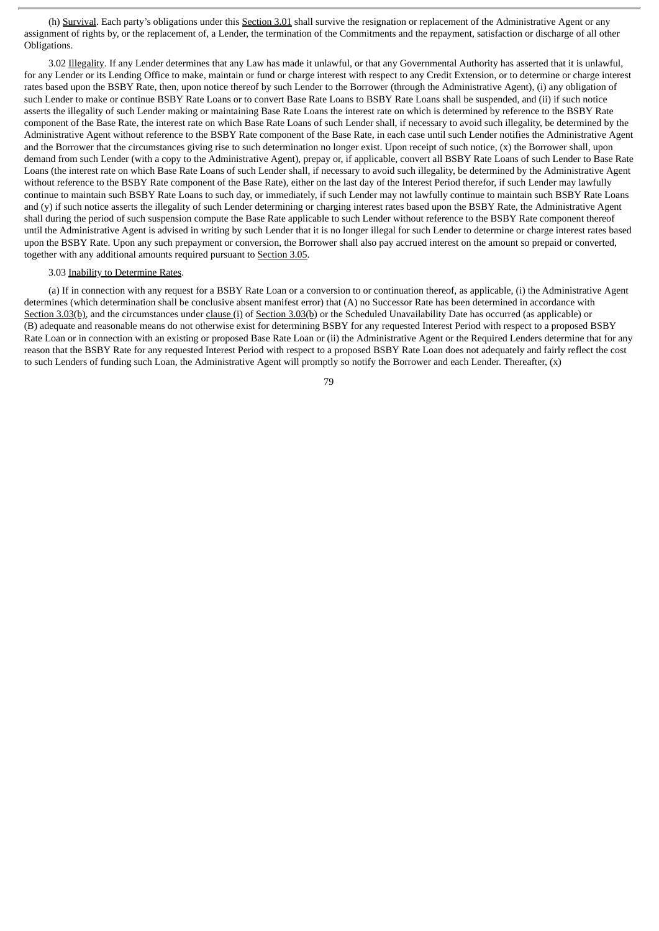(h) Survival. Each party's obligations under this Section 3.01 shall survive the resignation or replacement of the Administrative Agent or any assignment of rights by, or the replacement of, a Lender, the termination of the Commitments and the repayment, satisfaction or discharge of all other Obligations.

3.02 Illegality. If any Lender determines that any Law has made it unlawful, or that any Governmental Authority has asserted that it is unlawful, for any Lender or its Lending Office to make, maintain or fund or charge interest with respect to any Credit Extension, or to determine or charge interest rates based upon the BSBY Rate, then, upon notice thereof by such Lender to the Borrower (through the Administrative Agent), (i) any obligation of such Lender to make or continue BSBY Rate Loans or to convert Base Rate Loans to BSBY Rate Loans shall be suspended, and (ii) if such notice asserts the illegality of such Lender making or maintaining Base Rate Loans the interest rate on which is determined by reference to the BSBY Rate component of the Base Rate, the interest rate on which Base Rate Loans of such Lender shall, if necessary to avoid such illegality, be determined by the Administrative Agent without reference to the BSBY Rate component of the Base Rate, in each case until such Lender notifies the Administrative Agent and the Borrower that the circumstances giving rise to such determination no longer exist. Upon receipt of such notice, (x) the Borrower shall, upon demand from such Lender (with a copy to the Administrative Agent), prepay or, if applicable, convert all BSBY Rate Loans of such Lender to Base Rate Loans (the interest rate on which Base Rate Loans of such Lender shall, if necessary to avoid such illegality, be determined by the Administrative Agent without reference to the BSBY Rate component of the Base Rate), either on the last day of the Interest Period therefor, if such Lender may lawfully continue to maintain such BSBY Rate Loans to such day, or immediately, if such Lender may not lawfully continue to maintain such BSBY Rate Loans and (y) if such notice asserts the illegality of such Lender determining or charging interest rates based upon the BSBY Rate, the Administrative Agent shall during the period of such suspension compute the Base Rate applicable to such Lender without reference to the BSBY Rate component thereof until the Administrative Agent is advised in writing by such Lender that it is no longer illegal for such Lender to determine or charge interest rates based upon the BSBY Rate. Upon any such prepayment or conversion, the Borrower shall also pay accrued interest on the amount so prepaid or converted, together with any additional amounts required pursuant to Section 3.05.

### 3.03 Inability to Determine Rates.

(a) If in connection with any request for a BSBY Rate Loan or a conversion to or continuation thereof, as applicable, (i) the Administrative Agent determines (which determination shall be conclusive absent manifest error) that (A) no Successor Rate has been determined in accordance with Section 3.03(b), and the circumstances under clause (i) of Section 3.03(b) or the Scheduled Unavailability Date has occurred (as applicable) or (B) adequate and reasonable means do not otherwise exist for determining BSBY for any requested Interest Period with respect to a proposed BSBY Rate Loan or in connection with an existing or proposed Base Rate Loan or (ii) the Administrative Agent or the Required Lenders determine that for any reason that the BSBY Rate for any requested Interest Period with respect to a proposed BSBY Rate Loan does not adequately and fairly reflect the cost to such Lenders of funding such Loan, the Administrative Agent will promptly so notify the Borrower and each Lender. Thereafter, (x)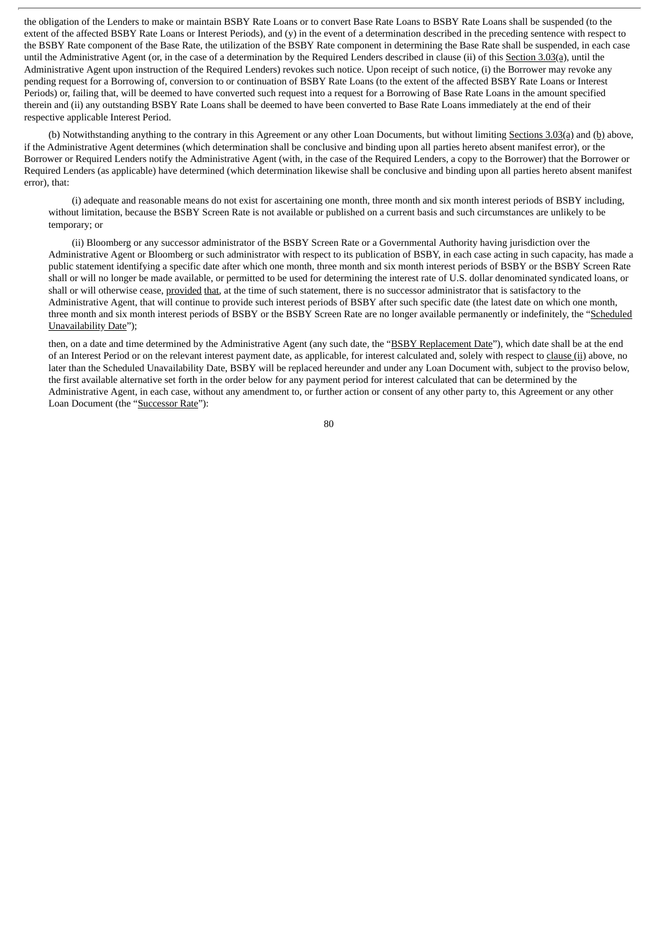the obligation of the Lenders to make or maintain BSBY Rate Loans or to convert Base Rate Loans to BSBY Rate Loans shall be suspended (to the extent of the affected BSBY Rate Loans or Interest Periods), and (y) in the event of a determination described in the preceding sentence with respect to the BSBY Rate component of the Base Rate, the utilization of the BSBY Rate component in determining the Base Rate shall be suspended, in each case until the Administrative Agent (or, in the case of a determination by the Required Lenders described in clause (ii) of this Section 3.03(a), until the Administrative Agent upon instruction of the Required Lenders) revokes such notice. Upon receipt of such notice, (i) the Borrower may revoke any pending request for a Borrowing of, conversion to or continuation of BSBY Rate Loans (to the extent of the affected BSBY Rate Loans or Interest Periods) or, failing that, will be deemed to have converted such request into a request for a Borrowing of Base Rate Loans in the amount specified therein and (ii) any outstanding BSBY Rate Loans shall be deemed to have been converted to Base Rate Loans immediately at the end of their respective applicable Interest Period.

(b) Notwithstanding anything to the contrary in this Agreement or any other Loan Documents, but without limiting Sections 3.03(a) and (b) above, if the Administrative Agent determines (which determination shall be conclusive and binding upon all parties hereto absent manifest error), or the Borrower or Required Lenders notify the Administrative Agent (with, in the case of the Required Lenders, a copy to the Borrower) that the Borrower or Required Lenders (as applicable) have determined (which determination likewise shall be conclusive and binding upon all parties hereto absent manifest error), that:

(i) adequate and reasonable means do not exist for ascertaining one month, three month and six month interest periods of BSBY including, without limitation, because the BSBY Screen Rate is not available or published on a current basis and such circumstances are unlikely to be temporary; or

(ii) Bloomberg or any successor administrator of the BSBY Screen Rate or a Governmental Authority having jurisdiction over the Administrative Agent or Bloomberg or such administrator with respect to its publication of BSBY, in each case acting in such capacity, has made a public statement identifying a specific date after which one month, three month and six month interest periods of BSBY or the BSBY Screen Rate shall or will no longer be made available, or permitted to be used for determining the interest rate of U.S. dollar denominated syndicated loans, or shall or will otherwise cease, provided that, at the time of such statement, there is no successor administrator that is satisfactory to the Administrative Agent, that will continue to provide such interest periods of BSBY after such specific date (the latest date on which one month, three month and six month interest periods of BSBY or the BSBY Screen Rate are no longer available permanently or indefinitely, the "Scheduled Unavailability Date");

then, on a date and time determined by the Administrative Agent (any such date, the "BSBY Replacement Date"), which date shall be at the end of an Interest Period or on the relevant interest payment date, as applicable, for interest calculated and, solely with respect to clause (ii) above, no later than the Scheduled Unavailability Date, BSBY will be replaced hereunder and under any Loan Document with, subject to the proviso below, the first available alternative set forth in the order below for any payment period for interest calculated that can be determined by the Administrative Agent, in each case, without any amendment to, or further action or consent of any other party to, this Agreement or any other Loan Document (the "Successor Rate"):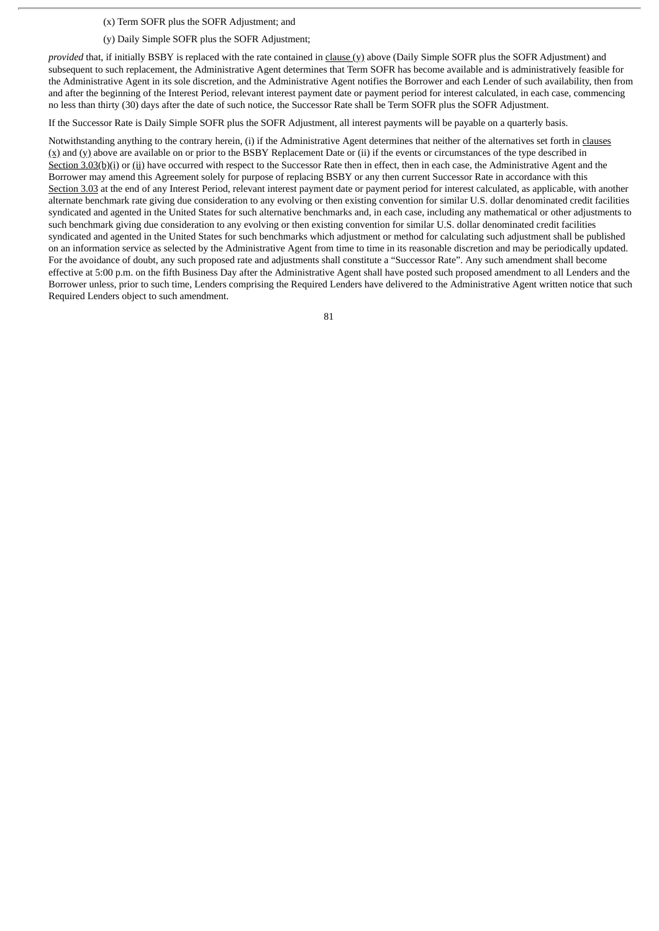(x) Term SOFR plus the SOFR Adjustment; and

(y) Daily Simple SOFR plus the SOFR Adjustment;

*provided* that, if initially BSBY is replaced with the rate contained in clause (y) above (Daily Simple SOFR plus the SOFR Adjustment) and subsequent to such replacement, the Administrative Agent determines that Term SOFR has become available and is administratively feasible for the Administrative Agent in its sole discretion, and the Administrative Agent notifies the Borrower and each Lender of such availability, then from and after the beginning of the Interest Period, relevant interest payment date or payment period for interest calculated, in each case, commencing no less than thirty (30) days after the date of such notice, the Successor Rate shall be Term SOFR plus the SOFR Adjustment.

If the Successor Rate is Daily Simple SOFR plus the SOFR Adjustment, all interest payments will be payable on a quarterly basis.

Notwithstanding anything to the contrary herein, (i) if the Administrative Agent determines that neither of the alternatives set forth in clauses (x) and (y) above are available on or prior to the BSBY Replacement Date or (ii) if the events or circumstances of the type described in Section 3.03(b)(i) or (ii) have occurred with respect to the Successor Rate then in effect, then in each case, the Administrative Agent and the Borrower may amend this Agreement solely for purpose of replacing BSBY or any then current Successor Rate in accordance with this Section 3.03 at the end of any Interest Period, relevant interest payment date or payment period for interest calculated, as applicable, with another alternate benchmark rate giving due consideration to any evolving or then existing convention for similar U.S. dollar denominated credit facilities syndicated and agented in the United States for such alternative benchmarks and, in each case, including any mathematical or other adjustments to such benchmark giving due consideration to any evolving or then existing convention for similar U.S. dollar denominated credit facilities syndicated and agented in the United States for such benchmarks which adjustment or method for calculating such adjustment shall be published on an information service as selected by the Administrative Agent from time to time in its reasonable discretion and may be periodically updated. For the avoidance of doubt, any such proposed rate and adjustments shall constitute a "Successor Rate". Any such amendment shall become effective at 5:00 p.m. on the fifth Business Day after the Administrative Agent shall have posted such proposed amendment to all Lenders and the Borrower unless, prior to such time, Lenders comprising the Required Lenders have delivered to the Administrative Agent written notice that such Required Lenders object to such amendment.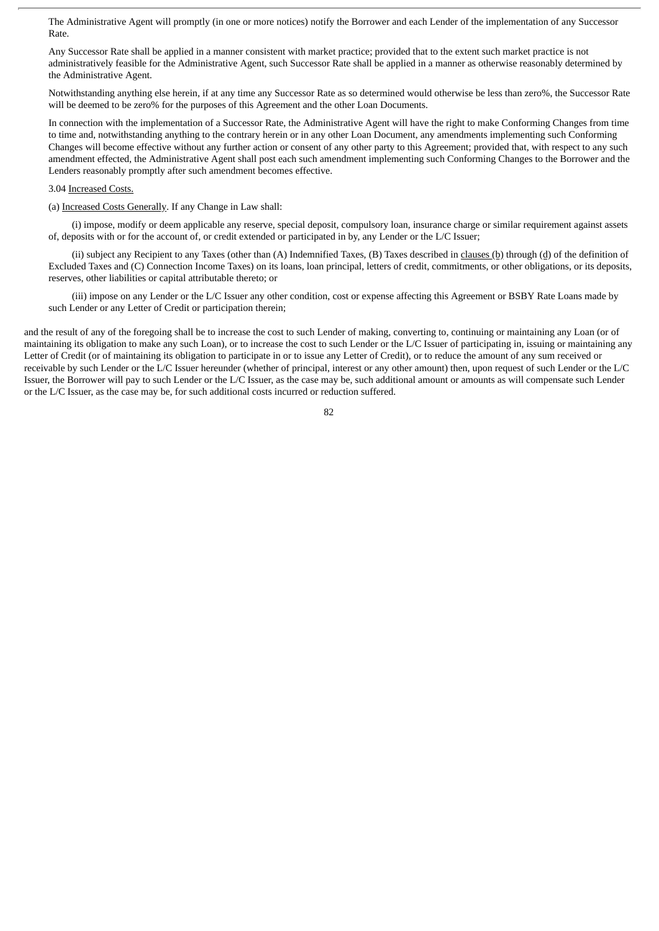The Administrative Agent will promptly (in one or more notices) notify the Borrower and each Lender of the implementation of any Successor Rate.

Any Successor Rate shall be applied in a manner consistent with market practice; provided that to the extent such market practice is not administratively feasible for the Administrative Agent, such Successor Rate shall be applied in a manner as otherwise reasonably determined by the Administrative Agent.

Notwithstanding anything else herein, if at any time any Successor Rate as so determined would otherwise be less than zero%, the Successor Rate will be deemed to be zero% for the purposes of this Agreement and the other Loan Documents.

In connection with the implementation of a Successor Rate, the Administrative Agent will have the right to make Conforming Changes from time to time and, notwithstanding anything to the contrary herein or in any other Loan Document, any amendments implementing such Conforming Changes will become effective without any further action or consent of any other party to this Agreement; provided that, with respect to any such amendment effected, the Administrative Agent shall post each such amendment implementing such Conforming Changes to the Borrower and the Lenders reasonably promptly after such amendment becomes effective.

# 3.04 Increased Costs.

(a) Increased Costs Generally. If any Change in Law shall:

(i) impose, modify or deem applicable any reserve, special deposit, compulsory loan, insurance charge or similar requirement against assets of, deposits with or for the account of, or credit extended or participated in by, any Lender or the L/C Issuer;

(ii) subject any Recipient to any Taxes (other than (A) Indemnified Taxes, (B) Taxes described in clauses (b) through (d) of the definition of Excluded Taxes and (C) Connection Income Taxes) on its loans, loan principal, letters of credit, commitments, or other obligations, or its deposits, reserves, other liabilities or capital attributable thereto; or

(iii) impose on any Lender or the L/C Issuer any other condition, cost or expense affecting this Agreement or BSBY Rate Loans made by such Lender or any Letter of Credit or participation therein;

and the result of any of the foregoing shall be to increase the cost to such Lender of making, converting to, continuing or maintaining any Loan (or of maintaining its obligation to make any such Loan), or to increase the cost to such Lender or the L/C Issuer of participating in, issuing or maintaining any Letter of Credit (or of maintaining its obligation to participate in or to issue any Letter of Credit), or to reduce the amount of any sum received or receivable by such Lender or the L/C Issuer hereunder (whether of principal, interest or any other amount) then, upon request of such Lender or the L/C Issuer, the Borrower will pay to such Lender or the L/C Issuer, as the case may be, such additional amount or amounts as will compensate such Lender or the L/C Issuer, as the case may be, for such additional costs incurred or reduction suffered.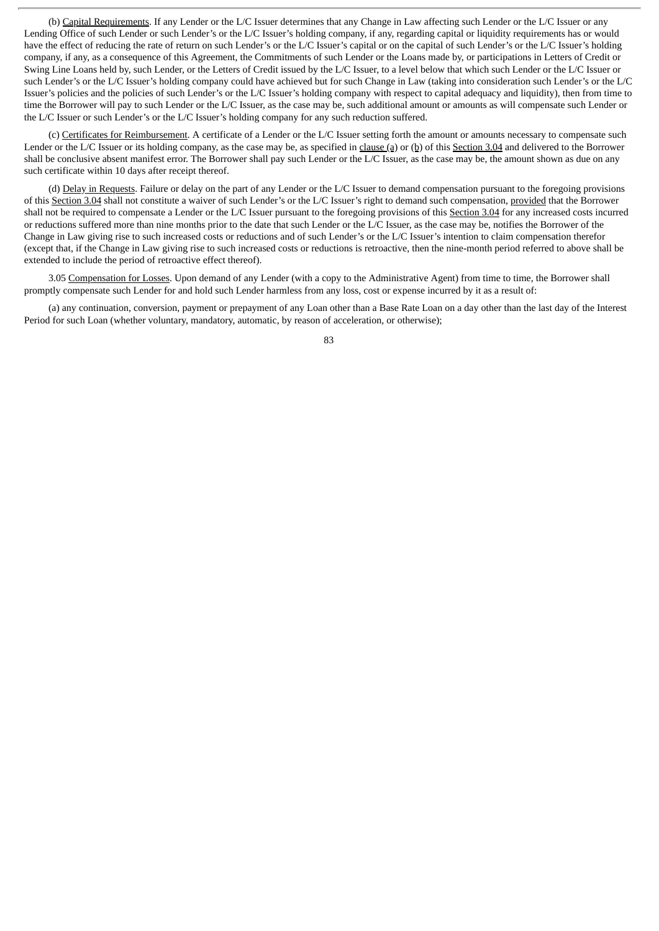(b) Capital Requirements. If any Lender or the L/C Issuer determines that any Change in Law affecting such Lender or the L/C Issuer or any Lending Office of such Lender or such Lender's or the L/C Issuer's holding company, if any, regarding capital or liquidity requirements has or would have the effect of reducing the rate of return on such Lender's or the L/C Issuer's capital or on the capital of such Lender's or the L/C Issuer's holding company, if any, as a consequence of this Agreement, the Commitments of such Lender or the Loans made by, or participations in Letters of Credit or Swing Line Loans held by, such Lender, or the Letters of Credit issued by the L/C Issuer, to a level below that which such Lender or the L/C Issuer or such Lender's or the L/C Issuer's holding company could have achieved but for such Change in Law (taking into consideration such Lender's or the L/C Issuer's policies and the policies of such Lender's or the L/C Issuer's holding company with respect to capital adequacy and liquidity), then from time to time the Borrower will pay to such Lender or the L/C Issuer, as the case may be, such additional amount or amounts as will compensate such Lender or the L/C Issuer or such Lender's or the L/C Issuer's holding company for any such reduction suffered.

(c) Certificates for Reimbursement. A certificate of a Lender or the L/C Issuer setting forth the amount or amounts necessary to compensate such Lender or the L/C Issuer or its holding company, as the case may be, as specified in clause (a) or (b) of this Section 3.04 and delivered to the Borrower shall be conclusive absent manifest error. The Borrower shall pay such Lender or the L/C Issuer, as the case may be, the amount shown as due on any such certificate within 10 days after receipt thereof.

(d) Delay in Requests. Failure or delay on the part of any Lender or the L/C Issuer to demand compensation pursuant to the foregoing provisions of this Section 3.04 shall not constitute a waiver of such Lender's or the L/C Issuer's right to demand such compensation, provided that the Borrower shall not be required to compensate a Lender or the L/C Issuer pursuant to the foregoing provisions of this Section 3.04 for any increased costs incurred or reductions suffered more than nine months prior to the date that such Lender or the L/C Issuer, as the case may be, notifies the Borrower of the Change in Law giving rise to such increased costs or reductions and of such Lender's or the L/C Issuer's intention to claim compensation therefor (except that, if the Change in Law giving rise to such increased costs or reductions is retroactive, then the nine-month period referred to above shall be extended to include the period of retroactive effect thereof).

3.05 Compensation for Losses. Upon demand of any Lender (with a copy to the Administrative Agent) from time to time, the Borrower shall promptly compensate such Lender for and hold such Lender harmless from any loss, cost or expense incurred by it as a result of:

(a) any continuation, conversion, payment or prepayment of any Loan other than a Base Rate Loan on a day other than the last day of the Interest Period for such Loan (whether voluntary, mandatory, automatic, by reason of acceleration, or otherwise);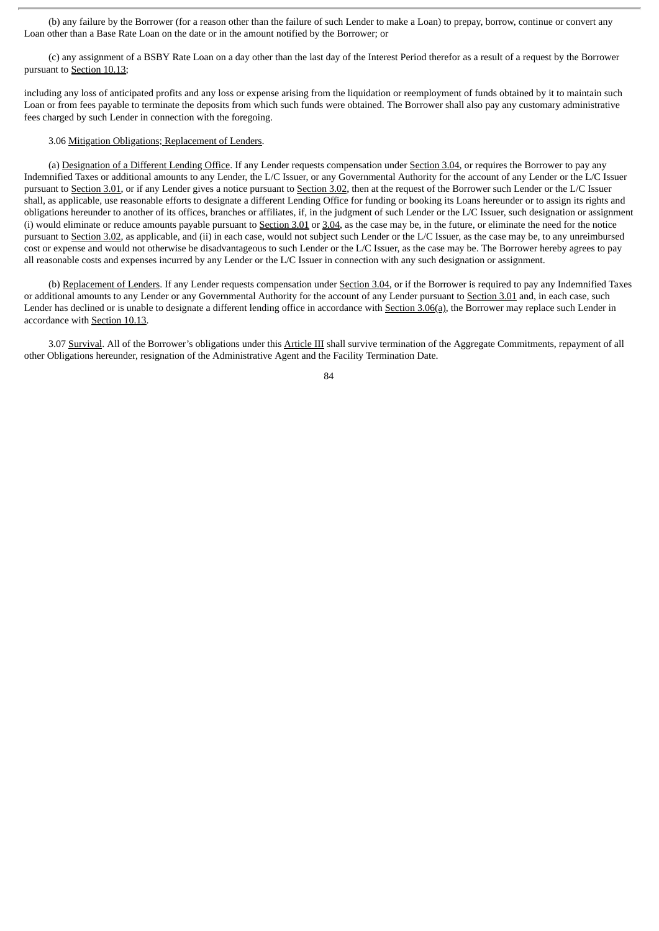(b) any failure by the Borrower (for a reason other than the failure of such Lender to make a Loan) to prepay, borrow, continue or convert any Loan other than a Base Rate Loan on the date or in the amount notified by the Borrower; or

(c) any assignment of a BSBY Rate Loan on a day other than the last day of the Interest Period therefor as a result of a request by the Borrower pursuant to Section 10.13;

including any loss of anticipated profits and any loss or expense arising from the liquidation or reemployment of funds obtained by it to maintain such Loan or from fees payable to terminate the deposits from which such funds were obtained. The Borrower shall also pay any customary administrative fees charged by such Lender in connection with the foregoing.

# 3.06 Mitigation Obligations; Replacement of Lenders.

(a) Designation of a Different Lending Office. If any Lender requests compensation under Section 3.04, or requires the Borrower to pay any Indemnified Taxes or additional amounts to any Lender, the L/C Issuer, or any Governmental Authority for the account of any Lender or the L/C Issuer pursuant to Section 3.01, or if any Lender gives a notice pursuant to Section 3.02, then at the request of the Borrower such Lender or the L/C Issuer shall, as applicable, use reasonable efforts to designate a different Lending Office for funding or booking its Loans hereunder or to assign its rights and obligations hereunder to another of its offices, branches or affiliates, if, in the judgment of such Lender or the L/C Issuer, such designation or assignment (i) would eliminate or reduce amounts payable pursuant to Section  $3.01$  or  $3.04$ , as the case may be, in the future, or eliminate the need for the notice pursuant to Section 3.02, as applicable, and (ii) in each case, would not subject such Lender or the L/C Issuer, as the case may be, to any unreimbursed cost or expense and would not otherwise be disadvantageous to such Lender or the L/C Issuer, as the case may be. The Borrower hereby agrees to pay all reasonable costs and expenses incurred by any Lender or the L/C Issuer in connection with any such designation or assignment.

(b) Replacement of Lenders. If any Lender requests compensation under Section 3.04, or if the Borrower is required to pay any Indemnified Taxes or additional amounts to any Lender or any Governmental Authority for the account of any Lender pursuant to Section 3.01 and, in each case, such Lender has declined or is unable to designate a different lending office in accordance with Section 3.06(a), the Borrower may replace such Lender in accordance with Section 10.13.

3.07 Survival. All of the Borrower's obligations under this Article III shall survive termination of the Aggregate Commitments, repayment of all other Obligations hereunder, resignation of the Administrative Agent and the Facility Termination Date.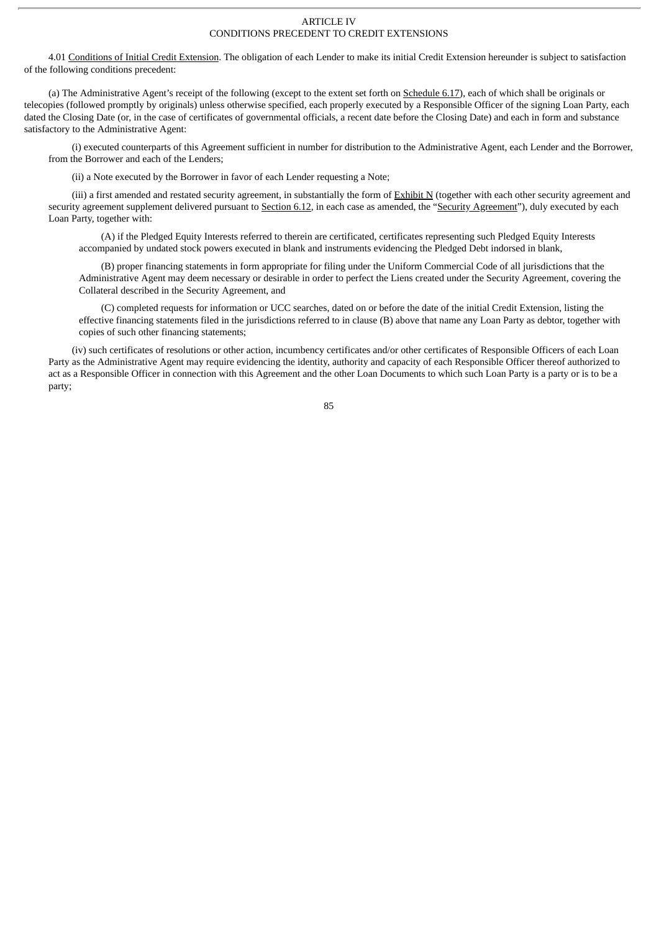# ARTICLE IV CONDITIONS PRECEDENT TO CREDIT EXTENSIONS

4.01 Conditions of Initial Credit Extension. The obligation of each Lender to make its initial Credit Extension hereunder is subject to satisfaction of the following conditions precedent:

(a) The Administrative Agent's receipt of the following (except to the extent set forth on Schedule 6.17), each of which shall be originals or telecopies (followed promptly by originals) unless otherwise specified, each properly executed by a Responsible Officer of the signing Loan Party, each dated the Closing Date (or, in the case of certificates of governmental officials, a recent date before the Closing Date) and each in form and substance satisfactory to the Administrative Agent:

(i) executed counterparts of this Agreement sufficient in number for distribution to the Administrative Agent, each Lender and the Borrower, from the Borrower and each of the Lenders;

(ii) a Note executed by the Borrower in favor of each Lender requesting a Note;

(iii) a first amended and restated security agreement, in substantially the form of  $Exhibit N$  (together with each other security agreement and security agreement supplement delivered pursuant to Section 6.12, in each case as amended, the "Security Agreement"), duly executed by each Loan Party, together with:

(A) if the Pledged Equity Interests referred to therein are certificated, certificates representing such Pledged Equity Interests accompanied by undated stock powers executed in blank and instruments evidencing the Pledged Debt indorsed in blank,

(B) proper financing statements in form appropriate for filing under the Uniform Commercial Code of all jurisdictions that the Administrative Agent may deem necessary or desirable in order to perfect the Liens created under the Security Agreement, covering the Collateral described in the Security Agreement, and

(C) completed requests for information or UCC searches, dated on or before the date of the initial Credit Extension, listing the effective financing statements filed in the jurisdictions referred to in clause (B) above that name any Loan Party as debtor, together with copies of such other financing statements;

(iv) such certificates of resolutions or other action, incumbency certificates and/or other certificates of Responsible Officers of each Loan Party as the Administrative Agent may require evidencing the identity, authority and capacity of each Responsible Officer thereof authorized to act as a Responsible Officer in connection with this Agreement and the other Loan Documents to which such Loan Party is a party or is to be a party;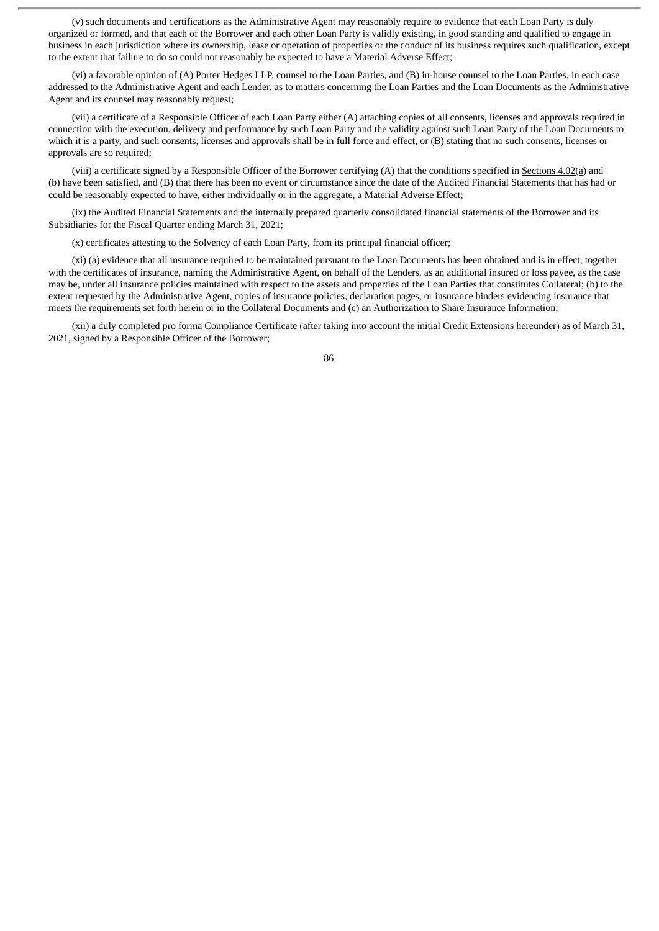(v) such documents and certifications as the Administrative Agent may reasonably require to evidence that each Loan Party is duly organized or formed, and that each of the Borrower and each other Loan Party is validly existing, in good standing and qualified to engage in business in each jurisdiction where its ownership, lease or operation of properties or the conduct of its business requires such qualification, except to the extent that failure to do so could not reasonably be expected to have a Material Adverse Effect;

(vi) a favorable opinion of (A) Porter Hedges LLP, counsel to the Loan Parties, and (B) in-house counsel to the Loan Parties, in each case addressed to the Administrative Agent and each Lender, as to matters concerning the Loan Parties and the Loan Documents as the Administrative Agent and its counsel may reasonably request;

(vii) a certificate of a Responsible Officer of each Loan Party either (A) attaching copies of all consents, licenses and approvals required in connection with the execution, delivery and performance by such Loan Party and the validity against such Loan Party of the Loan Documents to which it is a party, and such consents, licenses and approvals shall be in full force and effect, or (B) stating that no such consents, licenses or approvals are so required;

(viii) a certificate signed by a Responsible Officer of the Borrower certifying (A) that the conditions specified in Sections 4.02(a) and (b) have been satisfied, and (B) that there has been no event or circumstance since the date of the Audited Financial Statements that has had or could be reasonably expected to have, either individually or in the aggregate, a Material Adverse Effect;

(ix) the Audited Financial Statements and the internally prepared quarterly consolidated financial statements of the Borrower and its Subsidiaries for the Fiscal Quarter ending March 31, 2021;

(x) certificates attesting to the Solvency of each Loan Party, from its principal financial officer;

(xi) (a) evidence that all insurance required to be maintained pursuant to the Loan Documents has been obtained and is in effect, together with the certificates of insurance, naming the Administrative Agent, on behalf of the Lenders, as an additional insured or loss payee, as the case may be, under all insurance policies maintained with respect to the assets and properties of the Loan Parties that constitutes Collateral; (b) to the extent requested by the Administrative Agent, copies of insurance policies, declaration pages, or insurance binders evidencing insurance that meets the requirements set forth herein or in the Collateral Documents and (c) an Authorization to Share Insurance Information;

(xii) a duly completed pro forma Compliance Certificate (after taking into account the initial Credit Extensions hereunder) as of March 31, 2021, signed by a Responsible Officer of the Borrower;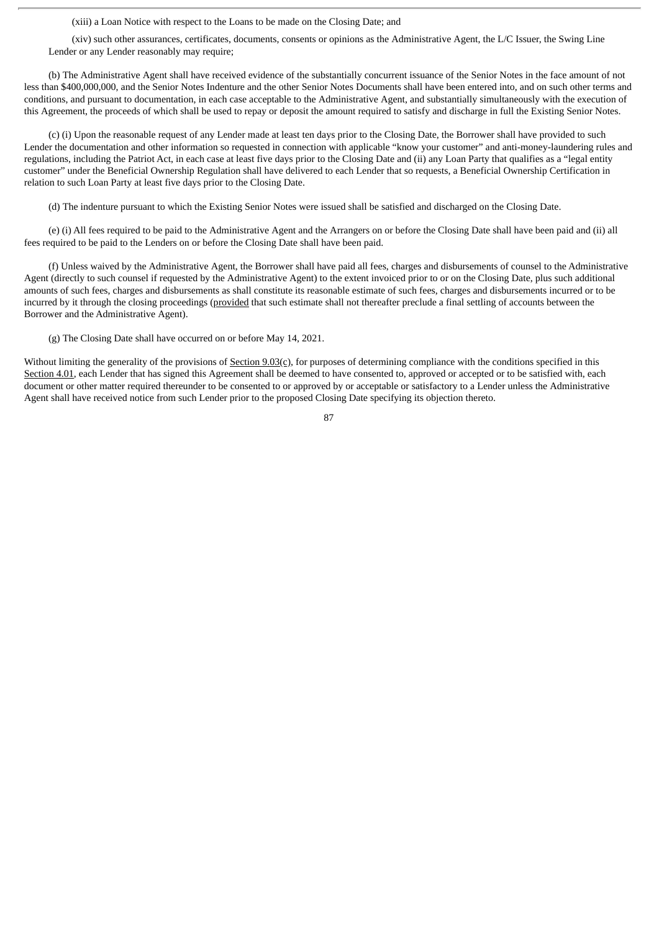(xiii) a Loan Notice with respect to the Loans to be made on the Closing Date; and

(xiv) such other assurances, certificates, documents, consents or opinions as the Administrative Agent, the L/C Issuer, the Swing Line Lender or any Lender reasonably may require;

(b) The Administrative Agent shall have received evidence of the substantially concurrent issuance of the Senior Notes in the face amount of not less than \$400,000,000, and the Senior Notes Indenture and the other Senior Notes Documents shall have been entered into, and on such other terms and conditions, and pursuant to documentation, in each case acceptable to the Administrative Agent, and substantially simultaneously with the execution of this Agreement, the proceeds of which shall be used to repay or deposit the amount required to satisfy and discharge in full the Existing Senior Notes.

(c) (i) Upon the reasonable request of any Lender made at least ten days prior to the Closing Date, the Borrower shall have provided to such Lender the documentation and other information so requested in connection with applicable "know your customer" and anti-money-laundering rules and regulations, including the Patriot Act, in each case at least five days prior to the Closing Date and (ii) any Loan Party that qualifies as a "legal entity customer" under the Beneficial Ownership Regulation shall have delivered to each Lender that so requests, a Beneficial Ownership Certification in relation to such Loan Party at least five days prior to the Closing Date.

(d) The indenture pursuant to which the Existing Senior Notes were issued shall be satisfied and discharged on the Closing Date.

(e) (i) All fees required to be paid to the Administrative Agent and the Arrangers on or before the Closing Date shall have been paid and (ii) all fees required to be paid to the Lenders on or before the Closing Date shall have been paid.

(f) Unless waived by the Administrative Agent, the Borrower shall have paid all fees, charges and disbursements of counsel to the Administrative Agent (directly to such counsel if requested by the Administrative Agent) to the extent invoiced prior to or on the Closing Date, plus such additional amounts of such fees, charges and disbursements as shall constitute its reasonable estimate of such fees, charges and disbursements incurred or to be incurred by it through the closing proceedings (provided that such estimate shall not thereafter preclude a final settling of accounts between the Borrower and the Administrative Agent).

(g) The Closing Date shall have occurred on or before May 14, 2021.

Without limiting the generality of the provisions of  $Section 9.03(c), for purposes of determining compliance with the conditions specified in this$ </u> Section 4.01, each Lender that has signed this Agreement shall be deemed to have consented to, approved or accepted or to be satisfied with, each document or other matter required thereunder to be consented to or approved by or acceptable or satisfactory to a Lender unless the Administrative Agent shall have received notice from such Lender prior to the proposed Closing Date specifying its objection thereto.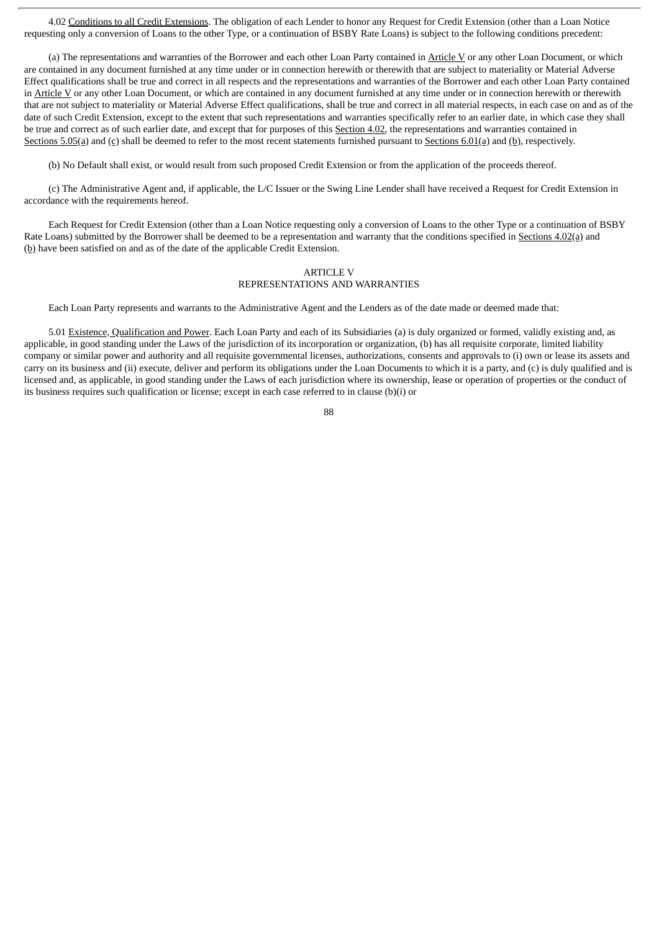4.02 Conditions to all Credit Extensions. The obligation of each Lender to honor any Request for Credit Extension (other than a Loan Notice requesting only a conversion of Loans to the other Type, or a continuation of BSBY Rate Loans) is subject to the following conditions precedent:

(a) The representations and warranties of the Borrower and each other Loan Party contained in Article V or any other Loan Document, or which are contained in any document furnished at any time under or in connection herewith or therewith that are subject to materiality or Material Adverse Effect qualifications shall be true and correct in all respects and the representations and warranties of the Borrower and each other Loan Party contained in Article V or any other Loan Document, or which are contained in any document furnished at any time under or in connection herewith or therewith that are not subject to materiality or Material Adverse Effect qualifications, shall be true and correct in all material respects, in each case on and as of the date of such Credit Extension, except to the extent that such representations and warranties specifically refer to an earlier date, in which case they shall be true and correct as of such earlier date, and except that for purposes of this Section 4.02, the representations and warranties contained in Sections 5.05(a) and (c) shall be deemed to refer to the most recent statements furnished pursuant to Sections 6.01(a) and (b), respectively.

(b) No Default shall exist, or would result from such proposed Credit Extension or from the application of the proceeds thereof.

(c) The Administrative Agent and, if applicable, the L/C Issuer or the Swing Line Lender shall have received a Request for Credit Extension in accordance with the requirements hereof.

Each Request for Credit Extension (other than a Loan Notice requesting only a conversion of Loans to the other Type or a continuation of BSBY Rate Loans) submitted by the Borrower shall be deemed to be a representation and warranty that the conditions specified in Sections 4.02(a) and (b) have been satisfied on and as of the date of the applicable Credit Extension.

# ARTICLE V REPRESENTATIONS AND WARRANTIES

Each Loan Party represents and warrants to the Administrative Agent and the Lenders as of the date made or deemed made that:

5.01 Existence, Qualification and Power. Each Loan Party and each of its Subsidiaries (a) is duly organized or formed, validly existing and, as applicable, in good standing under the Laws of the jurisdiction of its incorporation or organization, (b) has all requisite corporate, limited liability company or similar power and authority and all requisite governmental licenses, authorizations, consents and approvals to (i) own or lease its assets and carry on its business and (ii) execute, deliver and perform its obligations under the Loan Documents to which it is a party, and (c) is duly qualified and is licensed and, as applicable, in good standing under the Laws of each jurisdiction where its ownership, lease or operation of properties or the conduct of its business requires such qualification or license; except in each case referred to in clause (b)(i) or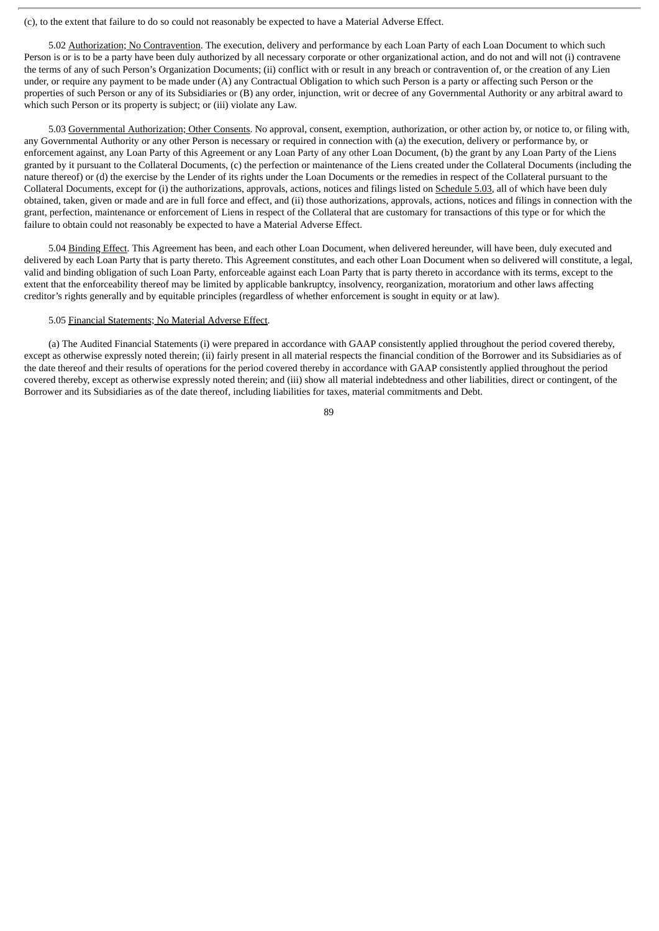(c), to the extent that failure to do so could not reasonably be expected to have a Material Adverse Effect.

5.02 Authorization; No Contravention. The execution, delivery and performance by each Loan Party of each Loan Document to which such Person is or is to be a party have been duly authorized by all necessary corporate or other organizational action, and do not and will not (i) contravene the terms of any of such Person's Organization Documents; (ii) conflict with or result in any breach or contravention of, or the creation of any Lien under, or require any payment to be made under (A) any Contractual Obligation to which such Person is a party or affecting such Person or the properties of such Person or any of its Subsidiaries or (B) any order, injunction, writ or decree of any Governmental Authority or any arbitral award to which such Person or its property is subject; or (iii) violate any Law.

5.03 Governmental Authorization; Other Consents. No approval, consent, exemption, authorization, or other action by, or notice to, or filing with, any Governmental Authority or any other Person is necessary or required in connection with (a) the execution, delivery or performance by, or enforcement against, any Loan Party of this Agreement or any Loan Party of any other Loan Document, (b) the grant by any Loan Party of the Liens granted by it pursuant to the Collateral Documents, (c) the perfection or maintenance of the Liens created under the Collateral Documents (including the nature thereof) or (d) the exercise by the Lender of its rights under the Loan Documents or the remedies in respect of the Collateral pursuant to the Collateral Documents, except for (i) the authorizations, approvals, actions, notices and filings listed on Schedule 5.03, all of which have been duly obtained, taken, given or made and are in full force and effect, and (ii) those authorizations, approvals, actions, notices and filings in connection with the grant, perfection, maintenance or enforcement of Liens in respect of the Collateral that are customary for transactions of this type or for which the failure to obtain could not reasonably be expected to have a Material Adverse Effect.

5.04 Binding Effect. This Agreement has been, and each other Loan Document, when delivered hereunder, will have been, duly executed and delivered by each Loan Party that is party thereto. This Agreement constitutes, and each other Loan Document when so delivered will constitute, a legal, valid and binding obligation of such Loan Party, enforceable against each Loan Party that is party thereto in accordance with its terms, except to the extent that the enforceability thereof may be limited by applicable bankruptcy, insolvency, reorganization, moratorium and other laws affecting creditor's rights generally and by equitable principles (regardless of whether enforcement is sought in equity or at law).

# 5.05 Financial Statements; No Material Adverse Effect.

(a) The Audited Financial Statements (i) were prepared in accordance with GAAP consistently applied throughout the period covered thereby, except as otherwise expressly noted therein; (ii) fairly present in all material respects the financial condition of the Borrower and its Subsidiaries as of the date thereof and their results of operations for the period covered thereby in accordance with GAAP consistently applied throughout the period covered thereby, except as otherwise expressly noted therein; and (iii) show all material indebtedness and other liabilities, direct or contingent, of the Borrower and its Subsidiaries as of the date thereof, including liabilities for taxes, material commitments and Debt.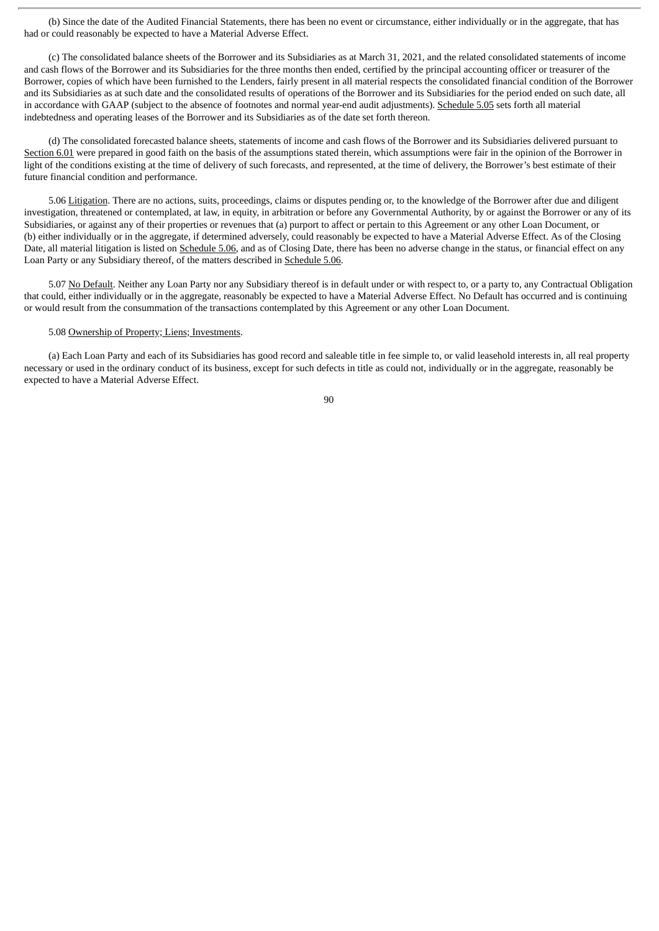(b) Since the date of the Audited Financial Statements, there has been no event or circumstance, either individually or in the aggregate, that has had or could reasonably be expected to have a Material Adverse Effect.

(c) The consolidated balance sheets of the Borrower and its Subsidiaries as at March 31, 2021, and the related consolidated statements of income and cash flows of the Borrower and its Subsidiaries for the three months then ended, certified by the principal accounting officer or treasurer of the Borrower, copies of which have been furnished to the Lenders, fairly present in all material respects the consolidated financial condition of the Borrower and its Subsidiaries as at such date and the consolidated results of operations of the Borrower and its Subsidiaries for the period ended on such date, all in accordance with GAAP (subject to the absence of footnotes and normal year-end audit adjustments). Schedule 5.05 sets forth all material indebtedness and operating leases of the Borrower and its Subsidiaries as of the date set forth thereon.

(d) The consolidated forecasted balance sheets, statements of income and cash flows of the Borrower and its Subsidiaries delivered pursuant to Section 6.01 were prepared in good faith on the basis of the assumptions stated therein, which assumptions were fair in the opinion of the Borrower in light of the conditions existing at the time of delivery of such forecasts, and represented, at the time of delivery, the Borrower's best estimate of their future financial condition and performance.

5.06 Litigation. There are no actions, suits, proceedings, claims or disputes pending or, to the knowledge of the Borrower after due and diligent investigation, threatened or contemplated, at law, in equity, in arbitration or before any Governmental Authority, by or against the Borrower or any of its Subsidiaries, or against any of their properties or revenues that (a) purport to affect or pertain to this Agreement or any other Loan Document, or (b) either individually or in the aggregate, if determined adversely, could reasonably be expected to have a Material Adverse Effect. As of the Closing Date, all material litigation is listed on Schedule 5.06, and as of Closing Date, there has been no adverse change in the status, or financial effect on any Loan Party or any Subsidiary thereof, of the matters described in Schedule 5.06.

5.07 No Default. Neither any Loan Party nor any Subsidiary thereof is in default under or with respect to, or a party to, any Contractual Obligation that could, either individually or in the aggregate, reasonably be expected to have a Material Adverse Effect. No Default has occurred and is continuing or would result from the consummation of the transactions contemplated by this Agreement or any other Loan Document.

## 5.08 Ownership of Property; Liens; Investments.

(a) Each Loan Party and each of its Subsidiaries has good record and saleable title in fee simple to, or valid leasehold interests in, all real property necessary or used in the ordinary conduct of its business, except for such defects in title as could not, individually or in the aggregate, reasonably be expected to have a Material Adverse Effect.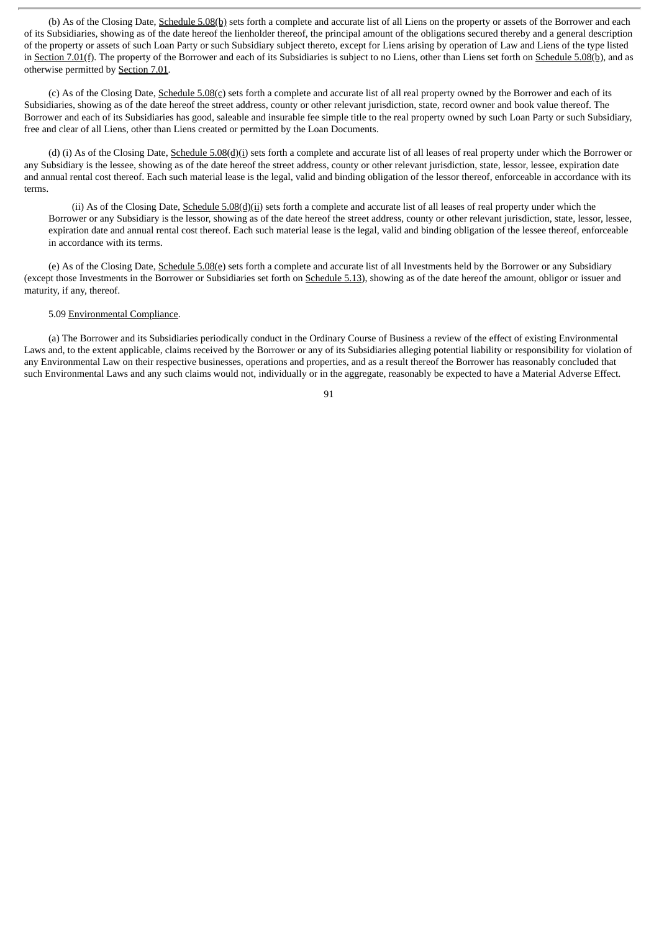(b) As of the Closing Date, Schedule 5.08(b) sets forth a complete and accurate list of all Liens on the property or assets of the Borrower and each of its Subsidiaries, showing as of the date hereof the lienholder thereof, the principal amount of the obligations secured thereby and a general description of the property or assets of such Loan Party or such Subsidiary subject thereto, except for Liens arising by operation of Law and Liens of the type listed in Section 7.01(f). The property of the Borrower and each of its Subsidiaries is subject to no Liens, other than Liens set forth on Schedule 5.08(b), and as otherwise permitted by Section 7.01.

(c) As of the Closing Date, Schedule 5.08(c) sets forth a complete and accurate list of all real property owned by the Borrower and each of its Subsidiaries, showing as of the date hereof the street address, county or other relevant jurisdiction, state, record owner and book value thereof. The Borrower and each of its Subsidiaries has good, saleable and insurable fee simple title to the real property owned by such Loan Party or such Subsidiary, free and clear of all Liens, other than Liens created or permitted by the Loan Documents.

(d) (i) As of the Closing Date, Schedule 5.08(d)(i) sets forth a complete and accurate list of all leases of real property under which the Borrower or any Subsidiary is the lessee, showing as of the date hereof the street address, county or other relevant jurisdiction, state, lessor, lessee, expiration date and annual rental cost thereof. Each such material lease is the legal, valid and binding obligation of the lessor thereof, enforceable in accordance with its terms.

(ii) As of the Closing Date, Schedule  $5.08(d)(ii)$  sets forth a complete and accurate list of all leases of real property under which the Borrower or any Subsidiary is the lessor, showing as of the date hereof the street address, county or other relevant jurisdiction, state, lessor, lessee, expiration date and annual rental cost thereof. Each such material lease is the legal, valid and binding obligation of the lessee thereof, enforceable in accordance with its terms.

(e) As of the Closing Date, Schedule 5.08(e) sets forth a complete and accurate list of all Investments held by the Borrower or any Subsidiary (except those Investments in the Borrower or Subsidiaries set forth on Schedule 5.13), showing as of the date hereof the amount, obligor or issuer and maturity, if any, thereof.

#### 5.09 Environmental Compliance.

(a) The Borrower and its Subsidiaries periodically conduct in the Ordinary Course of Business a review of the effect of existing Environmental Laws and, to the extent applicable, claims received by the Borrower or any of its Subsidiaries alleging potential liability or responsibility for violation of any Environmental Law on their respective businesses, operations and properties, and as a result thereof the Borrower has reasonably concluded that such Environmental Laws and any such claims would not, individually or in the aggregate, reasonably be expected to have a Material Adverse Effect.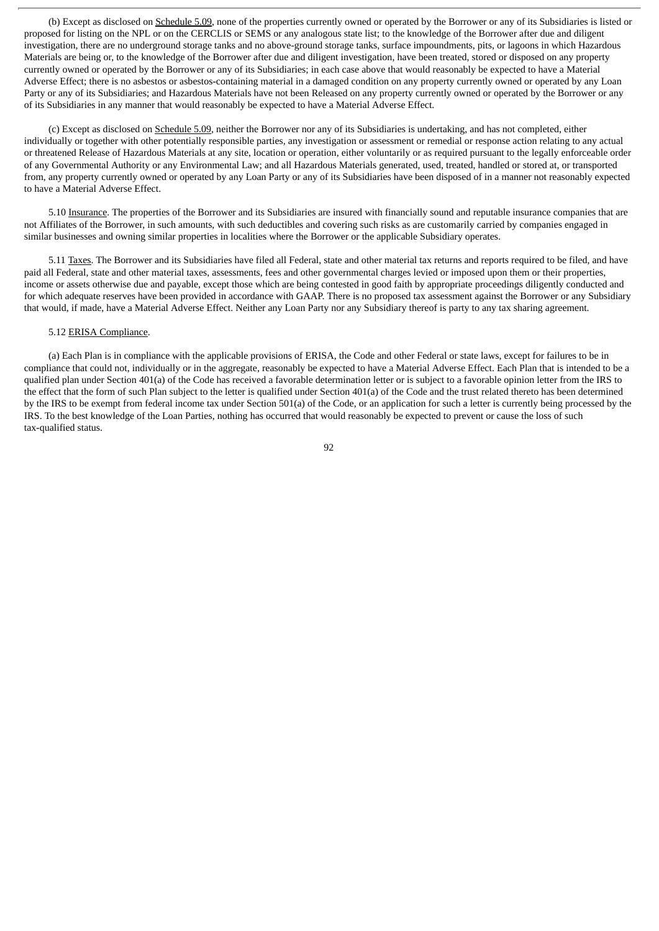(b) Except as disclosed on Schedule 5.09, none of the properties currently owned or operated by the Borrower or any of its Subsidiaries is listed or proposed for listing on the NPL or on the CERCLIS or SEMS or any analogous state list; to the knowledge of the Borrower after due and diligent investigation, there are no underground storage tanks and no above-ground storage tanks, surface impoundments, pits, or lagoons in which Hazardous Materials are being or, to the knowledge of the Borrower after due and diligent investigation, have been treated, stored or disposed on any property currently owned or operated by the Borrower or any of its Subsidiaries; in each case above that would reasonably be expected to have a Material Adverse Effect; there is no asbestos or asbestos-containing material in a damaged condition on any property currently owned or operated by any Loan Party or any of its Subsidiaries; and Hazardous Materials have not been Released on any property currently owned or operated by the Borrower or any of its Subsidiaries in any manner that would reasonably be expected to have a Material Adverse Effect.

(c) Except as disclosed on Schedule 5.09, neither the Borrower nor any of its Subsidiaries is undertaking, and has not completed, either individually or together with other potentially responsible parties, any investigation or assessment or remedial or response action relating to any actual or threatened Release of Hazardous Materials at any site, location or operation, either voluntarily or as required pursuant to the legally enforceable order of any Governmental Authority or any Environmental Law; and all Hazardous Materials generated, used, treated, handled or stored at, or transported from, any property currently owned or operated by any Loan Party or any of its Subsidiaries have been disposed of in a manner not reasonably expected to have a Material Adverse Effect.

5.10 Insurance. The properties of the Borrower and its Subsidiaries are insured with financially sound and reputable insurance companies that are not Affiliates of the Borrower, in such amounts, with such deductibles and covering such risks as are customarily carried by companies engaged in similar businesses and owning similar properties in localities where the Borrower or the applicable Subsidiary operates.

5.11 Taxes. The Borrower and its Subsidiaries have filed all Federal, state and other material tax returns and reports required to be filed, and have paid all Federal, state and other material taxes, assessments, fees and other governmental charges levied or imposed upon them or their properties, income or assets otherwise due and payable, except those which are being contested in good faith by appropriate proceedings diligently conducted and for which adequate reserves have been provided in accordance with GAAP. There is no proposed tax assessment against the Borrower or any Subsidiary that would, if made, have a Material Adverse Effect. Neither any Loan Party nor any Subsidiary thereof is party to any tax sharing agreement.

# 5.12 ERISA Compliance.

(a) Each Plan is in compliance with the applicable provisions of ERISA, the Code and other Federal or state laws, except for failures to be in compliance that could not, individually or in the aggregate, reasonably be expected to have a Material Adverse Effect. Each Plan that is intended to be a qualified plan under Section 401(a) of the Code has received a favorable determination letter or is subject to a favorable opinion letter from the IRS to the effect that the form of such Plan subject to the letter is qualified under Section 401(a) of the Code and the trust related thereto has been determined by the IRS to be exempt from federal income tax under Section 501(a) of the Code, or an application for such a letter is currently being processed by the IRS. To the best knowledge of the Loan Parties, nothing has occurred that would reasonably be expected to prevent or cause the loss of such tax-qualified status.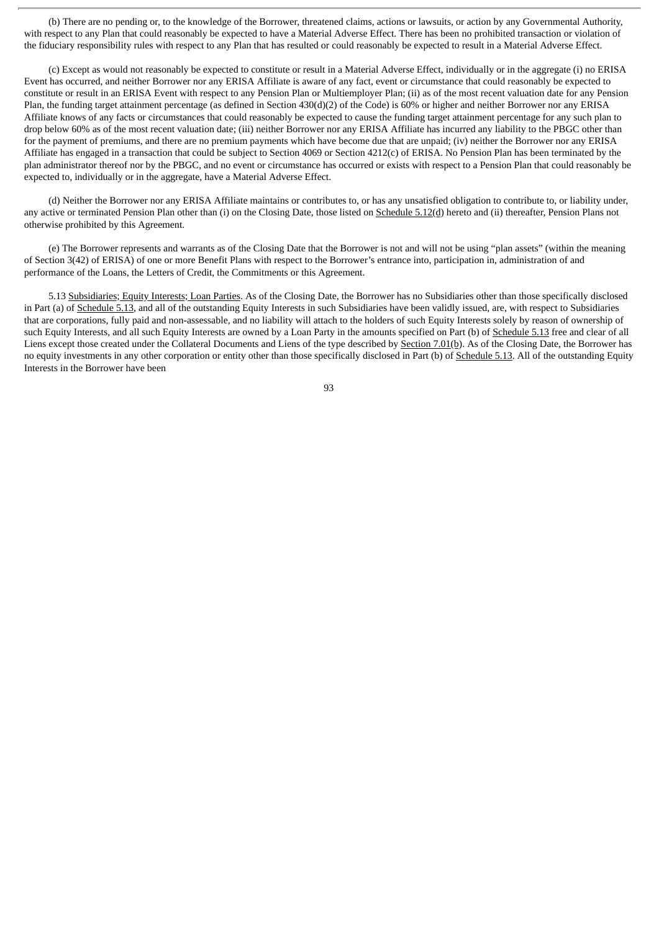(b) There are no pending or, to the knowledge of the Borrower, threatened claims, actions or lawsuits, or action by any Governmental Authority, with respect to any Plan that could reasonably be expected to have a Material Adverse Effect. There has been no prohibited transaction or violation of the fiduciary responsibility rules with respect to any Plan that has resulted or could reasonably be expected to result in a Material Adverse Effect.

(c) Except as would not reasonably be expected to constitute or result in a Material Adverse Effect, individually or in the aggregate (i) no ERISA Event has occurred, and neither Borrower nor any ERISA Affiliate is aware of any fact, event or circumstance that could reasonably be expected to constitute or result in an ERISA Event with respect to any Pension Plan or Multiemployer Plan; (ii) as of the most recent valuation date for any Pension Plan, the funding target attainment percentage (as defined in Section 430(d)(2) of the Code) is 60% or higher and neither Borrower nor any ERISA Affiliate knows of any facts or circumstances that could reasonably be expected to cause the funding target attainment percentage for any such plan to drop below 60% as of the most recent valuation date; (iii) neither Borrower nor any ERISA Affiliate has incurred any liability to the PBGC other than for the payment of premiums, and there are no premium payments which have become due that are unpaid; (iv) neither the Borrower nor any ERISA Affiliate has engaged in a transaction that could be subject to Section 4069 or Section 4212(c) of ERISA. No Pension Plan has been terminated by the plan administrator thereof nor by the PBGC, and no event or circumstance has occurred or exists with respect to a Pension Plan that could reasonably be expected to, individually or in the aggregate, have a Material Adverse Effect.

(d) Neither the Borrower nor any ERISA Affiliate maintains or contributes to, or has any unsatisfied obligation to contribute to, or liability under, any active or terminated Pension Plan other than (i) on the Closing Date, those listed on Schedule 5.12(d) hereto and (ii) thereafter, Pension Plans not otherwise prohibited by this Agreement.

(e) The Borrower represents and warrants as of the Closing Date that the Borrower is not and will not be using "plan assets" (within the meaning of Section 3(42) of ERISA) of one or more Benefit Plans with respect to the Borrower's entrance into, participation in, administration of and performance of the Loans, the Letters of Credit, the Commitments or this Agreement.

5.13 Subsidiaries; Equity Interests; Loan Parties. As of the Closing Date, the Borrower has no Subsidiaries other than those specifically disclosed in Part (a) of Schedule 5.13, and all of the outstanding Equity Interests in such Subsidiaries have been validly issued, are, with respect to Subsidiaries that are corporations, fully paid and non-assessable, and no liability will attach to the holders of such Equity Interests solely by reason of ownership of such Equity Interests, and all such Equity Interests are owned by a Loan Party in the amounts specified on Part (b) of Schedule 5.13 free and clear of all Liens except those created under the Collateral Documents and Liens of the type described by Section 7.01(b). As of the Closing Date, the Borrower has no equity investments in any other corporation or entity other than those specifically disclosed in Part (b) of Schedule 5.13. All of the outstanding Equity Interests in the Borrower have been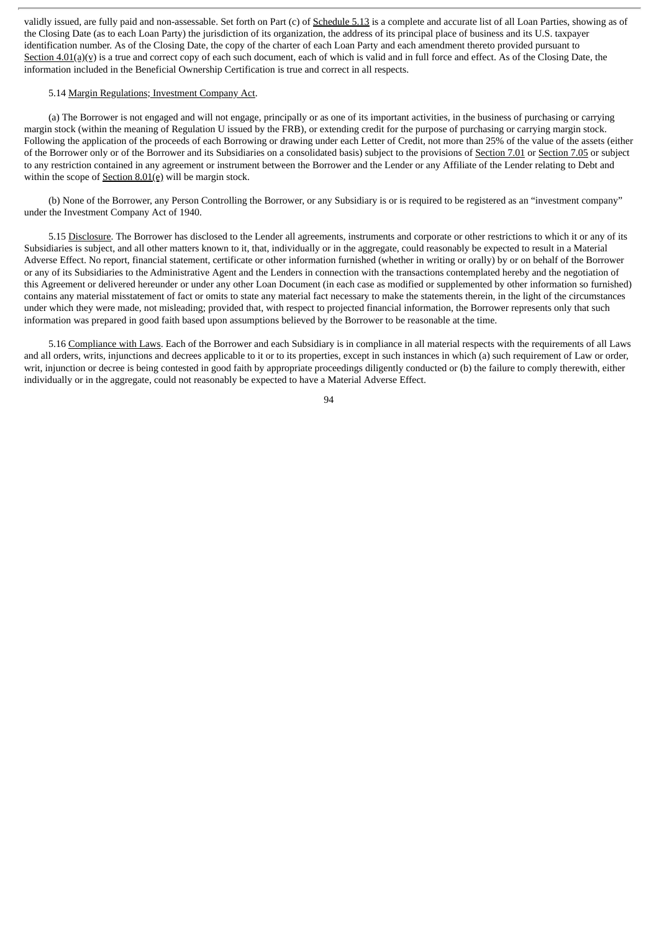validly issued, are fully paid and non-assessable. Set forth on Part (c) of Schedule 5.13 is a complete and accurate list of all Loan Parties, showing as of the Closing Date (as to each Loan Party) the jurisdiction of its organization, the address of its principal place of business and its U.S. taxpayer identification number. As of the Closing Date, the copy of the charter of each Loan Party and each amendment thereto provided pursuant to Section  $4.01(a)(y)$  is a true and correct copy of each such document, each of which is valid and in full force and effect. As of the Closing Date, the information included in the Beneficial Ownership Certification is true and correct in all respects.

#### 5.14 Margin Regulations; Investment Company Act.

(a) The Borrower is not engaged and will not engage, principally or as one of its important activities, in the business of purchasing or carrying margin stock (within the meaning of Regulation U issued by the FRB), or extending credit for the purpose of purchasing or carrying margin stock. Following the application of the proceeds of each Borrowing or drawing under each Letter of Credit, not more than 25% of the value of the assets (either of the Borrower only or of the Borrower and its Subsidiaries on a consolidated basis) subject to the provisions of Section 7.01 or Section 7.05 or subject to any restriction contained in any agreement or instrument between the Borrower and the Lender or any Affiliate of the Lender relating to Debt and within the scope of Section 8.01(e) will be margin stock.

(b) None of the Borrower, any Person Controlling the Borrower, or any Subsidiary is or is required to be registered as an "investment company" under the Investment Company Act of 1940.

5.15 Disclosure. The Borrower has disclosed to the Lender all agreements, instruments and corporate or other restrictions to which it or any of its Subsidiaries is subject, and all other matters known to it, that, individually or in the aggregate, could reasonably be expected to result in a Material Adverse Effect. No report, financial statement, certificate or other information furnished (whether in writing or orally) by or on behalf of the Borrower or any of its Subsidiaries to the Administrative Agent and the Lenders in connection with the transactions contemplated hereby and the negotiation of this Agreement or delivered hereunder or under any other Loan Document (in each case as modified or supplemented by other information so furnished) contains any material misstatement of fact or omits to state any material fact necessary to make the statements therein, in the light of the circumstances under which they were made, not misleading; provided that, with respect to projected financial information, the Borrower represents only that such information was prepared in good faith based upon assumptions believed by the Borrower to be reasonable at the time.

5.16 Compliance with Laws. Each of the Borrower and each Subsidiary is in compliance in all material respects with the requirements of all Laws and all orders, writs, injunctions and decrees applicable to it or to its properties, except in such instances in which (a) such requirement of Law or order, writ, injunction or decree is being contested in good faith by appropriate proceedings diligently conducted or (b) the failure to comply therewith, either individually or in the aggregate, could not reasonably be expected to have a Material Adverse Effect.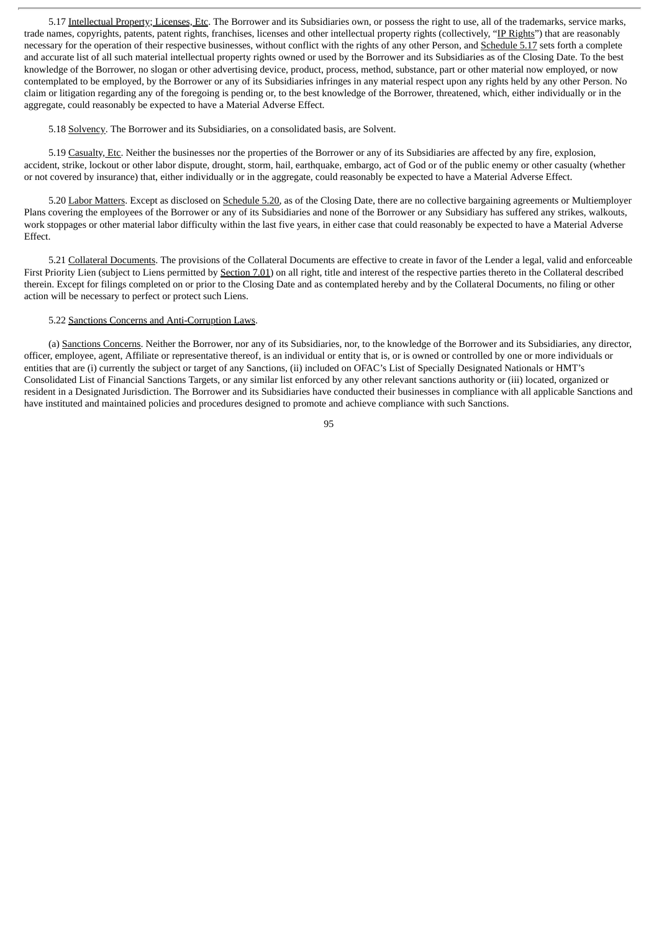5.17 Intellectual Property; Licenses, Etc. The Borrower and its Subsidiaries own, or possess the right to use, all of the trademarks, service marks, trade names, copyrights, patents, patent rights, franchises, licenses and other intellectual property rights (collectively, "IP Rights") that are reasonably necessary for the operation of their respective businesses, without conflict with the rights of any other Person, and Schedule 5.17 sets forth a complete and accurate list of all such material intellectual property rights owned or used by the Borrower and its Subsidiaries as of the Closing Date. To the best knowledge of the Borrower, no slogan or other advertising device, product, process, method, substance, part or other material now employed, or now contemplated to be employed, by the Borrower or any of its Subsidiaries infringes in any material respect upon any rights held by any other Person. No claim or litigation regarding any of the foregoing is pending or, to the best knowledge of the Borrower, threatened, which, either individually or in the aggregate, could reasonably be expected to have a Material Adverse Effect.

5.18 Solvency. The Borrower and its Subsidiaries, on a consolidated basis, are Solvent.

5.19 Casualty, Etc. Neither the businesses nor the properties of the Borrower or any of its Subsidiaries are affected by any fire, explosion, accident, strike, lockout or other labor dispute, drought, storm, hail, earthquake, embargo, act of God or of the public enemy or other casualty (whether or not covered by insurance) that, either individually or in the aggregate, could reasonably be expected to have a Material Adverse Effect.

5.20 Labor Matters. Except as disclosed on Schedule 5.20, as of the Closing Date, there are no collective bargaining agreements or Multiemployer Plans covering the employees of the Borrower or any of its Subsidiaries and none of the Borrower or any Subsidiary has suffered any strikes, walkouts, work stoppages or other material labor difficulty within the last five years, in either case that could reasonably be expected to have a Material Adverse Effect.

5.21 Collateral Documents. The provisions of the Collateral Documents are effective to create in favor of the Lender a legal, valid and enforceable First Priority Lien (subject to Liens permitted by Section 7.01) on all right, title and interest of the respective parties thereto in the Collateral described therein. Except for filings completed on or prior to the Closing Date and as contemplated hereby and by the Collateral Documents, no filing or other action will be necessary to perfect or protect such Liens.

## 5.22 Sanctions Concerns and Anti-Corruption Laws.

(a) Sanctions Concerns. Neither the Borrower, nor any of its Subsidiaries, nor, to the knowledge of the Borrower and its Subsidiaries, any director, officer, employee, agent, Affiliate or representative thereof, is an individual or entity that is, or is owned or controlled by one or more individuals or entities that are (i) currently the subject or target of any Sanctions, (ii) included on OFAC's List of Specially Designated Nationals or HMT's Consolidated List of Financial Sanctions Targets, or any similar list enforced by any other relevant sanctions authority or (iii) located, organized or resident in a Designated Jurisdiction. The Borrower and its Subsidiaries have conducted their businesses in compliance with all applicable Sanctions and have instituted and maintained policies and procedures designed to promote and achieve compliance with such Sanctions.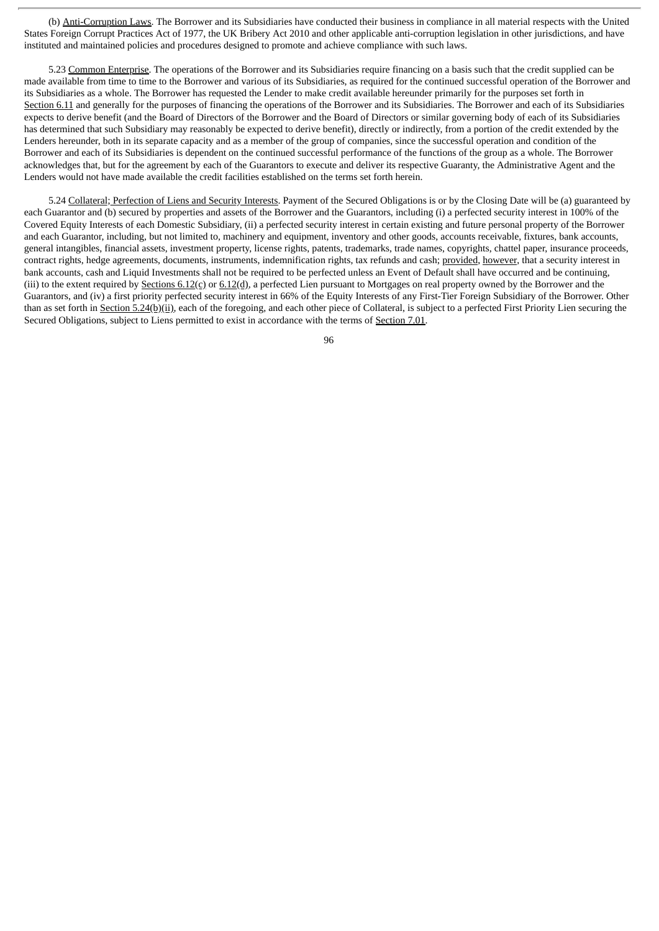(b) Anti-Corruption Laws. The Borrower and its Subsidiaries have conducted their business in compliance in all material respects with the United States Foreign Corrupt Practices Act of 1977, the UK Bribery Act 2010 and other applicable anti-corruption legislation in other jurisdictions, and have instituted and maintained policies and procedures designed to promote and achieve compliance with such laws.

5.23 Common Enterprise. The operations of the Borrower and its Subsidiaries require financing on a basis such that the credit supplied can be made available from time to time to the Borrower and various of its Subsidiaries, as required for the continued successful operation of the Borrower and its Subsidiaries as a whole. The Borrower has requested the Lender to make credit available hereunder primarily for the purposes set forth in Section 6.11 and generally for the purposes of financing the operations of the Borrower and its Subsidiaries. The Borrower and each of its Subsidiaries expects to derive benefit (and the Board of Directors of the Borrower and the Board of Directors or similar governing body of each of its Subsidiaries has determined that such Subsidiary may reasonably be expected to derive benefit), directly or indirectly, from a portion of the credit extended by the Lenders hereunder, both in its separate capacity and as a member of the group of companies, since the successful operation and condition of the Borrower and each of its Subsidiaries is dependent on the continued successful performance of the functions of the group as a whole. The Borrower acknowledges that, but for the agreement by each of the Guarantors to execute and deliver its respective Guaranty, the Administrative Agent and the Lenders would not have made available the credit facilities established on the terms set forth herein.

5.24 Collateral; Perfection of Liens and Security Interests. Payment of the Secured Obligations is or by the Closing Date will be (a) guaranteed by each Guarantor and (b) secured by properties and assets of the Borrower and the Guarantors, including (i) a perfected security interest in 100% of the Covered Equity Interests of each Domestic Subsidiary, (ii) a perfected security interest in certain existing and future personal property of the Borrower and each Guarantor, including, but not limited to, machinery and equipment, inventory and other goods, accounts receivable, fixtures, bank accounts, general intangibles, financial assets, investment property, license rights, patents, trademarks, trade names, copyrights, chattel paper, insurance proceeds, contract rights, hedge agreements, documents, instruments, indemnification rights, tax refunds and cash; provided, however, that a security interest in bank accounts, cash and Liquid Investments shall not be required to be perfected unless an Event of Default shall have occurred and be continuing, (iii) to the extent required by Sections  $6.12(c)$  or  $6.12(d)$ , a perfected Lien pursuant to Mortgages on real property owned by the Borrower and the Guarantors, and (iv) a first priority perfected security interest in 66% of the Equity Interests of any First-Tier Foreign Subsidiary of the Borrower. Other than as set forth in Section 5.24(b)(ii), each of the foregoing, and each other piece of Collateral, is subject to a perfected First Priority Lien securing the Secured Obligations, subject to Liens permitted to exist in accordance with the terms of Section 7.01.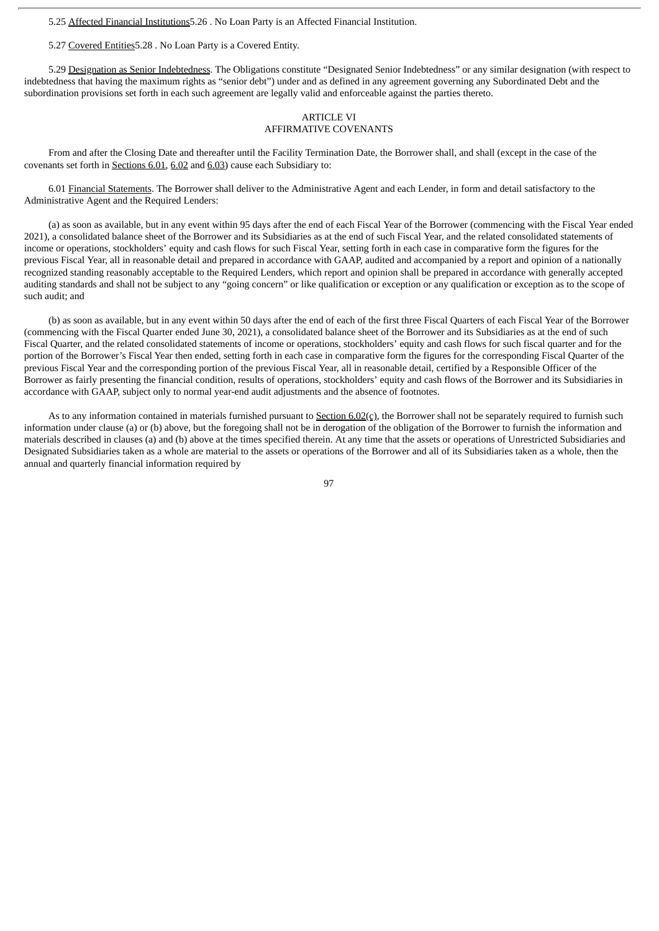5.25 Affected Financial Institutions5.26 . No Loan Party is an Affected Financial Institution.

5.27 Covered Entities5.28 . No Loan Party is a Covered Entity.

5.29 Designation as Senior Indebtedness. The Obligations constitute "Designated Senior Indebtedness" or any similar designation (with respect to indebtedness that having the maximum rights as "senior debt") under and as defined in any agreement governing any Subordinated Debt and the subordination provisions set forth in each such agreement are legally valid and enforceable against the parties thereto.

# ARTICLE VI

# AFFIRMATIVE COVENANTS

From and after the Closing Date and thereafter until the Facility Termination Date, the Borrower shall, and shall (except in the case of the covenants set forth in Sections 6.01, 6.02 and 6.03) cause each Subsidiary to:

6.01 Financial Statements. The Borrower shall deliver to the Administrative Agent and each Lender, in form and detail satisfactory to the Administrative Agent and the Required Lenders:

(a) as soon as available, but in any event within 95 days after the end of each Fiscal Year of the Borrower (commencing with the Fiscal Year ended 2021), a consolidated balance sheet of the Borrower and its Subsidiaries as at the end of such Fiscal Year, and the related consolidated statements of income or operations, stockholders' equity and cash flows for such Fiscal Year, setting forth in each case in comparative form the figures for the previous Fiscal Year, all in reasonable detail and prepared in accordance with GAAP, audited and accompanied by a report and opinion of a nationally recognized standing reasonably acceptable to the Required Lenders, which report and opinion shall be prepared in accordance with generally accepted auditing standards and shall not be subject to any "going concern" or like qualification or exception or any qualification or exception as to the scope of such audit; and

(b) as soon as available, but in any event within 50 days after the end of each of the first three Fiscal Quarters of each Fiscal Year of the Borrower (commencing with the Fiscal Quarter ended June 30, 2021), a consolidated balance sheet of the Borrower and its Subsidiaries as at the end of such Fiscal Quarter, and the related consolidated statements of income or operations, stockholders' equity and cash flows for such fiscal quarter and for the portion of the Borrower's Fiscal Year then ended, setting forth in each case in comparative form the figures for the corresponding Fiscal Quarter of the previous Fiscal Year and the corresponding portion of the previous Fiscal Year, all in reasonable detail, certified by a Responsible Officer of the Borrower as fairly presenting the financial condition, results of operations, stockholders' equity and cash flows of the Borrower and its Subsidiaries in accordance with GAAP, subject only to normal year-end audit adjustments and the absence of footnotes.

As to any information contained in materials furnished pursuant to Section 6.02(c), the Borrower shall not be separately required to furnish such information under clause (a) or (b) above, but the foregoing shall not be in derogation of the obligation of the Borrower to furnish the information and materials described in clauses (a) and (b) above at the times specified therein. At any time that the assets or operations of Unrestricted Subsidiaries and Designated Subsidiaries taken as a whole are material to the assets or operations of the Borrower and all of its Subsidiaries taken as a whole, then the annual and quarterly financial information required by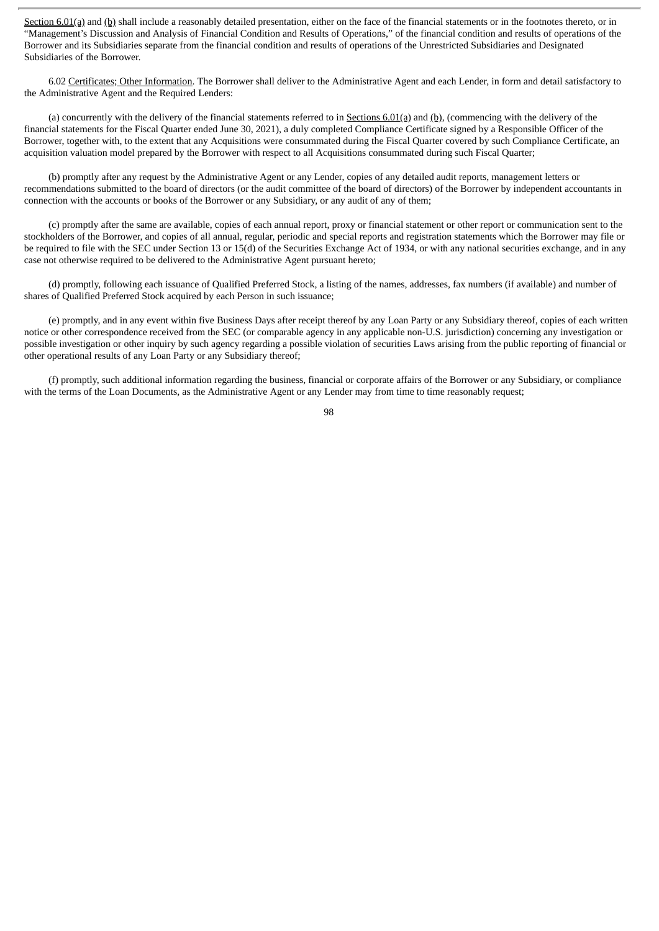Section 6.01(a) and (b) shall include a reasonably detailed presentation, either on the face of the financial statements or in the footnotes thereto, or in "Management's Discussion and Analysis of Financial Condition and Results of Operations," of the financial condition and results of operations of the Borrower and its Subsidiaries separate from the financial condition and results of operations of the Unrestricted Subsidiaries and Designated Subsidiaries of the Borrower.

6.02 Certificates; Other Information. The Borrower shall deliver to the Administrative Agent and each Lender, in form and detail satisfactory to the Administrative Agent and the Required Lenders:

(a) concurrently with the delivery of the financial statements referred to in Sections  $6.01(a)$  and (b), (commencing with the delivery of the financial statements for the Fiscal Quarter ended June 30, 2021), a duly completed Compliance Certificate signed by a Responsible Officer of the Borrower, together with, to the extent that any Acquisitions were consummated during the Fiscal Quarter covered by such Compliance Certificate, an acquisition valuation model prepared by the Borrower with respect to all Acquisitions consummated during such Fiscal Quarter;

(b) promptly after any request by the Administrative Agent or any Lender, copies of any detailed audit reports, management letters or recommendations submitted to the board of directors (or the audit committee of the board of directors) of the Borrower by independent accountants in connection with the accounts or books of the Borrower or any Subsidiary, or any audit of any of them;

(c) promptly after the same are available, copies of each annual report, proxy or financial statement or other report or communication sent to the stockholders of the Borrower, and copies of all annual, regular, periodic and special reports and registration statements which the Borrower may file or be required to file with the SEC under Section 13 or 15(d) of the Securities Exchange Act of 1934, or with any national securities exchange, and in any case not otherwise required to be delivered to the Administrative Agent pursuant hereto;

(d) promptly, following each issuance of Qualified Preferred Stock, a listing of the names, addresses, fax numbers (if available) and number of shares of Qualified Preferred Stock acquired by each Person in such issuance;

(e) promptly, and in any event within five Business Days after receipt thereof by any Loan Party or any Subsidiary thereof, copies of each written notice or other correspondence received from the SEC (or comparable agency in any applicable non-U.S. jurisdiction) concerning any investigation or possible investigation or other inquiry by such agency regarding a possible violation of securities Laws arising from the public reporting of financial or other operational results of any Loan Party or any Subsidiary thereof;

(f) promptly, such additional information regarding the business, financial or corporate affairs of the Borrower or any Subsidiary, or compliance with the terms of the Loan Documents, as the Administrative Agent or any Lender may from time to time reasonably request;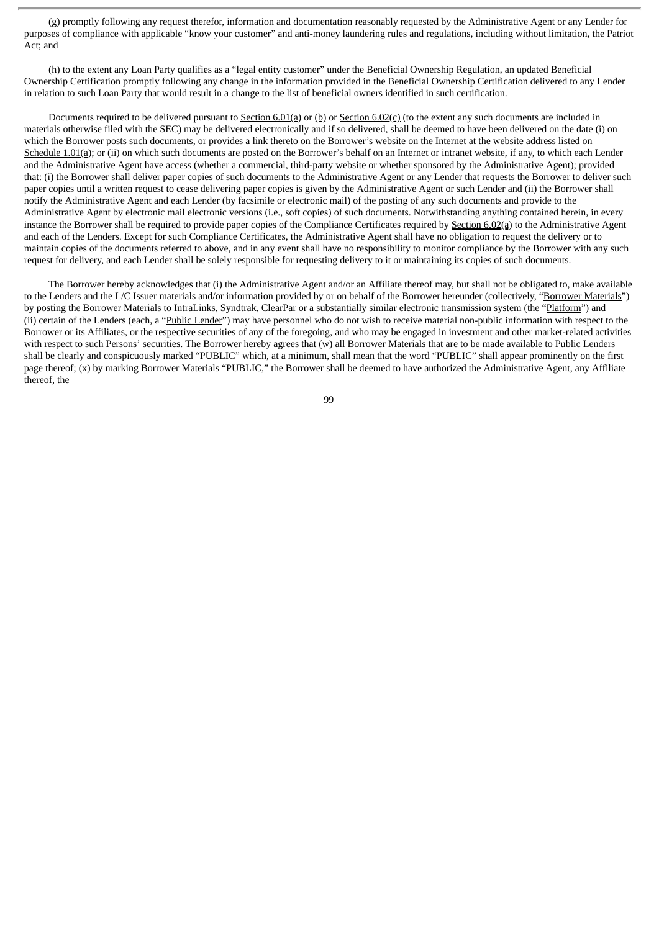(g) promptly following any request therefor, information and documentation reasonably requested by the Administrative Agent or any Lender for purposes of compliance with applicable "know your customer" and anti-money laundering rules and regulations, including without limitation, the Patriot  $Art: and$ 

(h) to the extent any Loan Party qualifies as a "legal entity customer" under the Beneficial Ownership Regulation, an updated Beneficial Ownership Certification promptly following any change in the information provided in the Beneficial Ownership Certification delivered to any Lender in relation to such Loan Party that would result in a change to the list of beneficial owners identified in such certification.

Documents required to be delivered pursuant to Section  $6.01(a)$  or (b) or Section  $6.02(c)$  (to the extent any such documents are included in materials otherwise filed with the SEC) may be delivered electronically and if so delivered, shall be deemed to have been delivered on the date (i) on which the Borrower posts such documents, or provides a link thereto on the Borrower's website on the Internet at the website address listed on Schedule 1.01(a); or (ii) on which such documents are posted on the Borrower's behalf on an Internet or intranet website, if any, to which each Lender and the Administrative Agent have access (whether a commercial, third-party website or whether sponsored by the Administrative Agent); provided that: (i) the Borrower shall deliver paper copies of such documents to the Administrative Agent or any Lender that requests the Borrower to deliver such paper copies until a written request to cease delivering paper copies is given by the Administrative Agent or such Lender and (ii) the Borrower shall notify the Administrative Agent and each Lender (by facsimile or electronic mail) of the posting of any such documents and provide to the Administrative Agent by electronic mail electronic versions (*i.e.*, soft copies) of such documents. Notwithstanding anything contained herein, in every instance the Borrower shall be required to provide paper copies of the Compliance Certificates required by Section 6.02(a) to the Administrative Agent and each of the Lenders. Except for such Compliance Certificates, the Administrative Agent shall have no obligation to request the delivery or to maintain copies of the documents referred to above, and in any event shall have no responsibility to monitor compliance by the Borrower with any such request for delivery, and each Lender shall be solely responsible for requesting delivery to it or maintaining its copies of such documents.

The Borrower hereby acknowledges that (i) the Administrative Agent and/or an Affiliate thereof may, but shall not be obligated to, make available to the Lenders and the L/C Issuer materials and/or information provided by or on behalf of the Borrower hereunder (collectively, "Borrower Materials") by posting the Borrower Materials to IntraLinks, Syndtrak, ClearPar or a substantially similar electronic transmission system (the "Platform") and (ii) certain of the Lenders (each, a "Public Lender") may have personnel who do not wish to receive material non-public information with respect to the Borrower or its Affiliates, or the respective securities of any of the foregoing, and who may be engaged in investment and other market-related activities with respect to such Persons' securities. The Borrower hereby agrees that (w) all Borrower Materials that are to be made available to Public Lenders shall be clearly and conspicuously marked "PUBLIC" which, at a minimum, shall mean that the word "PUBLIC" shall appear prominently on the first page thereof; (x) by marking Borrower Materials "PUBLIC," the Borrower shall be deemed to have authorized the Administrative Agent, any Affiliate thereof, the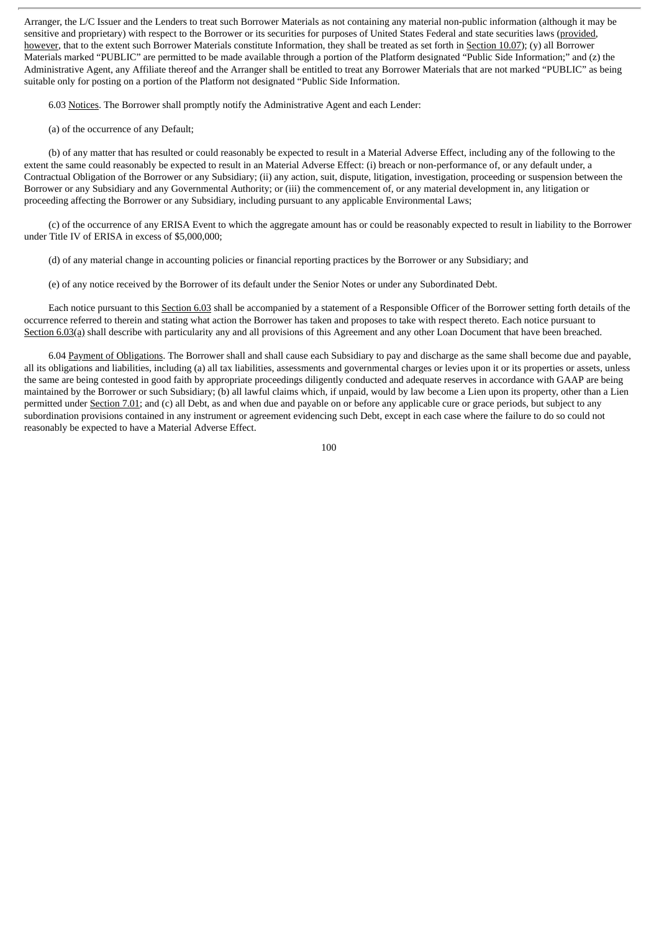Arranger, the L/C Issuer and the Lenders to treat such Borrower Materials as not containing any material non-public information (although it may be sensitive and proprietary) with respect to the Borrower or its securities for purposes of United States Federal and state securities laws (provided, however, that to the extent such Borrower Materials constitute Information, they shall be treated as set forth in Section 10.07); (y) all Borrower Materials marked "PUBLIC" are permitted to be made available through a portion of the Platform designated "Public Side Information;" and (z) the Administrative Agent, any Affiliate thereof and the Arranger shall be entitled to treat any Borrower Materials that are not marked "PUBLIC" as being suitable only for posting on a portion of the Platform not designated "Public Side Information.

6.03 Notices. The Borrower shall promptly notify the Administrative Agent and each Lender:

(a) of the occurrence of any Default;

(b) of any matter that has resulted or could reasonably be expected to result in a Material Adverse Effect, including any of the following to the extent the same could reasonably be expected to result in an Material Adverse Effect: (i) breach or non-performance of, or any default under, a Contractual Obligation of the Borrower or any Subsidiary; (ii) any action, suit, dispute, litigation, investigation, proceeding or suspension between the Borrower or any Subsidiary and any Governmental Authority; or (iii) the commencement of, or any material development in, any litigation or proceeding affecting the Borrower or any Subsidiary, including pursuant to any applicable Environmental Laws;

(c) of the occurrence of any ERISA Event to which the aggregate amount has or could be reasonably expected to result in liability to the Borrower under Title IV of ERISA in excess of \$5,000,000;

(d) of any material change in accounting policies or financial reporting practices by the Borrower or any Subsidiary; and

(e) of any notice received by the Borrower of its default under the Senior Notes or under any Subordinated Debt.

Each notice pursuant to this Section 6.03 shall be accompanied by a statement of a Responsible Officer of the Borrower setting forth details of the occurrence referred to therein and stating what action the Borrower has taken and proposes to take with respect thereto. Each notice pursuant to Section 6.03(a) shall describe with particularity any and all provisions of this Agreement and any other Loan Document that have been breached.

6.04 Payment of Obligations. The Borrower shall and shall cause each Subsidiary to pay and discharge as the same shall become due and payable, all its obligations and liabilities, including (a) all tax liabilities, assessments and governmental charges or levies upon it or its properties or assets, unless the same are being contested in good faith by appropriate proceedings diligently conducted and adequate reserves in accordance with GAAP are being maintained by the Borrower or such Subsidiary; (b) all lawful claims which, if unpaid, would by law become a Lien upon its property, other than a Lien permitted under Section 7.01; and (c) all Debt, as and when due and payable on or before any applicable cure or grace periods, but subject to any subordination provisions contained in any instrument or agreement evidencing such Debt, except in each case where the failure to do so could not reasonably be expected to have a Material Adverse Effect.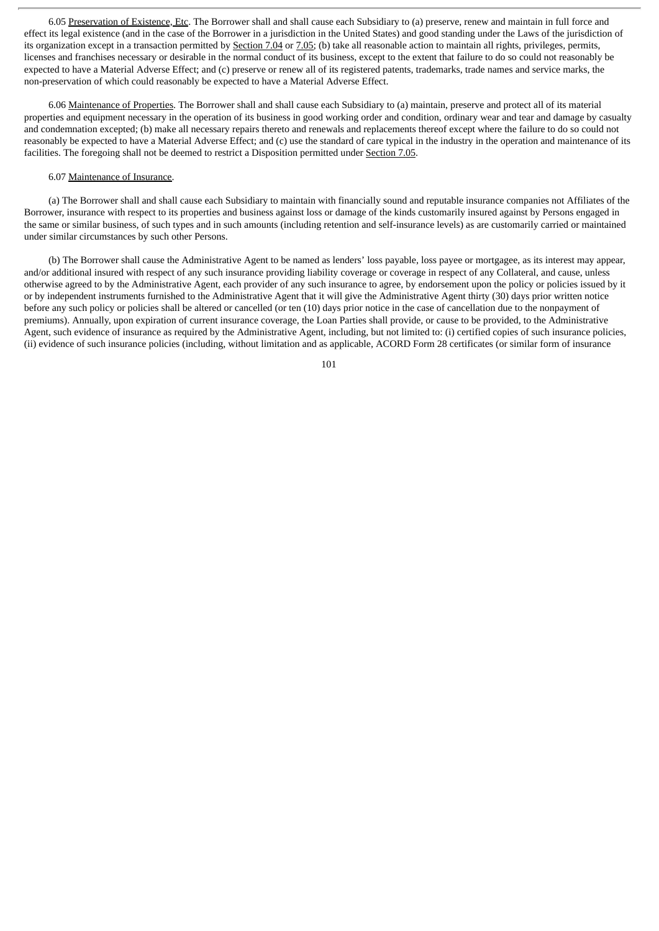6.05 Preservation of Existence, Etc. The Borrower shall and shall cause each Subsidiary to (a) preserve, renew and maintain in full force and effect its legal existence (and in the case of the Borrower in a jurisdiction in the United States) and good standing under the Laws of the jurisdiction of its organization except in a transaction permitted by Section 7.04 or 7.05; (b) take all reasonable action to maintain all rights, privileges, permits, licenses and franchises necessary or desirable in the normal conduct of its business, except to the extent that failure to do so could not reasonably be expected to have a Material Adverse Effect; and (c) preserve or renew all of its registered patents, trademarks, trade names and service marks, the non-preservation of which could reasonably be expected to have a Material Adverse Effect.

6.06 Maintenance of Properties. The Borrower shall and shall cause each Subsidiary to (a) maintain, preserve and protect all of its material properties and equipment necessary in the operation of its business in good working order and condition, ordinary wear and tear and damage by casualty and condemnation excepted; (b) make all necessary repairs thereto and renewals and replacements thereof except where the failure to do so could not reasonably be expected to have a Material Adverse Effect; and (c) use the standard of care typical in the industry in the operation and maintenance of its facilities. The foregoing shall not be deemed to restrict a Disposition permitted under Section 7.05.

### 6.07 Maintenance of Insurance.

(a) The Borrower shall and shall cause each Subsidiary to maintain with financially sound and reputable insurance companies not Affiliates of the Borrower, insurance with respect to its properties and business against loss or damage of the kinds customarily insured against by Persons engaged in the same or similar business, of such types and in such amounts (including retention and self-insurance levels) as are customarily carried or maintained under similar circumstances by such other Persons.

(b) The Borrower shall cause the Administrative Agent to be named as lenders' loss payable, loss payee or mortgagee, as its interest may appear, and/or additional insured with respect of any such insurance providing liability coverage or coverage in respect of any Collateral, and cause, unless otherwise agreed to by the Administrative Agent, each provider of any such insurance to agree, by endorsement upon the policy or policies issued by it or by independent instruments furnished to the Administrative Agent that it will give the Administrative Agent thirty (30) days prior written notice before any such policy or policies shall be altered or cancelled (or ten (10) days prior notice in the case of cancellation due to the nonpayment of premiums). Annually, upon expiration of current insurance coverage, the Loan Parties shall provide, or cause to be provided, to the Administrative Agent, such evidence of insurance as required by the Administrative Agent, including, but not limited to: (i) certified copies of such insurance policies, (ii) evidence of such insurance policies (including, without limitation and as applicable, ACORD Form 28 certificates (or similar form of insurance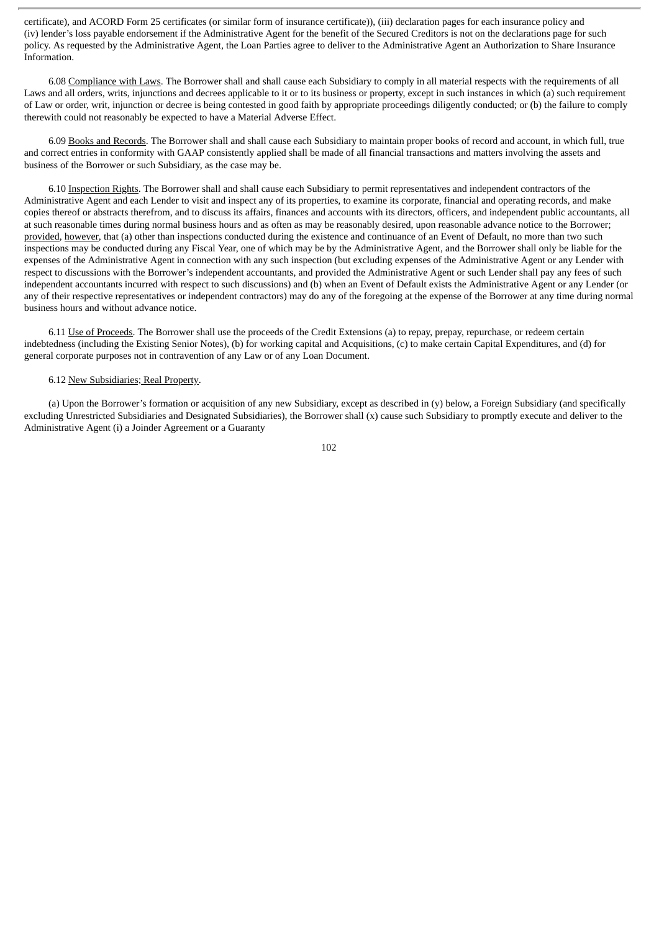certificate), and ACORD Form 25 certificates (or similar form of insurance certificate)), (iii) declaration pages for each insurance policy and (iv) lender's loss payable endorsement if the Administrative Agent for the benefit of the Secured Creditors is not on the declarations page for such policy. As requested by the Administrative Agent, the Loan Parties agree to deliver to the Administrative Agent an Authorization to Share Insurance Information.

6.08 Compliance with Laws. The Borrower shall and shall cause each Subsidiary to comply in all material respects with the requirements of all Laws and all orders, writs, injunctions and decrees applicable to it or to its business or property, except in such instances in which (a) such requirement of Law or order, writ, injunction or decree is being contested in good faith by appropriate proceedings diligently conducted; or (b) the failure to comply therewith could not reasonably be expected to have a Material Adverse Effect.

6.09 Books and Records. The Borrower shall and shall cause each Subsidiary to maintain proper books of record and account, in which full, true and correct entries in conformity with GAAP consistently applied shall be made of all financial transactions and matters involving the assets and business of the Borrower or such Subsidiary, as the case may be.

6.10 Inspection Rights. The Borrower shall and shall cause each Subsidiary to permit representatives and independent contractors of the Administrative Agent and each Lender to visit and inspect any of its properties, to examine its corporate, financial and operating records, and make copies thereof or abstracts therefrom, and to discuss its affairs, finances and accounts with its directors, officers, and independent public accountants, all at such reasonable times during normal business hours and as often as may be reasonably desired, upon reasonable advance notice to the Borrower; provided, however, that (a) other than inspections conducted during the existence and continuance of an Event of Default, no more than two such inspections may be conducted during any Fiscal Year, one of which may be by the Administrative Agent, and the Borrower shall only be liable for the expenses of the Administrative Agent in connection with any such inspection (but excluding expenses of the Administrative Agent or any Lender with respect to discussions with the Borrower's independent accountants, and provided the Administrative Agent or such Lender shall pay any fees of such independent accountants incurred with respect to such discussions) and (b) when an Event of Default exists the Administrative Agent or any Lender (or any of their respective representatives or independent contractors) may do any of the foregoing at the expense of the Borrower at any time during normal business hours and without advance notice.

6.11 Use of Proceeds. The Borrower shall use the proceeds of the Credit Extensions (a) to repay, prepay, repurchase, or redeem certain indebtedness (including the Existing Senior Notes), (b) for working capital and Acquisitions, (c) to make certain Capital Expenditures, and (d) for general corporate purposes not in contravention of any Law or of any Loan Document.

## 6.12 New Subsidiaries; Real Property.

(a) Upon the Borrower's formation or acquisition of any new Subsidiary, except as described in (y) below, a Foreign Subsidiary (and specifically excluding Unrestricted Subsidiaries and Designated Subsidiaries), the Borrower shall (x) cause such Subsidiary to promptly execute and deliver to the Administrative Agent (i) a Joinder Agreement or a Guaranty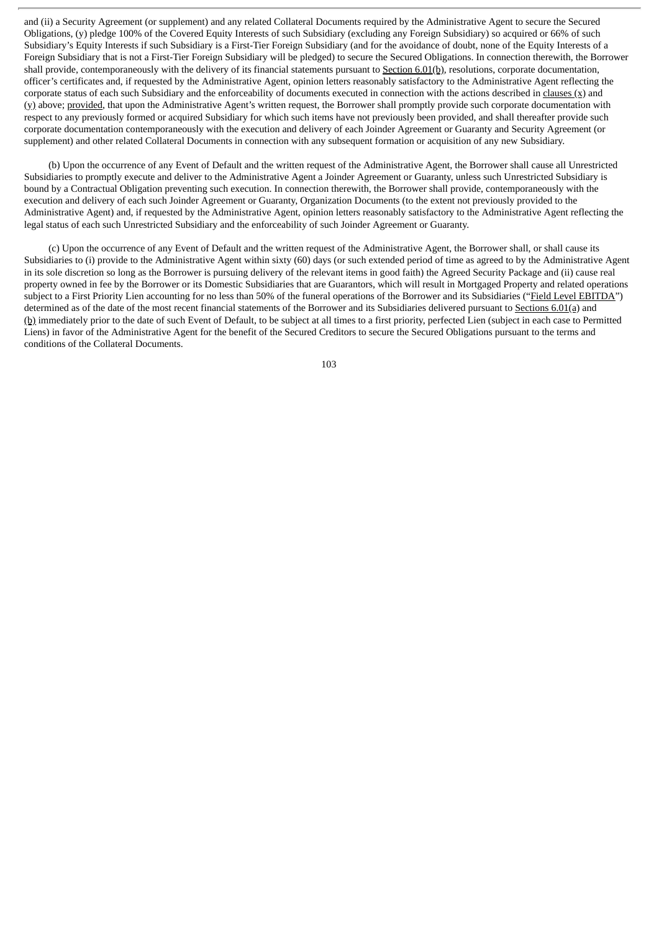and (ii) a Security Agreement (or supplement) and any related Collateral Documents required by the Administrative Agent to secure the Secured Obligations, (y) pledge 100% of the Covered Equity Interests of such Subsidiary (excluding any Foreign Subsidiary) so acquired or 66% of such Subsidiary's Equity Interests if such Subsidiary is a First-Tier Foreign Subsidiary (and for the avoidance of doubt, none of the Equity Interests of a Foreign Subsidiary that is not a First-Tier Foreign Subsidiary will be pledged) to secure the Secured Obligations. In connection therewith, the Borrower shall provide, contemporaneously with the delivery of its financial statements pursuant to **Section 6.01(b)**, resolutions, corporate documentation, officer's certificates and, if requested by the Administrative Agent, opinion letters reasonably satisfactory to the Administrative Agent reflecting the corporate status of each such Subsidiary and the enforceability of documents executed in connection with the actions described in clauses (x) and (y) above; provided, that upon the Administrative Agent's written request, the Borrower shall promptly provide such corporate documentation with respect to any previously formed or acquired Subsidiary for which such items have not previously been provided, and shall thereafter provide such corporate documentation contemporaneously with the execution and delivery of each Joinder Agreement or Guaranty and Security Agreement (or supplement) and other related Collateral Documents in connection with any subsequent formation or acquisition of any new Subsidiary.

(b) Upon the occurrence of any Event of Default and the written request of the Administrative Agent, the Borrower shall cause all Unrestricted Subsidiaries to promptly execute and deliver to the Administrative Agent a Joinder Agreement or Guaranty, unless such Unrestricted Subsidiary is bound by a Contractual Obligation preventing such execution. In connection therewith, the Borrower shall provide, contemporaneously with the execution and delivery of each such Joinder Agreement or Guaranty, Organization Documents (to the extent not previously provided to the Administrative Agent) and, if requested by the Administrative Agent, opinion letters reasonably satisfactory to the Administrative Agent reflecting the legal status of each such Unrestricted Subsidiary and the enforceability of such Joinder Agreement or Guaranty.

(c) Upon the occurrence of any Event of Default and the written request of the Administrative Agent, the Borrower shall, or shall cause its Subsidiaries to (i) provide to the Administrative Agent within sixty (60) days (or such extended period of time as agreed to by the Administrative Agent in its sole discretion so long as the Borrower is pursuing delivery of the relevant items in good faith) the Agreed Security Package and (ii) cause real property owned in fee by the Borrower or its Domestic Subsidiaries that are Guarantors, which will result in Mortgaged Property and related operations subject to a First Priority Lien accounting for no less than 50% of the funeral operations of the Borrower and its Subsidiaries ("Field Level EBITDA") determined as of the date of the most recent financial statements of the Borrower and its Subsidiaries delivered pursuant to Sections 6.01(a) and (b) immediately prior to the date of such Event of Default, to be subject at all times to a first priority, perfected Lien (subject in each case to Permitted Liens) in favor of the Administrative Agent for the benefit of the Secured Creditors to secure the Secured Obligations pursuant to the terms and conditions of the Collateral Documents.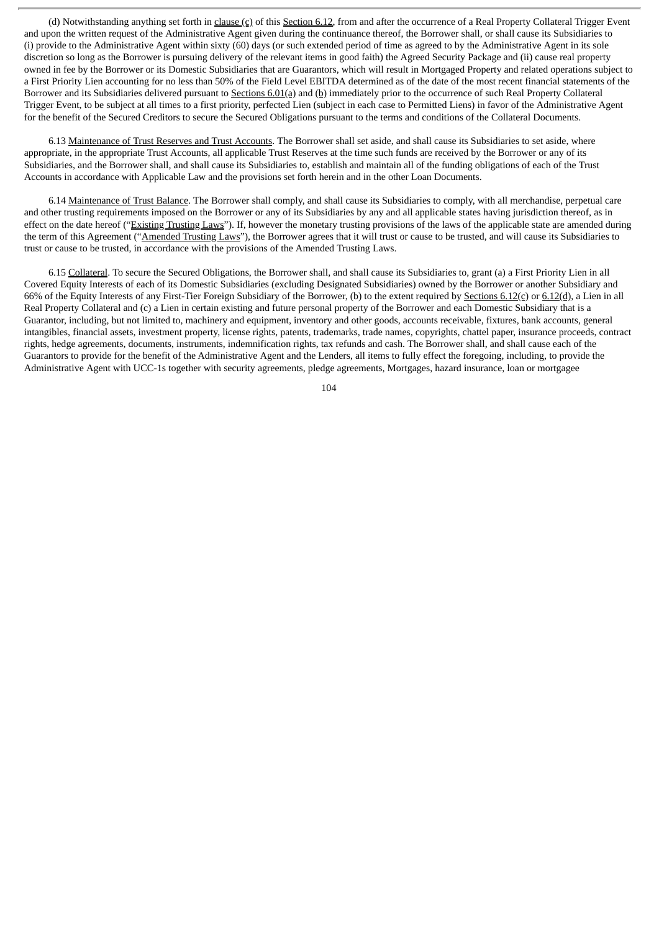(d) Notwithstanding anything set forth in clause (c) of this Section 6.12, from and after the occurrence of a Real Property Collateral Trigger Event and upon the written request of the Administrative Agent given during the continuance thereof, the Borrower shall, or shall cause its Subsidiaries to (i) provide to the Administrative Agent within sixty (60) days (or such extended period of time as agreed to by the Administrative Agent in its sole discretion so long as the Borrower is pursuing delivery of the relevant items in good faith) the Agreed Security Package and (ii) cause real property owned in fee by the Borrower or its Domestic Subsidiaries that are Guarantors, which will result in Mortgaged Property and related operations subject to a First Priority Lien accounting for no less than 50% of the Field Level EBITDA determined as of the date of the most recent financial statements of the Borrower and its Subsidiaries delivered pursuant to Sections 6.01(a) and (b) immediately prior to the occurrence of such Real Property Collateral Trigger Event, to be subject at all times to a first priority, perfected Lien (subject in each case to Permitted Liens) in favor of the Administrative Agent for the benefit of the Secured Creditors to secure the Secured Obligations pursuant to the terms and conditions of the Collateral Documents.

6.13 Maintenance of Trust Reserves and Trust Accounts. The Borrower shall set aside, and shall cause its Subsidiaries to set aside, where appropriate, in the appropriate Trust Accounts, all applicable Trust Reserves at the time such funds are received by the Borrower or any of its Subsidiaries, and the Borrower shall, and shall cause its Subsidiaries to, establish and maintain all of the funding obligations of each of the Trust Accounts in accordance with Applicable Law and the provisions set forth herein and in the other Loan Documents.

6.14 Maintenance of Trust Balance. The Borrower shall comply, and shall cause its Subsidiaries to comply, with all merchandise, perpetual care and other trusting requirements imposed on the Borrower or any of its Subsidiaries by any and all applicable states having jurisdiction thereof, as in effect on the date hereof ("Existing Trusting Laws"). If, however the monetary trusting provisions of the laws of the applicable state are amended during the term of this Agreement ("Amended Trusting Laws"), the Borrower agrees that it will trust or cause to be trusted, and will cause its Subsidiaries to trust or cause to be trusted, in accordance with the provisions of the Amended Trusting Laws.

6.15 Collateral. To secure the Secured Obligations, the Borrower shall, and shall cause its Subsidiaries to, grant (a) a First Priority Lien in all Covered Equity Interests of each of its Domestic Subsidiaries (excluding Designated Subsidiaries) owned by the Borrower or another Subsidiary and 66% of the Equity Interests of any First-Tier Foreign Subsidiary of the Borrower, (b) to the extent required by Sections 6.12(c) or 6.12(d), a Lien in all Real Property Collateral and (c) a Lien in certain existing and future personal property of the Borrower and each Domestic Subsidiary that is a Guarantor, including, but not limited to, machinery and equipment, inventory and other goods, accounts receivable, fixtures, bank accounts, general intangibles, financial assets, investment property, license rights, patents, trademarks, trade names, copyrights, chattel paper, insurance proceeds, contract rights, hedge agreements, documents, instruments, indemnification rights, tax refunds and cash. The Borrower shall, and shall cause each of the Guarantors to provide for the benefit of the Administrative Agent and the Lenders, all items to fully effect the foregoing, including, to provide the Administrative Agent with UCC-1s together with security agreements, pledge agreements, Mortgages, hazard insurance, loan or mortgagee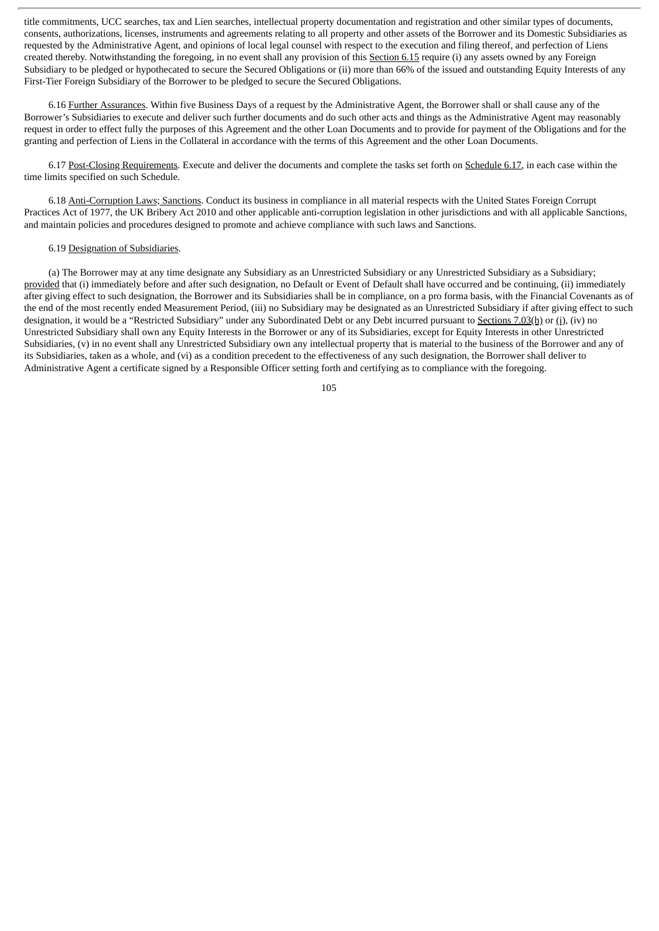title commitments, UCC searches, tax and Lien searches, intellectual property documentation and registration and other similar types of documents, consents, authorizations, licenses, instruments and agreements relating to all property and other assets of the Borrower and its Domestic Subsidiaries as requested by the Administrative Agent, and opinions of local legal counsel with respect to the execution and filing thereof, and perfection of Liens created thereby. Notwithstanding the foregoing, in no event shall any provision of this Section 6.15 require (i) any assets owned by any Foreign Subsidiary to be pledged or hypothecated to secure the Secured Obligations or (ii) more than 66% of the issued and outstanding Equity Interests of any First-Tier Foreign Subsidiary of the Borrower to be pledged to secure the Secured Obligations.

6.16 Further Assurances. Within five Business Days of a request by the Administrative Agent, the Borrower shall or shall cause any of the Borrower's Subsidiaries to execute and deliver such further documents and do such other acts and things as the Administrative Agent may reasonably request in order to effect fully the purposes of this Agreement and the other Loan Documents and to provide for payment of the Obligations and for the granting and perfection of Liens in the Collateral in accordance with the terms of this Agreement and the other Loan Documents.

6.17 Post-Closing Requirements. Execute and deliver the documents and complete the tasks set forth on Schedule 6.17, in each case within the time limits specified on such Schedule.

6.18 Anti-Corruption Laws; Sanctions. Conduct its business in compliance in all material respects with the United States Foreign Corrupt Practices Act of 1977, the UK Bribery Act 2010 and other applicable anti-corruption legislation in other jurisdictions and with all applicable Sanctions, and maintain policies and procedures designed to promote and achieve compliance with such laws and Sanctions.

#### 6.19 Designation of Subsidiaries.

(a) The Borrower may at any time designate any Subsidiary as an Unrestricted Subsidiary or any Unrestricted Subsidiary as a Subsidiary; provided that (i) immediately before and after such designation, no Default or Event of Default shall have occurred and be continuing, (ii) immediately after giving effect to such designation, the Borrower and its Subsidiaries shall be in compliance, on a pro forma basis, with the Financial Covenants as of the end of the most recently ended Measurement Period, (iii) no Subsidiary may be designated as an Unrestricted Subsidiary if after giving effect to such designation, it would be a "Restricted Subsidiary" under any Subordinated Debt or any Debt incurred pursuant to Sections 7.03(h) or (i), (iv) no Unrestricted Subsidiary shall own any Equity Interests in the Borrower or any of its Subsidiaries, except for Equity Interests in other Unrestricted Subsidiaries, (v) in no event shall any Unrestricted Subsidiary own any intellectual property that is material to the business of the Borrower and any of its Subsidiaries, taken as a whole, and (vi) as a condition precedent to the effectiveness of any such designation, the Borrower shall deliver to Administrative Agent a certificate signed by a Responsible Officer setting forth and certifying as to compliance with the foregoing.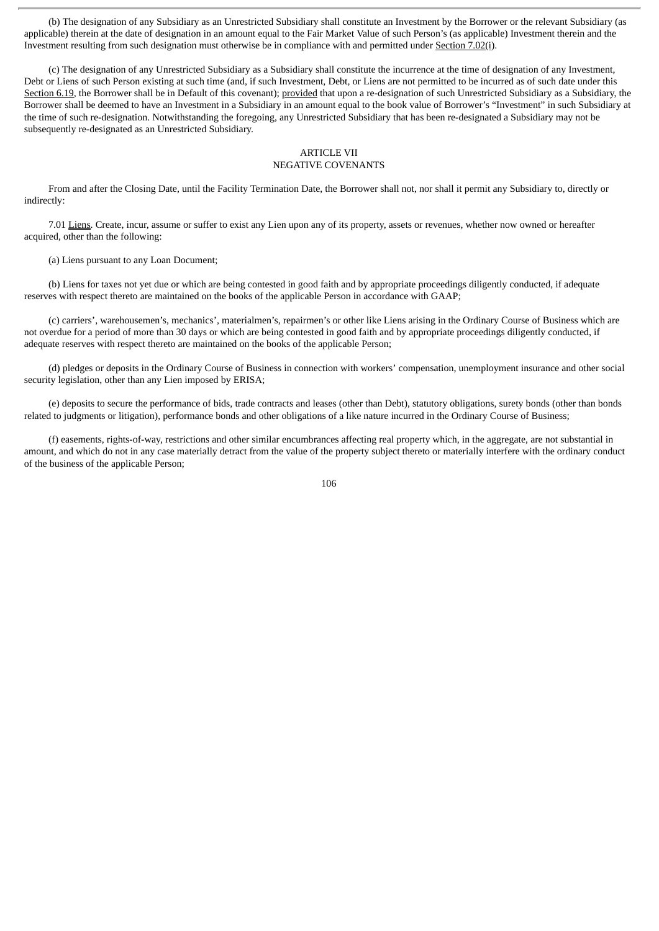(b) The designation of any Subsidiary as an Unrestricted Subsidiary shall constitute an Investment by the Borrower or the relevant Subsidiary (as applicable) therein at the date of designation in an amount equal to the Fair Market Value of such Person's (as applicable) Investment therein and the Investment resulting from such designation must otherwise be in compliance with and permitted under Section 7.02(i).

(c) The designation of any Unrestricted Subsidiary as a Subsidiary shall constitute the incurrence at the time of designation of any Investment, Debt or Liens of such Person existing at such time (and, if such Investment, Debt, or Liens are not permitted to be incurred as of such date under this Section 6.19, the Borrower shall be in Default of this covenant); provided that upon a re-designation of such Unrestricted Subsidiary as a Subsidiary, the Borrower shall be deemed to have an Investment in a Subsidiary in an amount equal to the book value of Borrower's "Investment" in such Subsidiary at the time of such re-designation. Notwithstanding the foregoing, any Unrestricted Subsidiary that has been re-designated a Subsidiary may not be subsequently re-designated as an Unrestricted Subsidiary.

# ARTICLE VII NEGATIVE COVENANTS

From and after the Closing Date, until the Facility Termination Date, the Borrower shall not, nor shall it permit any Subsidiary to, directly or indirectly:

7.01 Liens. Create, incur, assume or suffer to exist any Lien upon any of its property, assets or revenues, whether now owned or hereafter acquired, other than the following:

(a) Liens pursuant to any Loan Document;

(b) Liens for taxes not yet due or which are being contested in good faith and by appropriate proceedings diligently conducted, if adequate reserves with respect thereto are maintained on the books of the applicable Person in accordance with GAAP;

(c) carriers', warehousemen's, mechanics', materialmen's, repairmen's or other like Liens arising in the Ordinary Course of Business which are not overdue for a period of more than 30 days or which are being contested in good faith and by appropriate proceedings diligently conducted, if adequate reserves with respect thereto are maintained on the books of the applicable Person;

(d) pledges or deposits in the Ordinary Course of Business in connection with workers' compensation, unemployment insurance and other social security legislation, other than any Lien imposed by ERISA;

(e) deposits to secure the performance of bids, trade contracts and leases (other than Debt), statutory obligations, surety bonds (other than bonds related to judgments or litigation), performance bonds and other obligations of a like nature incurred in the Ordinary Course of Business;

(f) easements, rights-of-way, restrictions and other similar encumbrances affecting real property which, in the aggregate, are not substantial in amount, and which do not in any case materially detract from the value of the property subject thereto or materially interfere with the ordinary conduct of the business of the applicable Person;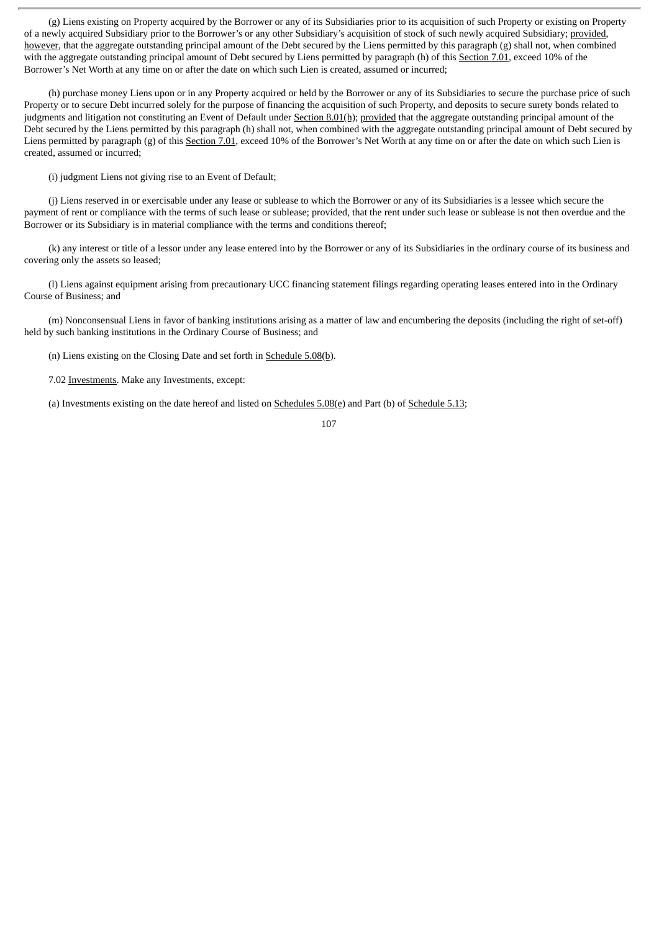(g) Liens existing on Property acquired by the Borrower or any of its Subsidiaries prior to its acquisition of such Property or existing on Property of a newly acquired Subsidiary prior to the Borrower's or any other Subsidiary's acquisition of stock of such newly acquired Subsidiary; provided, however, that the aggregate outstanding principal amount of the Debt secured by the Liens permitted by this paragraph (g) shall not, when combined with the aggregate outstanding principal amount of Debt secured by Liens permitted by paragraph (h) of this Section 7.01, exceed 10% of the Borrower's Net Worth at any time on or after the date on which such Lien is created, assumed or incurred;

(h) purchase money Liens upon or in any Property acquired or held by the Borrower or any of its Subsidiaries to secure the purchase price of such Property or to secure Debt incurred solely for the purpose of financing the acquisition of such Property, and deposits to secure surety bonds related to judgments and litigation not constituting an Event of Default under Section 8.01(h); provided that the aggregate outstanding principal amount of the Debt secured by the Liens permitted by this paragraph (h) shall not, when combined with the aggregate outstanding principal amount of Debt secured by Liens permitted by paragraph (g) of this Section 7.01, exceed 10% of the Borrower's Net Worth at any time on or after the date on which such Lien is created, assumed or incurred;

(i) judgment Liens not giving rise to an Event of Default;

(j) Liens reserved in or exercisable under any lease or sublease to which the Borrower or any of its Subsidiaries is a lessee which secure the payment of rent or compliance with the terms of such lease or sublease; provided, that the rent under such lease or sublease is not then overdue and the Borrower or its Subsidiary is in material compliance with the terms and conditions thereof;

(k) any interest or title of a lessor under any lease entered into by the Borrower or any of its Subsidiaries in the ordinary course of its business and covering only the assets so leased;

(l) Liens against equipment arising from precautionary UCC financing statement filings regarding operating leases entered into in the Ordinary Course of Business; and

(m) Nonconsensual Liens in favor of banking institutions arising as a matter of law and encumbering the deposits (including the right of set-off) held by such banking institutions in the Ordinary Course of Business; and

(n) Liens existing on the Closing Date and set forth in Schedule 5.08(b).

7.02 Investments. Make any Investments, except:

(a) Investments existing on the date hereof and listed on  $Schedules 5.08(e)$  and Part (b) of  $Schedule 5.13$ ;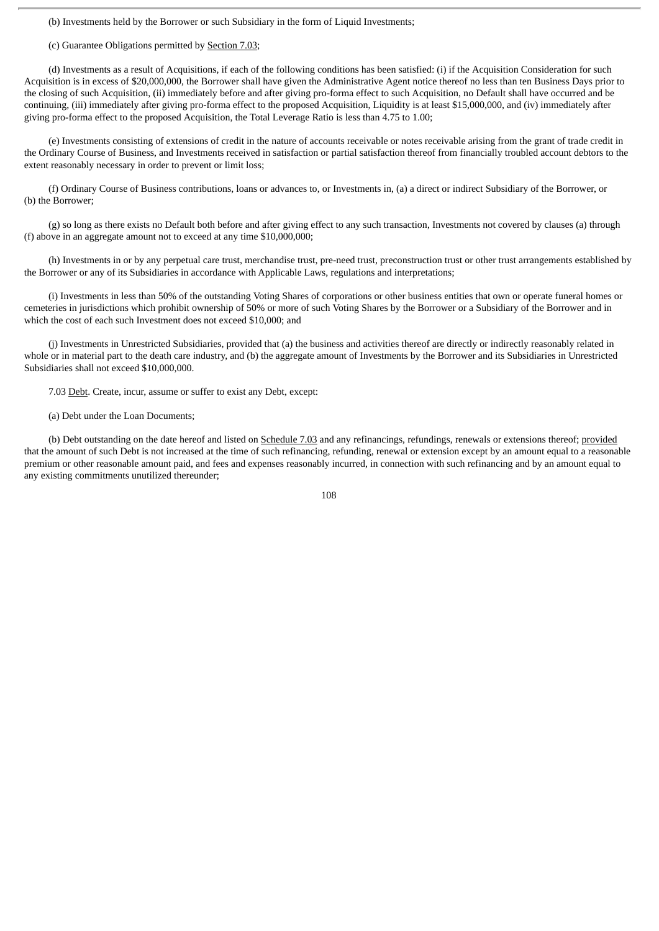(b) Investments held by the Borrower or such Subsidiary in the form of Liquid Investments;

#### (c) Guarantee Obligations permitted by Section 7.03;

(d) Investments as a result of Acquisitions, if each of the following conditions has been satisfied: (i) if the Acquisition Consideration for such Acquisition is in excess of \$20,000,000, the Borrower shall have given the Administrative Agent notice thereof no less than ten Business Days prior to the closing of such Acquisition, (ii) immediately before and after giving pro-forma effect to such Acquisition, no Default shall have occurred and be continuing, (iii) immediately after giving pro-forma effect to the proposed Acquisition, Liquidity is at least \$15,000,000, and (iv) immediately after giving pro-forma effect to the proposed Acquisition, the Total Leverage Ratio is less than 4.75 to 1.00;

(e) Investments consisting of extensions of credit in the nature of accounts receivable or notes receivable arising from the grant of trade credit in the Ordinary Course of Business, and Investments received in satisfaction or partial satisfaction thereof from financially troubled account debtors to the extent reasonably necessary in order to prevent or limit loss;

(f) Ordinary Course of Business contributions, loans or advances to, or Investments in, (a) a direct or indirect Subsidiary of the Borrower, or (b) the Borrower;

(g) so long as there exists no Default both before and after giving effect to any such transaction, Investments not covered by clauses (a) through (f) above in an aggregate amount not to exceed at any time \$10,000,000;

(h) Investments in or by any perpetual care trust, merchandise trust, pre-need trust, preconstruction trust or other trust arrangements established by the Borrower or any of its Subsidiaries in accordance with Applicable Laws, regulations and interpretations;

(i) Investments in less than 50% of the outstanding Voting Shares of corporations or other business entities that own or operate funeral homes or cemeteries in jurisdictions which prohibit ownership of 50% or more of such Voting Shares by the Borrower or a Subsidiary of the Borrower and in which the cost of each such Investment does not exceed \$10,000; and

(j) Investments in Unrestricted Subsidiaries, provided that (a) the business and activities thereof are directly or indirectly reasonably related in whole or in material part to the death care industry, and (b) the aggregate amount of Investments by the Borrower and its Subsidiaries in Unrestricted Subsidiaries shall not exceed \$10,000,000.

7.03 Debt. Create, incur, assume or suffer to exist any Debt, except:

(a) Debt under the Loan Documents;

(b) Debt outstanding on the date hereof and listed on Schedule 7.03 and any refinancings, refundings, renewals or extensions thereof; provided that the amount of such Debt is not increased at the time of such refinancing, refunding, renewal or extension except by an amount equal to a reasonable premium or other reasonable amount paid, and fees and expenses reasonably incurred, in connection with such refinancing and by an amount equal to any existing commitments unutilized thereunder;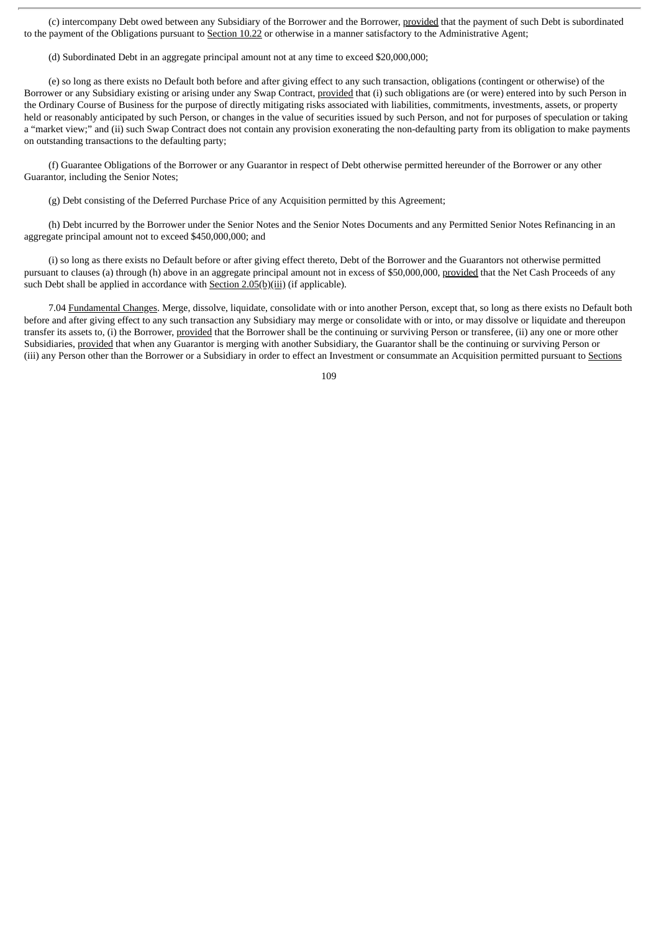(c) intercompany Debt owed between any Subsidiary of the Borrower and the Borrower, provided that the payment of such Debt is subordinated to the payment of the Obligations pursuant to Section 10.22 or otherwise in a manner satisfactory to the Administrative Agent;

(d) Subordinated Debt in an aggregate principal amount not at any time to exceed \$20,000,000;

(e) so long as there exists no Default both before and after giving effect to any such transaction, obligations (contingent or otherwise) of the Borrower or any Subsidiary existing or arising under any Swap Contract, provided that (i) such obligations are (or were) entered into by such Person in the Ordinary Course of Business for the purpose of directly mitigating risks associated with liabilities, commitments, investments, assets, or property held or reasonably anticipated by such Person, or changes in the value of securities issued by such Person, and not for purposes of speculation or taking a "market view;" and (ii) such Swap Contract does not contain any provision exonerating the non-defaulting party from its obligation to make payments on outstanding transactions to the defaulting party;

(f) Guarantee Obligations of the Borrower or any Guarantor in respect of Debt otherwise permitted hereunder of the Borrower or any other Guarantor, including the Senior Notes;

(g) Debt consisting of the Deferred Purchase Price of any Acquisition permitted by this Agreement;

(h) Debt incurred by the Borrower under the Senior Notes and the Senior Notes Documents and any Permitted Senior Notes Refinancing in an aggregate principal amount not to exceed \$450,000,000; and

(i) so long as there exists no Default before or after giving effect thereto, Debt of the Borrower and the Guarantors not otherwise permitted pursuant to clauses (a) through (h) above in an aggregate principal amount not in excess of \$50,000,000, provided that the Net Cash Proceeds of any such Debt shall be applied in accordance with **Section 2.05(b)(iii)** (if applicable).

7.04 Fundamental Changes. Merge, dissolve, liquidate, consolidate with or into another Person, except that, so long as there exists no Default both before and after giving effect to any such transaction any Subsidiary may merge or consolidate with or into, or may dissolve or liquidate and thereupon transfer its assets to, (i) the Borrower, provided that the Borrower shall be the continuing or surviving Person or transferee, (ii) any one or more other Subsidiaries, provided that when any Guarantor is merging with another Subsidiary, the Guarantor shall be the continuing or surviving Person or (iii) any Person other than the Borrower or a Subsidiary in order to effect an Investment or consummate an Acquisition permitted pursuant to Sections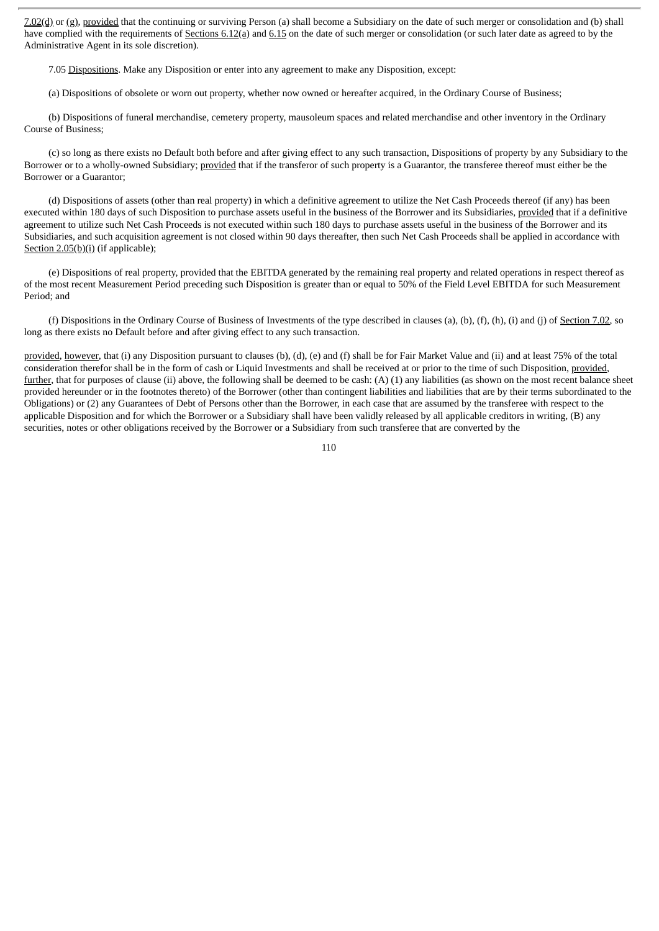7.02(d) or (g), provided that the continuing or surviving Person (a) shall become a Subsidiary on the date of such merger or consolidation and (b) shall have complied with the requirements of Sections 6.12(a) and 6.15 on the date of such merger or consolidation (or such later date as agreed to by the Administrative Agent in its sole discretion).

7.05 Dispositions. Make any Disposition or enter into any agreement to make any Disposition, except:

(a) Dispositions of obsolete or worn out property, whether now owned or hereafter acquired, in the Ordinary Course of Business;

(b) Dispositions of funeral merchandise, cemetery property, mausoleum spaces and related merchandise and other inventory in the Ordinary Course of Business;

(c) so long as there exists no Default both before and after giving effect to any such transaction, Dispositions of property by any Subsidiary to the Borrower or to a wholly-owned Subsidiary; provided that if the transferor of such property is a Guarantor, the transferee thereof must either be the Borrower or a Guarantor;

(d) Dispositions of assets (other than real property) in which a definitive agreement to utilize the Net Cash Proceeds thereof (if any) has been executed within 180 days of such Disposition to purchase assets useful in the business of the Borrower and its Subsidiaries, provided that if a definitive agreement to utilize such Net Cash Proceeds is not executed within such 180 days to purchase assets useful in the business of the Borrower and its Subsidiaries, and such acquisition agreement is not closed within 90 days thereafter, then such Net Cash Proceeds shall be applied in accordance with Section 2.05(b)(i) (if applicable);

(e) Dispositions of real property, provided that the EBITDA generated by the remaining real property and related operations in respect thereof as of the most recent Measurement Period preceding such Disposition is greater than or equal to 50% of the Field Level EBITDA for such Measurement Period; and

(f) Dispositions in the Ordinary Course of Business of Investments of the type described in clauses (a), (b), (f), (h), (i) and (j) of Section 7.02, so long as there exists no Default before and after giving effect to any such transaction.

provided, however, that (i) any Disposition pursuant to clauses (b), (d), (e) and (f) shall be for Fair Market Value and (ii) and at least 75% of the total consideration therefor shall be in the form of cash or Liquid Investments and shall be received at or prior to the time of such Disposition, provided, further, that for purposes of clause (ii) above, the following shall be deemed to be cash:  $(A)$  (1) any liabilities (as shown on the most recent balance sheet provided hereunder or in the footnotes thereto) of the Borrower (other than contingent liabilities and liabilities that are by their terms subordinated to the Obligations) or (2) any Guarantees of Debt of Persons other than the Borrower, in each case that are assumed by the transferee with respect to the applicable Disposition and for which the Borrower or a Subsidiary shall have been validly released by all applicable creditors in writing, (B) any securities, notes or other obligations received by the Borrower or a Subsidiary from such transferee that are converted by the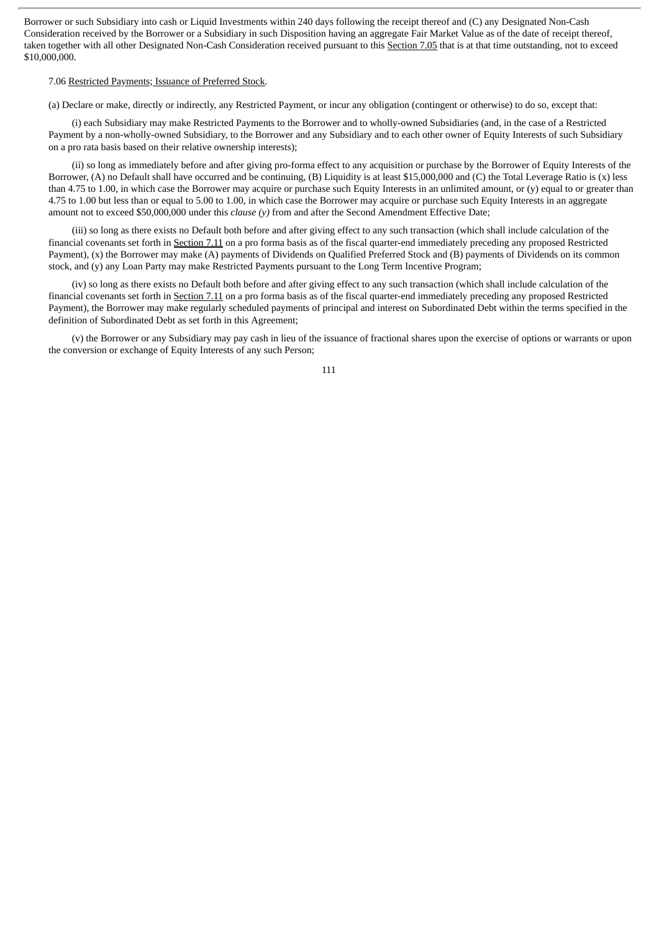Borrower or such Subsidiary into cash or Liquid Investments within 240 days following the receipt thereof and (C) any Designated Non-Cash Consideration received by the Borrower or a Subsidiary in such Disposition having an aggregate Fair Market Value as of the date of receipt thereof, taken together with all other Designated Non-Cash Consideration received pursuant to this Section 7.05 that is at that time outstanding, not to exceed \$10,000,000.

#### 7.06 Restricted Payments; Issuance of Preferred Stock.

(a) Declare or make, directly or indirectly, any Restricted Payment, or incur any obligation (contingent or otherwise) to do so, except that:

(i) each Subsidiary may make Restricted Payments to the Borrower and to wholly-owned Subsidiaries (and, in the case of a Restricted Payment by a non-wholly-owned Subsidiary, to the Borrower and any Subsidiary and to each other owner of Equity Interests of such Subsidiary on a pro rata basis based on their relative ownership interests);

(ii) so long as immediately before and after giving pro-forma effect to any acquisition or purchase by the Borrower of Equity Interests of the Borrower, (A) no Default shall have occurred and be continuing, (B) Liquidity is at least \$15,000,000 and (C) the Total Leverage Ratio is (x) less than 4.75 to 1.00, in which case the Borrower may acquire or purchase such Equity Interests in an unlimited amount, or (y) equal to or greater than 4.75 to 1.00 but less than or equal to 5.00 to 1.00, in which case the Borrower may acquire or purchase such Equity Interests in an aggregate amount not to exceed \$50,000,000 under this *clause (y)* from and after the Second Amendment Effective Date;

(iii) so long as there exists no Default both before and after giving effect to any such transaction (which shall include calculation of the financial covenants set forth in Section 7.11 on a pro forma basis as of the fiscal quarter-end immediately preceding any proposed Restricted Payment), (x) the Borrower may make (A) payments of Dividends on Qualified Preferred Stock and (B) payments of Dividends on its common stock, and (y) any Loan Party may make Restricted Payments pursuant to the Long Term Incentive Program;

(iv) so long as there exists no Default both before and after giving effect to any such transaction (which shall include calculation of the financial covenants set forth in Section 7.11 on a pro forma basis as of the fiscal quarter-end immediately preceding any proposed Restricted Payment), the Borrower may make regularly scheduled payments of principal and interest on Subordinated Debt within the terms specified in the definition of Subordinated Debt as set forth in this Agreement;

(v) the Borrower or any Subsidiary may pay cash in lieu of the issuance of fractional shares upon the exercise of options or warrants or upon the conversion or exchange of Equity Interests of any such Person;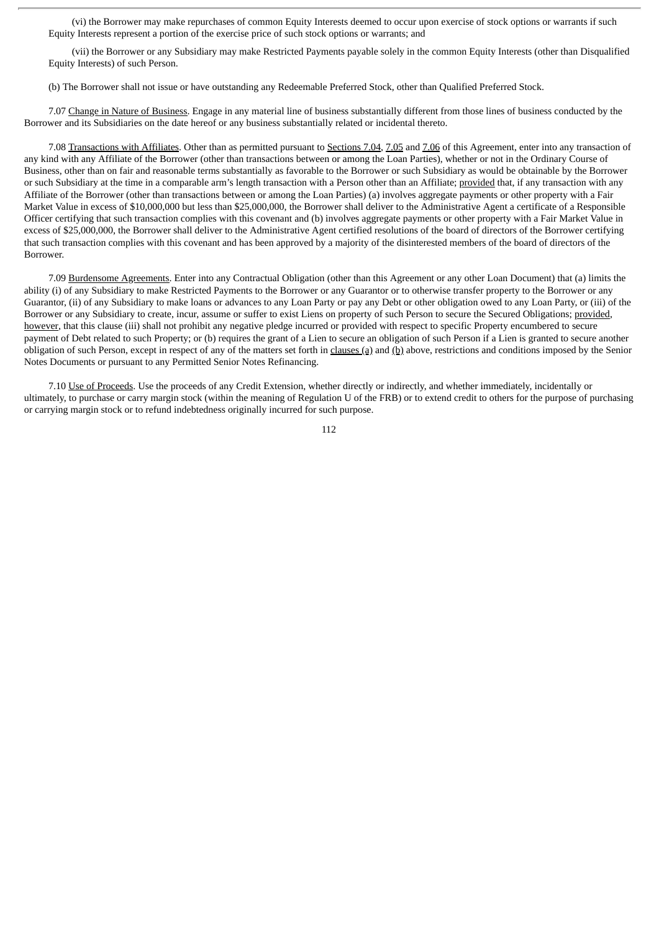(vi) the Borrower may make repurchases of common Equity Interests deemed to occur upon exercise of stock options or warrants if such Equity Interests represent a portion of the exercise price of such stock options or warrants; and

(vii) the Borrower or any Subsidiary may make Restricted Payments payable solely in the common Equity Interests (other than Disqualified Equity Interests) of such Person.

(b) The Borrower shall not issue or have outstanding any Redeemable Preferred Stock, other than Qualified Preferred Stock.

7.07 Change in Nature of Business. Engage in any material line of business substantially different from those lines of business conducted by the Borrower and its Subsidiaries on the date hereof or any business substantially related or incidental thereto.

7.08 Transactions with Affiliates. Other than as permitted pursuant to Sections 7.04, 7.05 and 7.06 of this Agreement, enter into any transaction of any kind with any Affiliate of the Borrower (other than transactions between or among the Loan Parties), whether or not in the Ordinary Course of Business, other than on fair and reasonable terms substantially as favorable to the Borrower or such Subsidiary as would be obtainable by the Borrower or such Subsidiary at the time in a comparable arm's length transaction with a Person other than an Affiliate; provided that, if any transaction with any Affiliate of the Borrower (other than transactions between or among the Loan Parties) (a) involves aggregate payments or other property with a Fair Market Value in excess of \$10,000,000 but less than \$25,000,000, the Borrower shall deliver to the Administrative Agent a certificate of a Responsible Officer certifying that such transaction complies with this covenant and (b) involves aggregate payments or other property with a Fair Market Value in excess of \$25,000,000, the Borrower shall deliver to the Administrative Agent certified resolutions of the board of directors of the Borrower certifying that such transaction complies with this covenant and has been approved by a majority of the disinterested members of the board of directors of the Borrower.

7.09 Burdensome Agreements. Enter into any Contractual Obligation (other than this Agreement or any other Loan Document) that (a) limits the ability (i) of any Subsidiary to make Restricted Payments to the Borrower or any Guarantor or to otherwise transfer property to the Borrower or any Guarantor, (ii) of any Subsidiary to make loans or advances to any Loan Party or pay any Debt or other obligation owed to any Loan Party, or (iii) of the Borrower or any Subsidiary to create, incur, assume or suffer to exist Liens on property of such Person to secure the Secured Obligations; provided, however, that this clause (iii) shall not prohibit any negative pledge incurred or provided with respect to specific Property encumbered to secure payment of Debt related to such Property; or (b) requires the grant of a Lien to secure an obligation of such Person if a Lien is granted to secure another obligation of such Person, except in respect of any of the matters set forth in clauses (a) and (b) above, restrictions and conditions imposed by the Senior Notes Documents or pursuant to any Permitted Senior Notes Refinancing.

7.10 Use of Proceeds. Use the proceeds of any Credit Extension, whether directly or indirectly, and whether immediately, incidentally or ultimately, to purchase or carry margin stock (within the meaning of Regulation U of the FRB) or to extend credit to others for the purpose of purchasing or carrying margin stock or to refund indebtedness originally incurred for such purpose.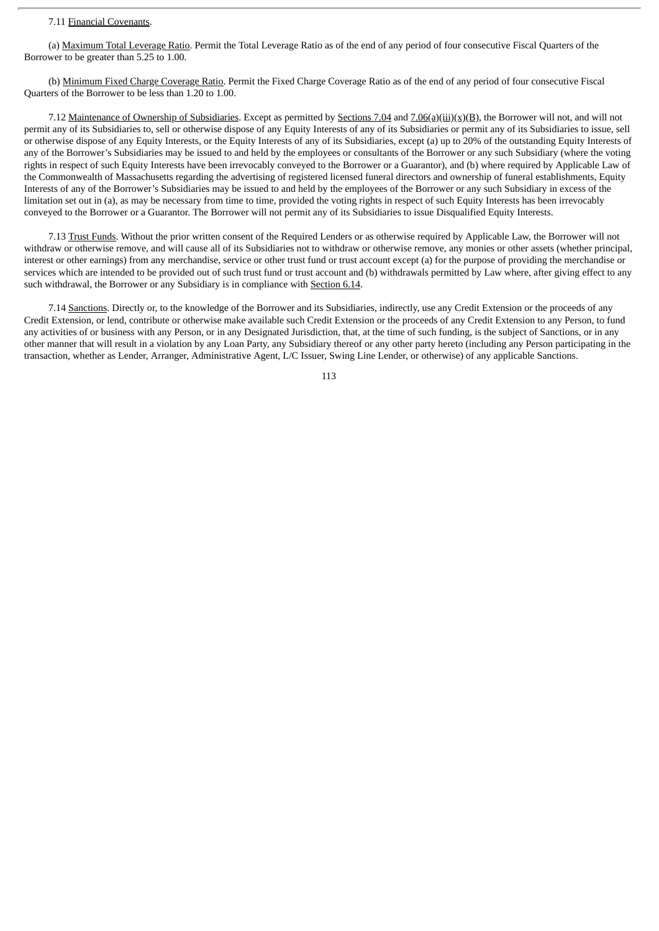#### 7.11 Financial Covenants.

(a) Maximum Total Leverage Ratio. Permit the Total Leverage Ratio as of the end of any period of four consecutive Fiscal Quarters of the Borrower to be greater than 5.25 to 1.00.

(b) Minimum Fixed Charge Coverage Ratio. Permit the Fixed Charge Coverage Ratio as of the end of any period of four consecutive Fiscal Quarters of the Borrower to be less than 1.20 to 1.00.

7.12 Maintenance of Ownership of Subsidiaries. Except as permitted by Sections 7.04 and 7.06(a)(iii)(x)(B), the Borrower will not, and will not permit any of its Subsidiaries to, sell or otherwise dispose of any Equity Interests of any of its Subsidiaries or permit any of its Subsidiaries to issue, sell or otherwise dispose of any Equity Interests, or the Equity Interests of any of its Subsidiaries, except (a) up to 20% of the outstanding Equity Interests of any of the Borrower's Subsidiaries may be issued to and held by the employees or consultants of the Borrower or any such Subsidiary (where the voting rights in respect of such Equity Interests have been irrevocably conveyed to the Borrower or a Guarantor), and (b) where required by Applicable Law of the Commonwealth of Massachusetts regarding the advertising of registered licensed funeral directors and ownership of funeral establishments, Equity Interests of any of the Borrower's Subsidiaries may be issued to and held by the employees of the Borrower or any such Subsidiary in excess of the limitation set out in (a), as may be necessary from time to time, provided the voting rights in respect of such Equity Interests has been irrevocably conveyed to the Borrower or a Guarantor. The Borrower will not permit any of its Subsidiaries to issue Disqualified Equity Interests.

7.13 Trust Funds. Without the prior written consent of the Required Lenders or as otherwise required by Applicable Law, the Borrower will not withdraw or otherwise remove, and will cause all of its Subsidiaries not to withdraw or otherwise remove, any monies or other assets (whether principal, interest or other earnings) from any merchandise, service or other trust fund or trust account except (a) for the purpose of providing the merchandise or services which are intended to be provided out of such trust fund or trust account and (b) withdrawals permitted by Law where, after giving effect to any such withdrawal, the Borrower or any Subsidiary is in compliance with Section 6.14.

7.14 Sanctions. Directly or, to the knowledge of the Borrower and its Subsidiaries, indirectly, use any Credit Extension or the proceeds of any Credit Extension, or lend, contribute or otherwise make available such Credit Extension or the proceeds of any Credit Extension to any Person, to fund any activities of or business with any Person, or in any Designated Jurisdiction, that, at the time of such funding, is the subject of Sanctions, or in any other manner that will result in a violation by any Loan Party, any Subsidiary thereof or any other party hereto (including any Person participating in the transaction, whether as Lender, Arranger, Administrative Agent, L/C Issuer, Swing Line Lender, or otherwise) of any applicable Sanctions.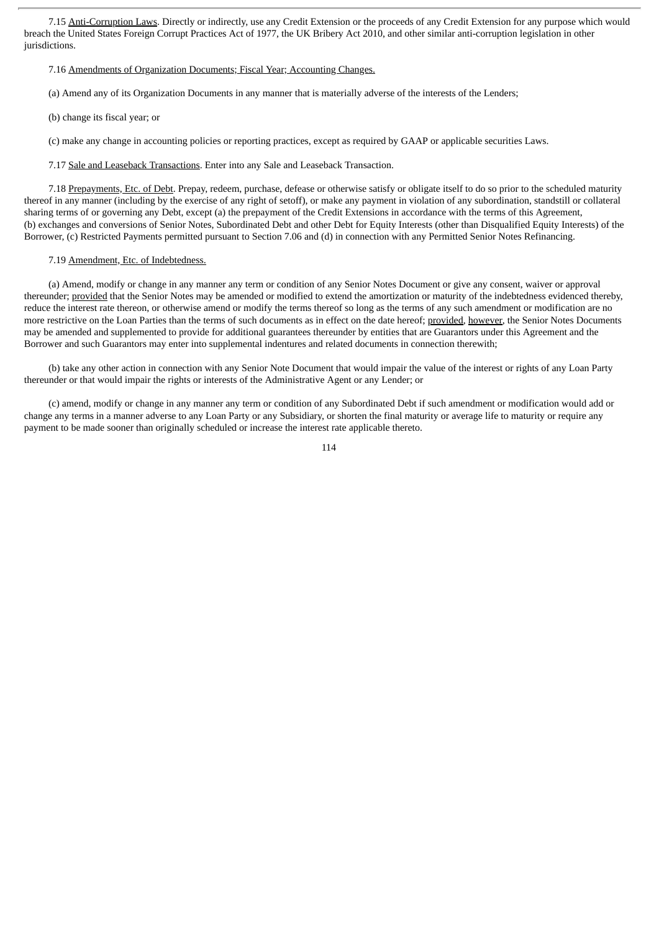7.15 Anti-Corruption Laws. Directly or indirectly, use any Credit Extension or the proceeds of any Credit Extension for any purpose which would breach the United States Foreign Corrupt Practices Act of 1977, the UK Bribery Act 2010, and other similar anti-corruption legislation in other jurisdictions.

#### 7.16 Amendments of Organization Documents; Fiscal Year; Accounting Changes.

(a) Amend any of its Organization Documents in any manner that is materially adverse of the interests of the Lenders;

(b) change its fiscal year; or

(c) make any change in accounting policies or reporting practices, except as required by GAAP or applicable securities Laws.

7.17 Sale and Leaseback Transactions. Enter into any Sale and Leaseback Transaction.

7.18 Prepayments, Etc. of Debt. Prepay, redeem, purchase, defease or otherwise satisfy or obligate itself to do so prior to the scheduled maturity thereof in any manner (including by the exercise of any right of setoff), or make any payment in violation of any subordination, standstill or collateral sharing terms of or governing any Debt, except (a) the prepayment of the Credit Extensions in accordance with the terms of this Agreement, (b) exchanges and conversions of Senior Notes, Subordinated Debt and other Debt for Equity Interests (other than Disqualified Equity Interests) of the Borrower, (c) Restricted Payments permitted pursuant to Section 7.06 and (d) in connection with any Permitted Senior Notes Refinancing.

#### 7.19 Amendment, Etc. of Indebtedness.

(a) Amend, modify or change in any manner any term or condition of any Senior Notes Document or give any consent, waiver or approval thereunder; provided that the Senior Notes may be amended or modified to extend the amortization or maturity of the indebtedness evidenced thereby, reduce the interest rate thereon, or otherwise amend or modify the terms thereof so long as the terms of any such amendment or modification are no more restrictive on the Loan Parties than the terms of such documents as in effect on the date hereof; provided, however, the Senior Notes Documents may be amended and supplemented to provide for additional guarantees thereunder by entities that are Guarantors under this Agreement and the Borrower and such Guarantors may enter into supplemental indentures and related documents in connection therewith;

(b) take any other action in connection with any Senior Note Document that would impair the value of the interest or rights of any Loan Party thereunder or that would impair the rights or interests of the Administrative Agent or any Lender; or

(c) amend, modify or change in any manner any term or condition of any Subordinated Debt if such amendment or modification would add or change any terms in a manner adverse to any Loan Party or any Subsidiary, or shorten the final maturity or average life to maturity or require any payment to be made sooner than originally scheduled or increase the interest rate applicable thereto.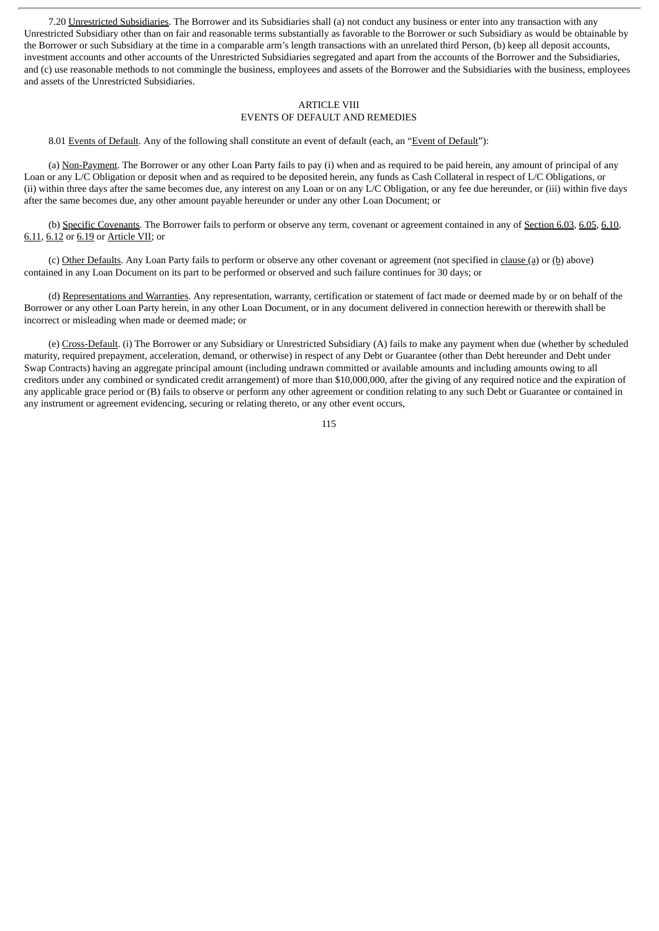7.20 Unrestricted Subsidiaries. The Borrower and its Subsidiaries shall (a) not conduct any business or enter into any transaction with any Unrestricted Subsidiary other than on fair and reasonable terms substantially as favorable to the Borrower or such Subsidiary as would be obtainable by the Borrower or such Subsidiary at the time in a comparable arm's length transactions with an unrelated third Person, (b) keep all deposit accounts, investment accounts and other accounts of the Unrestricted Subsidiaries segregated and apart from the accounts of the Borrower and the Subsidiaries, and (c) use reasonable methods to not commingle the business, employees and assets of the Borrower and the Subsidiaries with the business, employees and assets of the Unrestricted Subsidiaries.

# ARTICLE VIII EVENTS OF DEFAULT AND REMEDIES

8.01 Events of Default. Any of the following shall constitute an event of default (each, an "Event of Default"):

(a) Non-Payment. The Borrower or any other Loan Party fails to pay (i) when and as required to be paid herein, any amount of principal of any Loan or any L/C Obligation or deposit when and as required to be deposited herein, any funds as Cash Collateral in respect of L/C Obligations, or (ii) within three days after the same becomes due, any interest on any Loan or on any L/C Obligation, or any fee due hereunder, or (iii) within five days after the same becomes due, any other amount payable hereunder or under any other Loan Document; or

(b) Specific Covenants. The Borrower fails to perform or observe any term, covenant or agreement contained in any of Section 6.03, 6.05, 6.10, 6.11, 6.12 or 6.19 or Article VII; or

(c) Other Defaults. Any Loan Party fails to perform or observe any other covenant or agreement (not specified in clause (a) or (b) above) contained in any Loan Document on its part to be performed or observed and such failure continues for 30 days; or

(d) Representations and Warranties. Any representation, warranty, certification or statement of fact made or deemed made by or on behalf of the Borrower or any other Loan Party herein, in any other Loan Document, or in any document delivered in connection herewith or therewith shall be incorrect or misleading when made or deemed made; or

(e) Cross-Default. (i) The Borrower or any Subsidiary or Unrestricted Subsidiary (A) fails to make any payment when due (whether by scheduled maturity, required prepayment, acceleration, demand, or otherwise) in respect of any Debt or Guarantee (other than Debt hereunder and Debt under Swap Contracts) having an aggregate principal amount (including undrawn committed or available amounts and including amounts owing to all creditors under any combined or syndicated credit arrangement) of more than \$10,000,000, after the giving of any required notice and the expiration of any applicable grace period or (B) fails to observe or perform any other agreement or condition relating to any such Debt or Guarantee or contained in any instrument or agreement evidencing, securing or relating thereto, or any other event occurs,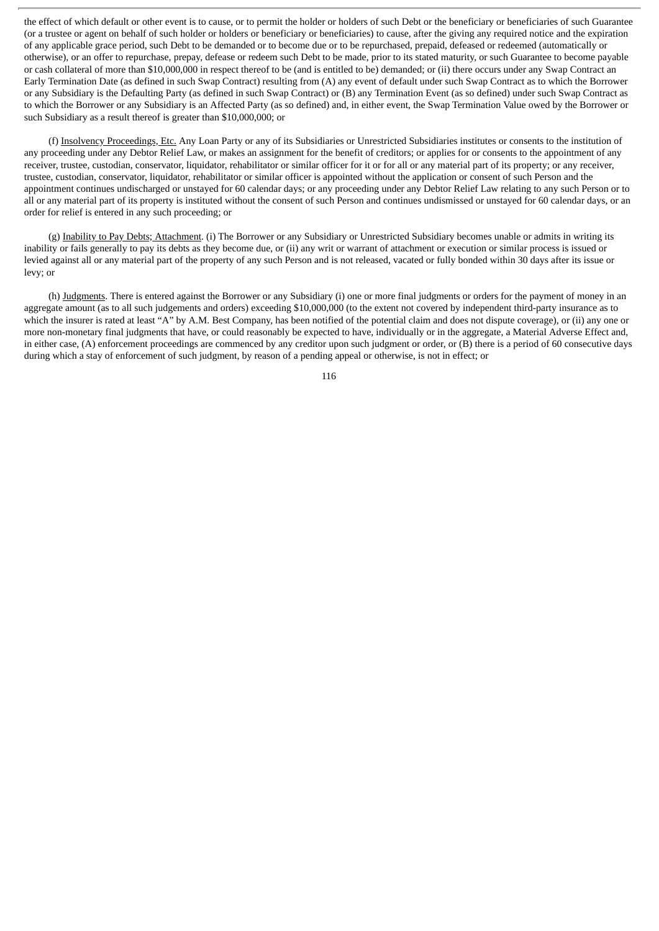the effect of which default or other event is to cause, or to permit the holder or holders of such Debt or the beneficiary or beneficiaries of such Guarantee (or a trustee or agent on behalf of such holder or holders or beneficiary or beneficiaries) to cause, after the giving any required notice and the expiration of any applicable grace period, such Debt to be demanded or to become due or to be repurchased, prepaid, defeased or redeemed (automatically or otherwise), or an offer to repurchase, prepay, defease or redeem such Debt to be made, prior to its stated maturity, or such Guarantee to become payable or cash collateral of more than \$10,000,000 in respect thereof to be (and is entitled to be) demanded; or (ii) there occurs under any Swap Contract an Early Termination Date (as defined in such Swap Contract) resulting from (A) any event of default under such Swap Contract as to which the Borrower or any Subsidiary is the Defaulting Party (as defined in such Swap Contract) or (B) any Termination Event (as so defined) under such Swap Contract as to which the Borrower or any Subsidiary is an Affected Party (as so defined) and, in either event, the Swap Termination Value owed by the Borrower or such Subsidiary as a result thereof is greater than \$10,000,000; or

(f) Insolvency Proceedings, Etc. Any Loan Party or any of its Subsidiaries or Unrestricted Subsidiaries institutes or consents to the institution of any proceeding under any Debtor Relief Law, or makes an assignment for the benefit of creditors; or applies for or consents to the appointment of any receiver, trustee, custodian, conservator, liquidator, rehabilitator or similar officer for it or for all or any material part of its property; or any receiver, trustee, custodian, conservator, liquidator, rehabilitator or similar officer is appointed without the application or consent of such Person and the appointment continues undischarged or unstayed for 60 calendar days; or any proceeding under any Debtor Relief Law relating to any such Person or to all or any material part of its property is instituted without the consent of such Person and continues undismissed or unstayed for 60 calendar days, or an order for relief is entered in any such proceeding; or

(g) Inability to Pay Debts; Attachment. (i) The Borrower or any Subsidiary or Unrestricted Subsidiary becomes unable or admits in writing its inability or fails generally to pay its debts as they become due, or (ii) any writ or warrant of attachment or execution or similar process is issued or levied against all or any material part of the property of any such Person and is not released, vacated or fully bonded within 30 days after its issue or levy; or

(h) Judgments. There is entered against the Borrower or any Subsidiary (i) one or more final judgments or orders for the payment of money in an aggregate amount (as to all such judgements and orders) exceeding \$10,000,000 (to the extent not covered by independent third-party insurance as to which the insurer is rated at least "A" by A.M. Best Company, has been notified of the potential claim and does not dispute coverage), or (ii) any one or more non-monetary final judgments that have, or could reasonably be expected to have, individually or in the aggregate, a Material Adverse Effect and, in either case, (A) enforcement proceedings are commenced by any creditor upon such judgment or order, or (B) there is a period of 60 consecutive days during which a stay of enforcement of such judgment, by reason of a pending appeal or otherwise, is not in effect; or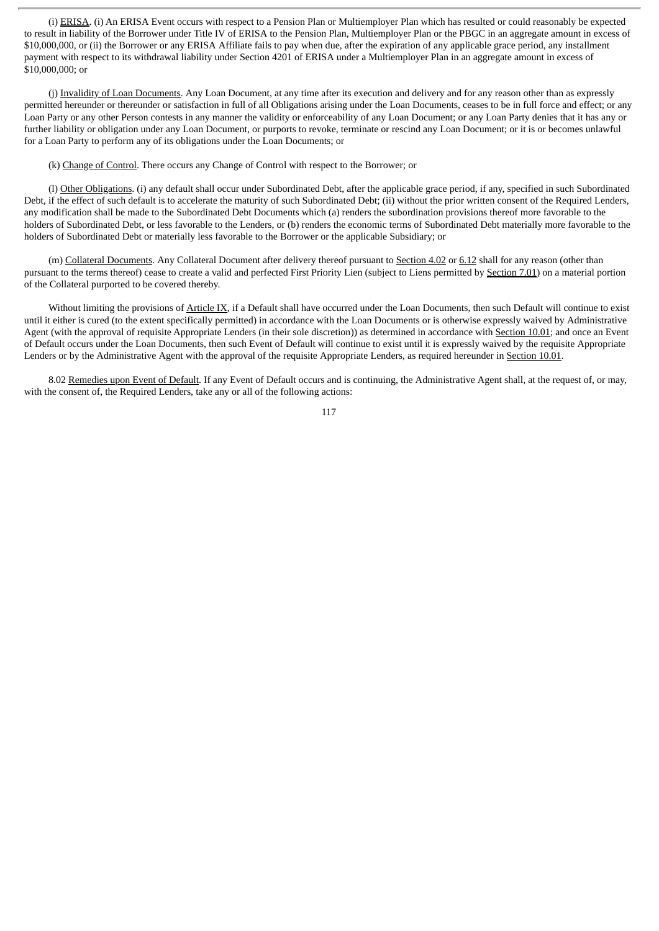(i) ERISA. (i) An ERISA Event occurs with respect to a Pension Plan or Multiemployer Plan which has resulted or could reasonably be expected to result in liability of the Borrower under Title IV of ERISA to the Pension Plan, Multiemployer Plan or the PBGC in an aggregate amount in excess of \$10,000,000, or (ii) the Borrower or any ERISA Affiliate fails to pay when due, after the expiration of any applicable grace period, any installment payment with respect to its withdrawal liability under Section 4201 of ERISA under a Multiemployer Plan in an aggregate amount in excess of \$10,000,000; or

(j) Invalidity of Loan Documents. Any Loan Document, at any time after its execution and delivery and for any reason other than as expressly permitted hereunder or thereunder or satisfaction in full of all Obligations arising under the Loan Documents, ceases to be in full force and effect; or any Loan Party or any other Person contests in any manner the validity or enforceability of any Loan Document; or any Loan Party denies that it has any or further liability or obligation under any Loan Document, or purports to revoke, terminate or rescind any Loan Document; or it is or becomes unlawful for a Loan Party to perform any of its obligations under the Loan Documents; or

(k) Change of Control. There occurs any Change of Control with respect to the Borrower; or

(l) Other Obligations. (i) any default shall occur under Subordinated Debt, after the applicable grace period, if any, specified in such Subordinated Debt, if the effect of such default is to accelerate the maturity of such Subordinated Debt; (ii) without the prior written consent of the Required Lenders, any modification shall be made to the Subordinated Debt Documents which (a) renders the subordination provisions thereof more favorable to the holders of Subordinated Debt, or less favorable to the Lenders, or (b) renders the economic terms of Subordinated Debt materially more favorable to the holders of Subordinated Debt or materially less favorable to the Borrower or the applicable Subsidiary; or

(m) Collateral Documents. Any Collateral Document after delivery thereof pursuant to Section 4.02 or 6.12 shall for any reason (other than pursuant to the terms thereof) cease to create a valid and perfected First Priority Lien (subject to Liens permitted by Section 7.01) on a material portion of the Collateral purported to be covered thereby.

Without limiting the provisions of Article IX, if a Default shall have occurred under the Loan Documents, then such Default will continue to exist until it either is cured (to the extent specifically permitted) in accordance with the Loan Documents or is otherwise expressly waived by Administrative Agent (with the approval of requisite Appropriate Lenders (in their sole discretion)) as determined in accordance with Section 10.01; and once an Event of Default occurs under the Loan Documents, then such Event of Default will continue to exist until it is expressly waived by the requisite Appropriate Lenders or by the Administrative Agent with the approval of the requisite Appropriate Lenders, as required hereunder in Section 10.01.

8.02 Remedies upon Event of Default. If any Event of Default occurs and is continuing, the Administrative Agent shall, at the request of, or may, with the consent of, the Required Lenders, take any or all of the following actions: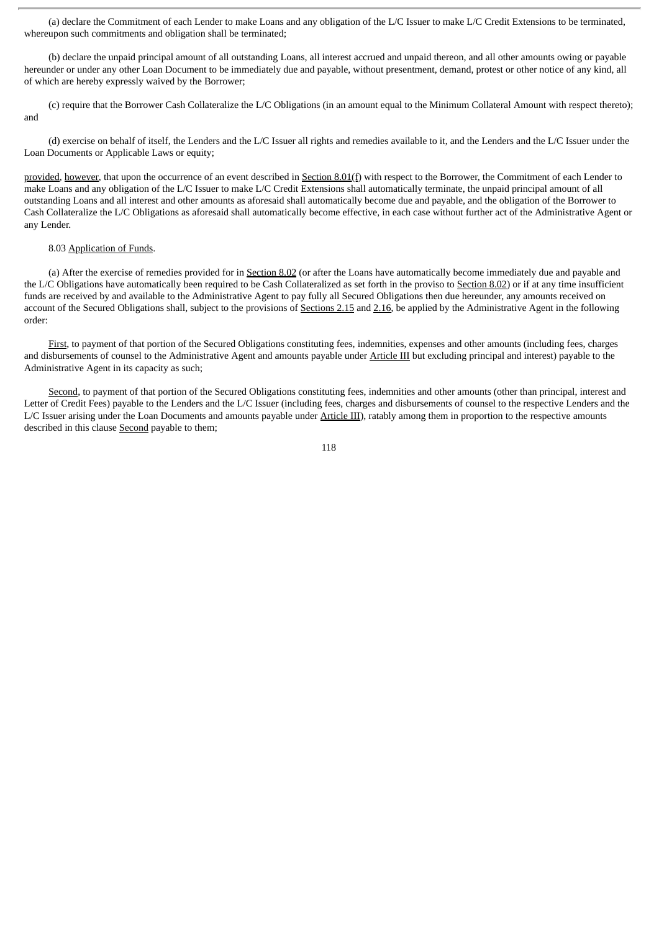(a) declare the Commitment of each Lender to make Loans and any obligation of the L/C Issuer to make L/C Credit Extensions to be terminated, whereupon such commitments and obligation shall be terminated;

(b) declare the unpaid principal amount of all outstanding Loans, all interest accrued and unpaid thereon, and all other amounts owing or payable hereunder or under any other Loan Document to be immediately due and payable, without presentment, demand, protest or other notice of any kind, all of which are hereby expressly waived by the Borrower;

(c) require that the Borrower Cash Collateralize the L/C Obligations (in an amount equal to the Minimum Collateral Amount with respect thereto); and

(d) exercise on behalf of itself, the Lenders and the L/C Issuer all rights and remedies available to it, and the Lenders and the L/C Issuer under the Loan Documents or Applicable Laws or equity;

provided, however, that upon the occurrence of an event described in Section 8.01(f) with respect to the Borrower, the Commitment of each Lender to make Loans and any obligation of the L/C Issuer to make L/C Credit Extensions shall automatically terminate, the unpaid principal amount of all outstanding Loans and all interest and other amounts as aforesaid shall automatically become due and payable, and the obligation of the Borrower to Cash Collateralize the L/C Obligations as aforesaid shall automatically become effective, in each case without further act of the Administrative Agent or any Lender.

# 8.03 Application of Funds.

(a) After the exercise of remedies provided for in Section 8.02 (or after the Loans have automatically become immediately due and payable and the L/C Obligations have automatically been required to be Cash Collateralized as set forth in the proviso to Section 8.02) or if at any time insufficient funds are received by and available to the Administrative Agent to pay fully all Secured Obligations then due hereunder, any amounts received on account of the Secured Obligations shall, subject to the provisions of Sections 2.15 and 2.16, be applied by the Administrative Agent in the following order:

First, to payment of that portion of the Secured Obligations constituting fees, indemnities, expenses and other amounts (including fees, charges and disbursements of counsel to the Administrative Agent and amounts payable under Article III but excluding principal and interest) payable to the Administrative Agent in its capacity as such;

Second, to payment of that portion of the Secured Obligations constituting fees, indemnities and other amounts (other than principal, interest and Letter of Credit Fees) payable to the Lenders and the L/C Issuer (including fees, charges and disbursements of counsel to the respective Lenders and the L/C Issuer arising under the Loan Documents and amounts payable under Article III), ratably among them in proportion to the respective amounts described in this clause **Second** payable to them;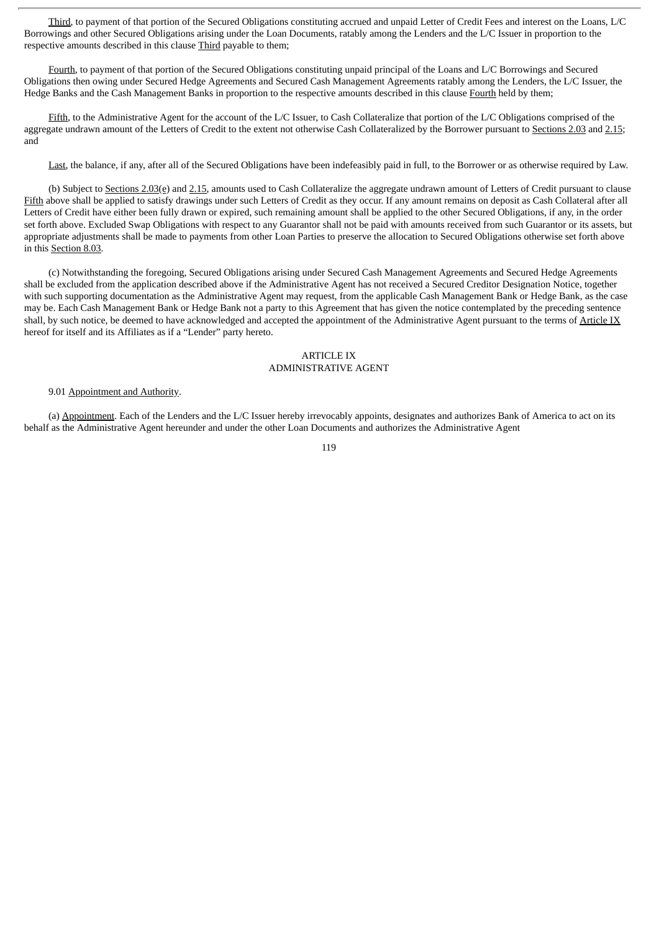Third, to payment of that portion of the Secured Obligations constituting accrued and unpaid Letter of Credit Fees and interest on the Loans, L/C Borrowings and other Secured Obligations arising under the Loan Documents, ratably among the Lenders and the L/C Issuer in proportion to the respective amounts described in this clause Third payable to them;

Fourth, to payment of that portion of the Secured Obligations constituting unpaid principal of the Loans and L/C Borrowings and Secured Obligations then owing under Secured Hedge Agreements and Secured Cash Management Agreements ratably among the Lenders, the L/C Issuer, the Hedge Banks and the Cash Management Banks in proportion to the respective amounts described in this clause Fourth held by them;

Fifth, to the Administrative Agent for the account of the L/C Issuer, to Cash Collateralize that portion of the L/C Obligations comprised of the aggregate undrawn amount of the Letters of Credit to the extent not otherwise Cash Collateralized by the Borrower pursuant to Sections 2.03 and 2.15; and

Last, the balance, if any, after all of the Secured Obligations have been indefeasibly paid in full, to the Borrower or as otherwise required by Law.

(b) Subject to Sections 2.03(e) and 2.15, amounts used to Cash Collateralize the aggregate undrawn amount of Letters of Credit pursuant to clause Fifth above shall be applied to satisfy drawings under such Letters of Credit as they occur. If any amount remains on deposit as Cash Collateral after all Letters of Credit have either been fully drawn or expired, such remaining amount shall be applied to the other Secured Obligations, if any, in the order set forth above. Excluded Swap Obligations with respect to any Guarantor shall not be paid with amounts received from such Guarantor or its assets, but appropriate adjustments shall be made to payments from other Loan Parties to preserve the allocation to Secured Obligations otherwise set forth above in this Section 8.03.

(c) Notwithstanding the foregoing, Secured Obligations arising under Secured Cash Management Agreements and Secured Hedge Agreements shall be excluded from the application described above if the Administrative Agent has not received a Secured Creditor Designation Notice, together with such supporting documentation as the Administrative Agent may request, from the applicable Cash Management Bank or Hedge Bank, as the case may be. Each Cash Management Bank or Hedge Bank not a party to this Agreement that has given the notice contemplated by the preceding sentence shall, by such notice, be deemed to have acknowledged and accepted the appointment of the Administrative Agent pursuant to the terms of Article IX hereof for itself and its Affiliates as if a "Lender" party hereto.

# ARTICLE IX

# ADMINISTRATIVE AGENT

## 9.01 Appointment and Authority.

(a) Appointment. Each of the Lenders and the L/C Issuer hereby irrevocably appoints, designates and authorizes Bank of America to act on its behalf as the Administrative Agent hereunder and under the other Loan Documents and authorizes the Administrative Agent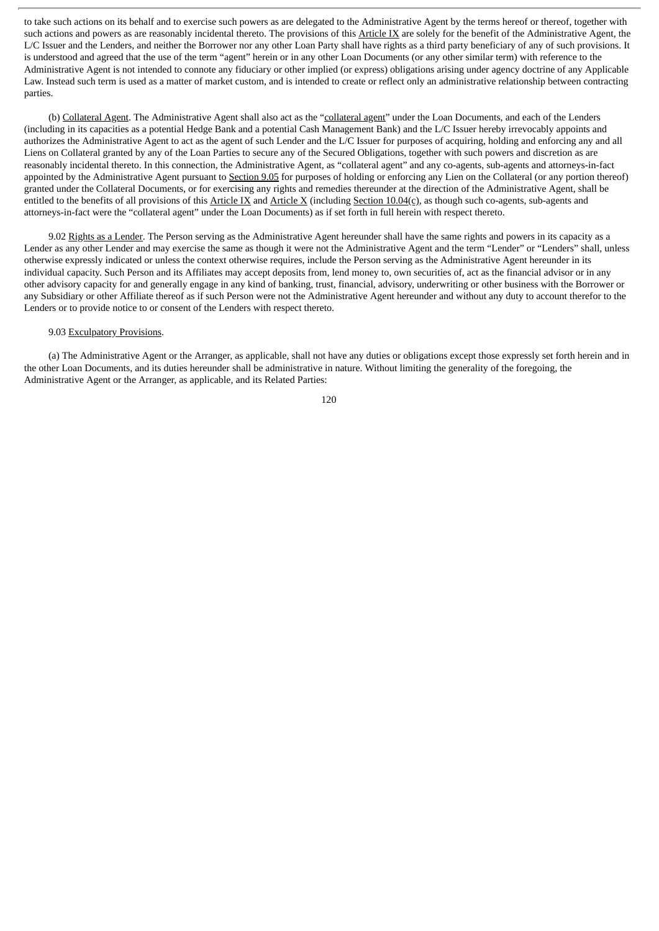to take such actions on its behalf and to exercise such powers as are delegated to the Administrative Agent by the terms hereof or thereof, together with such actions and powers as are reasonably incidental thereto. The provisions of this Article IX are solely for the benefit of the Administrative Agent, the L/C Issuer and the Lenders, and neither the Borrower nor any other Loan Party shall have rights as a third party beneficiary of any of such provisions. It is understood and agreed that the use of the term "agent" herein or in any other Loan Documents (or any other similar term) with reference to the Administrative Agent is not intended to connote any fiduciary or other implied (or express) obligations arising under agency doctrine of any Applicable Law. Instead such term is used as a matter of market custom, and is intended to create or reflect only an administrative relationship between contracting parties.

(b) Collateral Agent. The Administrative Agent shall also act as the "collateral agent" under the Loan Documents, and each of the Lenders (including in its capacities as a potential Hedge Bank and a potential Cash Management Bank) and the L/C Issuer hereby irrevocably appoints and authorizes the Administrative Agent to act as the agent of such Lender and the L/C Issuer for purposes of acquiring, holding and enforcing any and all Liens on Collateral granted by any of the Loan Parties to secure any of the Secured Obligations, together with such powers and discretion as are reasonably incidental thereto. In this connection, the Administrative Agent, as "collateral agent" and any co-agents, sub-agents and attorneys-in-fact appointed by the Administrative Agent pursuant to Section 9.05 for purposes of holding or enforcing any Lien on the Collateral (or any portion thereof) granted under the Collateral Documents, or for exercising any rights and remedies thereunder at the direction of the Administrative Agent, shall be entitled to the benefits of all provisions of this Article IX and Article X (including Section  $10.04(c)$ , as though such co-agents, sub-agents and attorneys-in-fact were the "collateral agent" under the Loan Documents) as if set forth in full herein with respect thereto.

9.02 Rights as a Lender. The Person serving as the Administrative Agent hereunder shall have the same rights and powers in its capacity as a Lender as any other Lender and may exercise the same as though it were not the Administrative Agent and the term "Lender" or "Lenders" shall, unless otherwise expressly indicated or unless the context otherwise requires, include the Person serving as the Administrative Agent hereunder in its individual capacity. Such Person and its Affiliates may accept deposits from, lend money to, own securities of, act as the financial advisor or in any other advisory capacity for and generally engage in any kind of banking, trust, financial, advisory, underwriting or other business with the Borrower or any Subsidiary or other Affiliate thereof as if such Person were not the Administrative Agent hereunder and without any duty to account therefor to the Lenders or to provide notice to or consent of the Lenders with respect thereto.

# 9.03 Exculpatory Provisions.

(a) The Administrative Agent or the Arranger, as applicable, shall not have any duties or obligations except those expressly set forth herein and in the other Loan Documents, and its duties hereunder shall be administrative in nature. Without limiting the generality of the foregoing, the Administrative Agent or the Arranger, as applicable, and its Related Parties: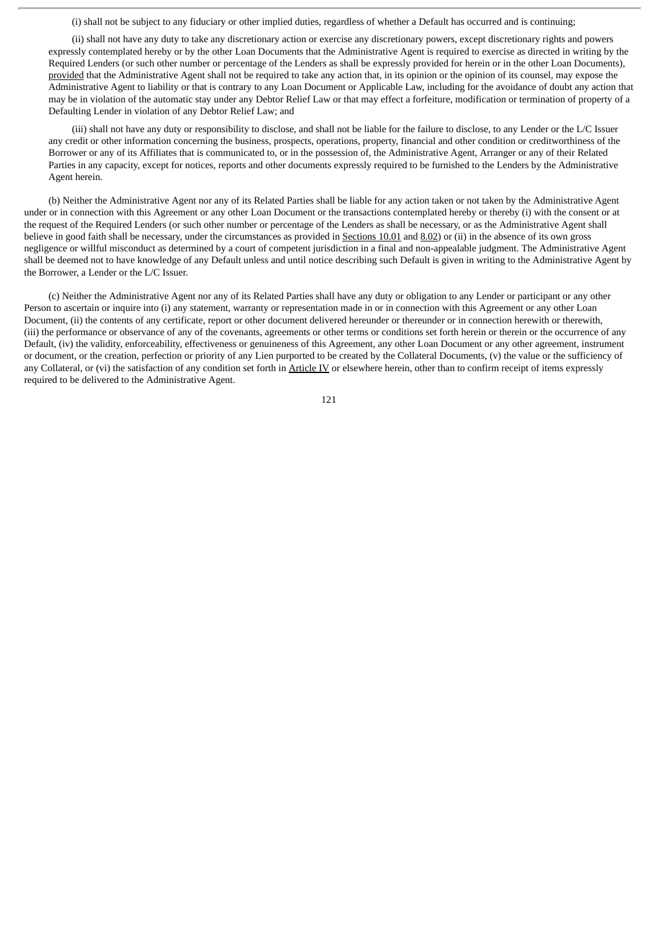(i) shall not be subject to any fiduciary or other implied duties, regardless of whether a Default has occurred and is continuing;

(ii) shall not have any duty to take any discretionary action or exercise any discretionary powers, except discretionary rights and powers expressly contemplated hereby or by the other Loan Documents that the Administrative Agent is required to exercise as directed in writing by the Required Lenders (or such other number or percentage of the Lenders as shall be expressly provided for herein or in the other Loan Documents), provided that the Administrative Agent shall not be required to take any action that, in its opinion or the opinion of its counsel, may expose the Administrative Agent to liability or that is contrary to any Loan Document or Applicable Law, including for the avoidance of doubt any action that may be in violation of the automatic stay under any Debtor Relief Law or that may effect a forfeiture, modification or termination of property of a Defaulting Lender in violation of any Debtor Relief Law; and

(iii) shall not have any duty or responsibility to disclose, and shall not be liable for the failure to disclose, to any Lender or the L/C Issuer any credit or other information concerning the business, prospects, operations, property, financial and other condition or creditworthiness of the Borrower or any of its Affiliates that is communicated to, or in the possession of, the Administrative Agent, Arranger or any of their Related Parties in any capacity, except for notices, reports and other documents expressly required to be furnished to the Lenders by the Administrative Agent herein.

(b) Neither the Administrative Agent nor any of its Related Parties shall be liable for any action taken or not taken by the Administrative Agent under or in connection with this Agreement or any other Loan Document or the transactions contemplated hereby or thereby (i) with the consent or at the request of the Required Lenders (or such other number or percentage of the Lenders as shall be necessary, or as the Administrative Agent shall believe in good faith shall be necessary, under the circumstances as provided in Sections 10.01 and 8.02) or (ii) in the absence of its own gross negligence or willful misconduct as determined by a court of competent jurisdiction in a final and non-appealable judgment. The Administrative Agent shall be deemed not to have knowledge of any Default unless and until notice describing such Default is given in writing to the Administrative Agent by the Borrower, a Lender or the L/C Issuer.

(c) Neither the Administrative Agent nor any of its Related Parties shall have any duty or obligation to any Lender or participant or any other Person to ascertain or inquire into (i) any statement, warranty or representation made in or in connection with this Agreement or any other Loan Document, (ii) the contents of any certificate, report or other document delivered hereunder or thereunder or in connection herewith or therewith, (iii) the performance or observance of any of the covenants, agreements or other terms or conditions set forth herein or therein or the occurrence of any Default, (iv) the validity, enforceability, effectiveness or genuineness of this Agreement, any other Loan Document or any other agreement, instrument or document, or the creation, perfection or priority of any Lien purported to be created by the Collateral Documents, (v) the value or the sufficiency of any Collateral, or (vi) the satisfaction of any condition set forth in  $\Delta$ rticle IV or elsewhere herein, other than to confirm receipt of items expressly required to be delivered to the Administrative Agent.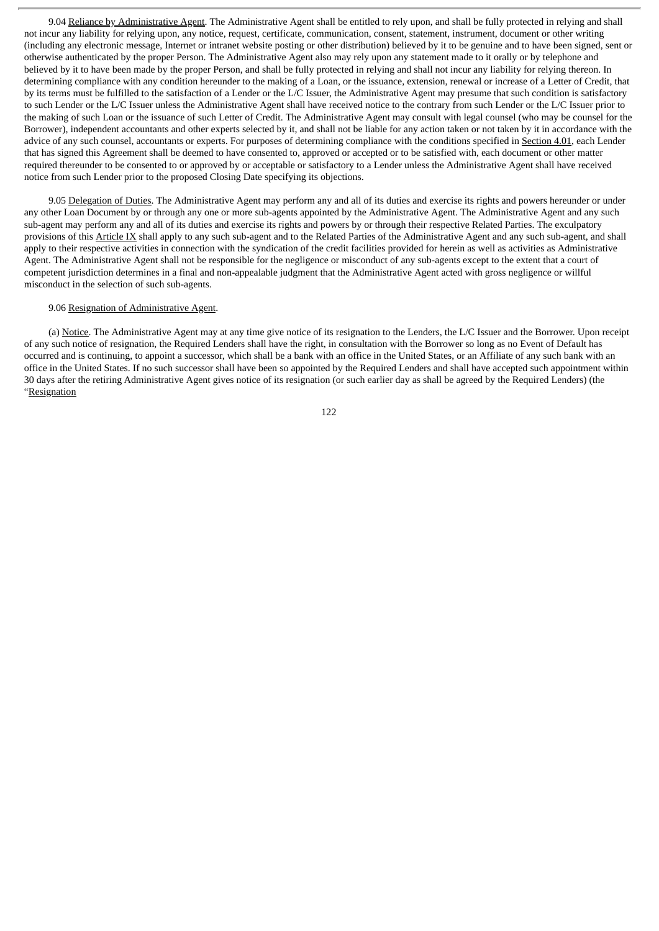9.04 Reliance by Administrative Agent. The Administrative Agent shall be entitled to rely upon, and shall be fully protected in relying and shall not incur any liability for relying upon, any notice, request, certificate, communication, consent, statement, instrument, document or other writing (including any electronic message, Internet or intranet website posting or other distribution) believed by it to be genuine and to have been signed, sent or otherwise authenticated by the proper Person. The Administrative Agent also may rely upon any statement made to it orally or by telephone and believed by it to have been made by the proper Person, and shall be fully protected in relying and shall not incur any liability for relying thereon. In determining compliance with any condition hereunder to the making of a Loan, or the issuance, extension, renewal or increase of a Letter of Credit, that by its terms must be fulfilled to the satisfaction of a Lender or the L/C Issuer, the Administrative Agent may presume that such condition is satisfactory to such Lender or the L/C Issuer unless the Administrative Agent shall have received notice to the contrary from such Lender or the L/C Issuer prior to the making of such Loan or the issuance of such Letter of Credit. The Administrative Agent may consult with legal counsel (who may be counsel for the Borrower), independent accountants and other experts selected by it, and shall not be liable for any action taken or not taken by it in accordance with the advice of any such counsel, accountants or experts. For purposes of determining compliance with the conditions specified in Section 4.01, each Lender that has signed this Agreement shall be deemed to have consented to, approved or accepted or to be satisfied with, each document or other matter required thereunder to be consented to or approved by or acceptable or satisfactory to a Lender unless the Administrative Agent shall have received notice from such Lender prior to the proposed Closing Date specifying its objections.

9.05 Delegation of Duties. The Administrative Agent may perform any and all of its duties and exercise its rights and powers hereunder or under any other Loan Document by or through any one or more sub-agents appointed by the Administrative Agent. The Administrative Agent and any such sub-agent may perform any and all of its duties and exercise its rights and powers by or through their respective Related Parties. The exculpatory provisions of this Article IX shall apply to any such sub-agent and to the Related Parties of the Administrative Agent and any such sub-agent, and shall apply to their respective activities in connection with the syndication of the credit facilities provided for herein as well as activities as Administrative Agent. The Administrative Agent shall not be responsible for the negligence or misconduct of any sub-agents except to the extent that a court of competent jurisdiction determines in a final and non-appealable judgment that the Administrative Agent acted with gross negligence or willful misconduct in the selection of such sub-agents.

# 9.06 Resignation of Administrative Agent.

(a) Notice. The Administrative Agent may at any time give notice of its resignation to the Lenders, the L/C Issuer and the Borrower. Upon receipt of any such notice of resignation, the Required Lenders shall have the right, in consultation with the Borrower so long as no Event of Default has occurred and is continuing, to appoint a successor, which shall be a bank with an office in the United States, or an Affiliate of any such bank with an office in the United States. If no such successor shall have been so appointed by the Required Lenders and shall have accepted such appointment within 30 days after the retiring Administrative Agent gives notice of its resignation (or such earlier day as shall be agreed by the Required Lenders) (the "Resignation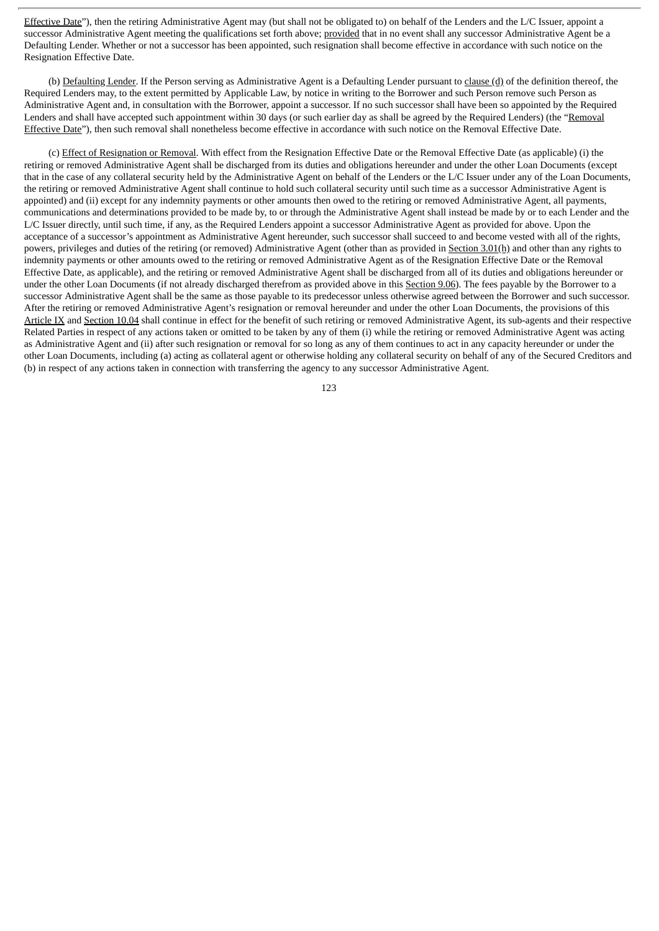Effective Date"), then the retiring Administrative Agent may (but shall not be obligated to) on behalf of the Lenders and the L/C Issuer, appoint a successor Administrative Agent meeting the qualifications set forth above; provided that in no event shall any successor Administrative Agent be a Defaulting Lender. Whether or not a successor has been appointed, such resignation shall become effective in accordance with such notice on the Resignation Effective Date.

(b) Defaulting Lender. If the Person serving as Administrative Agent is a Defaulting Lender pursuant to clause (d) of the definition thereof, the Required Lenders may, to the extent permitted by Applicable Law, by notice in writing to the Borrower and such Person remove such Person as Administrative Agent and, in consultation with the Borrower, appoint a successor. If no such successor shall have been so appointed by the Required Lenders and shall have accepted such appointment within 30 days (or such earlier day as shall be agreed by the Required Lenders) (the "Removal Effective Date"), then such removal shall nonetheless become effective in accordance with such notice on the Removal Effective Date.

(c) Effect of Resignation or Removal. With effect from the Resignation Effective Date or the Removal Effective Date (as applicable) (i) the retiring or removed Administrative Agent shall be discharged from its duties and obligations hereunder and under the other Loan Documents (except that in the case of any collateral security held by the Administrative Agent on behalf of the Lenders or the L/C Issuer under any of the Loan Documents, the retiring or removed Administrative Agent shall continue to hold such collateral security until such time as a successor Administrative Agent is appointed) and (ii) except for any indemnity payments or other amounts then owed to the retiring or removed Administrative Agent, all payments, communications and determinations provided to be made by, to or through the Administrative Agent shall instead be made by or to each Lender and the L/C Issuer directly, until such time, if any, as the Required Lenders appoint a successor Administrative Agent as provided for above. Upon the acceptance of a successor's appointment as Administrative Agent hereunder, such successor shall succeed to and become vested with all of the rights, powers, privileges and duties of the retiring (or removed) Administrative Agent (other than as provided in Section 3.01(h) and other than any rights to indemnity payments or other amounts owed to the retiring or removed Administrative Agent as of the Resignation Effective Date or the Removal Effective Date, as applicable), and the retiring or removed Administrative Agent shall be discharged from all of its duties and obligations hereunder or under the other Loan Documents (if not already discharged therefrom as provided above in this Section 9.06). The fees payable by the Borrower to a successor Administrative Agent shall be the same as those payable to its predecessor unless otherwise agreed between the Borrower and such successor. After the retiring or removed Administrative Agent's resignation or removal hereunder and under the other Loan Documents, the provisions of this Article IX and Section 10.04 shall continue in effect for the benefit of such retiring or removed Administrative Agent, its sub-agents and their respective Related Parties in respect of any actions taken or omitted to be taken by any of them (i) while the retiring or removed Administrative Agent was acting as Administrative Agent and (ii) after such resignation or removal for so long as any of them continues to act in any capacity hereunder or under the other Loan Documents, including (a) acting as collateral agent or otherwise holding any collateral security on behalf of any of the Secured Creditors and (b) in respect of any actions taken in connection with transferring the agency to any successor Administrative Agent.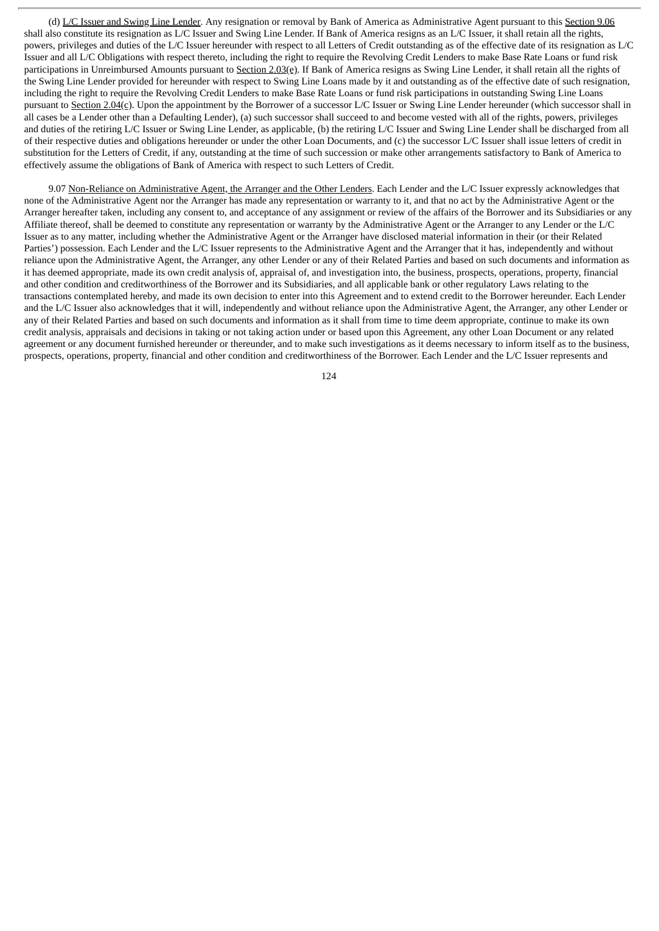(d) L/C Issuer and Swing Line Lender. Any resignation or removal by Bank of America as Administrative Agent pursuant to this Section 9.06 shall also constitute its resignation as L/C Issuer and Swing Line Lender. If Bank of America resigns as an L/C Issuer, it shall retain all the rights, powers, privileges and duties of the L/C Issuer hereunder with respect to all Letters of Credit outstanding as of the effective date of its resignation as L/C Issuer and all L/C Obligations with respect thereto, including the right to require the Revolving Credit Lenders to make Base Rate Loans or fund risk participations in Unreimbursed Amounts pursuant to Section 2.03(e). If Bank of America resigns as Swing Line Lender, it shall retain all the rights of the Swing Line Lender provided for hereunder with respect to Swing Line Loans made by it and outstanding as of the effective date of such resignation, including the right to require the Revolving Credit Lenders to make Base Rate Loans or fund risk participations in outstanding Swing Line Loans pursuant to Section 2.04(c). Upon the appointment by the Borrower of a successor L/C Issuer or Swing Line Lender hereunder (which successor shall in all cases be a Lender other than a Defaulting Lender), (a) such successor shall succeed to and become vested with all of the rights, powers, privileges and duties of the retiring L/C Issuer or Swing Line Lender, as applicable, (b) the retiring L/C Issuer and Swing Line Lender shall be discharged from all of their respective duties and obligations hereunder or under the other Loan Documents, and (c) the successor L/C Issuer shall issue letters of credit in substitution for the Letters of Credit, if any, outstanding at the time of such succession or make other arrangements satisfactory to Bank of America to effectively assume the obligations of Bank of America with respect to such Letters of Credit.

9.07 Non-Reliance on Administrative Agent, the Arranger and the Other Lenders. Each Lender and the L/C Issuer expressly acknowledges that none of the Administrative Agent nor the Arranger has made any representation or warranty to it, and that no act by the Administrative Agent or the Arranger hereafter taken, including any consent to, and acceptance of any assignment or review of the affairs of the Borrower and its Subsidiaries or any Affiliate thereof, shall be deemed to constitute any representation or warranty by the Administrative Agent or the Arranger to any Lender or the L/C Issuer as to any matter, including whether the Administrative Agent or the Arranger have disclosed material information in their (or their Related Parties') possession. Each Lender and the L/C Issuer represents to the Administrative Agent and the Arranger that it has, independently and without reliance upon the Administrative Agent, the Arranger, any other Lender or any of their Related Parties and based on such documents and information as it has deemed appropriate, made its own credit analysis of, appraisal of, and investigation into, the business, prospects, operations, property, financial and other condition and creditworthiness of the Borrower and its Subsidiaries, and all applicable bank or other regulatory Laws relating to the transactions contemplated hereby, and made its own decision to enter into this Agreement and to extend credit to the Borrower hereunder. Each Lender and the L/C Issuer also acknowledges that it will, independently and without reliance upon the Administrative Agent, the Arranger, any other Lender or any of their Related Parties and based on such documents and information as it shall from time to time deem appropriate, continue to make its own credit analysis, appraisals and decisions in taking or not taking action under or based upon this Agreement, any other Loan Document or any related agreement or any document furnished hereunder or thereunder, and to make such investigations as it deems necessary to inform itself as to the business, prospects, operations, property, financial and other condition and creditworthiness of the Borrower. Each Lender and the L/C Issuer represents and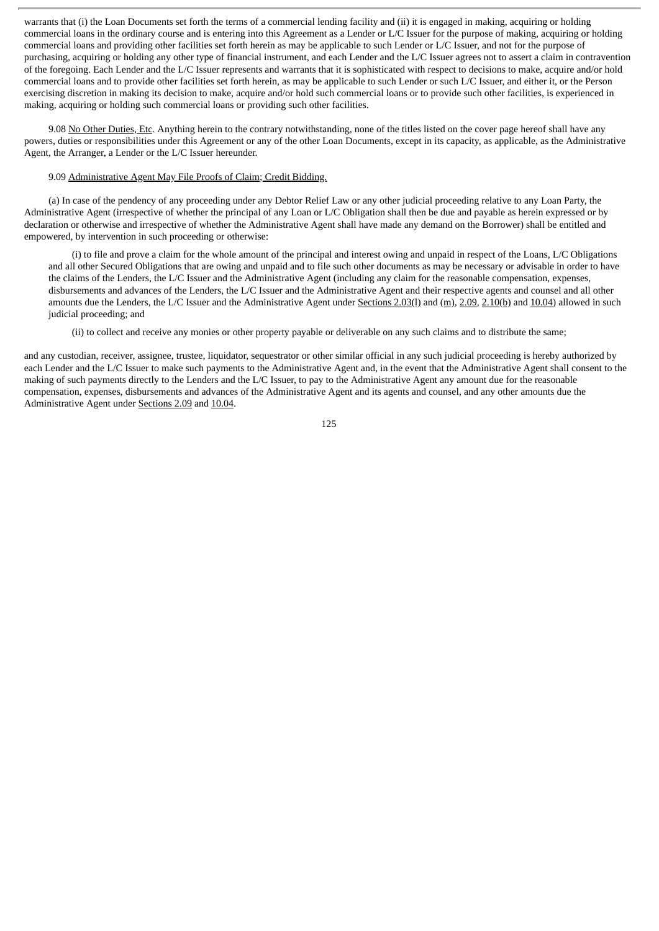warrants that (i) the Loan Documents set forth the terms of a commercial lending facility and (ii) it is engaged in making, acquiring or holding commercial loans in the ordinary course and is entering into this Agreement as a Lender or L/C Issuer for the purpose of making, acquiring or holding commercial loans and providing other facilities set forth herein as may be applicable to such Lender or L/C Issuer, and not for the purpose of purchasing, acquiring or holding any other type of financial instrument, and each Lender and the L/C Issuer agrees not to assert a claim in contravention of the foregoing. Each Lender and the L/C Issuer represents and warrants that it is sophisticated with respect to decisions to make, acquire and/or hold commercial loans and to provide other facilities set forth herein, as may be applicable to such Lender or such L/C Issuer, and either it, or the Person exercising discretion in making its decision to make, acquire and/or hold such commercial loans or to provide such other facilities, is experienced in making, acquiring or holding such commercial loans or providing such other facilities.

9.08 No Other Duties, Etc. Anything herein to the contrary notwithstanding, none of the titles listed on the cover page hereof shall have any powers, duties or responsibilities under this Agreement or any of the other Loan Documents, except in its capacity, as applicable, as the Administrative Agent, the Arranger, a Lender or the L/C Issuer hereunder.

### 9.09 Administrative Agent May File Proofs of Claim; Credit Bidding.

(a) In case of the pendency of any proceeding under any Debtor Relief Law or any other judicial proceeding relative to any Loan Party, the Administrative Agent (irrespective of whether the principal of any Loan or L/C Obligation shall then be due and payable as herein expressed or by declaration or otherwise and irrespective of whether the Administrative Agent shall have made any demand on the Borrower) shall be entitled and empowered, by intervention in such proceeding or otherwise:

(i) to file and prove a claim for the whole amount of the principal and interest owing and unpaid in respect of the Loans, L/C Obligations and all other Secured Obligations that are owing and unpaid and to file such other documents as may be necessary or advisable in order to have the claims of the Lenders, the L/C Issuer and the Administrative Agent (including any claim for the reasonable compensation, expenses, disbursements and advances of the Lenders, the L/C Issuer and the Administrative Agent and their respective agents and counsel and all other amounts due the Lenders, the L/C Issuer and the Administrative Agent under Sections 2.03(l) and (m), 2.09*,* 2.10(b) and 10.04) allowed in such judicial proceeding; and

(ii) to collect and receive any monies or other property payable or deliverable on any such claims and to distribute the same;

and any custodian, receiver, assignee, trustee, liquidator, sequestrator or other similar official in any such judicial proceeding is hereby authorized by each Lender and the L/C Issuer to make such payments to the Administrative Agent and, in the event that the Administrative Agent shall consent to the making of such payments directly to the Lenders and the L/C Issuer, to pay to the Administrative Agent any amount due for the reasonable compensation, expenses, disbursements and advances of the Administrative Agent and its agents and counsel, and any other amounts due the Administrative Agent under Sections 2.09 and 10.04.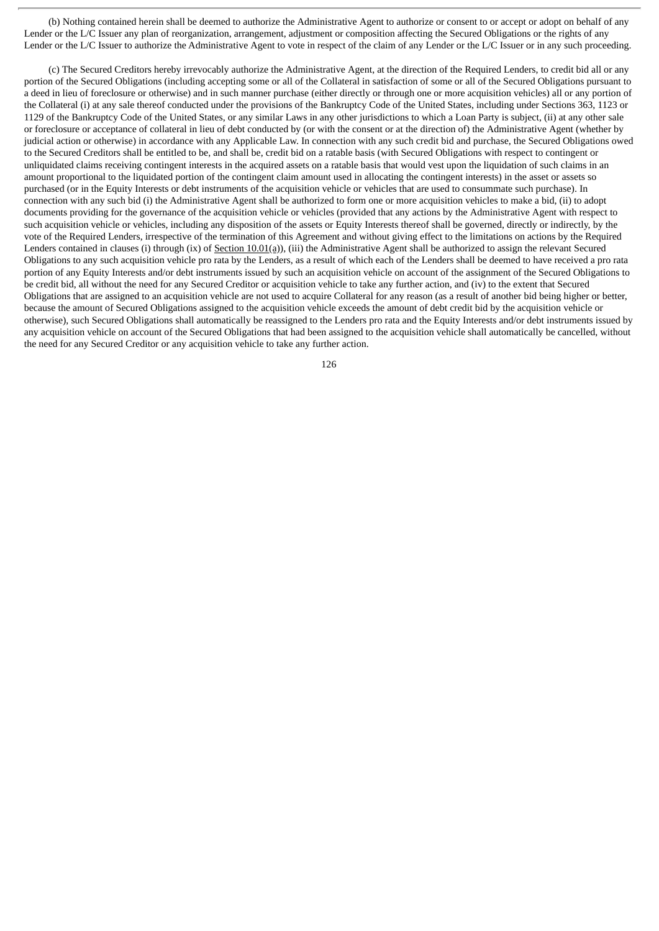(b) Nothing contained herein shall be deemed to authorize the Administrative Agent to authorize or consent to or accept or adopt on behalf of any Lender or the L/C Issuer any plan of reorganization, arrangement, adjustment or composition affecting the Secured Obligations or the rights of any Lender or the L/C Issuer to authorize the Administrative Agent to vote in respect of the claim of any Lender or the L/C Issuer or in any such proceeding.

(c) The Secured Creditors hereby irrevocably authorize the Administrative Agent, at the direction of the Required Lenders, to credit bid all or any portion of the Secured Obligations (including accepting some or all of the Collateral in satisfaction of some or all of the Secured Obligations pursuant to a deed in lieu of foreclosure or otherwise) and in such manner purchase (either directly or through one or more acquisition vehicles) all or any portion of the Collateral (i) at any sale thereof conducted under the provisions of the Bankruptcy Code of the United States, including under Sections 363, 1123 or 1129 of the Bankruptcy Code of the United States, or any similar Laws in any other jurisdictions to which a Loan Party is subject, (ii) at any other sale or foreclosure or acceptance of collateral in lieu of debt conducted by (or with the consent or at the direction of) the Administrative Agent (whether by judicial action or otherwise) in accordance with any Applicable Law. In connection with any such credit bid and purchase, the Secured Obligations owed to the Secured Creditors shall be entitled to be, and shall be, credit bid on a ratable basis (with Secured Obligations with respect to contingent or unliquidated claims receiving contingent interests in the acquired assets on a ratable basis that would vest upon the liquidation of such claims in an amount proportional to the liquidated portion of the contingent claim amount used in allocating the contingent interests) in the asset or assets so purchased (or in the Equity Interests or debt instruments of the acquisition vehicle or vehicles that are used to consummate such purchase). In connection with any such bid (i) the Administrative Agent shall be authorized to form one or more acquisition vehicles to make a bid, (ii) to adopt documents providing for the governance of the acquisition vehicle or vehicles (provided that any actions by the Administrative Agent with respect to such acquisition vehicle or vehicles, including any disposition of the assets or Equity Interests thereof shall be governed, directly or indirectly, by the vote of the Required Lenders, irrespective of the termination of this Agreement and without giving effect to the limitations on actions by the Required Lenders contained in clauses (i) through (ix) of Section 10.01(a)), (iii) the Administrative Agent shall be authorized to assign the relevant Secured Obligations to any such acquisition vehicle pro rata by the Lenders, as a result of which each of the Lenders shall be deemed to have received a pro rata portion of any Equity Interests and/or debt instruments issued by such an acquisition vehicle on account of the assignment of the Secured Obligations to be credit bid, all without the need for any Secured Creditor or acquisition vehicle to take any further action, and (iv) to the extent that Secured Obligations that are assigned to an acquisition vehicle are not used to acquire Collateral for any reason (as a result of another bid being higher or better, because the amount of Secured Obligations assigned to the acquisition vehicle exceeds the amount of debt credit bid by the acquisition vehicle or otherwise), such Secured Obligations shall automatically be reassigned to the Lenders pro rata and the Equity Interests and/or debt instruments issued by any acquisition vehicle on account of the Secured Obligations that had been assigned to the acquisition vehicle shall automatically be cancelled, without the need for any Secured Creditor or any acquisition vehicle to take any further action.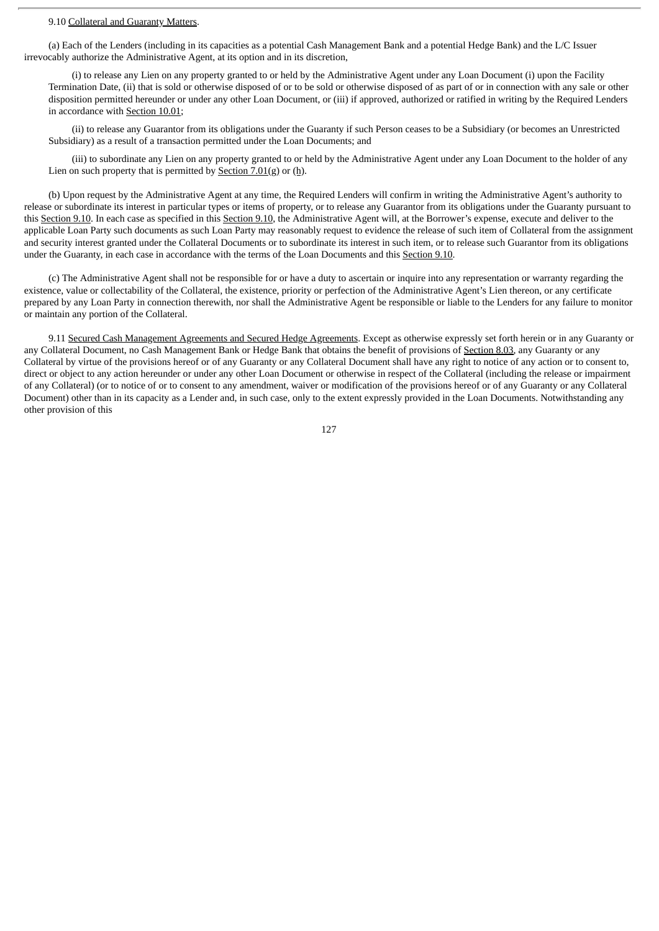# 9.10 Collateral and Guaranty Matters.

(a) Each of the Lenders (including in its capacities as a potential Cash Management Bank and a potential Hedge Bank) and the L/C Issuer irrevocably authorize the Administrative Agent, at its option and in its discretion,

(i) to release any Lien on any property granted to or held by the Administrative Agent under any Loan Document (i) upon the Facility Termination Date, (ii) that is sold or otherwise disposed of or to be sold or otherwise disposed of as part of or in connection with any sale or other disposition permitted hereunder or under any other Loan Document, or (iii) if approved, authorized or ratified in writing by the Required Lenders in accordance with Section 10.01;

(ii) to release any Guarantor from its obligations under the Guaranty if such Person ceases to be a Subsidiary (or becomes an Unrestricted Subsidiary) as a result of a transaction permitted under the Loan Documents; and

(iii) to subordinate any Lien on any property granted to or held by the Administrative Agent under any Loan Document to the holder of any Lien on such property that is permitted by Section 7.01(g) or (h).

(b) Upon request by the Administrative Agent at any time, the Required Lenders will confirm in writing the Administrative Agent's authority to release or subordinate its interest in particular types or items of property, or to release any Guarantor from its obligations under the Guaranty pursuant to this Section 9.10. In each case as specified in this Section 9.10, the Administrative Agent will, at the Borrower's expense, execute and deliver to the applicable Loan Party such documents as such Loan Party may reasonably request to evidence the release of such item of Collateral from the assignment and security interest granted under the Collateral Documents or to subordinate its interest in such item, or to release such Guarantor from its obligations under the Guaranty, in each case in accordance with the terms of the Loan Documents and this Section 9.10.

(c) The Administrative Agent shall not be responsible for or have a duty to ascertain or inquire into any representation or warranty regarding the existence, value or collectability of the Collateral, the existence, priority or perfection of the Administrative Agent's Lien thereon, or any certificate prepared by any Loan Party in connection therewith, nor shall the Administrative Agent be responsible or liable to the Lenders for any failure to monitor or maintain any portion of the Collateral.

9.11 Secured Cash Management Agreements and Secured Hedge Agreements. Except as otherwise expressly set forth herein or in any Guaranty or any Collateral Document, no Cash Management Bank or Hedge Bank that obtains the benefit of provisions of Section 8.03, any Guaranty or any Collateral by virtue of the provisions hereof or of any Guaranty or any Collateral Document shall have any right to notice of any action or to consent to, direct or object to any action hereunder or under any other Loan Document or otherwise in respect of the Collateral (including the release or impairment of any Collateral) (or to notice of or to consent to any amendment, waiver or modification of the provisions hereof or of any Guaranty or any Collateral Document) other than in its capacity as a Lender and, in such case, only to the extent expressly provided in the Loan Documents. Notwithstanding any other provision of this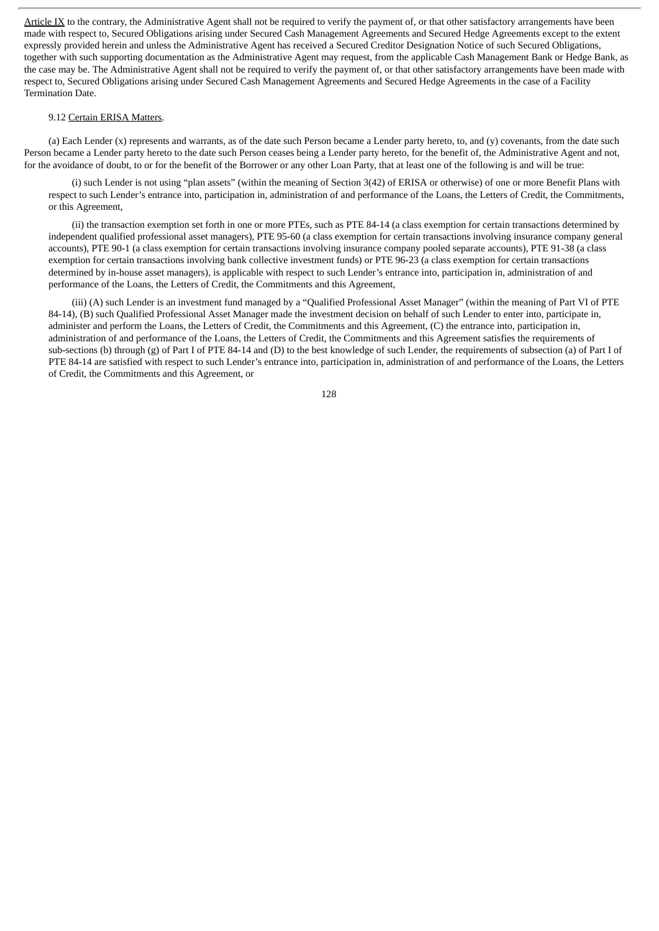Article IX to the contrary, the Administrative Agent shall not be required to verify the payment of, or that other satisfactory arrangements have been made with respect to, Secured Obligations arising under Secured Cash Management Agreements and Secured Hedge Agreements except to the extent expressly provided herein and unless the Administrative Agent has received a Secured Creditor Designation Notice of such Secured Obligations, together with such supporting documentation as the Administrative Agent may request, from the applicable Cash Management Bank or Hedge Bank, as the case may be. The Administrative Agent shall not be required to verify the payment of, or that other satisfactory arrangements have been made with respect to, Secured Obligations arising under Secured Cash Management Agreements and Secured Hedge Agreements in the case of a Facility Termination Date.

### 9.12 Certain ERISA Matters.

(a) Each Lender  $(x)$  represents and warrants, as of the date such Person became a Lender party hereto, to, and  $(y)$  covenants, from the date such Person became a Lender party hereto to the date such Person ceases being a Lender party hereto, for the benefit of, the Administrative Agent and not, for the avoidance of doubt, to or for the benefit of the Borrower or any other Loan Party, that at least one of the following is and will be true:

(i) such Lender is not using "plan assets" (within the meaning of Section 3(42) of ERISA or otherwise) of one or more Benefit Plans with respect to such Lender's entrance into, participation in, administration of and performance of the Loans, the Letters of Credit, the Commitments, or this Agreement,

(ii) the transaction exemption set forth in one or more PTEs, such as PTE 84-14 (a class exemption for certain transactions determined by independent qualified professional asset managers), PTE 95-60 (a class exemption for certain transactions involving insurance company general accounts), PTE 90-1 (a class exemption for certain transactions involving insurance company pooled separate accounts), PTE 91-38 (a class exemption for certain transactions involving bank collective investment funds) or PTE 96-23 (a class exemption for certain transactions determined by in-house asset managers), is applicable with respect to such Lender's entrance into, participation in, administration of and performance of the Loans, the Letters of Credit, the Commitments and this Agreement,

(iii) (A) such Lender is an investment fund managed by a "Qualified Professional Asset Manager" (within the meaning of Part VI of PTE 84-14), (B) such Qualified Professional Asset Manager made the investment decision on behalf of such Lender to enter into, participate in, administer and perform the Loans, the Letters of Credit, the Commitments and this Agreement, (C) the entrance into, participation in, administration of and performance of the Loans, the Letters of Credit, the Commitments and this Agreement satisfies the requirements of sub-sections (b) through (g) of Part I of PTE 84-14 and (D) to the best knowledge of such Lender, the requirements of subsection (a) of Part I of PTE 84-14 are satisfied with respect to such Lender's entrance into, participation in, administration of and performance of the Loans, the Letters of Credit, the Commitments and this Agreement, or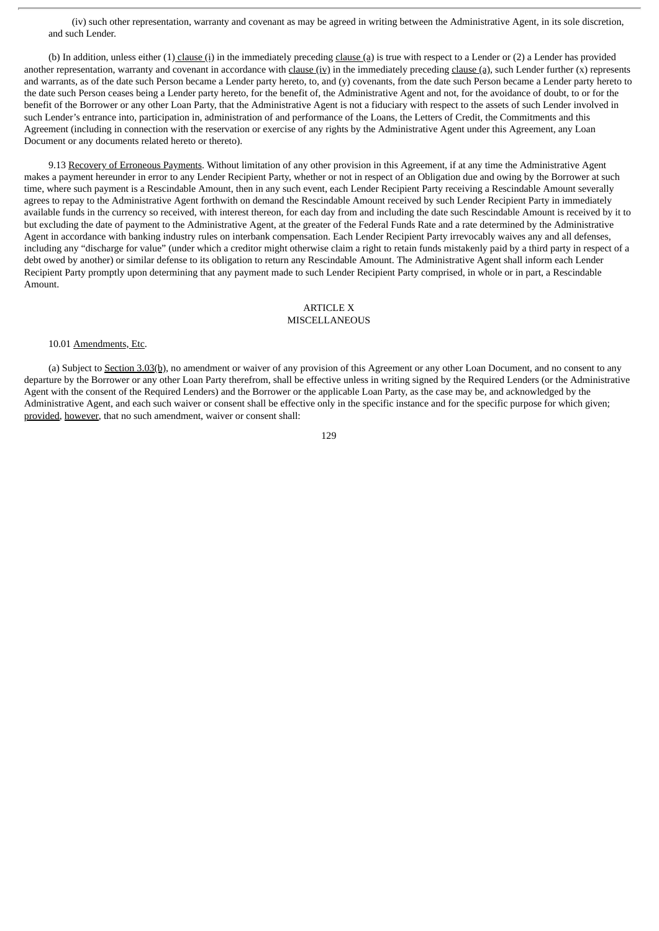(iv) such other representation, warranty and covenant as may be agreed in writing between the Administrative Agent, in its sole discretion, and such Lender.

(b) In addition, unless either (1) clause (i) in the immediately preceding clause (a) is true with respect to a Lender or (2) a Lender has provided another representation, warranty and covenant in accordance with clause (iv) in the immediately preceding clause (a), such Lender further (x) represents and warrants, as of the date such Person became a Lender party hereto, to, and (y) covenants, from the date such Person became a Lender party hereto to the date such Person ceases being a Lender party hereto, for the benefit of, the Administrative Agent and not, for the avoidance of doubt, to or for the benefit of the Borrower or any other Loan Party, that the Administrative Agent is not a fiduciary with respect to the assets of such Lender involved in such Lender's entrance into, participation in, administration of and performance of the Loans, the Letters of Credit, the Commitments and this Agreement (including in connection with the reservation or exercise of any rights by the Administrative Agent under this Agreement, any Loan Document or any documents related hereto or thereto).

9.13 Recovery of Erroneous Payments. Without limitation of any other provision in this Agreement, if at any time the Administrative Agent makes a payment hereunder in error to any Lender Recipient Party, whether or not in respect of an Obligation due and owing by the Borrower at such time, where such payment is a Rescindable Amount, then in any such event, each Lender Recipient Party receiving a Rescindable Amount severally agrees to repay to the Administrative Agent forthwith on demand the Rescindable Amount received by such Lender Recipient Party in immediately available funds in the currency so received, with interest thereon, for each day from and including the date such Rescindable Amount is received by it to but excluding the date of payment to the Administrative Agent, at the greater of the Federal Funds Rate and a rate determined by the Administrative Agent in accordance with banking industry rules on interbank compensation. Each Lender Recipient Party irrevocably waives any and all defenses, including any "discharge for value" (under which a creditor might otherwise claim a right to retain funds mistakenly paid by a third party in respect of a debt owed by another) or similar defense to its obligation to return any Rescindable Amount. The Administrative Agent shall inform each Lender Recipient Party promptly upon determining that any payment made to such Lender Recipient Party comprised, in whole or in part, a Rescindable Amount.

# ARTICLE X MISCELLANEOUS

#### 10.01 Amendments, Etc.

(a) Subject to Section 3.03(b), no amendment or waiver of any provision of this Agreement or any other Loan Document, and no consent to any departure by the Borrower or any other Loan Party therefrom, shall be effective unless in writing signed by the Required Lenders (or the Administrative Agent with the consent of the Required Lenders) and the Borrower or the applicable Loan Party, as the case may be, and acknowledged by the Administrative Agent, and each such waiver or consent shall be effective only in the specific instance and for the specific purpose for which given; provided, however, that no such amendment, waiver or consent shall: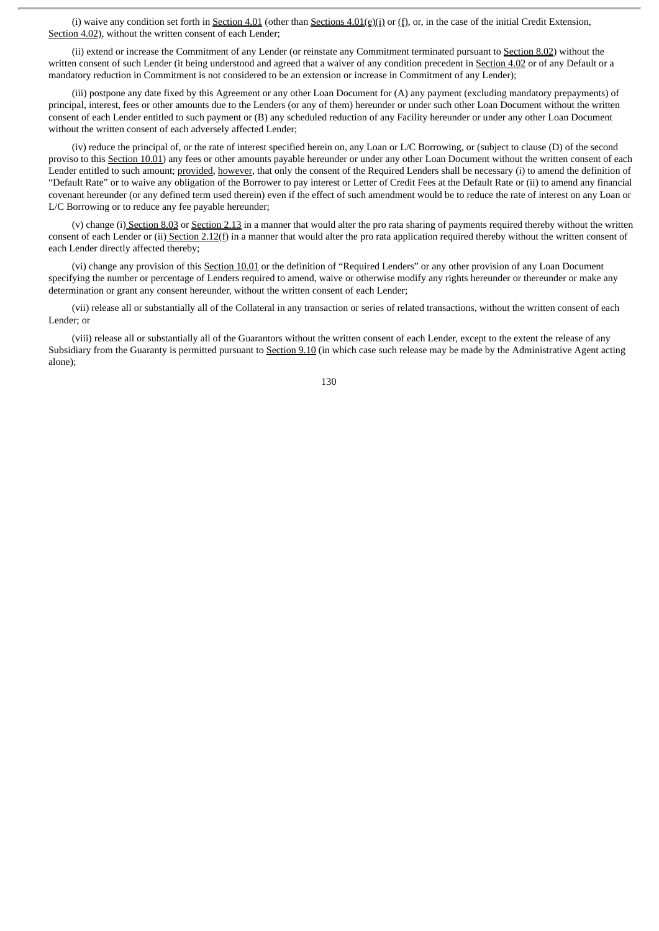(i) waive any condition set forth in Section 4.01 (other than Sections  $4.01(e)(i)$  or (f), or, in the case of the initial Credit Extension, Section 4.02), without the written consent of each Lender;

(ii) extend or increase the Commitment of any Lender (or reinstate any Commitment terminated pursuant to Section 8.02) without the written consent of such Lender (it being understood and agreed that a waiver of any condition precedent in Section 4.02 or of any Default or a mandatory reduction in Commitment is not considered to be an extension or increase in Commitment of any Lender);

(iii) postpone any date fixed by this Agreement or any other Loan Document for (A) any payment (excluding mandatory prepayments) of principal, interest, fees or other amounts due to the Lenders (or any of them) hereunder or under such other Loan Document without the written consent of each Lender entitled to such payment or (B) any scheduled reduction of any Facility hereunder or under any other Loan Document without the written consent of each adversely affected Lender;

(iv) reduce the principal of, or the rate of interest specified herein on, any Loan or L/C Borrowing, or (subject to clause (D) of the second proviso to this Section 10.01) any fees or other amounts payable hereunder or under any other Loan Document without the written consent of each Lender entitled to such amount; provided, however, that only the consent of the Required Lenders shall be necessary (i) to amend the definition of "Default Rate" or to waive any obligation of the Borrower to pay interest or Letter of Credit Fees at the Default Rate or (ii) to amend any financial covenant hereunder (or any defined term used therein) even if the effect of such amendment would be to reduce the rate of interest on any Loan or L/C Borrowing or to reduce any fee payable hereunder;

(v) change (i) Section 8.03 or Section 2.13 in a manner that would alter the pro rata sharing of payments required thereby without the written consent of each Lender or (ii) Section 2.12(f) in a manner that would alter the pro rata application required thereby without the written consent of each Lender directly affected thereby;

(vi) change any provision of this Section 10.01 or the definition of "Required Lenders" or any other provision of any Loan Document specifying the number or percentage of Lenders required to amend, waive or otherwise modify any rights hereunder or thereunder or make any determination or grant any consent hereunder, without the written consent of each Lender;

(vii) release all or substantially all of the Collateral in any transaction or series of related transactions, without the written consent of each Lender; or

(viii) release all or substantially all of the Guarantors without the written consent of each Lender, except to the extent the release of any Subsidiary from the Guaranty is permitted pursuant to Section 9.10 (in which case such release may be made by the Administrative Agent acting alone);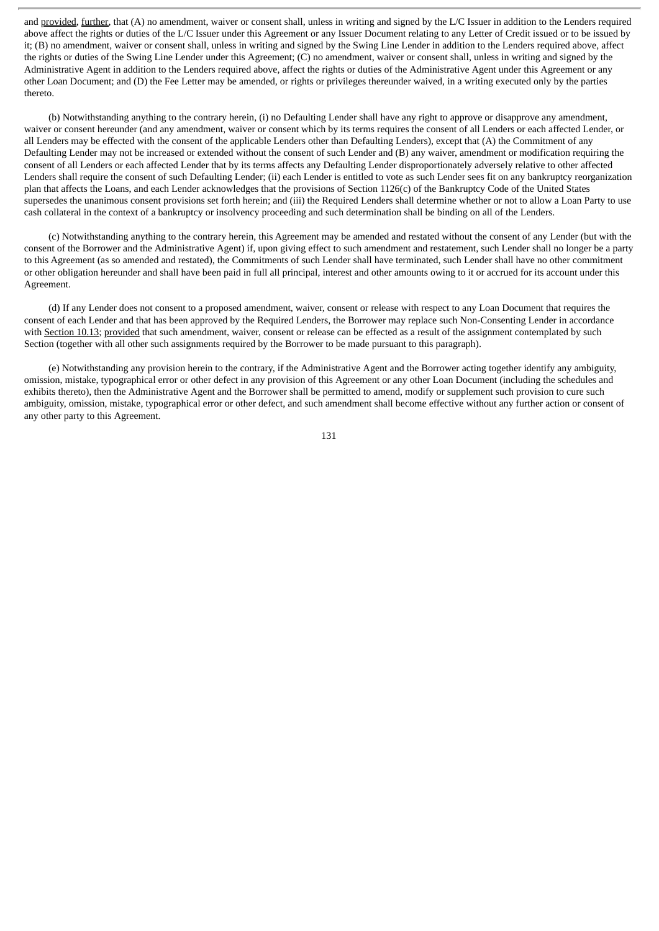and provided, further, that (A) no amendment, waiver or consent shall, unless in writing and signed by the L/C Issuer in addition to the Lenders required above affect the rights or duties of the L/C Issuer under this Agreement or any Issuer Document relating to any Letter of Credit issued or to be issued by it; (B) no amendment, waiver or consent shall, unless in writing and signed by the Swing Line Lender in addition to the Lenders required above, affect the rights or duties of the Swing Line Lender under this Agreement; (C) no amendment, waiver or consent shall, unless in writing and signed by the Administrative Agent in addition to the Lenders required above, affect the rights or duties of the Administrative Agent under this Agreement or any other Loan Document; and (D) the Fee Letter may be amended, or rights or privileges thereunder waived, in a writing executed only by the parties thereto.

(b) Notwithstanding anything to the contrary herein, (i) no Defaulting Lender shall have any right to approve or disapprove any amendment, waiver or consent hereunder (and any amendment, waiver or consent which by its terms requires the consent of all Lenders or each affected Lender, or all Lenders may be effected with the consent of the applicable Lenders other than Defaulting Lenders), except that (A) the Commitment of any Defaulting Lender may not be increased or extended without the consent of such Lender and (B) any waiver, amendment or modification requiring the consent of all Lenders or each affected Lender that by its terms affects any Defaulting Lender disproportionately adversely relative to other affected Lenders shall require the consent of such Defaulting Lender; (ii) each Lender is entitled to vote as such Lender sees fit on any bankruptcy reorganization plan that affects the Loans, and each Lender acknowledges that the provisions of Section 1126(c) of the Bankruptcy Code of the United States supersedes the unanimous consent provisions set forth herein; and (iii) the Required Lenders shall determine whether or not to allow a Loan Party to use cash collateral in the context of a bankruptcy or insolvency proceeding and such determination shall be binding on all of the Lenders.

(c) Notwithstanding anything to the contrary herein, this Agreement may be amended and restated without the consent of any Lender (but with the consent of the Borrower and the Administrative Agent) if, upon giving effect to such amendment and restatement, such Lender shall no longer be a party to this Agreement (as so amended and restated), the Commitments of such Lender shall have terminated, such Lender shall have no other commitment or other obligation hereunder and shall have been paid in full all principal, interest and other amounts owing to it or accrued for its account under this Agreement.

(d) If any Lender does not consent to a proposed amendment, waiver, consent or release with respect to any Loan Document that requires the consent of each Lender and that has been approved by the Required Lenders, the Borrower may replace such Non-Consenting Lender in accordance with Section 10.13; provided that such amendment, waiver, consent or release can be effected as a result of the assignment contemplated by such Section (together with all other such assignments required by the Borrower to be made pursuant to this paragraph).

(e) Notwithstanding any provision herein to the contrary, if the Administrative Agent and the Borrower acting together identify any ambiguity, omission, mistake, typographical error or other defect in any provision of this Agreement or any other Loan Document (including the schedules and exhibits thereto), then the Administrative Agent and the Borrower shall be permitted to amend, modify or supplement such provision to cure such ambiguity, omission, mistake, typographical error or other defect, and such amendment shall become effective without any further action or consent of any other party to this Agreement.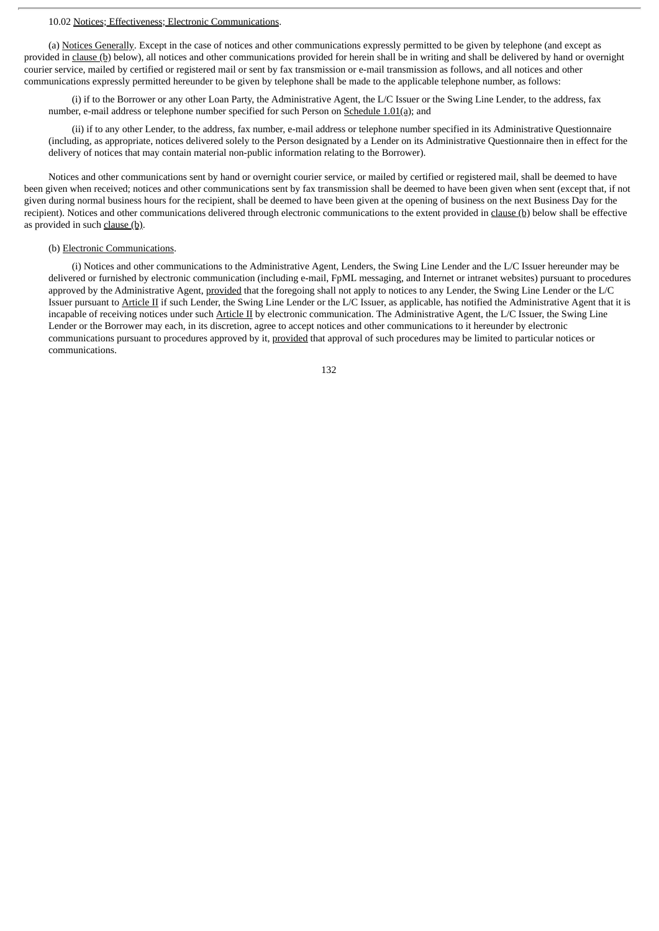# 10.02 Notices; Effectiveness; Electronic Communications.

(a) Notices Generally. Except in the case of notices and other communications expressly permitted to be given by telephone (and except as provided in clause (b) below), all notices and other communications provided for herein shall be in writing and shall be delivered by hand or overnight courier service, mailed by certified or registered mail or sent by fax transmission or e-mail transmission as follows, and all notices and other communications expressly permitted hereunder to be given by telephone shall be made to the applicable telephone number, as follows:

(i) if to the Borrower or any other Loan Party, the Administrative Agent, the L/C Issuer or the Swing Line Lender, to the address, fax number, e-mail address or telephone number specified for such Person on Schedule 1.01(a); and

(ii) if to any other Lender, to the address, fax number, e-mail address or telephone number specified in its Administrative Questionnaire (including, as appropriate, notices delivered solely to the Person designated by a Lender on its Administrative Questionnaire then in effect for the delivery of notices that may contain material non-public information relating to the Borrower).

Notices and other communications sent by hand or overnight courier service, or mailed by certified or registered mail, shall be deemed to have been given when received; notices and other communications sent by fax transmission shall be deemed to have been given when sent (except that, if not given during normal business hours for the recipient, shall be deemed to have been given at the opening of business on the next Business Day for the recipient). Notices and other communications delivered through electronic communications to the extent provided in clause (b) below shall be effective as provided in such clause  $(b)$ .

# (b) Electronic Communications.

(i) Notices and other communications to the Administrative Agent, Lenders, the Swing Line Lender and the L/C Issuer hereunder may be delivered or furnished by electronic communication (including e-mail, FpML messaging, and Internet or intranet websites) pursuant to procedures approved by the Administrative Agent, provided that the foregoing shall not apply to notices to any Lender, the Swing Line Lender or the L/C Issuer pursuant to **Article II** if such Lender, the Swing Line Lender or the L/C Issuer, as applicable, has notified the Administrative Agent that it is incapable of receiving notices under such Article II by electronic communication. The Administrative Agent, the L/C Issuer, the Swing Line Lender or the Borrower may each, in its discretion, agree to accept notices and other communications to it hereunder by electronic communications pursuant to procedures approved by it, provided that approval of such procedures may be limited to particular notices or communications.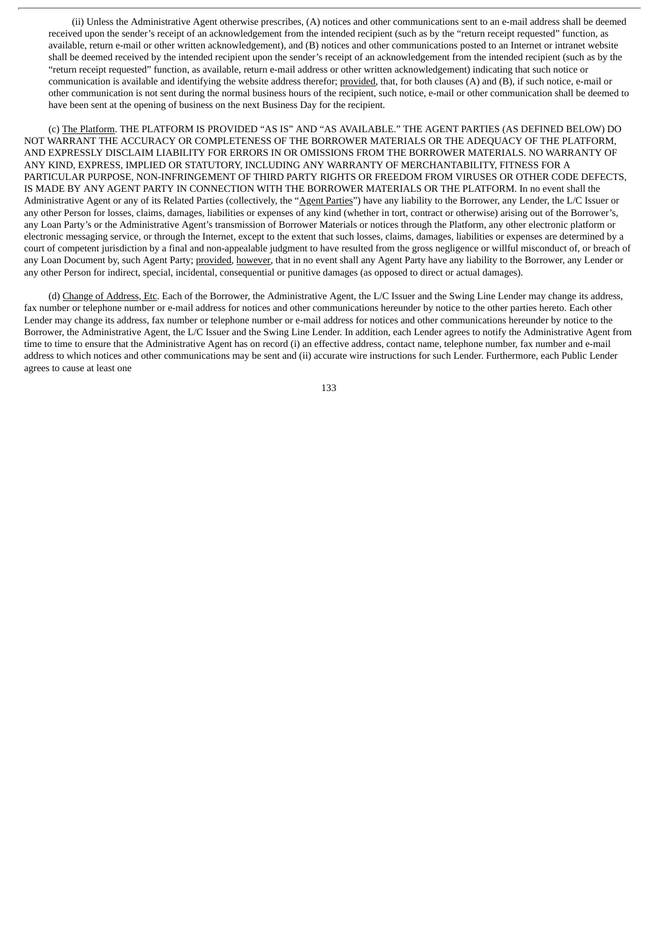(ii) Unless the Administrative Agent otherwise prescribes, (A) notices and other communications sent to an e-mail address shall be deemed received upon the sender's receipt of an acknowledgement from the intended recipient (such as by the "return receipt requested" function, as available, return e-mail or other written acknowledgement), and (B) notices and other communications posted to an Internet or intranet website shall be deemed received by the intended recipient upon the sender's receipt of an acknowledgement from the intended recipient (such as by the "return receipt requested" function, as available, return e-mail address or other written acknowledgement) indicating that such notice or communication is available and identifying the website address therefor; provided, that, for both clauses (A) and (B), if such notice, e-mail or other communication is not sent during the normal business hours of the recipient, such notice, e-mail or other communication shall be deemed to have been sent at the opening of business on the next Business Day for the recipient.

(c) The Platform. THE PLATFORM IS PROVIDED "AS IS" AND "AS AVAILABLE." THE AGENT PARTIES (AS DEFINED BELOW) DO NOT WARRANT THE ACCURACY OR COMPLETENESS OF THE BORROWER MATERIALS OR THE ADEQUACY OF THE PLATFORM, AND EXPRESSLY DISCLAIM LIABILITY FOR ERRORS IN OR OMISSIONS FROM THE BORROWER MATERIALS. NO WARRANTY OF ANY KIND, EXPRESS, IMPLIED OR STATUTORY, INCLUDING ANY WARRANTY OF MERCHANTABILITY, FITNESS FOR A PARTICULAR PURPOSE, NON-INFRINGEMENT OF THIRD PARTY RIGHTS OR FREEDOM FROM VIRUSES OR OTHER CODE DEFECTS, IS MADE BY ANY AGENT PARTY IN CONNECTION WITH THE BORROWER MATERIALS OR THE PLATFORM. In no event shall the Administrative Agent or any of its Related Parties (collectively, the "Agent Parties") have any liability to the Borrower, any Lender, the L/C Issuer or any other Person for losses, claims, damages, liabilities or expenses of any kind (whether in tort, contract or otherwise) arising out of the Borrower's, any Loan Party's or the Administrative Agent's transmission of Borrower Materials or notices through the Platform, any other electronic platform or electronic messaging service, or through the Internet, except to the extent that such losses, claims, damages, liabilities or expenses are determined by a court of competent jurisdiction by a final and non-appealable judgment to have resulted from the gross negligence or willful misconduct of, or breach of any Loan Document by, such Agent Party; provided, however, that in no event shall any Agent Party have any liability to the Borrower, any Lender or any other Person for indirect, special, incidental, consequential or punitive damages (as opposed to direct or actual damages).

(d) Change of Address, Etc. Each of the Borrower, the Administrative Agent, the L/C Issuer and the Swing Line Lender may change its address, fax number or telephone number or e-mail address for notices and other communications hereunder by notice to the other parties hereto. Each other Lender may change its address, fax number or telephone number or e-mail address for notices and other communications hereunder by notice to the Borrower, the Administrative Agent, the L/C Issuer and the Swing Line Lender. In addition, each Lender agrees to notify the Administrative Agent from time to time to ensure that the Administrative Agent has on record (i) an effective address, contact name, telephone number, fax number and e-mail address to which notices and other communications may be sent and (ii) accurate wire instructions for such Lender. Furthermore, each Public Lender agrees to cause at least one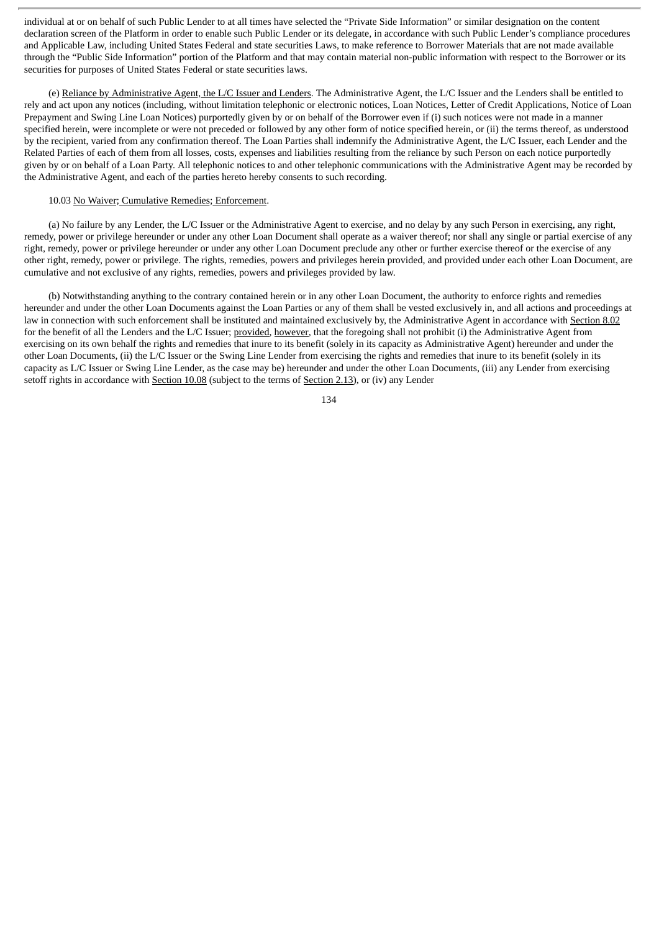individual at or on behalf of such Public Lender to at all times have selected the "Private Side Information" or similar designation on the content declaration screen of the Platform in order to enable such Public Lender or its delegate, in accordance with such Public Lender's compliance procedures and Applicable Law, including United States Federal and state securities Laws, to make reference to Borrower Materials that are not made available through the "Public Side Information" portion of the Platform and that may contain material non-public information with respect to the Borrower or its securities for purposes of United States Federal or state securities laws.

(e) Reliance by Administrative Agent, the L/C Issuer and Lenders. The Administrative Agent, the L/C Issuer and the Lenders shall be entitled to rely and act upon any notices (including, without limitation telephonic or electronic notices, Loan Notices, Letter of Credit Applications, Notice of Loan Prepayment and Swing Line Loan Notices) purportedly given by or on behalf of the Borrower even if (i) such notices were not made in a manner specified herein, were incomplete or were not preceded or followed by any other form of notice specified herein, or (ii) the terms thereof, as understood by the recipient, varied from any confirmation thereof. The Loan Parties shall indemnify the Administrative Agent, the L/C Issuer, each Lender and the Related Parties of each of them from all losses, costs, expenses and liabilities resulting from the reliance by such Person on each notice purportedly given by or on behalf of a Loan Party. All telephonic notices to and other telephonic communications with the Administrative Agent may be recorded by the Administrative Agent, and each of the parties hereto hereby consents to such recording.

### 10.03 No Waiver; Cumulative Remedies; Enforcement.

(a) No failure by any Lender, the L/C Issuer or the Administrative Agent to exercise, and no delay by any such Person in exercising, any right, remedy, power or privilege hereunder or under any other Loan Document shall operate as a waiver thereof; nor shall any single or partial exercise of any right, remedy, power or privilege hereunder or under any other Loan Document preclude any other or further exercise thereof or the exercise of any other right, remedy, power or privilege. The rights, remedies, powers and privileges herein provided, and provided under each other Loan Document, are cumulative and not exclusive of any rights, remedies, powers and privileges provided by law.

(b) Notwithstanding anything to the contrary contained herein or in any other Loan Document, the authority to enforce rights and remedies hereunder and under the other Loan Documents against the Loan Parties or any of them shall be vested exclusively in, and all actions and proceedings at law in connection with such enforcement shall be instituted and maintained exclusively by, the Administrative Agent in accordance with Section 8.02 for the benefit of all the Lenders and the L/C Issuer; provided, however, that the foregoing shall not prohibit (i) the Administrative Agent from exercising on its own behalf the rights and remedies that inure to its benefit (solely in its capacity as Administrative Agent) hereunder and under the other Loan Documents, (ii) the L/C Issuer or the Swing Line Lender from exercising the rights and remedies that inure to its benefit (solely in its capacity as L/C Issuer or Swing Line Lender, as the case may be) hereunder and under the other Loan Documents, (iii) any Lender from exercising setoff rights in accordance with Section 10.08 (subject to the terms of Section 2.13), or (iv) any Lender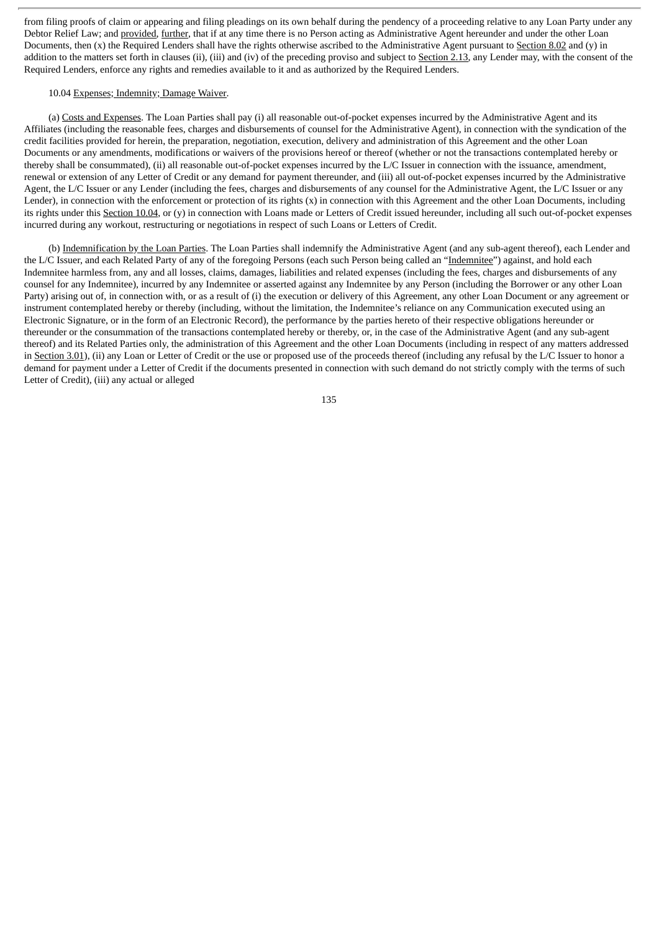from filing proofs of claim or appearing and filing pleadings on its own behalf during the pendency of a proceeding relative to any Loan Party under any Debtor Relief Law; and provided, further, that if at any time there is no Person acting as Administrative Agent hereunder and under the other Loan Documents, then (x) the Required Lenders shall have the rights otherwise ascribed to the Administrative Agent pursuant to Section 8.02 and (y) in addition to the matters set forth in clauses (ii), (iii) and (iv) of the preceding proviso and subject to Section 2.13, any Lender may, with the consent of the Required Lenders, enforce any rights and remedies available to it and as authorized by the Required Lenders.

# 10.04 Expenses; Indemnity; Damage Waiver.

(a) Costs and Expenses. The Loan Parties shall pay (i) all reasonable out-of-pocket expenses incurred by the Administrative Agent and its Affiliates (including the reasonable fees, charges and disbursements of counsel for the Administrative Agent), in connection with the syndication of the credit facilities provided for herein, the preparation, negotiation, execution, delivery and administration of this Agreement and the other Loan Documents or any amendments, modifications or waivers of the provisions hereof or thereof (whether or not the transactions contemplated hereby or thereby shall be consummated), (ii) all reasonable out-of-pocket expenses incurred by the L/C Issuer in connection with the issuance, amendment, renewal or extension of any Letter of Credit or any demand for payment thereunder, and (iii) all out-of-pocket expenses incurred by the Administrative Agent, the L/C Issuer or any Lender (including the fees, charges and disbursements of any counsel for the Administrative Agent, the L/C Issuer or any Lender), in connection with the enforcement or protection of its rights (x) in connection with this Agreement and the other Loan Documents, including its rights under this Section 10.04, or (y) in connection with Loans made or Letters of Credit issued hereunder, including all such out-of-pocket expenses incurred during any workout, restructuring or negotiations in respect of such Loans or Letters of Credit.

(b) Indemnification by the Loan Parties. The Loan Parties shall indemnify the Administrative Agent (and any sub-agent thereof), each Lender and the L/C Issuer, and each Related Party of any of the foregoing Persons (each such Person being called an "Indemnitee") against, and hold each Indemnitee harmless from, any and all losses, claims, damages, liabilities and related expenses (including the fees, charges and disbursements of any counsel for any Indemnitee), incurred by any Indemnitee or asserted against any Indemnitee by any Person (including the Borrower or any other Loan Party) arising out of, in connection with, or as a result of (i) the execution or delivery of this Agreement, any other Loan Document or any agreement or instrument contemplated hereby or thereby (including, without the limitation, the Indemnitee's reliance on any Communication executed using an Electronic Signature, or in the form of an Electronic Record), the performance by the parties hereto of their respective obligations hereunder or thereunder or the consummation of the transactions contemplated hereby or thereby, or, in the case of the Administrative Agent (and any sub-agent thereof) and its Related Parties only, the administration of this Agreement and the other Loan Documents (including in respect of any matters addressed in Section 3.01), (ii) any Loan or Letter of Credit or the use or proposed use of the proceeds thereof (including any refusal by the L/C Issuer to honor a demand for payment under a Letter of Credit if the documents presented in connection with such demand do not strictly comply with the terms of such Letter of Credit), (iii) any actual or alleged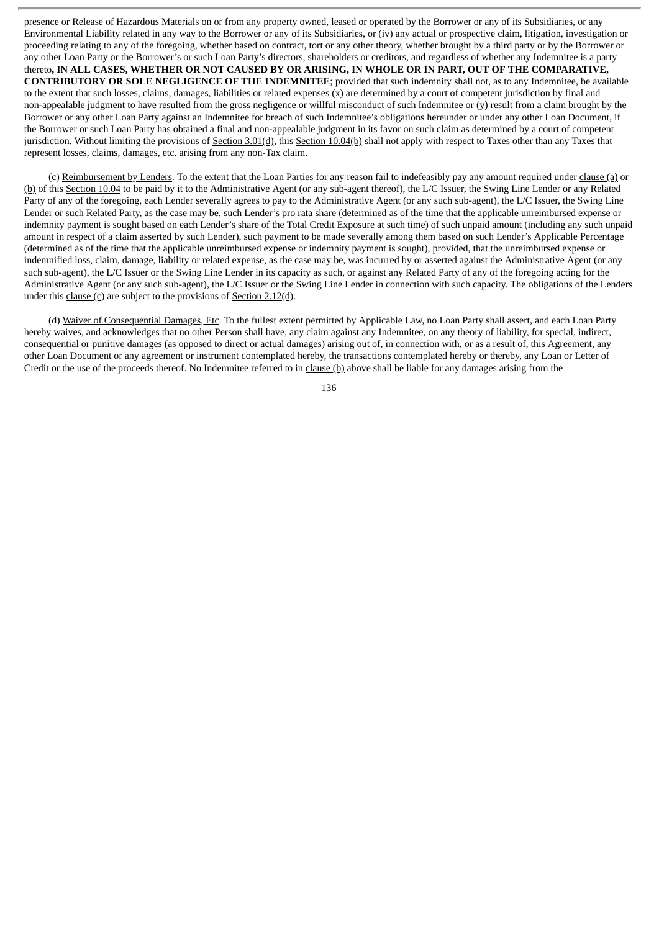presence or Release of Hazardous Materials on or from any property owned, leased or operated by the Borrower or any of its Subsidiaries, or any Environmental Liability related in any way to the Borrower or any of its Subsidiaries, or (iv) any actual or prospective claim, litigation, investigation or proceeding relating to any of the foregoing, whether based on contract, tort or any other theory, whether brought by a third party or by the Borrower or any other Loan Party or the Borrower's or such Loan Party's directors, shareholders or creditors, and regardless of whether any Indemnitee is a party thereto, IN ALL CASES, WHETHER OR NOT CAUSED BY OR ARISING, IN WHOLE OR IN PART, OUT OF THE COMPARATIVE, **CONTRIBUTORY OR SOLE NEGLIGENCE OF THE INDEMNITEE**; provided that such indemnity shall not, as to any Indemnitee, be available to the extent that such losses, claims, damages, liabilities or related expenses (x) are determined by a court of competent jurisdiction by final and non-appealable judgment to have resulted from the gross negligence or willful misconduct of such Indemnitee or (y) result from a claim brought by the Borrower or any other Loan Party against an Indemnitee for breach of such Indemnitee's obligations hereunder or under any other Loan Document, if the Borrower or such Loan Party has obtained a final and non-appealable judgment in its favor on such claim as determined by a court of competent jurisdiction. Without limiting the provisions of Section 3.01(d), this Section 10.04(b) shall not apply with respect to Taxes other than any Taxes that represent losses, claims, damages, etc. arising from any non-Tax claim.

(c) Reimbursement by Lenders. To the extent that the Loan Parties for any reason fail to indefeasibly pay any amount required under clause (a) or (b) of this Section 10.04 to be paid by it to the Administrative Agent (or any sub-agent thereof), the L/C Issuer, the Swing Line Lender or any Related Party of any of the foregoing, each Lender severally agrees to pay to the Administrative Agent (or any such sub-agent), the L/C Issuer, the Swing Line Lender or such Related Party, as the case may be, such Lender's pro rata share (determined as of the time that the applicable unreimbursed expense or indemnity payment is sought based on each Lender's share of the Total Credit Exposure at such time) of such unpaid amount (including any such unpaid amount in respect of a claim asserted by such Lender), such payment to be made severally among them based on such Lender's Applicable Percentage (determined as of the time that the applicable unreimbursed expense or indemnity payment is sought), provided, that the unreimbursed expense or indemnified loss, claim, damage, liability or related expense, as the case may be, was incurred by or asserted against the Administrative Agent (or any such sub-agent), the L/C Issuer or the Swing Line Lender in its capacity as such, or against any Related Party of any of the foregoing acting for the Administrative Agent (or any such sub-agent), the L/C Issuer or the Swing Line Lender in connection with such capacity. The obligations of the Lenders under this clause  $(c)$  are subject to the provisions of <u>Section 2.12(d</u>).

(d) Waiver of Consequential Damages, Etc. To the fullest extent permitted by Applicable Law, no Loan Party shall assert, and each Loan Party hereby waives, and acknowledges that no other Person shall have, any claim against any Indemnitee, on any theory of liability, for special, indirect, consequential or punitive damages (as opposed to direct or actual damages) arising out of, in connection with, or as a result of, this Agreement, any other Loan Document or any agreement or instrument contemplated hereby, the transactions contemplated hereby or thereby, any Loan or Letter of Credit or the use of the proceeds thereof. No Indemnitee referred to in clause (b) above shall be liable for any damages arising from the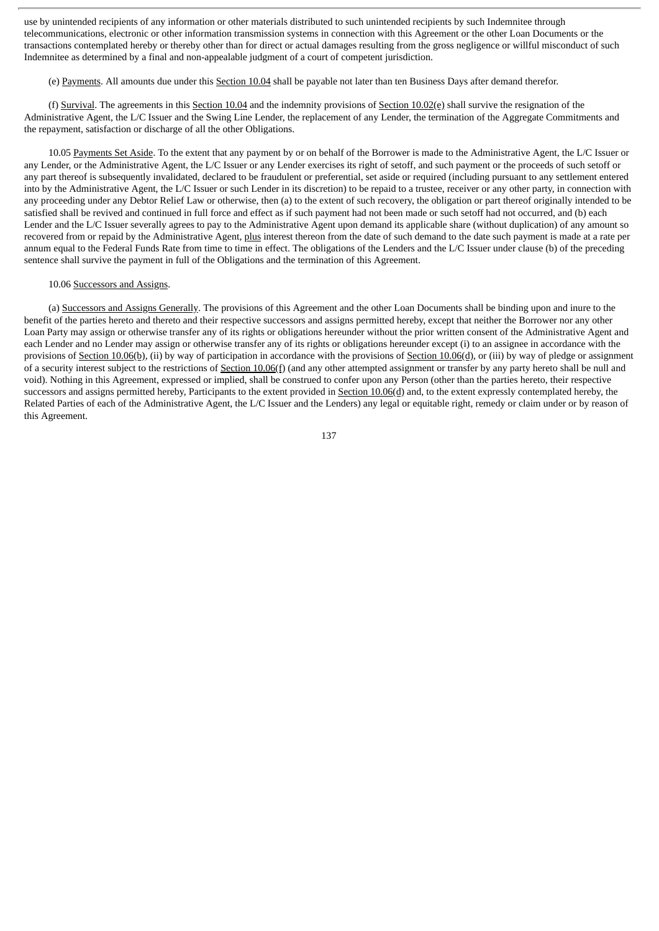use by unintended recipients of any information or other materials distributed to such unintended recipients by such Indemnitee through telecommunications, electronic or other information transmission systems in connection with this Agreement or the other Loan Documents or the transactions contemplated hereby or thereby other than for direct or actual damages resulting from the gross negligence or willful misconduct of such Indemnitee as determined by a final and non-appealable judgment of a court of competent jurisdiction.

(e) Payments. All amounts due under this Section 10.04 shall be payable not later than ten Business Days after demand therefor.

(f) Survival. The agreements in this Section 10.04 and the indemnity provisions of Section 10.02(e) shall survive the resignation of the Administrative Agent, the L/C Issuer and the Swing Line Lender, the replacement of any Lender, the termination of the Aggregate Commitments and the repayment, satisfaction or discharge of all the other Obligations.

10.05 Payments Set Aside. To the extent that any payment by or on behalf of the Borrower is made to the Administrative Agent, the L/C Issuer or any Lender, or the Administrative Agent, the L/C Issuer or any Lender exercises its right of setoff, and such payment or the proceeds of such setoff or any part thereof is subsequently invalidated, declared to be fraudulent or preferential, set aside or required (including pursuant to any settlement entered into by the Administrative Agent, the L/C Issuer or such Lender in its discretion) to be repaid to a trustee, receiver or any other party, in connection with any proceeding under any Debtor Relief Law or otherwise, then (a) to the extent of such recovery, the obligation or part thereof originally intended to be satisfied shall be revived and continued in full force and effect as if such payment had not been made or such setoff had not occurred, and (b) each Lender and the L/C Issuer severally agrees to pay to the Administrative Agent upon demand its applicable share (without duplication) of any amount so recovered from or repaid by the Administrative Agent, plus interest thereon from the date of such demand to the date such payment is made at a rate per annum equal to the Federal Funds Rate from time to time in effect. The obligations of the Lenders and the L/C Issuer under clause (b) of the preceding sentence shall survive the payment in full of the Obligations and the termination of this Agreement.

#### 10.06 Successors and Assigns.

(a) Successors and Assigns Generally. The provisions of this Agreement and the other Loan Documents shall be binding upon and inure to the benefit of the parties hereto and thereto and their respective successors and assigns permitted hereby, except that neither the Borrower nor any other Loan Party may assign or otherwise transfer any of its rights or obligations hereunder without the prior written consent of the Administrative Agent and each Lender and no Lender may assign or otherwise transfer any of its rights or obligations hereunder except (i) to an assignee in accordance with the provisions of Section 10.06(b), (ii) by way of participation in accordance with the provisions of Section 10.06(d), or (iii) by way of pledge or assignment of a security interest subject to the restrictions of Section 10.06(f) (and any other attempted assignment or transfer by any party hereto shall be null and void). Nothing in this Agreement, expressed or implied, shall be construed to confer upon any Person (other than the parties hereto, their respective successors and assigns permitted hereby, Participants to the extent provided in **Section 10.06(d)** and, to the extent expressly contemplated hereby, the Related Parties of each of the Administrative Agent, the L/C Issuer and the Lenders) any legal or equitable right, remedy or claim under or by reason of this Agreement.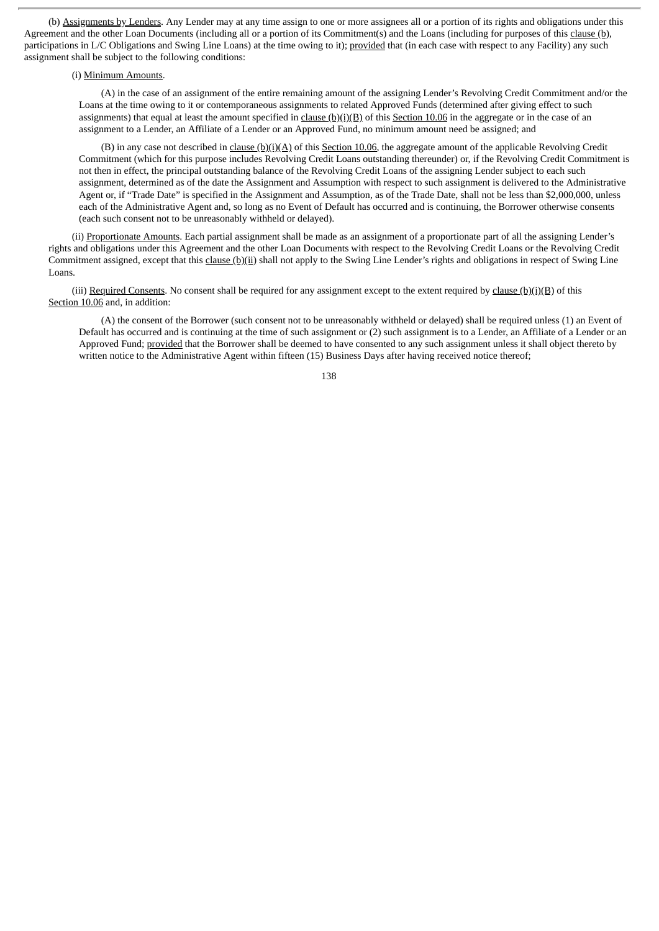(b) Assignments by Lenders. Any Lender may at any time assign to one or more assignees all or a portion of its rights and obligations under this Agreement and the other Loan Documents (including all or a portion of its Commitment(s) and the Loans (including for purposes of this clause (b), participations in L/C Obligations and Swing Line Loans) at the time owing to it); provided that (in each case with respect to any Facility) any such assignment shall be subject to the following conditions:

### (i) Minimum Amounts.

(A) in the case of an assignment of the entire remaining amount of the assigning Lender's Revolving Credit Commitment and/or the Loans at the time owing to it or contemporaneous assignments to related Approved Funds (determined after giving effect to such assignments) that equal at least the amount specified in clause (b)(i)(B) of this Section 10.06 in the aggregate or in the case of an assignment to a Lender, an Affiliate of a Lender or an Approved Fund, no minimum amount need be assigned; and

(B) in any case not described in clause  $(b)(i)(A)$  of this Section 10.06, the aggregate amount of the applicable Revolving Credit Commitment (which for this purpose includes Revolving Credit Loans outstanding thereunder) or, if the Revolving Credit Commitment is not then in effect, the principal outstanding balance of the Revolving Credit Loans of the assigning Lender subject to each such assignment, determined as of the date the Assignment and Assumption with respect to such assignment is delivered to the Administrative Agent or, if "Trade Date" is specified in the Assignment and Assumption, as of the Trade Date, shall not be less than \$2,000,000, unless each of the Administrative Agent and, so long as no Event of Default has occurred and is continuing, the Borrower otherwise consents (each such consent not to be unreasonably withheld or delayed).

(ii) Proportionate Amounts. Each partial assignment shall be made as an assignment of a proportionate part of all the assigning Lender's rights and obligations under this Agreement and the other Loan Documents with respect to the Revolving Credit Loans or the Revolving Credit Commitment assigned, except that this clause  $(b)(ii)$  shall not apply to the Swing Line Lender's rights and obligations in respect of Swing Line Loans.

(iii) Required Consents. No consent shall be required for any assignment except to the extent required by clause  $(b)(i)(B)$  of this Section 10.06 and, in addition:

(A) the consent of the Borrower (such consent not to be unreasonably withheld or delayed) shall be required unless (1) an Event of Default has occurred and is continuing at the time of such assignment or (2) such assignment is to a Lender, an Affiliate of a Lender or an Approved Fund; provided that the Borrower shall be deemed to have consented to any such assignment unless it shall object thereto by written notice to the Administrative Agent within fifteen (15) Business Days after having received notice thereof;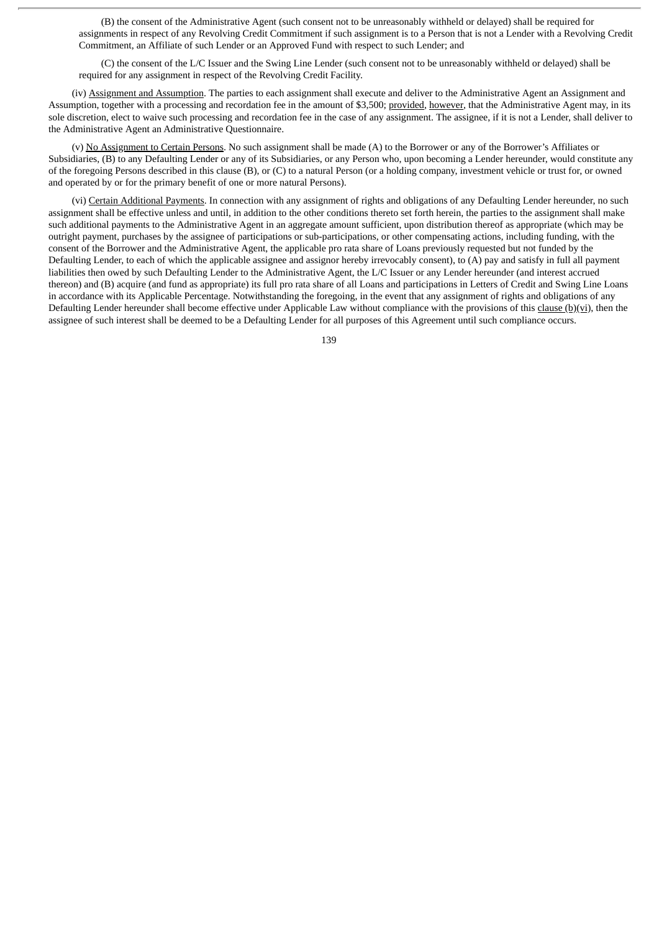(B) the consent of the Administrative Agent (such consent not to be unreasonably withheld or delayed) shall be required for assignments in respect of any Revolving Credit Commitment if such assignment is to a Person that is not a Lender with a Revolving Credit Commitment, an Affiliate of such Lender or an Approved Fund with respect to such Lender; and

(C) the consent of the L/C Issuer and the Swing Line Lender (such consent not to be unreasonably withheld or delayed) shall be required for any assignment in respect of the Revolving Credit Facility.

(iv) Assignment and Assumption. The parties to each assignment shall execute and deliver to the Administrative Agent an Assignment and Assumption, together with a processing and recordation fee in the amount of \$3,500; provided, however, that the Administrative Agent may, in its sole discretion, elect to waive such processing and recordation fee in the case of any assignment. The assignee, if it is not a Lender, shall deliver to the Administrative Agent an Administrative Questionnaire.

(v) No Assignment to Certain Persons. No such assignment shall be made (A) to the Borrower or any of the Borrower's Affiliates or Subsidiaries, (B) to any Defaulting Lender or any of its Subsidiaries, or any Person who, upon becoming a Lender hereunder, would constitute any of the foregoing Persons described in this clause (B), or (C) to a natural Person (or a holding company, investment vehicle or trust for, or owned and operated by or for the primary benefit of one or more natural Persons).

(vi) Certain Additional Payments. In connection with any assignment of rights and obligations of any Defaulting Lender hereunder, no such assignment shall be effective unless and until, in addition to the other conditions thereto set forth herein, the parties to the assignment shall make such additional payments to the Administrative Agent in an aggregate amount sufficient, upon distribution thereof as appropriate (which may be outright payment, purchases by the assignee of participations or sub-participations, or other compensating actions, including funding, with the consent of the Borrower and the Administrative Agent, the applicable pro rata share of Loans previously requested but not funded by the Defaulting Lender, to each of which the applicable assignee and assignor hereby irrevocably consent), to (A) pay and satisfy in full all payment liabilities then owed by such Defaulting Lender to the Administrative Agent, the L/C Issuer or any Lender hereunder (and interest accrued thereon) and (B) acquire (and fund as appropriate) its full pro rata share of all Loans and participations in Letters of Credit and Swing Line Loans in accordance with its Applicable Percentage. Notwithstanding the foregoing, in the event that any assignment of rights and obligations of any Defaulting Lender hereunder shall become effective under Applicable Law without compliance with the provisions of this clause (b)(yi), then the assignee of such interest shall be deemed to be a Defaulting Lender for all purposes of this Agreement until such compliance occurs.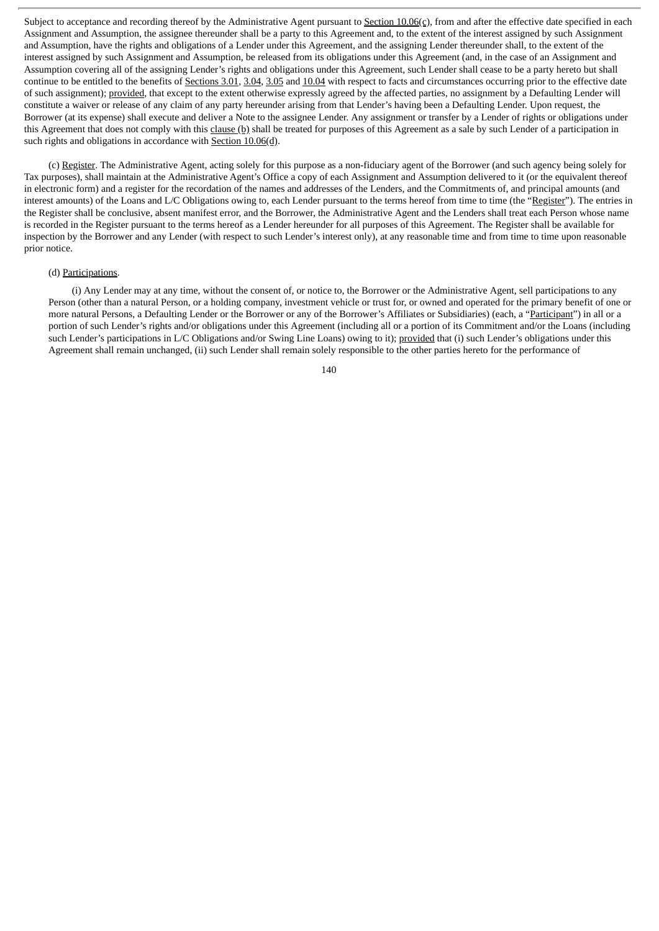Subject to acceptance and recording thereof by the Administrative Agent pursuant to Section 10.06(c), from and after the effective date specified in each Assignment and Assumption, the assignee thereunder shall be a party to this Agreement and, to the extent of the interest assigned by such Assignment and Assumption, have the rights and obligations of a Lender under this Agreement, and the assigning Lender thereunder shall, to the extent of the interest assigned by such Assignment and Assumption, be released from its obligations under this Agreement (and, in the case of an Assignment and Assumption covering all of the assigning Lender's rights and obligations under this Agreement, such Lender shall cease to be a party hereto but shall continue to be entitled to the benefits of Sections 3.01, 3.04, 3.05 and 10.04 with respect to facts and circumstances occurring prior to the effective date of such assignment); provided, that except to the extent otherwise expressly agreed by the affected parties, no assignment by a Defaulting Lender will constitute a waiver or release of any claim of any party hereunder arising from that Lender's having been a Defaulting Lender. Upon request, the Borrower (at its expense) shall execute and deliver a Note to the assignee Lender. Any assignment or transfer by a Lender of rights or obligations under this Agreement that does not comply with this clause (b) shall be treated for purposes of this Agreement as a sale by such Lender of a participation in such rights and obligations in accordance with Section 10.06(d).

(c) Register. The Administrative Agent, acting solely for this purpose as a non-fiduciary agent of the Borrower (and such agency being solely for Tax purposes), shall maintain at the Administrative Agent's Office a copy of each Assignment and Assumption delivered to it (or the equivalent thereof in electronic form) and a register for the recordation of the names and addresses of the Lenders, and the Commitments of, and principal amounts (and interest amounts) of the Loans and L/C Obligations owing to, each Lender pursuant to the terms hereof from time to time (the "Register"). The entries in the Register shall be conclusive, absent manifest error, and the Borrower, the Administrative Agent and the Lenders shall treat each Person whose name is recorded in the Register pursuant to the terms hereof as a Lender hereunder for all purposes of this Agreement. The Register shall be available for inspection by the Borrower and any Lender (with respect to such Lender's interest only), at any reasonable time and from time to time upon reasonable prior notice.

#### (d) Participations.

(i) Any Lender may at any time, without the consent of, or notice to, the Borrower or the Administrative Agent, sell participations to any Person (other than a natural Person, or a holding company, investment vehicle or trust for, or owned and operated for the primary benefit of one or more natural Persons, a Defaulting Lender or the Borrower or any of the Borrower's Affiliates or Subsidiaries) (each, a "Participant") in all or a portion of such Lender's rights and/or obligations under this Agreement (including all or a portion of its Commitment and/or the Loans (including such Lender's participations in L/C Obligations and/or Swing Line Loans) owing to it); provided that (i) such Lender's obligations under this Agreement shall remain unchanged, (ii) such Lender shall remain solely responsible to the other parties hereto for the performance of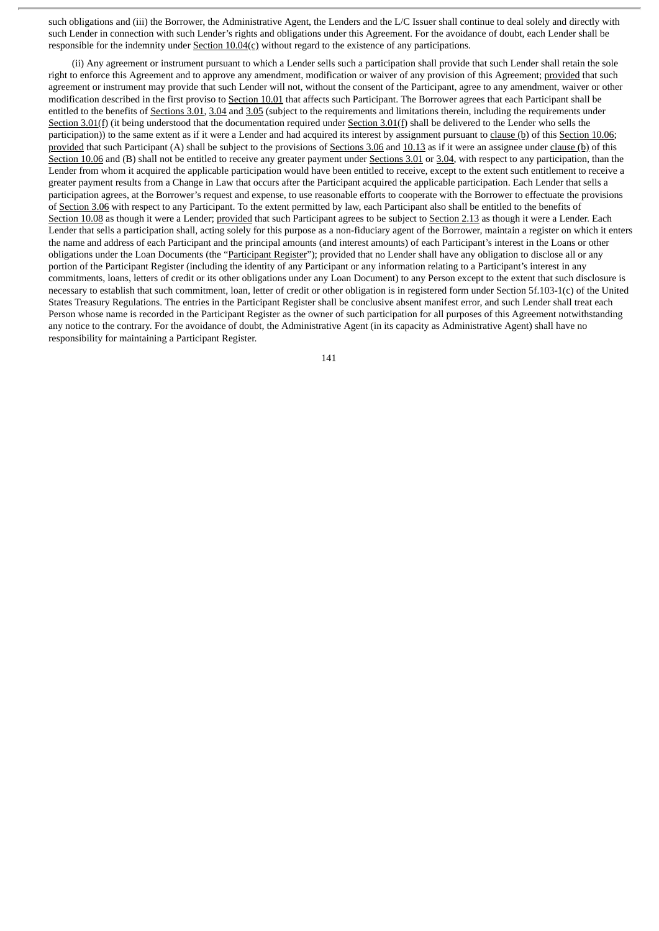such obligations and (iii) the Borrower, the Administrative Agent, the Lenders and the L/C Issuer shall continue to deal solely and directly with such Lender in connection with such Lender's rights and obligations under this Agreement. For the avoidance of doubt, each Lender shall be responsible for the indemnity under  $Section 10.04(c)$  without regard to the existence of any participations.

(ii) Any agreement or instrument pursuant to which a Lender sells such a participation shall provide that such Lender shall retain the sole right to enforce this Agreement and to approve any amendment, modification or waiver of any provision of this Agreement; provided that such agreement or instrument may provide that such Lender will not, without the consent of the Participant, agree to any amendment, waiver or other modification described in the first proviso to Section 10.01 that affects such Participant. The Borrower agrees that each Participant shall be entitled to the benefits of Sections 3.01, 3.04 and 3.05 (subject to the requirements and limitations therein, including the requirements under Section 3.01(f) (it being understood that the documentation required under Section 3.01(f) shall be delivered to the Lender who sells the participation)) to the same extent as if it were a Lender and had acquired its interest by assignment pursuant to clause (b) of this Section 10.06; provided that such Participant (A) shall be subject to the provisions of Sections 3.06 and 10.13 as if it were an assignee under clause (b) of this Section 10.06 and (B) shall not be entitled to receive any greater payment under Sections 3.01 or 3.04, with respect to any participation, than the Lender from whom it acquired the applicable participation would have been entitled to receive, except to the extent such entitlement to receive a greater payment results from a Change in Law that occurs after the Participant acquired the applicable participation. Each Lender that sells a participation agrees, at the Borrower's request and expense, to use reasonable efforts to cooperate with the Borrower to effectuate the provisions of Section 3.06 with respect to any Participant. To the extent permitted by law, each Participant also shall be entitled to the benefits of Section 10.08 as though it were a Lender; provided that such Participant agrees to be subject to Section 2.13 as though it were a Lender. Each Lender that sells a participation shall, acting solely for this purpose as a non-fiduciary agent of the Borrower, maintain a register on which it enters the name and address of each Participant and the principal amounts (and interest amounts) of each Participant's interest in the Loans or other obligations under the Loan Documents (the "Participant Register"); provided that no Lender shall have any obligation to disclose all or any portion of the Participant Register (including the identity of any Participant or any information relating to a Participant's interest in any commitments, loans, letters of credit or its other obligations under any Loan Document) to any Person except to the extent that such disclosure is necessary to establish that such commitment, loan, letter of credit or other obligation is in registered form under Section 5f.103-1(c) of the United States Treasury Regulations. The entries in the Participant Register shall be conclusive absent manifest error, and such Lender shall treat each Person whose name is recorded in the Participant Register as the owner of such participation for all purposes of this Agreement notwithstanding any notice to the contrary. For the avoidance of doubt, the Administrative Agent (in its capacity as Administrative Agent) shall have no responsibility for maintaining a Participant Register.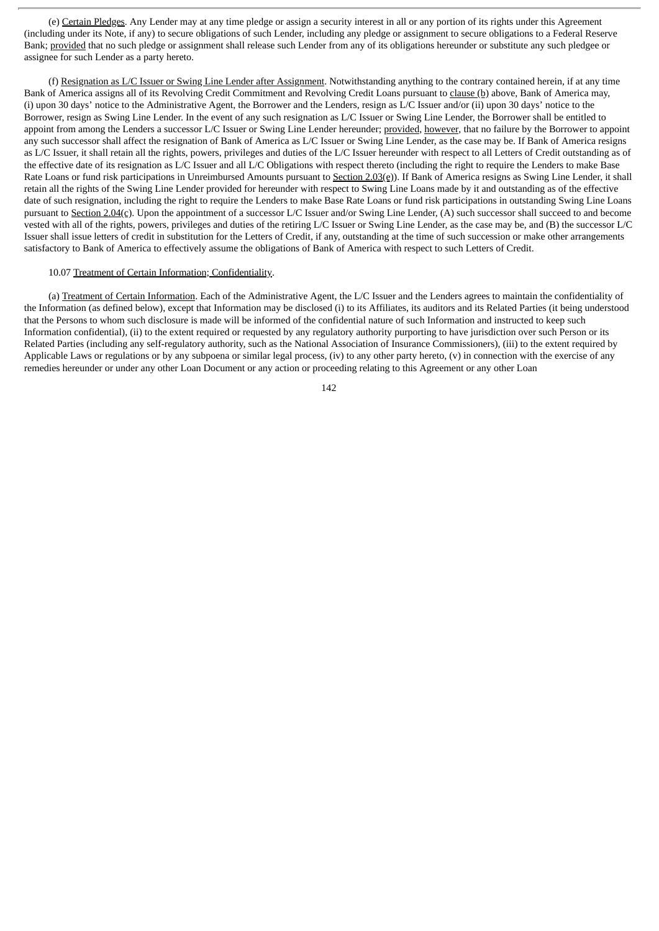(e) Certain Pledges. Any Lender may at any time pledge or assign a security interest in all or any portion of its rights under this Agreement (including under its Note, if any) to secure obligations of such Lender, including any pledge or assignment to secure obligations to a Federal Reserve Bank; provided that no such pledge or assignment shall release such Lender from any of its obligations hereunder or substitute any such pledgee or assignee for such Lender as a party hereto.

(f) Resignation as L/C Issuer or Swing Line Lender after Assignment. Notwithstanding anything to the contrary contained herein, if at any time Bank of America assigns all of its Revolving Credit Commitment and Revolving Credit Loans pursuant to clause (b) above, Bank of America may, (i) upon 30 days' notice to the Administrative Agent, the Borrower and the Lenders, resign as L/C Issuer and/or (ii) upon 30 days' notice to the Borrower, resign as Swing Line Lender. In the event of any such resignation as L/C Issuer or Swing Line Lender, the Borrower shall be entitled to appoint from among the Lenders a successor L/C Issuer or Swing Line Lender hereunder; provided, however, that no failure by the Borrower to appoint any such successor shall affect the resignation of Bank of America as L/C Issuer or Swing Line Lender, as the case may be. If Bank of America resigns as L/C Issuer, it shall retain all the rights, powers, privileges and duties of the L/C Issuer hereunder with respect to all Letters of Credit outstanding as of the effective date of its resignation as L/C Issuer and all L/C Obligations with respect thereto (including the right to require the Lenders to make Base Rate Loans or fund risk participations in Unreimbursed Amounts pursuant to Section 2.03(e)). If Bank of America resigns as Swing Line Lender, it shall retain all the rights of the Swing Line Lender provided for hereunder with respect to Swing Line Loans made by it and outstanding as of the effective date of such resignation, including the right to require the Lenders to make Base Rate Loans or fund risk participations in outstanding Swing Line Loans pursuant to Section 2.04(c). Upon the appointment of a successor L/C Issuer and/or Swing Line Lender, (A) such successor shall succeed to and become vested with all of the rights, powers, privileges and duties of the retiring L/C Issuer or Swing Line Lender, as the case may be, and (B) the successor L/C Issuer shall issue letters of credit in substitution for the Letters of Credit, if any, outstanding at the time of such succession or make other arrangements satisfactory to Bank of America to effectively assume the obligations of Bank of America with respect to such Letters of Credit.

#### 10.07 Treatment of Certain Information; Confidentiality.

(a) Treatment of Certain Information. Each of the Administrative Agent, the L/C Issuer and the Lenders agrees to maintain the confidentiality of the Information (as defined below), except that Information may be disclosed (i) to its Affiliates, its auditors and its Related Parties (it being understood that the Persons to whom such disclosure is made will be informed of the confidential nature of such Information and instructed to keep such Information confidential), (ii) to the extent required or requested by any regulatory authority purporting to have jurisdiction over such Person or its Related Parties (including any self-regulatory authority, such as the National Association of Insurance Commissioners), (iii) to the extent required by Applicable Laws or regulations or by any subpoena or similar legal process, (iv) to any other party hereto, (v) in connection with the exercise of any remedies hereunder or under any other Loan Document or any action or proceeding relating to this Agreement or any other Loan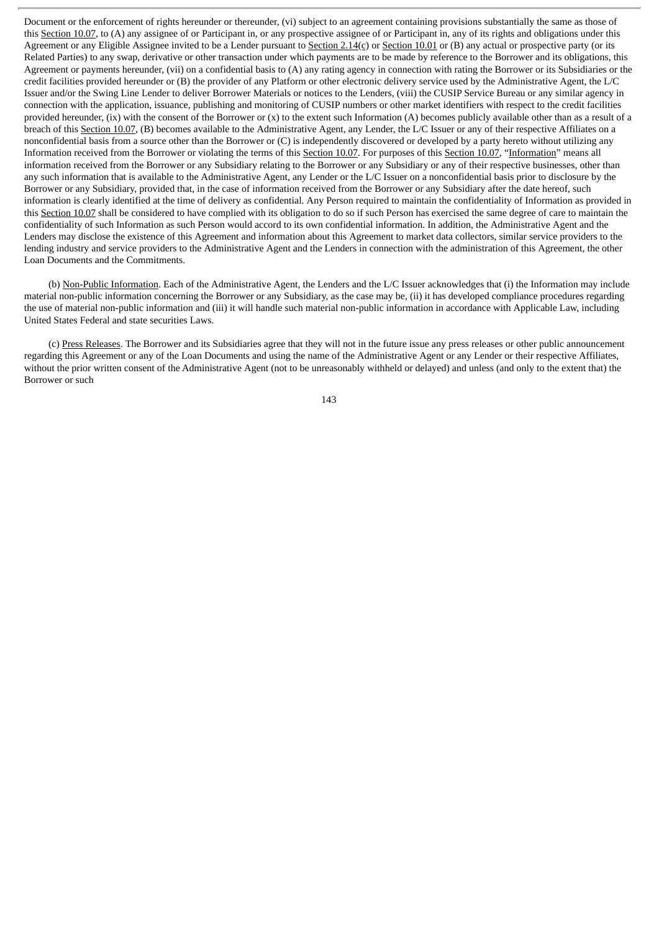Document or the enforcement of rights hereunder or thereunder, (vi) subject to an agreement containing provisions substantially the same as those of this Section 10.07, to (A) any assignee of or Participant in, or any prospective assignee of or Participant in, any of its rights and obligations under this Agreement or any Eligible Assignee invited to be a Lender pursuant to Section 2.14(c) or Section 10.01 or (B) any actual or prospective party (or its Related Parties) to any swap, derivative or other transaction under which payments are to be made by reference to the Borrower and its obligations, this Agreement or payments hereunder, (vii) on a confidential basis to (A) any rating agency in connection with rating the Borrower or its Subsidiaries or the credit facilities provided hereunder or (B) the provider of any Platform or other electronic delivery service used by the Administrative Agent, the L/C Issuer and/or the Swing Line Lender to deliver Borrower Materials or notices to the Lenders, (viii) the CUSIP Service Bureau or any similar agency in connection with the application, issuance, publishing and monitoring of CUSIP numbers or other market identifiers with respect to the credit facilities provided hereunder, (ix) with the consent of the Borrower or (x) to the extent such Information (A) becomes publicly available other than as a result of a breach of this Section 10.07, (B) becomes available to the Administrative Agent, any Lender, the L/C Issuer or any of their respective Affiliates on a nonconfidential basis from a source other than the Borrower or (C) is independently discovered or developed by a party hereto without utilizing any Information received from the Borrower or violating the terms of this Section 10.07. For purposes of this Section 10.07, "Information" means all information received from the Borrower or any Subsidiary relating to the Borrower or any Subsidiary or any of their respective businesses, other than any such information that is available to the Administrative Agent, any Lender or the L/C Issuer on a nonconfidential basis prior to disclosure by the Borrower or any Subsidiary, provided that, in the case of information received from the Borrower or any Subsidiary after the date hereof, such information is clearly identified at the time of delivery as confidential. Any Person required to maintain the confidentiality of Information as provided in this Section 10.07 shall be considered to have complied with its obligation to do so if such Person has exercised the same degree of care to maintain the confidentiality of such Information as such Person would accord to its own confidential information. In addition, the Administrative Agent and the Lenders may disclose the existence of this Agreement and information about this Agreement to market data collectors, similar service providers to the lending industry and service providers to the Administrative Agent and the Lenders in connection with the administration of this Agreement, the other Loan Documents and the Commitments.

(b) Non-Public Information. Each of the Administrative Agent, the Lenders and the L/C Issuer acknowledges that (i) the Information may include material non-public information concerning the Borrower or any Subsidiary, as the case may be, (ii) it has developed compliance procedures regarding the use of material non-public information and (iii) it will handle such material non-public information in accordance with Applicable Law, including United States Federal and state securities Laws.

(c) Press Releases. The Borrower and its Subsidiaries agree that they will not in the future issue any press releases or other public announcement regarding this Agreement or any of the Loan Documents and using the name of the Administrative Agent or any Lender or their respective Affiliates, without the prior written consent of the Administrative Agent (not to be unreasonably withheld or delayed) and unless (and only to the extent that) the Borrower or such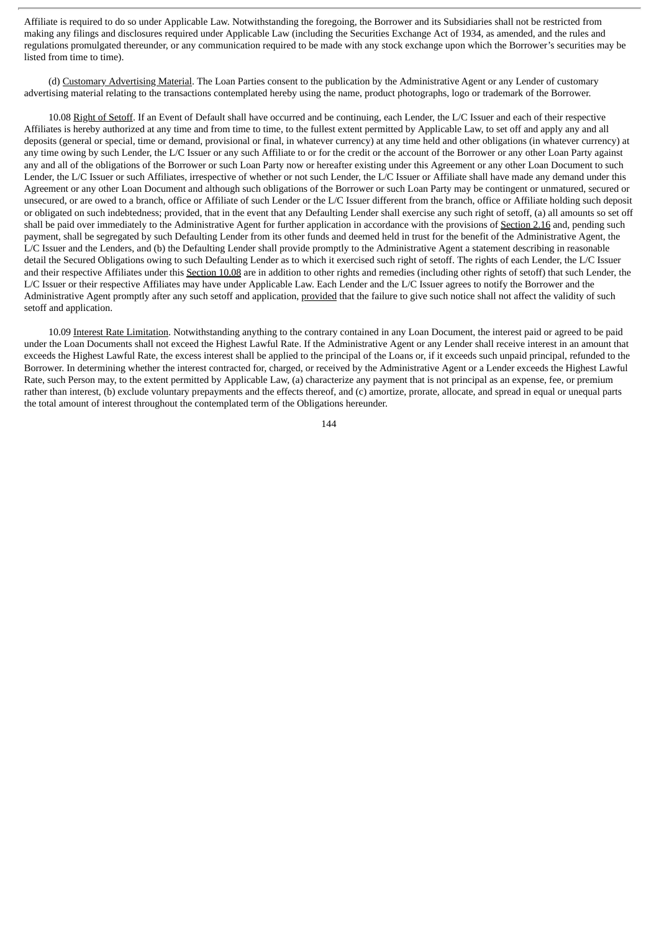Affiliate is required to do so under Applicable Law. Notwithstanding the foregoing, the Borrower and its Subsidiaries shall not be restricted from making any filings and disclosures required under Applicable Law (including the Securities Exchange Act of 1934, as amended, and the rules and regulations promulgated thereunder, or any communication required to be made with any stock exchange upon which the Borrower's securities may be listed from time to time).

(d) Customary Advertising Material. The Loan Parties consent to the publication by the Administrative Agent or any Lender of customary advertising material relating to the transactions contemplated hereby using the name, product photographs, logo or trademark of the Borrower.

10.08 Right of Setoff. If an Event of Default shall have occurred and be continuing, each Lender, the L/C Issuer and each of their respective Affiliates is hereby authorized at any time and from time to time, to the fullest extent permitted by Applicable Law, to set off and apply any and all deposits (general or special, time or demand, provisional or final, in whatever currency) at any time held and other obligations (in whatever currency) at any time owing by such Lender, the L/C Issuer or any such Affiliate to or for the credit or the account of the Borrower or any other Loan Party against any and all of the obligations of the Borrower or such Loan Party now or hereafter existing under this Agreement or any other Loan Document to such Lender, the L/C Issuer or such Affiliates, irrespective of whether or not such Lender, the L/C Issuer or Affiliate shall have made any demand under this Agreement or any other Loan Document and although such obligations of the Borrower or such Loan Party may be contingent or unmatured, secured or unsecured, or are owed to a branch, office or Affiliate of such Lender or the L/C Issuer different from the branch, office or Affiliate holding such deposit or obligated on such indebtedness; provided, that in the event that any Defaulting Lender shall exercise any such right of setoff, (a) all amounts so set off shall be paid over immediately to the Administrative Agent for further application in accordance with the provisions of Section 2.16 and, pending such payment, shall be segregated by such Defaulting Lender from its other funds and deemed held in trust for the benefit of the Administrative Agent, the L/C Issuer and the Lenders, and (b) the Defaulting Lender shall provide promptly to the Administrative Agent a statement describing in reasonable detail the Secured Obligations owing to such Defaulting Lender as to which it exercised such right of setoff. The rights of each Lender, the L/C Issuer and their respective Affiliates under this Section 10.08 are in addition to other rights and remedies (including other rights of setoff) that such Lender, the L/C Issuer or their respective Affiliates may have under Applicable Law. Each Lender and the L/C Issuer agrees to notify the Borrower and the Administrative Agent promptly after any such setoff and application, provided that the failure to give such notice shall not affect the validity of such setoff and application.

10.09 Interest Rate Limitation. Notwithstanding anything to the contrary contained in any Loan Document, the interest paid or agreed to be paid under the Loan Documents shall not exceed the Highest Lawful Rate. If the Administrative Agent or any Lender shall receive interest in an amount that exceeds the Highest Lawful Rate, the excess interest shall be applied to the principal of the Loans or, if it exceeds such unpaid principal, refunded to the Borrower. In determining whether the interest contracted for, charged, or received by the Administrative Agent or a Lender exceeds the Highest Lawful Rate, such Person may, to the extent permitted by Applicable Law, (a) characterize any payment that is not principal as an expense, fee, or premium rather than interest, (b) exclude voluntary prepayments and the effects thereof, and (c) amortize, prorate, allocate, and spread in equal or unequal parts the total amount of interest throughout the contemplated term of the Obligations hereunder.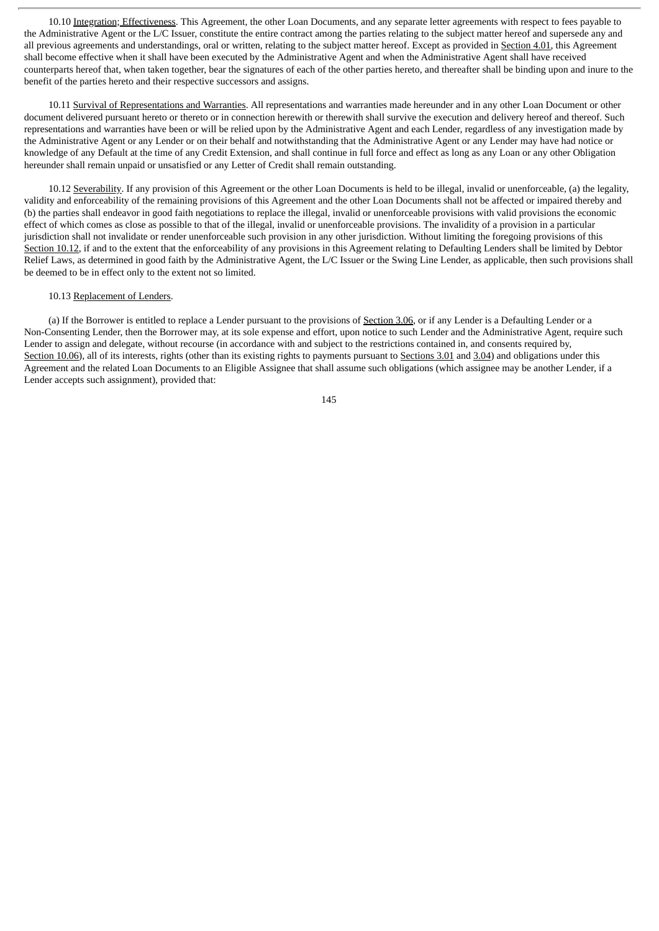10.10 Integration; Effectiveness. This Agreement, the other Loan Documents, and any separate letter agreements with respect to fees payable to the Administrative Agent or the L/C Issuer, constitute the entire contract among the parties relating to the subject matter hereof and supersede any and all previous agreements and understandings, oral or written, relating to the subject matter hereof. Except as provided in Section 4.01, this Agreement shall become effective when it shall have been executed by the Administrative Agent and when the Administrative Agent shall have received counterparts hereof that, when taken together, bear the signatures of each of the other parties hereto, and thereafter shall be binding upon and inure to the benefit of the parties hereto and their respective successors and assigns.

10.11 Survival of Representations and Warranties. All representations and warranties made hereunder and in any other Loan Document or other document delivered pursuant hereto or thereto or in connection herewith or therewith shall survive the execution and delivery hereof and thereof. Such representations and warranties have been or will be relied upon by the Administrative Agent and each Lender, regardless of any investigation made by the Administrative Agent or any Lender or on their behalf and notwithstanding that the Administrative Agent or any Lender may have had notice or knowledge of any Default at the time of any Credit Extension, and shall continue in full force and effect as long as any Loan or any other Obligation hereunder shall remain unpaid or unsatisfied or any Letter of Credit shall remain outstanding.

10.12 Severability. If any provision of this Agreement or the other Loan Documents is held to be illegal, invalid or unenforceable, (a) the legality, validity and enforceability of the remaining provisions of this Agreement and the other Loan Documents shall not be affected or impaired thereby and (b) the parties shall endeavor in good faith negotiations to replace the illegal, invalid or unenforceable provisions with valid provisions the economic effect of which comes as close as possible to that of the illegal, invalid or unenforceable provisions. The invalidity of a provision in a particular jurisdiction shall not invalidate or render unenforceable such provision in any other jurisdiction. Without limiting the foregoing provisions of this Section 10.12, if and to the extent that the enforceability of any provisions in this Agreement relating to Defaulting Lenders shall be limited by Debtor Relief Laws, as determined in good faith by the Administrative Agent, the L/C Issuer or the Swing Line Lender, as applicable, then such provisions shall be deemed to be in effect only to the extent not so limited.

# 10.13 Replacement of Lenders.

(a) If the Borrower is entitled to replace a Lender pursuant to the provisions of Section 3.06, or if any Lender is a Defaulting Lender or a Non-Consenting Lender, then the Borrower may, at its sole expense and effort, upon notice to such Lender and the Administrative Agent, require such Lender to assign and delegate, without recourse (in accordance with and subject to the restrictions contained in, and consents required by, Section 10.06), all of its interests, rights (other than its existing rights to payments pursuant to Sections 3.01 and 3.04) and obligations under this Agreement and the related Loan Documents to an Eligible Assignee that shall assume such obligations (which assignee may be another Lender, if a Lender accepts such assignment), provided that: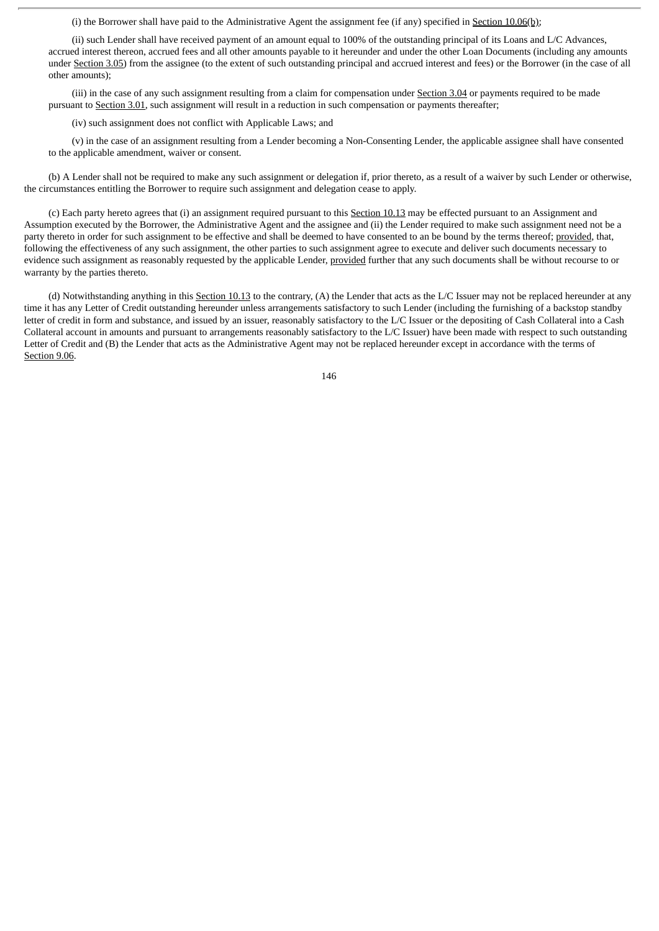(i) the Borrower shall have paid to the Administrative Agent the assignment fee (if any) specified in Section 10.06(b);

(ii) such Lender shall have received payment of an amount equal to 100% of the outstanding principal of its Loans and L/C Advances, accrued interest thereon, accrued fees and all other amounts payable to it hereunder and under the other Loan Documents (including any amounts under Section 3.05) from the assignee (to the extent of such outstanding principal and accrued interest and fees) or the Borrower (in the case of all other amounts);

(iii) in the case of any such assignment resulting from a claim for compensation under Section 3.04 or payments required to be made pursuant to Section 3.01, such assignment will result in a reduction in such compensation or payments thereafter;

(iv) such assignment does not conflict with Applicable Laws; and

(v) in the case of an assignment resulting from a Lender becoming a Non-Consenting Lender, the applicable assignee shall have consented to the applicable amendment, waiver or consent.

(b) A Lender shall not be required to make any such assignment or delegation if, prior thereto, as a result of a waiver by such Lender or otherwise, the circumstances entitling the Borrower to require such assignment and delegation cease to apply.

(c) Each party hereto agrees that (i) an assignment required pursuant to this Section 10.13 may be effected pursuant to an Assignment and Assumption executed by the Borrower, the Administrative Agent and the assignee and (ii) the Lender required to make such assignment need not be a party thereto in order for such assignment to be effective and shall be deemed to have consented to an be bound by the terms thereof; provided, that, following the effectiveness of any such assignment, the other parties to such assignment agree to execute and deliver such documents necessary to evidence such assignment as reasonably requested by the applicable Lender, provided further that any such documents shall be without recourse to or warranty by the parties thereto.

(d) Notwithstanding anything in this Section 10.13 to the contrary, (A) the Lender that acts as the L/C Issuer may not be replaced hereunder at any time it has any Letter of Credit outstanding hereunder unless arrangements satisfactory to such Lender (including the furnishing of a backstop standby letter of credit in form and substance, and issued by an issuer, reasonably satisfactory to the L/C Issuer or the depositing of Cash Collateral into a Cash Collateral account in amounts and pursuant to arrangements reasonably satisfactory to the L/C Issuer) have been made with respect to such outstanding Letter of Credit and (B) the Lender that acts as the Administrative Agent may not be replaced hereunder except in accordance with the terms of Section 9.06.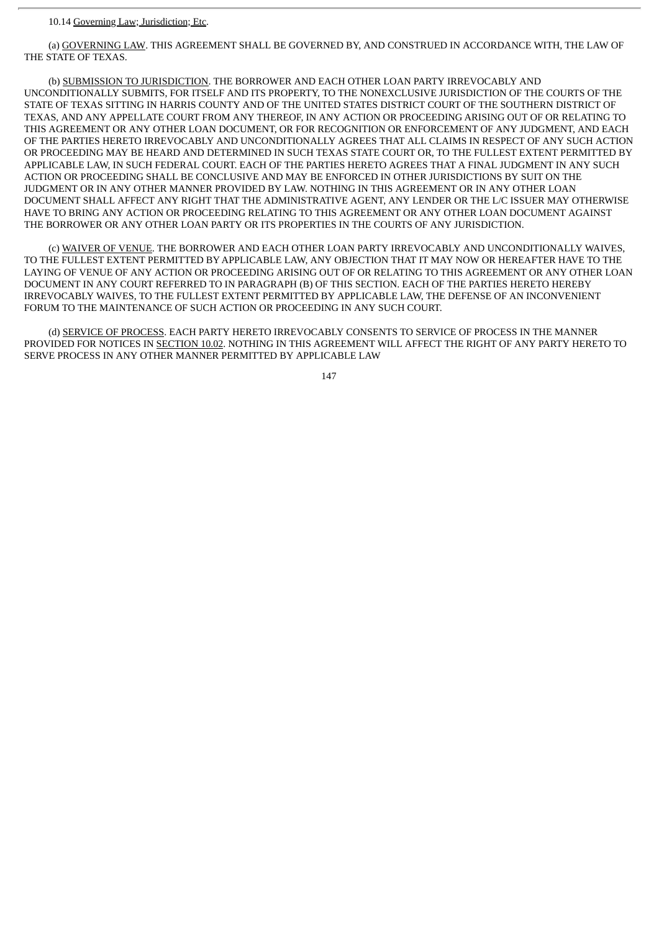(a) GOVERNING LAW. THIS AGREEMENT SHALL BE GOVERNED BY, AND CONSTRUED IN ACCORDANCE WITH, THE LAW OF THE STATE OF TEXAS.

(b) SUBMISSION TO JURISDICTION. THE BORROWER AND EACH OTHER LOAN PARTY IRREVOCABLY AND UNCONDITIONALLY SUBMITS, FOR ITSELF AND ITS PROPERTY, TO THE NONEXCLUSIVE JURISDICTION OF THE COURTS OF THE STATE OF TEXAS SITTING IN HARRIS COUNTY AND OF THE UNITED STATES DISTRICT COURT OF THE SOUTHERN DISTRICT OF TEXAS, AND ANY APPELLATE COURT FROM ANY THEREOF, IN ANY ACTION OR PROCEEDING ARISING OUT OF OR RELATING TO THIS AGREEMENT OR ANY OTHER LOAN DOCUMENT, OR FOR RECOGNITION OR ENFORCEMENT OF ANY JUDGMENT, AND EACH OF THE PARTIES HERETO IRREVOCABLY AND UNCONDITIONALLY AGREES THAT ALL CLAIMS IN RESPECT OF ANY SUCH ACTION OR PROCEEDING MAY BE HEARD AND DETERMINED IN SUCH TEXAS STATE COURT OR, TO THE FULLEST EXTENT PERMITTED BY APPLICABLE LAW, IN SUCH FEDERAL COURT. EACH OF THE PARTIES HERETO AGREES THAT A FINAL JUDGMENT IN ANY SUCH ACTION OR PROCEEDING SHALL BE CONCLUSIVE AND MAY BE ENFORCED IN OTHER JURISDICTIONS BY SUIT ON THE JUDGMENT OR IN ANY OTHER MANNER PROVIDED BY LAW. NOTHING IN THIS AGREEMENT OR IN ANY OTHER LOAN DOCUMENT SHALL AFFECT ANY RIGHT THAT THE ADMINISTRATIVE AGENT, ANY LENDER OR THE L/C ISSUER MAY OTHERWISE HAVE TO BRING ANY ACTION OR PROCEEDING RELATING TO THIS AGREEMENT OR ANY OTHER LOAN DOCUMENT AGAINST THE BORROWER OR ANY OTHER LOAN PARTY OR ITS PROPERTIES IN THE COURTS OF ANY JURISDICTION.

(c) WAIVER OF VENUE. THE BORROWER AND EACH OTHER LOAN PARTY IRREVOCABLY AND UNCONDITIONALLY WAIVES, TO THE FULLEST EXTENT PERMITTED BY APPLICABLE LAW, ANY OBJECTION THAT IT MAY NOW OR HEREAFTER HAVE TO THE LAYING OF VENUE OF ANY ACTION OR PROCEEDING ARISING OUT OF OR RELATING TO THIS AGREEMENT OR ANY OTHER LOAN DOCUMENT IN ANY COURT REFERRED TO IN PARAGRAPH (B) OF THIS SECTION. EACH OF THE PARTIES HERETO HEREBY IRREVOCABLY WAIVES, TO THE FULLEST EXTENT PERMITTED BY APPLICABLE LAW, THE DEFENSE OF AN INCONVENIENT FORUM TO THE MAINTENANCE OF SUCH ACTION OR PROCEEDING IN ANY SUCH COURT.

(d) SERVICE OF PROCESS. EACH PARTY HERETO IRREVOCABLY CONSENTS TO SERVICE OF PROCESS IN THE MANNER PROVIDED FOR NOTICES IN SECTION 10.02. NOTHING IN THIS AGREEMENT WILL AFFECT THE RIGHT OF ANY PARTY HERETO TO SERVE PROCESS IN ANY OTHER MANNER PERMITTED BY APPLICABLE LAW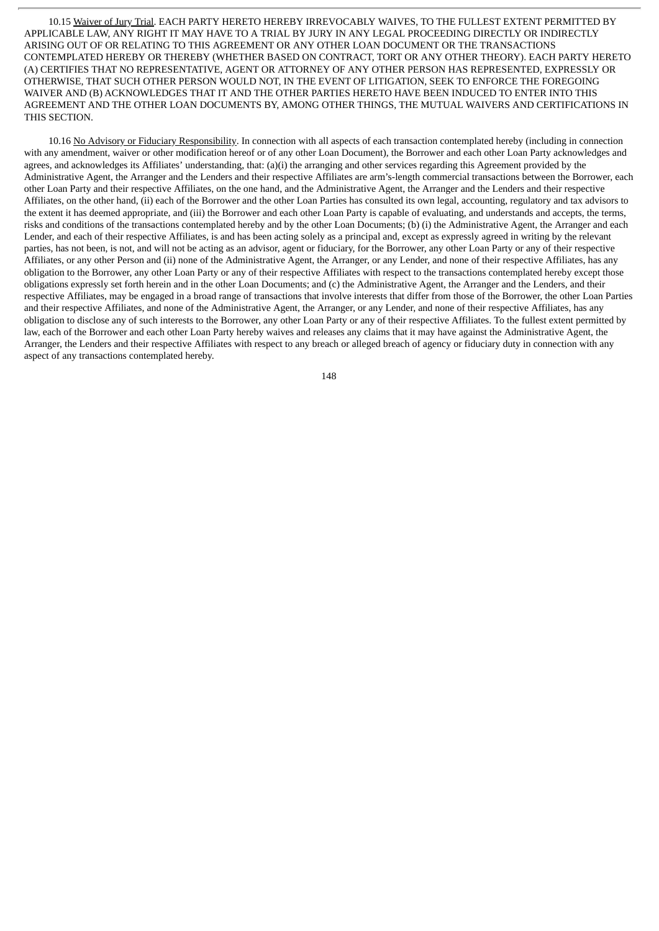10.15 Waiver of Jury Trial. EACH PARTY HERETO HEREBY IRREVOCABLY WAIVES, TO THE FULLEST EXTENT PERMITTED BY APPLICABLE LAW, ANY RIGHT IT MAY HAVE TO A TRIAL BY JURY IN ANY LEGAL PROCEEDING DIRECTLY OR INDIRECTLY ARISING OUT OF OR RELATING TO THIS AGREEMENT OR ANY OTHER LOAN DOCUMENT OR THE TRANSACTIONS CONTEMPLATED HEREBY OR THEREBY (WHETHER BASED ON CONTRACT, TORT OR ANY OTHER THEORY). EACH PARTY HERETO (A) CERTIFIES THAT NO REPRESENTATIVE, AGENT OR ATTORNEY OF ANY OTHER PERSON HAS REPRESENTED, EXPRESSLY OR OTHERWISE, THAT SUCH OTHER PERSON WOULD NOT, IN THE EVENT OF LITIGATION, SEEK TO ENFORCE THE FOREGOING WAIVER AND (B) ACKNOWLEDGES THAT IT AND THE OTHER PARTIES HERETO HAVE BEEN INDUCED TO ENTER INTO THIS AGREEMENT AND THE OTHER LOAN DOCUMENTS BY, AMONG OTHER THINGS, THE MUTUAL WAIVERS AND CERTIFICATIONS IN THIS SECTION.

10.16 No Advisory or Fiduciary Responsibility. In connection with all aspects of each transaction contemplated hereby (including in connection with any amendment, waiver or other modification hereof or of any other Loan Document), the Borrower and each other Loan Party acknowledges and agrees, and acknowledges its Affiliates' understanding, that: (a)(i) the arranging and other services regarding this Agreement provided by the Administrative Agent, the Arranger and the Lenders and their respective Affiliates are arm's-length commercial transactions between the Borrower, each other Loan Party and their respective Affiliates, on the one hand, and the Administrative Agent, the Arranger and the Lenders and their respective Affiliates, on the other hand, (ii) each of the Borrower and the other Loan Parties has consulted its own legal, accounting, regulatory and tax advisors to the extent it has deemed appropriate, and (iii) the Borrower and each other Loan Party is capable of evaluating, and understands and accepts, the terms, risks and conditions of the transactions contemplated hereby and by the other Loan Documents; (b) (i) the Administrative Agent, the Arranger and each Lender, and each of their respective Affiliates, is and has been acting solely as a principal and, except as expressly agreed in writing by the relevant parties, has not been, is not, and will not be acting as an advisor, agent or fiduciary, for the Borrower, any other Loan Party or any of their respective Affiliates, or any other Person and (ii) none of the Administrative Agent, the Arranger, or any Lender, and none of their respective Affiliates, has any obligation to the Borrower, any other Loan Party or any of their respective Affiliates with respect to the transactions contemplated hereby except those obligations expressly set forth herein and in the other Loan Documents; and (c) the Administrative Agent, the Arranger and the Lenders, and their respective Affiliates, may be engaged in a broad range of transactions that involve interests that differ from those of the Borrower, the other Loan Parties and their respective Affiliates, and none of the Administrative Agent, the Arranger, or any Lender, and none of their respective Affiliates, has any obligation to disclose any of such interests to the Borrower, any other Loan Party or any of their respective Affiliates. To the fullest extent permitted by law, each of the Borrower and each other Loan Party hereby waives and releases any claims that it may have against the Administrative Agent, the Arranger, the Lenders and their respective Affiliates with respect to any breach or alleged breach of agency or fiduciary duty in connection with any aspect of any transactions contemplated hereby.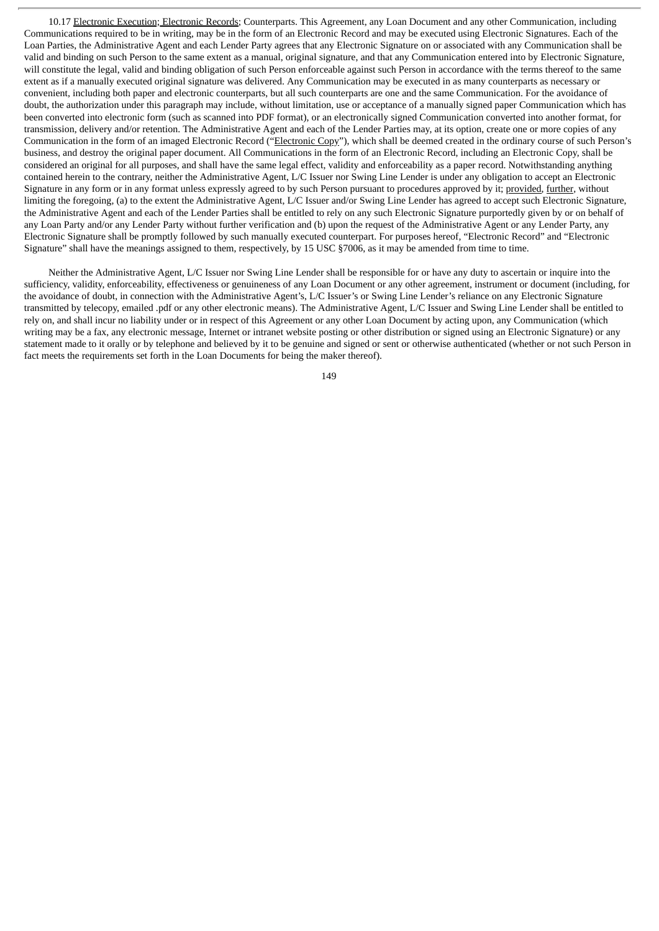10.17 Electronic Execution; Electronic Records; Counterparts. This Agreement, any Loan Document and any other Communication, including Communications required to be in writing, may be in the form of an Electronic Record and may be executed using Electronic Signatures. Each of the Loan Parties, the Administrative Agent and each Lender Party agrees that any Electronic Signature on or associated with any Communication shall be valid and binding on such Person to the same extent as a manual, original signature, and that any Communication entered into by Electronic Signature, will constitute the legal, valid and binding obligation of such Person enforceable against such Person in accordance with the terms thereof to the same extent as if a manually executed original signature was delivered. Any Communication may be executed in as many counterparts as necessary or convenient, including both paper and electronic counterparts, but all such counterparts are one and the same Communication. For the avoidance of doubt, the authorization under this paragraph may include, without limitation, use or acceptance of a manually signed paper Communication which has been converted into electronic form (such as scanned into PDF format), or an electronically signed Communication converted into another format, for transmission, delivery and/or retention. The Administrative Agent and each of the Lender Parties may, at its option, create one or more copies of any Communication in the form of an imaged Electronic Record ("Electronic Copy"), which shall be deemed created in the ordinary course of such Person's business, and destroy the original paper document. All Communications in the form of an Electronic Record, including an Electronic Copy, shall be considered an original for all purposes, and shall have the same legal effect, validity and enforceability as a paper record. Notwithstanding anything contained herein to the contrary, neither the Administrative Agent, L/C Issuer nor Swing Line Lender is under any obligation to accept an Electronic Signature in any form or in any format unless expressly agreed to by such Person pursuant to procedures approved by it; provided, further, without limiting the foregoing, (a) to the extent the Administrative Agent, L/C Issuer and/or Swing Line Lender has agreed to accept such Electronic Signature, the Administrative Agent and each of the Lender Parties shall be entitled to rely on any such Electronic Signature purportedly given by or on behalf of any Loan Party and/or any Lender Party without further verification and (b) upon the request of the Administrative Agent or any Lender Party, any Electronic Signature shall be promptly followed by such manually executed counterpart. For purposes hereof, "Electronic Record" and "Electronic Signature" shall have the meanings assigned to them, respectively, by 15 USC §7006, as it may be amended from time to time.

Neither the Administrative Agent, L/C Issuer nor Swing Line Lender shall be responsible for or have any duty to ascertain or inquire into the sufficiency, validity, enforceability, effectiveness or genuineness of any Loan Document or any other agreement, instrument or document (including, for the avoidance of doubt, in connection with the Administrative Agent's, L/C Issuer's or Swing Line Lender's reliance on any Electronic Signature transmitted by telecopy, emailed .pdf or any other electronic means). The Administrative Agent, L/C Issuer and Swing Line Lender shall be entitled to rely on, and shall incur no liability under or in respect of this Agreement or any other Loan Document by acting upon, any Communication (which writing may be a fax, any electronic message, Internet or intranet website posting or other distribution or signed using an Electronic Signature) or any statement made to it orally or by telephone and believed by it to be genuine and signed or sent or otherwise authenticated (whether or not such Person in fact meets the requirements set forth in the Loan Documents for being the maker thereof).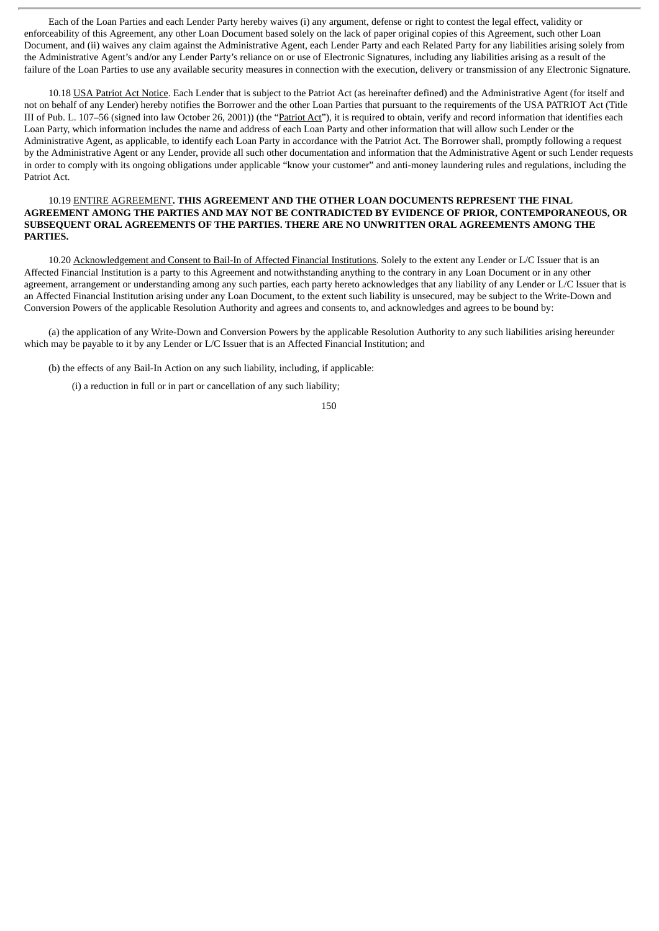Each of the Loan Parties and each Lender Party hereby waives (i) any argument, defense or right to contest the legal effect, validity or enforceability of this Agreement, any other Loan Document based solely on the lack of paper original copies of this Agreement, such other Loan Document, and (ii) waives any claim against the Administrative Agent, each Lender Party and each Related Party for any liabilities arising solely from the Administrative Agent's and/or any Lender Party's reliance on or use of Electronic Signatures, including any liabilities arising as a result of the failure of the Loan Parties to use any available security measures in connection with the execution, delivery or transmission of any Electronic Signature.

10.18 USA Patriot Act Notice. Each Lender that is subject to the Patriot Act (as hereinafter defined) and the Administrative Agent (for itself and not on behalf of any Lender) hereby notifies the Borrower and the other Loan Parties that pursuant to the requirements of the USA PATRIOT Act (Title III of Pub. L. 107-56 (signed into law October 26, 2001)) (the "Patriot Act"), it is required to obtain, verify and record information that identifies each Loan Party, which information includes the name and address of each Loan Party and other information that will allow such Lender or the Administrative Agent, as applicable, to identify each Loan Party in accordance with the Patriot Act. The Borrower shall, promptly following a request by the Administrative Agent or any Lender, provide all such other documentation and information that the Administrative Agent or such Lender requests in order to comply with its ongoing obligations under applicable "know your customer" and anti-money laundering rules and regulations, including the Patriot Act.

# 10.19 ENTIRE AGREEMENT**. THIS AGREEMENT AND THE OTHER LOAN DOCUMENTS REPRESENT THE FINAL AGREEMENT AMONG THE PARTIES AND MAY NOT BE CONTRADICTED BY EVIDENCE OF PRIOR, CONTEMPORANEOUS, OR SUBSEQUENT ORAL AGREEMENTS OF THE PARTIES. THERE ARE NO UNWRITTEN ORAL AGREEMENTS AMONG THE PARTIES.**

10.20 Acknowledgement and Consent to Bail-In of Affected Financial Institutions. Solely to the extent any Lender or L/C Issuer that is an Affected Financial Institution is a party to this Agreement and notwithstanding anything to the contrary in any Loan Document or in any other agreement, arrangement or understanding among any such parties, each party hereto acknowledges that any liability of any Lender or L/C Issuer that is an Affected Financial Institution arising under any Loan Document, to the extent such liability is unsecured, may be subject to the Write-Down and Conversion Powers of the applicable Resolution Authority and agrees and consents to, and acknowledges and agrees to be bound by:

(a) the application of any Write-Down and Conversion Powers by the applicable Resolution Authority to any such liabilities arising hereunder which may be payable to it by any Lender or L/C Issuer that is an Affected Financial Institution; and

(b) the effects of any Bail-In Action on any such liability, including, if applicable:

(i) a reduction in full or in part or cancellation of any such liability;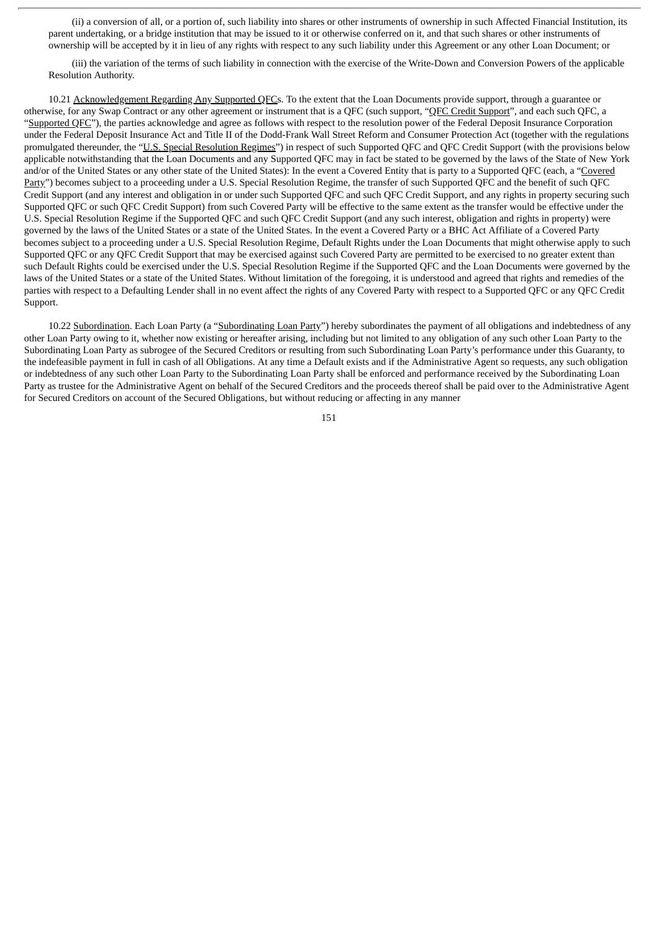(ii) a conversion of all, or a portion of, such liability into shares or other instruments of ownership in such Affected Financial Institution, its parent undertaking, or a bridge institution that may be issued to it or otherwise conferred on it, and that such shares or other instruments of ownership will be accepted by it in lieu of any rights with respect to any such liability under this Agreement or any other Loan Document; or

(iii) the variation of the terms of such liability in connection with the exercise of the Write-Down and Conversion Powers of the applicable Resolution Authority.

10.21 Acknowledgement Regarding Any Supported QFCs. To the extent that the Loan Documents provide support, through a guarantee or otherwise, for any Swap Contract or any other agreement or instrument that is a QFC (such support, "QFC Credit Support", and each such QFC, a "Supported QFC"), the parties acknowledge and agree as follows with respect to the resolution power of the Federal Deposit Insurance Corporation under the Federal Deposit Insurance Act and Title II of the Dodd-Frank Wall Street Reform and Consumer Protection Act (together with the regulations promulgated thereunder, the "U.S. Special Resolution Regimes") in respect of such Supported QFC and QFC Credit Support (with the provisions below applicable notwithstanding that the Loan Documents and any Supported QFC may in fact be stated to be governed by the laws of the State of New York and/or of the United States or any other state of the United States): In the event a Covered Entity that is party to a Supported QFC (each, a "Covered Party") becomes subject to a proceeding under a U.S. Special Resolution Regime, the transfer of such Supported QFC and the benefit of such QFC Credit Support (and any interest and obligation in or under such Supported QFC and such QFC Credit Support, and any rights in property securing such Supported QFC or such QFC Credit Support) from such Covered Party will be effective to the same extent as the transfer would be effective under the U.S. Special Resolution Regime if the Supported QFC and such QFC Credit Support (and any such interest, obligation and rights in property) were governed by the laws of the United States or a state of the United States. In the event a Covered Party or a BHC Act Affiliate of a Covered Party becomes subject to a proceeding under a U.S. Special Resolution Regime, Default Rights under the Loan Documents that might otherwise apply to such Supported QFC or any QFC Credit Support that may be exercised against such Covered Party are permitted to be exercised to no greater extent than such Default Rights could be exercised under the U.S. Special Resolution Regime if the Supported QFC and the Loan Documents were governed by the laws of the United States or a state of the United States. Without limitation of the foregoing, it is understood and agreed that rights and remedies of the parties with respect to a Defaulting Lender shall in no event affect the rights of any Covered Party with respect to a Supported QFC or any QFC Credit Support.

10.22 Subordination. Each Loan Party (a "Subordinating Loan Party") hereby subordinates the payment of all obligations and indebtedness of any other Loan Party owing to it, whether now existing or hereafter arising, including but not limited to any obligation of any such other Loan Party to the Subordinating Loan Party as subrogee of the Secured Creditors or resulting from such Subordinating Loan Party's performance under this Guaranty, to the indefeasible payment in full in cash of all Obligations. At any time a Default exists and if the Administrative Agent so requests, any such obligation or indebtedness of any such other Loan Party to the Subordinating Loan Party shall be enforced and performance received by the Subordinating Loan Party as trustee for the Administrative Agent on behalf of the Secured Creditors and the proceeds thereof shall be paid over to the Administrative Agent for Secured Creditors on account of the Secured Obligations, but without reducing or affecting in any manner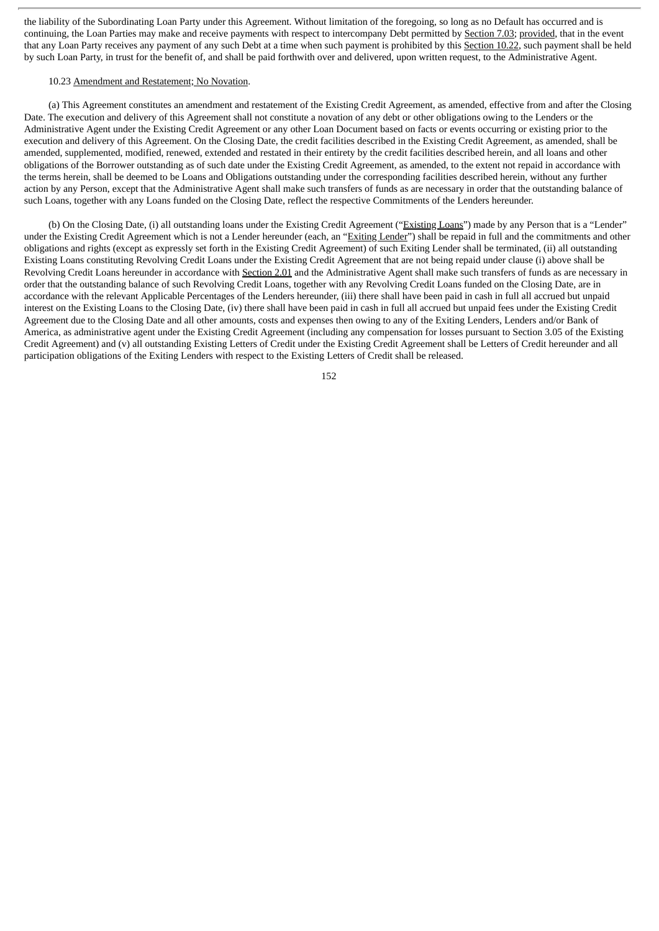the liability of the Subordinating Loan Party under this Agreement. Without limitation of the foregoing, so long as no Default has occurred and is continuing, the Loan Parties may make and receive payments with respect to intercompany Debt permitted by Section 7.03; provided, that in the event that any Loan Party receives any payment of any such Debt at a time when such payment is prohibited by this Section 10.22, such payment shall be held by such Loan Party, in trust for the benefit of, and shall be paid forthwith over and delivered, upon written request, to the Administrative Agent.

# 10.23 Amendment and Restatement; No Novation.

(a) This Agreement constitutes an amendment and restatement of the Existing Credit Agreement, as amended, effective from and after the Closing Date. The execution and delivery of this Agreement shall not constitute a novation of any debt or other obligations owing to the Lenders or the Administrative Agent under the Existing Credit Agreement or any other Loan Document based on facts or events occurring or existing prior to the execution and delivery of this Agreement. On the Closing Date, the credit facilities described in the Existing Credit Agreement, as amended, shall be amended, supplemented, modified, renewed, extended and restated in their entirety by the credit facilities described herein, and all loans and other obligations of the Borrower outstanding as of such date under the Existing Credit Agreement, as amended, to the extent not repaid in accordance with the terms herein, shall be deemed to be Loans and Obligations outstanding under the corresponding facilities described herein, without any further action by any Person, except that the Administrative Agent shall make such transfers of funds as are necessary in order that the outstanding balance of such Loans, together with any Loans funded on the Closing Date, reflect the respective Commitments of the Lenders hereunder.

(b) On the Closing Date, (i) all outstanding loans under the Existing Credit Agreement ("Existing Loans") made by any Person that is a "Lender" under the Existing Credit Agreement which is not a Lender hereunder (each, an "Exiting Lender") shall be repaid in full and the commitments and other obligations and rights (except as expressly set forth in the Existing Credit Agreement) of such Exiting Lender shall be terminated, (ii) all outstanding Existing Loans constituting Revolving Credit Loans under the Existing Credit Agreement that are not being repaid under clause (i) above shall be Revolving Credit Loans hereunder in accordance with Section 2.01 and the Administrative Agent shall make such transfers of funds as are necessary in order that the outstanding balance of such Revolving Credit Loans, together with any Revolving Credit Loans funded on the Closing Date, are in accordance with the relevant Applicable Percentages of the Lenders hereunder, (iii) there shall have been paid in cash in full all accrued but unpaid interest on the Existing Loans to the Closing Date, (iv) there shall have been paid in cash in full all accrued but unpaid fees under the Existing Credit Agreement due to the Closing Date and all other amounts, costs and expenses then owing to any of the Exiting Lenders, Lenders and/or Bank of America, as administrative agent under the Existing Credit Agreement (including any compensation for losses pursuant to Section 3.05 of the Existing Credit Agreement) and (v) all outstanding Existing Letters of Credit under the Existing Credit Agreement shall be Letters of Credit hereunder and all participation obligations of the Exiting Lenders with respect to the Existing Letters of Credit shall be released.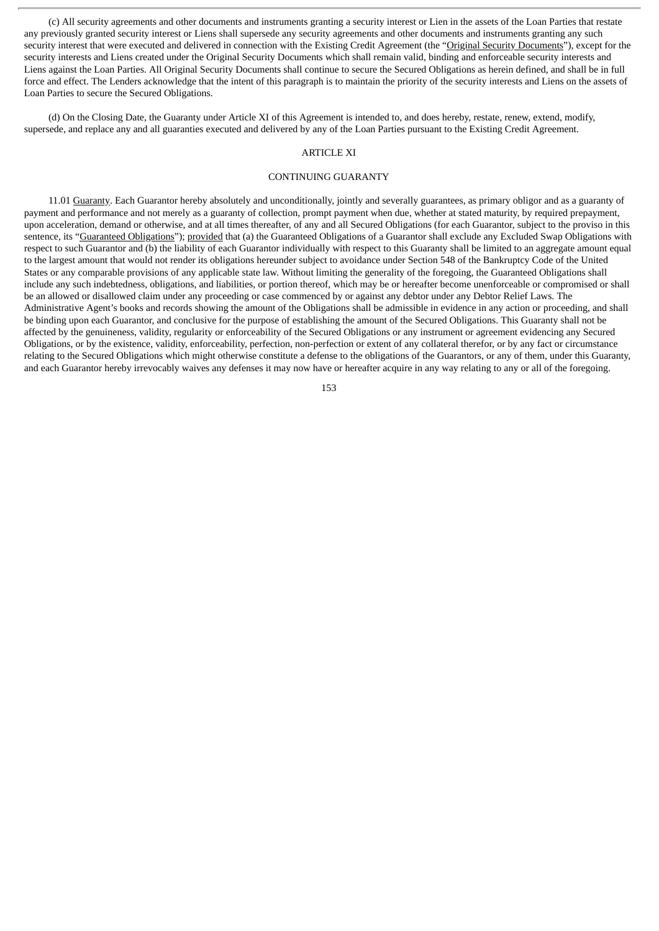(c) All security agreements and other documents and instruments granting a security interest or Lien in the assets of the Loan Parties that restate any previously granted security interest or Liens shall supersede any security agreements and other documents and instruments granting any such security interest that were executed and delivered in connection with the Existing Credit Agreement (the "Original Security Documents"), except for the security interests and Liens created under the Original Security Documents which shall remain valid, binding and enforceable security interests and Liens against the Loan Parties. All Original Security Documents shall continue to secure the Secured Obligations as herein defined, and shall be in full force and effect. The Lenders acknowledge that the intent of this paragraph is to maintain the priority of the security interests and Liens on the assets of Loan Parties to secure the Secured Obligations.

(d) On the Closing Date, the Guaranty under Article XI of this Agreement is intended to, and does hereby, restate, renew, extend, modify, supersede, and replace any and all guaranties executed and delivered by any of the Loan Parties pursuant to the Existing Credit Agreement.

#### ARTICLE XI

# CONTINUING GUARANTY

11.01 Guaranty. Each Guarantor hereby absolutely and unconditionally, jointly and severally guarantees, as primary obligor and as a guaranty of payment and performance and not merely as a guaranty of collection, prompt payment when due, whether at stated maturity, by required prepayment, upon acceleration, demand or otherwise, and at all times thereafter, of any and all Secured Obligations (for each Guarantor, subject to the proviso in this sentence, its "Guaranteed Obligations"); provided that (a) the Guaranteed Obligations of a Guarantor shall exclude any Excluded Swap Obligations with respect to such Guarantor and (b) the liability of each Guarantor individually with respect to this Guaranty shall be limited to an aggregate amount equal to the largest amount that would not render its obligations hereunder subject to avoidance under Section 548 of the Bankruptcy Code of the United States or any comparable provisions of any applicable state law. Without limiting the generality of the foregoing, the Guaranteed Obligations shall include any such indebtedness, obligations, and liabilities, or portion thereof, which may be or hereafter become unenforceable or compromised or shall be an allowed or disallowed claim under any proceeding or case commenced by or against any debtor under any Debtor Relief Laws. The Administrative Agent's books and records showing the amount of the Obligations shall be admissible in evidence in any action or proceeding, and shall be binding upon each Guarantor, and conclusive for the purpose of establishing the amount of the Secured Obligations. This Guaranty shall not be affected by the genuineness, validity, regularity or enforceability of the Secured Obligations or any instrument or agreement evidencing any Secured Obligations, or by the existence, validity, enforceability, perfection, non-perfection or extent of any collateral therefor, or by any fact or circumstance relating to the Secured Obligations which might otherwise constitute a defense to the obligations of the Guarantors, or any of them, under this Guaranty, and each Guarantor hereby irrevocably waives any defenses it may now have or hereafter acquire in any way relating to any or all of the foregoing.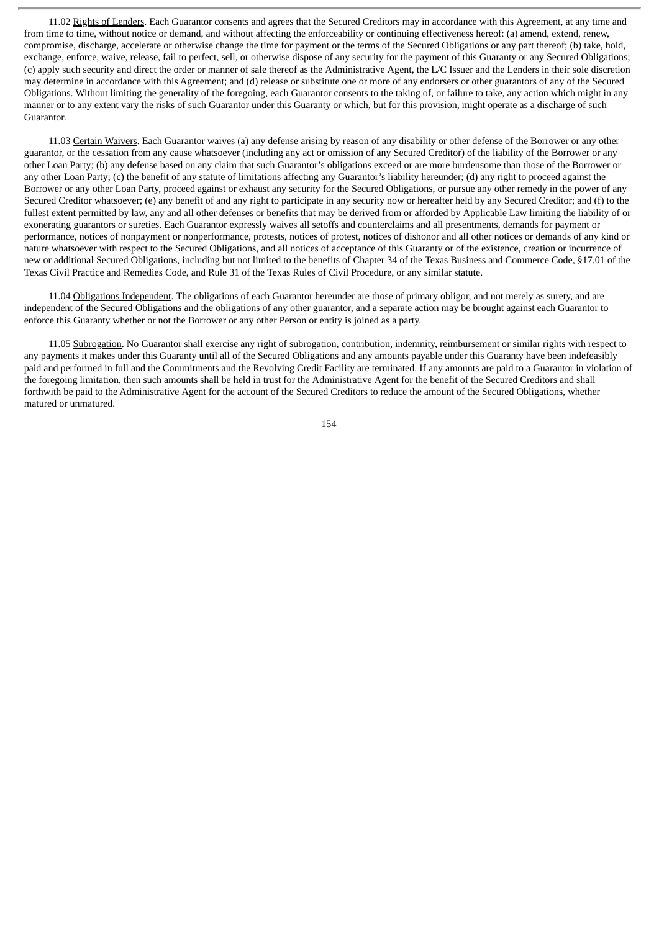11.02 Rights of Lenders. Each Guarantor consents and agrees that the Secured Creditors may in accordance with this Agreement, at any time and from time to time, without notice or demand, and without affecting the enforceability or continuing effectiveness hereof: (a) amend, extend, renew, compromise, discharge, accelerate or otherwise change the time for payment or the terms of the Secured Obligations or any part thereof; (b) take, hold, exchange, enforce, waive, release, fail to perfect, sell, or otherwise dispose of any security for the payment of this Guaranty or any Secured Obligations; (c) apply such security and direct the order or manner of sale thereof as the Administrative Agent, the L/C Issuer and the Lenders in their sole discretion may determine in accordance with this Agreement; and (d) release or substitute one or more of any endorsers or other guarantors of any of the Secured Obligations. Without limiting the generality of the foregoing, each Guarantor consents to the taking of, or failure to take, any action which might in any manner or to any extent vary the risks of such Guarantor under this Guaranty or which, but for this provision, might operate as a discharge of such Guarantor.

11.03 Certain Waivers. Each Guarantor waives (a) any defense arising by reason of any disability or other defense of the Borrower or any other guarantor, or the cessation from any cause whatsoever (including any act or omission of any Secured Creditor) of the liability of the Borrower or any other Loan Party; (b) any defense based on any claim that such Guarantor's obligations exceed or are more burdensome than those of the Borrower or any other Loan Party; (c) the benefit of any statute of limitations affecting any Guarantor's liability hereunder; (d) any right to proceed against the Borrower or any other Loan Party, proceed against or exhaust any security for the Secured Obligations, or pursue any other remedy in the power of any Secured Creditor whatsoever; (e) any benefit of and any right to participate in any security now or hereafter held by any Secured Creditor; and (f) to the fullest extent permitted by law, any and all other defenses or benefits that may be derived from or afforded by Applicable Law limiting the liability of or exonerating guarantors or sureties. Each Guarantor expressly waives all setoffs and counterclaims and all presentments, demands for payment or performance, notices of nonpayment or nonperformance, protests, notices of protest, notices of dishonor and all other notices or demands of any kind or nature whatsoever with respect to the Secured Obligations, and all notices of acceptance of this Guaranty or of the existence, creation or incurrence of new or additional Secured Obligations, including but not limited to the benefits of Chapter 34 of the Texas Business and Commerce Code, §17.01 of the Texas Civil Practice and Remedies Code, and Rule 31 of the Texas Rules of Civil Procedure, or any similar statute.

11.04 Obligations Independent. The obligations of each Guarantor hereunder are those of primary obligor, and not merely as surety, and are independent of the Secured Obligations and the obligations of any other guarantor, and a separate action may be brought against each Guarantor to enforce this Guaranty whether or not the Borrower or any other Person or entity is joined as a party.

11.05 Subrogation. No Guarantor shall exercise any right of subrogation, contribution, indemnity, reimbursement or similar rights with respect to any payments it makes under this Guaranty until all of the Secured Obligations and any amounts payable under this Guaranty have been indefeasibly paid and performed in full and the Commitments and the Revolving Credit Facility are terminated. If any amounts are paid to a Guarantor in violation of the foregoing limitation, then such amounts shall be held in trust for the Administrative Agent for the benefit of the Secured Creditors and shall forthwith be paid to the Administrative Agent for the account of the Secured Creditors to reduce the amount of the Secured Obligations, whether matured or unmatured.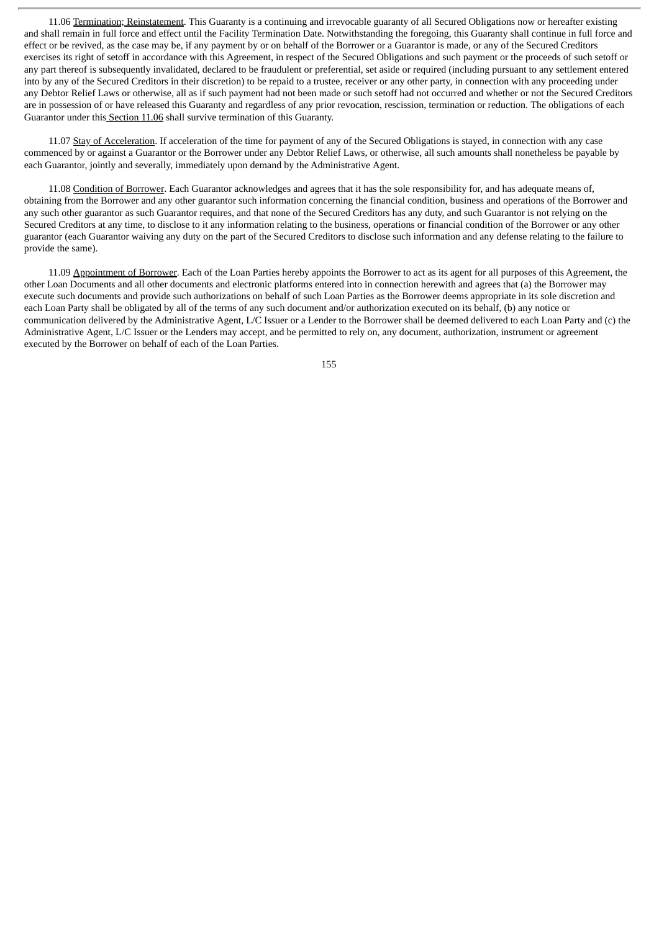11.06 Termination; Reinstatement. This Guaranty is a continuing and irrevocable guaranty of all Secured Obligations now or hereafter existing and shall remain in full force and effect until the Facility Termination Date. Notwithstanding the foregoing, this Guaranty shall continue in full force and effect or be revived, as the case may be, if any payment by or on behalf of the Borrower or a Guarantor is made, or any of the Secured Creditors exercises its right of setoff in accordance with this Agreement, in respect of the Secured Obligations and such payment or the proceeds of such setoff or any part thereof is subsequently invalidated, declared to be fraudulent or preferential, set aside or required (including pursuant to any settlement entered into by any of the Secured Creditors in their discretion) to be repaid to a trustee, receiver or any other party, in connection with any proceeding under any Debtor Relief Laws or otherwise, all as if such payment had not been made or such setoff had not occurred and whether or not the Secured Creditors are in possession of or have released this Guaranty and regardless of any prior revocation, rescission, termination or reduction. The obligations of each Guarantor under this Section 11.06 shall survive termination of this Guaranty.

11.07 Stay of Acceleration. If acceleration of the time for payment of any of the Secured Obligations is stayed, in connection with any case commenced by or against a Guarantor or the Borrower under any Debtor Relief Laws, or otherwise, all such amounts shall nonetheless be payable by each Guarantor, jointly and severally, immediately upon demand by the Administrative Agent.

11.08 Condition of Borrower. Each Guarantor acknowledges and agrees that it has the sole responsibility for, and has adequate means of, obtaining from the Borrower and any other guarantor such information concerning the financial condition, business and operations of the Borrower and any such other guarantor as such Guarantor requires, and that none of the Secured Creditors has any duty, and such Guarantor is not relying on the Secured Creditors at any time, to disclose to it any information relating to the business, operations or financial condition of the Borrower or any other guarantor (each Guarantor waiving any duty on the part of the Secured Creditors to disclose such information and any defense relating to the failure to provide the same).

11.09 Appointment of Borrower. Each of the Loan Parties hereby appoints the Borrower to act as its agent for all purposes of this Agreement, the other Loan Documents and all other documents and electronic platforms entered into in connection herewith and agrees that (a) the Borrower may execute such documents and provide such authorizations on behalf of such Loan Parties as the Borrower deems appropriate in its sole discretion and each Loan Party shall be obligated by all of the terms of any such document and/or authorization executed on its behalf, (b) any notice or communication delivered by the Administrative Agent, L/C Issuer or a Lender to the Borrower shall be deemed delivered to each Loan Party and (c) the Administrative Agent, L/C Issuer or the Lenders may accept, and be permitted to rely on, any document, authorization, instrument or agreement executed by the Borrower on behalf of each of the Loan Parties.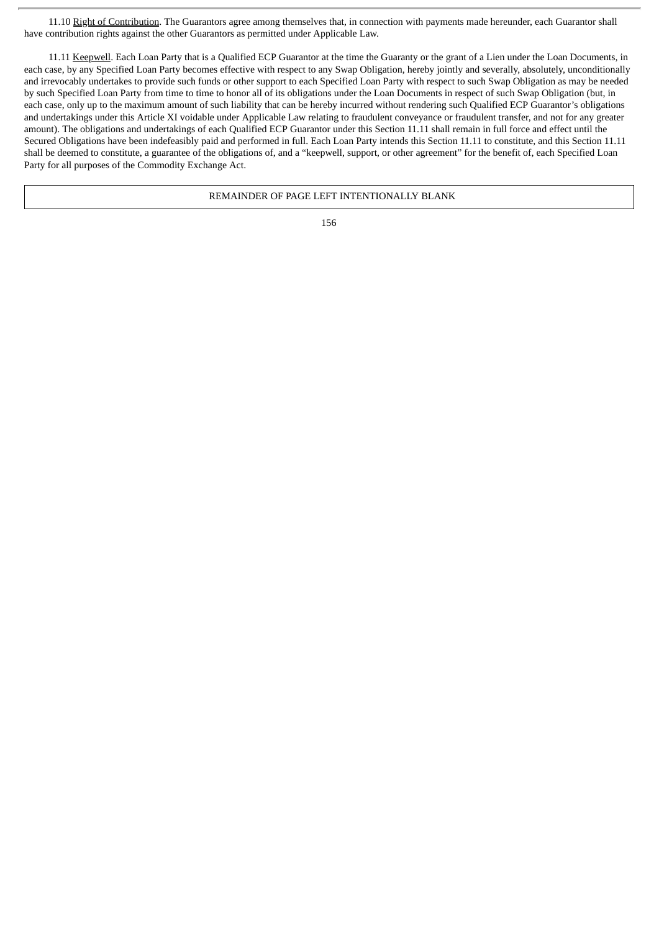11.10 Right of Contribution. The Guarantors agree among themselves that, in connection with payments made hereunder, each Guarantor shall have contribution rights against the other Guarantors as permitted under Applicable Law.

11.11 Keepwell. Each Loan Party that is a Qualified ECP Guarantor at the time the Guaranty or the grant of a Lien under the Loan Documents, in each case, by any Specified Loan Party becomes effective with respect to any Swap Obligation, hereby jointly and severally, absolutely, unconditionally and irrevocably undertakes to provide such funds or other support to each Specified Loan Party with respect to such Swap Obligation as may be needed by such Specified Loan Party from time to time to honor all of its obligations under the Loan Documents in respect of such Swap Obligation (but, in each case, only up to the maximum amount of such liability that can be hereby incurred without rendering such Qualified ECP Guarantor's obligations and undertakings under this Article XI voidable under Applicable Law relating to fraudulent conveyance or fraudulent transfer, and not for any greater amount). The obligations and undertakings of each Qualified ECP Guarantor under this Section 11.11 shall remain in full force and effect until the Secured Obligations have been indefeasibly paid and performed in full. Each Loan Party intends this Section 11.11 to constitute, and this Section 11.11 shall be deemed to constitute, a guarantee of the obligations of, and a "keepwell, support, or other agreement" for the benefit of, each Specified Loan Party for all purposes of the Commodity Exchange Act.

REMAINDER OF PAGE LEFT INTENTIONALLY BLANK

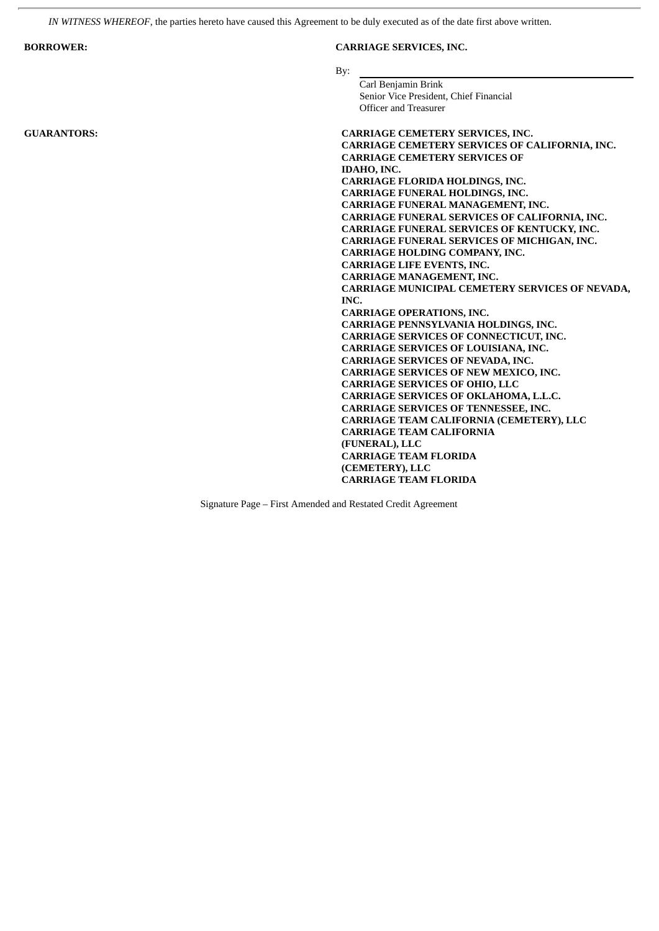*IN WITNESS WHEREOF*, the parties hereto have caused this Agreement to be duly executed as of the date first above written.

# **BORROWER: CARRIAGE SERVICES, INC.** By: Carl Benjamin Brink Senior Vice President, Chief Financial Officer and Treasurer **GUARANTORS: CARRIAGE CEMETERY SERVICES, INC. CARRIAGE CEMETERY SERVICES OF CALIFORNIA, INC. CARRIAGE CEMETERY SERVICES OF IDAHO, INC. CARRIAGE FLORIDA HOLDINGS, INC. CARRIAGE FUNERAL HOLDINGS, INC. CARRIAGE FUNERAL MANAGEMENT, INC. CARRIAGE FUNERAL SERVICES OF CALIFORNIA, INC. CARRIAGE FUNERAL SERVICES OF KENTUCKY, INC. CARRIAGE FUNERAL SERVICES OF MICHIGAN, INC. CARRIAGE HOLDING COMPANY, INC. CARRIAGE LIFE EVENTS, INC. CARRIAGE MANAGEMENT, INC. CARRIAGE MUNICIPAL CEMETERY SERVICES OF NEVADA, INC. CARRIAGE OPERATIONS, INC. CARRIAGE PENNSYLVANIA HOLDINGS, INC. CARRIAGE SERVICES OF CONNECTICUT, INC. CARRIAGE SERVICES OF LOUISIANA, INC. CARRIAGE SERVICES OF NEVADA, INC. CARRIAGE SERVICES OF NEW MEXICO, INC. CARRIAGE SERVICES OF OHIO, LLC CARRIAGE SERVICES OF OKLAHOMA, L.L.C. CARRIAGE SERVICES OF TENNESSEE, INC. CARRIAGE TEAM CALIFORNIA (CEMETERY), LLC CARRIAGE TEAM CALIFORNIA (FUNERAL), LLC CARRIAGE TEAM FLORIDA (CEMETERY), LLC**

Signature Page – First Amended and Restated Credit Agreement

**CARRIAGE TEAM FLORIDA**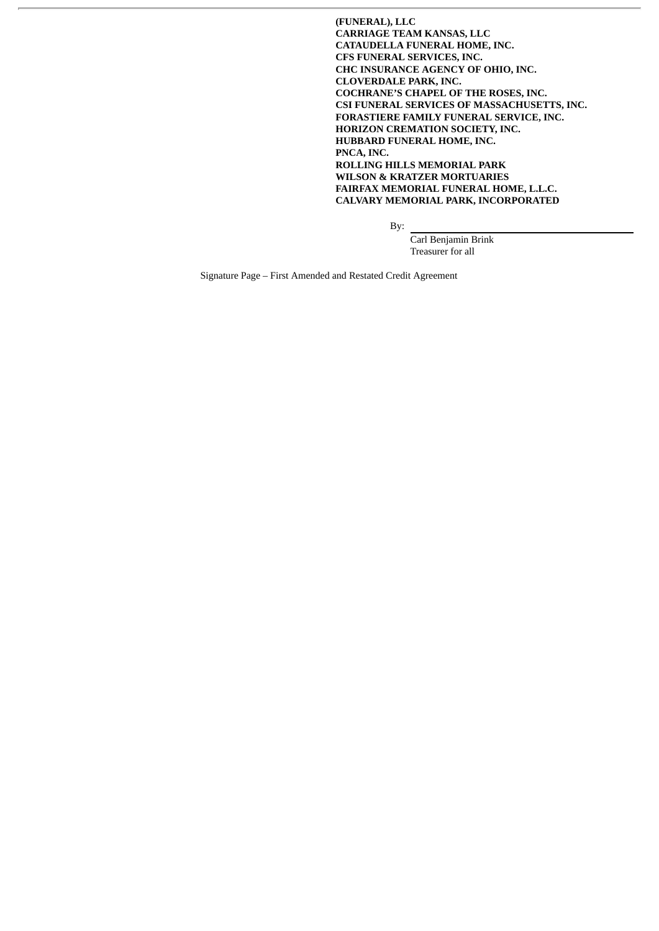**(FUNERAL), LLC CARRIAGE TEAM KANSAS, LLC CATAUDELLA FUNERAL HOME, INC. CFS FUNERAL SERVICES, INC. CHC INSURANCE AGENCY OF OHIO, INC. CLOVERDALE PARK, INC. COCHRANE'S CHAPEL OF THE ROSES, INC. CSI FUNERAL SERVICES OF MASSACHUSETTS, INC. FORASTIERE FAMILY FUNERAL SERVICE, INC. HORIZON CREMATION SOCIETY, INC. HUBBARD FUNERAL HOME, INC. PNCA, INC. ROLLING HILLS MEMORIAL PARK WILSON & KRATZER MORTUARIES FAIRFAX MEMORIAL FUNERAL HOME, L.L.C. CALVARY MEMORIAL PARK, INCORPORATED**

By:

Carl Benjamin Brink Treasurer for all

Signature Page – First Amended and Restated Credit Agreement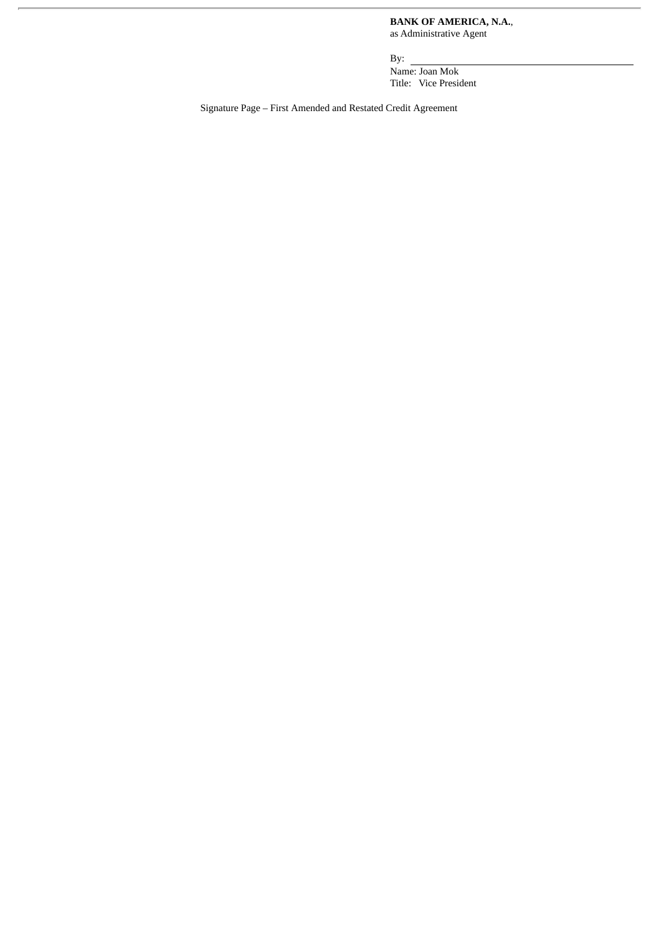#### **BANK OF AMERICA, N.A.**, as Administrative Agent

By: Name: Joan Mok Title: Vice President

Signature Page – First Amended and Restated Credit Agreement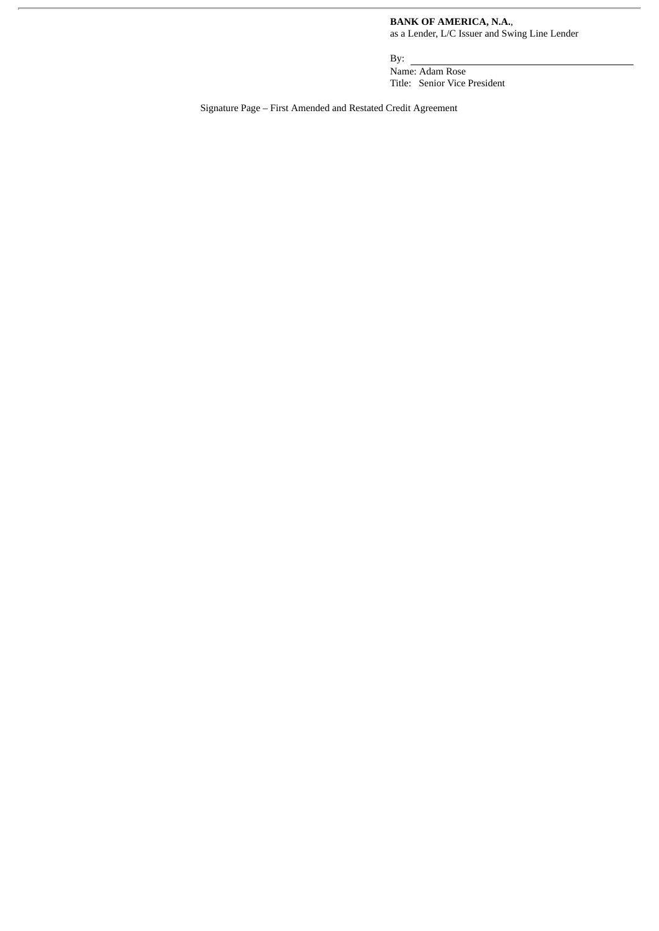## **BANK OF AMERICA, N.A.**, as a Lender, L/C Issuer and Swing Line Lender

By: Name: Adam Rose Title: Senior Vice President

Signature Page – First Amended and Restated Credit Agreement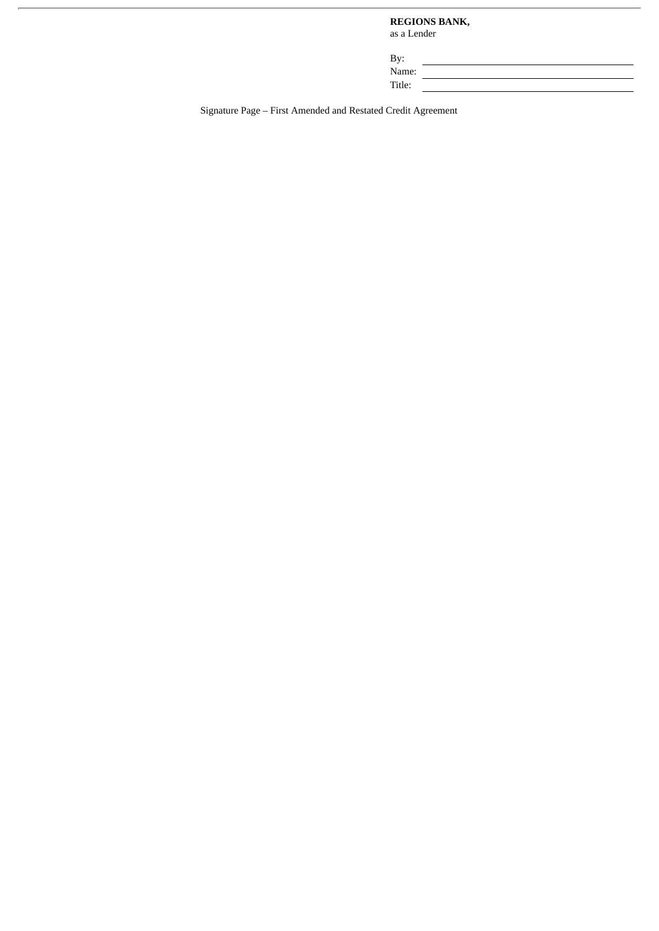| <b>REGIONS BANK.</b> |
|----------------------|
| as a Lender          |

By:

Title:

Name:

Signature Page – First Amended and Restated Credit Agreement

ł.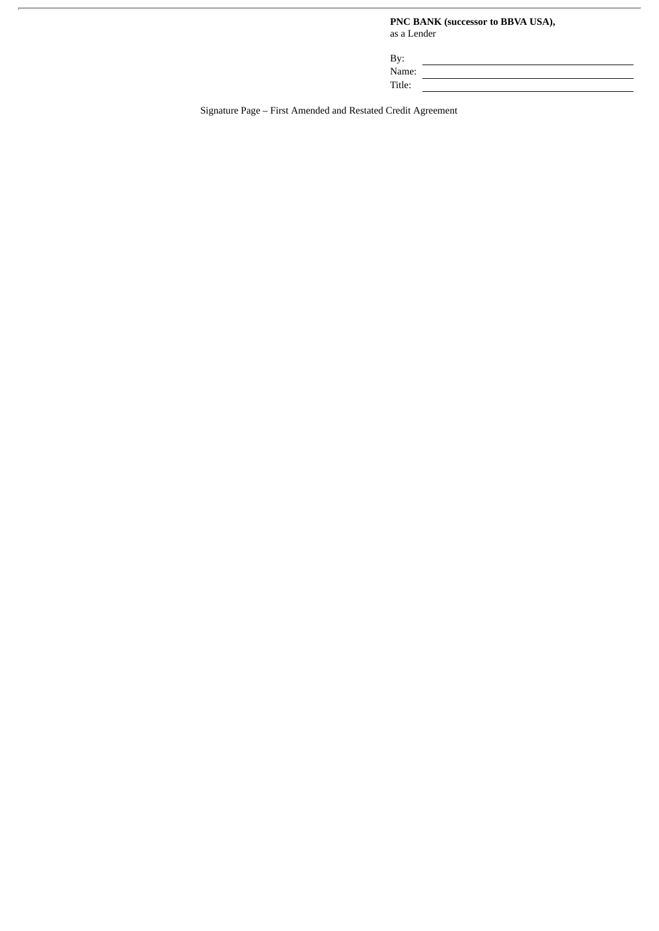**PNC BANK (successor to BBVA USA),** as a Lender

By: Name: Title:

Signature Page – First Amended and Restated Credit Agreement